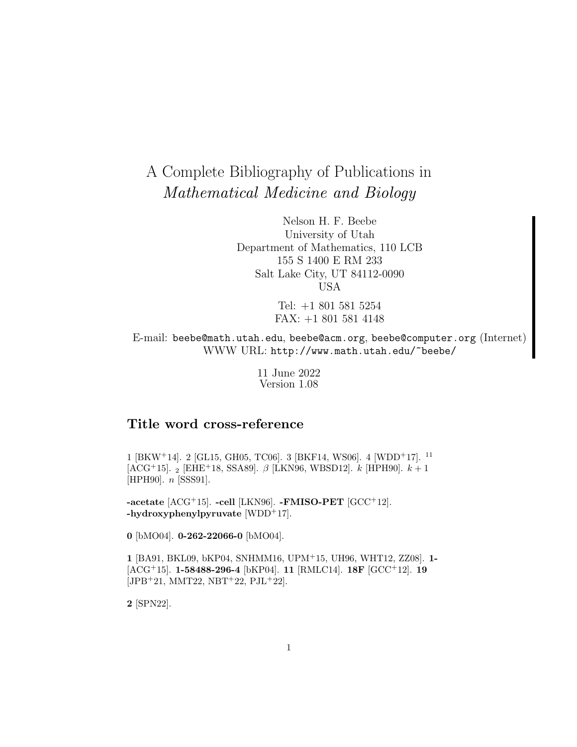# A Complete Bibliography of Publications in Mathematical Medicine and Biology

Nelson H. F. Beebe University of Utah Department of Mathematics, 110 LCB 155 S 1400 E RM 233 Salt Lake City, UT 84112-0090 USA

> Tel: +1 801 581 5254 FAX: +1 801 581 4148

E-mail: beebe@math.utah.edu, beebe@acm.org, beebe@computer.org (Internet) WWW URL: http://www.math.utah.edu/~beebe/

> 11 June 2022 Version 1.08

# **Title word cross-reference**

1 [BKW<sup>+</sup>14]. 2 [GL15, GH05, TC06]. 3 [BKF14, WS06]. 4 [WDD<sup>+</sup>17]. <sup>11</sup> [ACG+15]. <sub>2</sub> [EHE+18, SSA89].  $\beta$  [LKN96, WBSD12]. k [HPH90].  $k + 1$ [HPH90]. n [SSS91].

**-acetate** [ACG<sup>+</sup>15]. **-cell** [LKN96]. **-FMISO-PET** [GCC<sup>+</sup>12]. **-hydroxyphenylpyruvate** [WDD<sup>+</sup>17].

**0** [bMO04]. **0-262-22066-0** [bMO04].

**1** [BA91, BKL09, bKP04, SNHMM16, UPM<sup>+</sup>15, UH96, WHT12, ZZ08]. **1-** [ACG<sup>+</sup>15]. **1-58488-296-4** [bKP04]. **11** [RMLC14]. **18F** [GCC<sup>+</sup>12]. **19** [JPB<sup>+</sup>21, MMT22, NBT<sup>+</sup>22, PJL<sup>+</sup>22].

**2** [SPN22].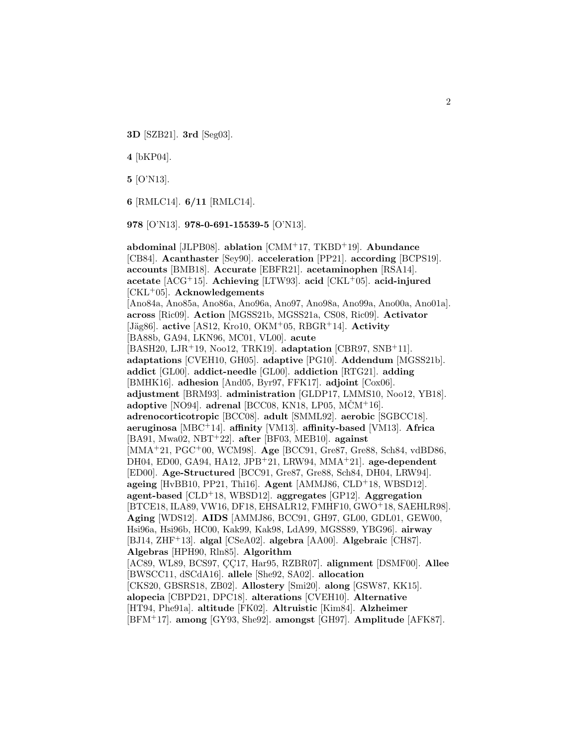**3D** [SZB21]. **3rd** [Seg03].

**4** [bKP04].

**5** [O'N13].

**6** [RMLC14]. **6/11** [RMLC14].

**978** [O'N13]. **978-0-691-15539-5** [O'N13].

**abdominal** [JLPB08]. **ablation** [CMM<sup>+</sup>17, TKBD<sup>+</sup>19]. **Abundance** [CB84]. **Acanthaster** [Sey90]. **acceleration** [PP21]. **according** [BCPS19]. **accounts** [BMB18]. **Accurate** [EBFR21]. **acetaminophen** [RSA14]. **acetate** [ACG<sup>+</sup>15]. **Achieving** [LTW93]. **acid** [CKL<sup>+</sup>05]. **acid-injured** [CKL<sup>+</sup>05]. **Acknowledgements** [Ano84a, Ano85a, Ano86a, Ano96a, Ano97, Ano98a, Ano99a, Ano00a, Ano01a]. **across** [Ric09]. **Action** [MGSS21b, MGSS21a, CS08, Ric09]. **Activator** [Jäg86]. **active** [AS12, Kro10, OKM<sup>+</sup>05, RBGR<sup>+</sup>14]. **Activity** [BA88b, GA94, LKN96, MC01, VL00]. **acute** [BASH20, LJR<sup>+</sup>19, Noo12, TRK19]. **adaptation** [CBR97, SNB<sup>+</sup>11]. **adaptations** [CVEH10, GH05]. **adaptive** [PG10]. **Addendum** [MGSS21b]. **addict** [GL00]. **addict-needle** [GL00]. **addiction** [RTG21]. **adding** [BMHK16]. **adhesion** [And05, Byr97, FFK17]. **adjoint** [Cox06]. **adjustment** [BRM93]. **administration** [GLDP17, LMMS10, Noo12, YB18]. **adoptive** [NO94]. **adrenal** [BCC08, KN18, LP05, MCMˇ <sup>+</sup>16]. **adrenocorticotropic** [BCC08]. **adult** [SMML92]. **aerobic** [SGBCC18]. **aeruginosa** [MBC<sup>+</sup>14]. **affinity** [VM13]. **affinity-based** [VM13]. **Africa** [BA91, Mwa02, NBT<sup>+</sup>22]. **after** [BF03, MEB10]. **against** [MMA<sup>+</sup>21, PGC<sup>+</sup>00, WCM98]. **Age** [BCC91, Gre87, Gre88, Sch84, vdBD86, DH04, ED00, GA94, HA12, JPB<sup>+</sup>21, LRW94, MMA<sup>+</sup>21]. **age-dependent** [ED00]. **Age-Structured** [BCC91, Gre87, Gre88, Sch84, DH04, LRW94]. **ageing** [HvBB10, PP21, Thi16]. **Agent** [AMMJ86, CLD<sup>+</sup>18, WBSD12]. **agent-based** [CLD<sup>+</sup>18, WBSD12]. **aggregates** [GP12]. **Aggregation** [BTCE18, ILA89, VW16, DF18, EHSALR12, FMHF10, GWO<sup>+</sup>18, SAEHLR98]. **Aging** [WDS12]. **AIDS** [AMMJ86, BCC91, GH97, GL00, GDL01, GEW00, Hsi96a, Hsi96b, HC00, Kak99, Kak98, LdA99, MGSS89, YBG96]. **airway** [BJ14, ZHF<sup>+</sup>13]. **algal** [CSeA02]. **algebra** [AA00]. **Algebraic** [CH87]. **Algebras** [HPH90, Rln85]. **Algorithm** [AC89, WL89, BCS97, ÇÇ17, Har95, RZBR07]. alignment [DSMF00]. Allee [BWSCC11, dSCdA16]. **allele** [She92, SA02]. **allocation** [CKS20, GBSRS18, ZB02]. **Allostery** [Smi20]. **along** [GSW87, KK15]. **alopecia** [CBPD21, DPC18]. **alterations** [CVEH10]. **Alternative** [HT94, Phe91a]. **altitude** [FK02]. **Altruistic** [Kim84]. **Alzheimer** [BFM<sup>+</sup>17]. **among** [GY93, She92]. **amongst** [GH97]. **Amplitude** [AFK87].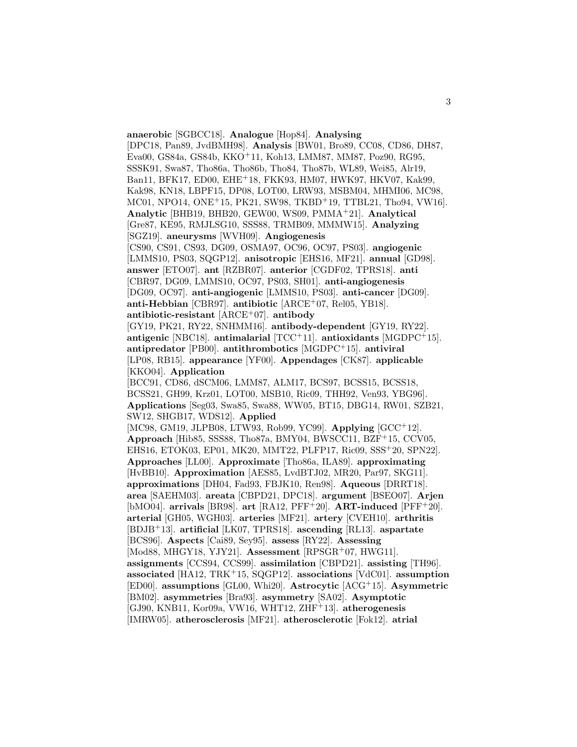**anaerobic** [SGBCC18]. **Analogue** [Hop84]. **Analysing** [DPC18, Pan89, JvdBMH98]. **Analysis** [BW01, Bro89, CC08, CD86, DH87, Eva00, GS84a, GS84b, KKO<sup>+</sup>11, Koh13, LMM87, MM87, Poz90, RG95, SSSK91, Swa87, Tho86a, Tho86b, Tho84, Tho87b, WL89, Wei85, Alr19, Ban11, BFK17, ED00, EHE<sup>+</sup>18, FKK93, HM07, HWK97, HKV07, Kak99, Kak98, KN18, LBPF15, DP08, LOT00, LRW93, MSBM04, MHMI06, MC98, MC01, NPO14, ONE<sup>+</sup>15, PK21, SW98, TKBD<sup>+</sup>19, TTBL21, Tho94, VW16]. **Analytic** [BHB19, BHB20, GEW00, WS09, PMMA<sup>+</sup>21]. **Analytical** [Gre87, KE95, RMJLSG10, SSS88, TRMB09, MMMW15]. **Analyzing** [SGZ19]. **aneurysms** [WVH09]. **Angiogenesis** [CS90, CS91, CS93, DG09, OSMA97, OC96, OC97, PS03]. **angiogenic** [LMMS10, PS03, SQGP12]. **anisotropic** [EHS16, MF21]. **annual** [GD98]. **answer** [ETO07]. **ant** [RZBR07]. **anterior** [CGDF02, TPRS18]. **anti** [CBR97, DG09, LMMS10, OC97, PS03, SH01]. **anti-angiogenesis** [DG09, OC97]. **anti-angiogenic** [LMMS10, PS03]. **anti-cancer** [DG09]. **anti-Hebbian** [CBR97]. **antibiotic** [ARCE<sup>+</sup>07, Rel05, YB18]. **antibiotic-resistant** [ARCE<sup>+</sup>07]. **antibody** [GY19, PK21, RY22, SNHMM16]. **antibody-dependent** [GY19, RY22]. **antigenic** [NBC18]. **antimalarial** [TCC<sup>+</sup>11]. **antioxidants** [MGDPC<sup>+</sup>15]. **antipredator** [PB00]. **antithrombotics** [MGDPC<sup>+</sup>15]. **antiviral** [LP08, RB15]. **appearance** [YF00]. **Appendages** [CK87]. **applicable** [KKO04]. **Application** [BCC91, CD86, dSCM06, LMM87, ALM17, BCS97, BCSS15, BCSS18, BCSS21, GH99, Krz01, LOT00, MSB10, Ric09, THH92, Ven93, YBG96]. **Applications** [Seg03, Swa85, Swa88, WW05, BT15, DBG14, RW01, SZB21, SW12, SHGB17, WDS12]. **Applied** [MC98, GM19, JLPB08, LTW93, Rob99, YC99]. **Applying** [GCC<sup>+</sup>12]. **Approach** [Hib85, SSS88, Tho87a, BMY04, BWSCC11, BZF<sup>+</sup>15, CCV05, EHS16, ETOK03, EP01, MK20, MMT22, PLFP17, Ric09, SSS<sup>+</sup>20, SPN22]. **Approaches** [LL00]. **Approximate** [Tho86a, ILA89]. **approximating** [HvBB10]. **Approximation** [AES85, LvdBTJ02, MR20, Par97, SKG11]. **approximations** [DH04, Fad93, FBJK10, Ren98]. **Aqueous** [DRRT18]. **area** [SAEHM03]. **areata** [CBPD21, DPC18]. **argument** [BSEO07]. **Arjen** [bMO04]. **arrivals** [BR98]. **art** [RA12, PFF<sup>+</sup>20]. **ART-induced** [PFF<sup>+</sup>20]. **arterial** [GH05, WGH03]. **arteries** [MF21]. **artery** [CVEH10]. **arthritis** [BDJB<sup>+</sup>13]. **artificial** [LK07, TPRS18]. **ascending** [RL13]. **aspartate** [BCS96]. **Aspects** [Cai89, Sey95]. **assess** [RY22]. **Assessing** [Mod88, MHGY18, YJY21]. **Assessment** [RPSGR<sup>+</sup>07, HWG11]. **assignments** [CCS94, CCS99]. **assimilation** [CBPD21]. **assisting** [TH96]. **associated** [HA12, TRK<sup>+</sup>15, SQGP12]. **associations** [VdC01]. **assumption** [ED00]. **assumptions** [GL00, Whi20]. **Astrocytic** [ACG<sup>+</sup>15]. **Asymmetric** [BM02]. **asymmetries** [Bra93]. **asymmetry** [SA02]. **Asymptotic** [GJ90, KNB11, Kor09a, VW16, WHT12, ZHF<sup>+</sup>13]. **atherogenesis** [IMRW05]. **atherosclerosis** [MF21]. **atherosclerotic** [Fok12]. **atrial**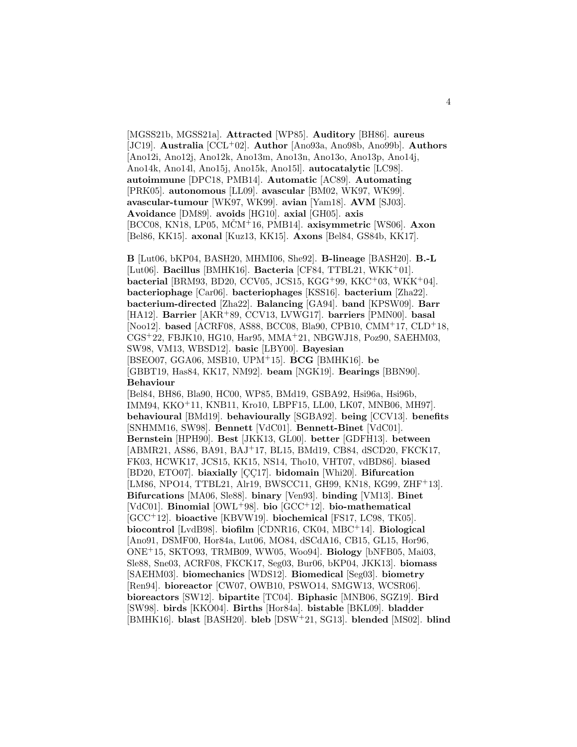[MGSS21b, MGSS21a]. **Attracted** [WP85]. **Auditory** [BH86]. **aureus** [JC19]. **Australia** [CCL<sup>+</sup>02]. **Author** [Ano93a, Ano98b, Ano99b]. **Authors** [Ano12i, Ano12j, Ano12k, Ano13m, Ano13n, Ano13o, Ano13p, Ano14j, Ano14k, Ano14l, Ano15j, Ano15k, Ano15l]. **autocatalytic** [LC98]. **autoimmune** [DPC18, PMB14]. **Automatic** [AC89]. **Automating** [PRK05]. **autonomous** [LL09]. **avascular** [BM02, WK97, WK99]. **avascular-tumour** [WK97, WK99]. **avian** [Yam18]. **AVM** [SJ03]. **Avoidance** [DM89]. **avoids** [HG10]. **axial** [GH05]. **axis** [BCC08, KN18, LP05, MCMˇ <sup>+</sup>16, PMB14]. **axisymmetric** [WS06]. **Axon** [Bel86, KK15]. **axonal** [Kuz13, KK15]. **Axons** [Bel84, GS84b, KK17].

**B** [Lut06, bKP04, BASH20, MHMI06, She92]. **B-lineage** [BASH20]. **B.-L** [Lut06]. **Bacillus** [BMHK16]. **Bacteria** [CF84, TTBL21, WKK<sup>+</sup>01]. **bacterial** [BRM93, BD20, CCV05, JCS15, KGG<sup>+</sup>99, KKC<sup>+</sup>03, WKK<sup>+</sup>04]. **bacteriophage** [Car06]. **bacteriophages** [KSS16]. **bacterium** [Zha22]. **bacterium-directed** [Zha22]. **Balancing** [GA94]. **band** [KPSW09]. **Barr** [HA12]. **Barrier** [AKR<sup>+</sup>89, CCV13, LVWG17]. **barriers** [PMN00]. **basal** [Noo12]. **based** [ACRF08, AS88, BCC08, Bla90, CPB10, CMM<sup>+</sup>17, CLD<sup>+</sup>18, CGS<sup>+</sup>22, FBJK10, HG10, Har95, MMA<sup>+</sup>21, NBGWJ18, Poz90, SAEHM03, SW98, VM13, WBSD12]. **basic** [LBY00]. **Bayesian** [BSEO07, GGA06, MSB10, UPM<sup>+</sup>15]. **BCG** [BMHK16]. **be** [GBBT19, Has84, KK17, NM92]. **beam** [NGK19]. **Bearings** [BBN90]. **Behaviour**

[Bel84, BH86, Bla90, HC00, WP85, BMd19, GSBA92, Hsi96a, Hsi96b, IMM94, KKO<sup>+</sup>11, KNB11, Kro10, LBPF15, LL00, LK07, MNB06, MH97]. **behavioural** [BMd19]. **behaviourally** [SGBA92]. **being** [CCV13]. **benefits** [SNHMM16, SW98]. **Bennett** [VdC01]. **Bennett-Binet** [VdC01]. **Bernstein** [HPH90]. **Best** [JKK13, GL00]. **better** [GDFH13]. **between** [ABMR21, AS86, BA91, BAJ<sup>+</sup>17, BL15, BMd19, CB84, dSCD20, FKCK17, FK03, HCWK17, JCS15, KK15, NS14, Tho10, VHT07, vdBD86]. **biased** [BD20, ETO07]. **biaxially** [CC17]. **bidomain** [Whi20]. **Bifurcation** [LM86, NPO14, TTBL21, Alr19, BWSCC11, GH99, KN18, KG99, ZHF+13]. **Bifurcations** [MA06, Sle88]. **binary** [Ven93]. **binding** [VM13]. **Binet** [VdC01]. **Binomial** [OWL<sup>+</sup>98]. **bio** [GCC<sup>+</sup>12]. **bio-mathematical** [GCC<sup>+</sup>12]. **bioactive** [KBVW19]. **biochemical** [FS17, LC98, TK05]. **biocontrol** [LvdB98]. **biofilm** [CDNR16, CK04, MBC<sup>+</sup>14]. **Biological** [Ano91, DSMF00, Hor84a, Lut06, MO84, dSCdA16, CB15, GL15, Hor96, ONE<sup>+</sup>15, SKTO93, TRMB09, WW05, Woo94]. **Biology** [bNFB05, Mai03, Sle88, Sne03, ACRF08, FKCK17, Seg03, Bur06, bKP04, JKK13]. **biomass** [SAEHM03]. **biomechanics** [WDS12]. **Biomedical** [Seg03]. **biometry** [Ren94]. **bioreactor** [CW07, OWB10, PSWO14, SMGW13, WCSR06]. **bioreactors** [SW12]. **bipartite** [TC04]. **Biphasic** [MNB06, SGZ19]. **Bird** [SW98]. **birds** [KKO04]. **Births** [Hor84a]. **bistable** [BKL09]. **bladder** [BMHK16]. **blast** [BASH20]. **bleb** [DSW<sup>+</sup>21, SG13]. **blended** [MS02]. **blind**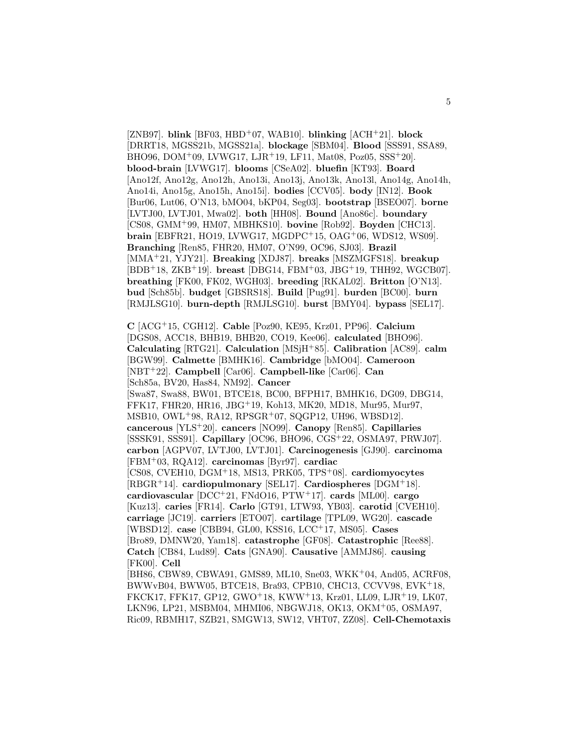[ZNB97]. **blink** [BF03, HBD<sup>+</sup>07, WAB10]. **blinking** [ACH<sup>+</sup>21]. **block** [DRRT18, MGSS21b, MGSS21a]. **blockage** [SBM04]. **Blood** [SSS91, SSA89, BHO96, DOM<sup>+</sup>09, LVWG17, LJR<sup>+</sup>19, LF11, Mat08, Poz05, SSS<sup>+</sup>20]. **blood-brain** [LVWG17]. **blooms** [CSeA02]. **bluefin** [KT93]. **Board** [Ano12f, Ano12g, Ano12h, Ano13i, Ano13j, Ano13k, Ano13l, Ano14g, Ano14h, Ano14i, Ano15g, Ano15h, Ano15i]. **bodies** [CCV05]. **body** [IN12]. **Book** [Bur06, Lut06, O'N13, bMO04, bKP04, Seg03]. **bootstrap** [BSEO07]. **borne** [LVTJ00, LVTJ01, Mwa02]. **both** [HH08]. **Bound** [Ano86c]. **boundary** [CS08, GMM<sup>+</sup>99, HM07, MBHKS10]. **bovine** [Rob92]. **Boyden** [CHC13]. **brain** [EBFR21, HO19, LVWG17, MGDPC<sup>+</sup>15, OAG<sup>+</sup>06, WDS12, WS09]. **Branching** [Ren85, FHR20, HM07, O'N99, OC96, SJ03]. **Brazil** [MMA<sup>+</sup>21, YJY21]. **Breaking** [XDJ87]. **breaks** [MSZMGFS18]. **breakup** [BDB<sup>+</sup>18, ZKB<sup>+</sup>19]. **breast** [DBG14, FBM<sup>+</sup>03, JBG<sup>+</sup>19, THH92, WGCB07]. **breathing** [FK00, FK02, WGH03]. **breeding** [RKAL02]. **Britton** [O'N13]. **bud** [Sch85b]. **budget** [GBSRS18]. **Build** [Pug91]. **burden** [BC00]. **burn** [RMJLSG10]. **burn-depth** [RMJLSG10]. **burst** [BMY04]. **bypass** [SEL17].

**C** [ACG<sup>+</sup>15, CGH12]. **Cable** [Poz90, KE95, Krz01, PP96]. **Calcium** [DGS08, ACC18, BHB19, BHB20, CO19, Kee06]. **calculated** [BHO96]. **Calculating** [RTG21]. **Calculation** [MSjH<sup>+</sup>85]. **Calibration** [AC89]. **calm** [BGW99]. **Calmette** [BMHK16]. **Cambridge** [bMO04]. **Cameroon** [NBT<sup>+</sup>22]. **Campbell** [Car06]. **Campbell-like** [Car06]. **Can** [Sch85a, BV20, Has84, NM92]. **Cancer** [Swa87, Swa88, BW01, BTCE18, BC00, BFPH17, BMHK16, DG09, DBG14, FFK17, FHR20, HR16, JBG<sup>+</sup>19, Koh13, MK20, MD18, Mur95, Mur97, MSB10, OWL<sup>+</sup>98, RA12, RPSGR<sup>+</sup>07, SQGP12, UH96, WBSD12]. **cancerous** [YLS<sup>+</sup>20]. **cancers** [NO99]. **Canopy** [Ren85]. **Capillaries** [SSSK91, SSS91]. **Capillary** [OC96, BHO96, CGS<sup>+</sup>22, OSMA97, PRWJ07]. **carbon** [AGPV07, LVTJ00, LVTJ01]. **Carcinogenesis** [GJ90]. **carcinoma** [FBM<sup>+</sup>03, RQA12]. **carcinomas** [Byr97]. **cardiac** [CS08, CVEH10, DGM<sup>+</sup>18, MS13, PRK05, TPS<sup>+</sup>08]. **cardiomyocytes** [RBGR<sup>+</sup>14]. **cardiopulmonary** [SEL17]. **Cardiospheres** [DGM<sup>+</sup>18]. **cardiovascular** [DCC<sup>+</sup>21, FNdO16, PTW<sup>+</sup>17]. **cards** [ML00]. **cargo** [Kuz13]. **caries** [FR14]. **Carlo** [GT91, LTW93, YB03]. **carotid** [CVEH10]. **carriage** [JC19]. **carriers** [ETO07]. **cartilage** [TPL09, WG20]. **cascade** [WBSD12]. **case** [CBB94, GL00, KSS16, LCC<sup>+</sup>17, MS05]. **Cases** [Bro89, DMNW20, Yam18]. **catastrophe** [GF08]. **Catastrophic** [Ree88]. **Catch** [CB84, Lud89]. **Cats** [GNA90]. **Causative** [AMMJ86]. **causing** [FK00]. **Cell** [BH86, CBW89, CBWA91, GMS89, ML10, Sne03, WKK<sup>+</sup>04, And05, ACRF08, BWWvB04, BWW05, BTCE18, Bra93, CPB10, CHC13, CCVV98, EVK<sup>+</sup>18,

FKCK17, FFK17, GP12, GWO<sup>+</sup>18, KWW<sup>+</sup>13, Krz01, LL09, LJR<sup>+</sup>19, LK07, LKN96, LP21, MSBM04, MHMI06, NBGWJ18, OK13, OKM<sup>+</sup>05, OSMA97, Ric09, RBMH17, SZB21, SMGW13, SW12, VHT07, ZZ08]. **Cell-Chemotaxis**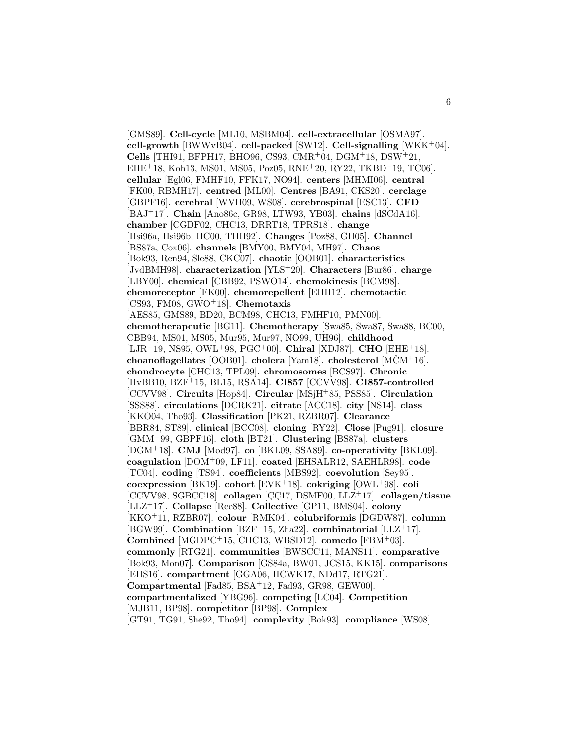[GMS89]. **Cell-cycle** [ML10, MSBM04]. **cell-extracellular** [OSMA97]. **cell-growth** [BWWvB04]. **cell-packed** [SW12]. **Cell-signalling** [WKK<sup>+</sup>04]. **Cells** [THI91, BFPH17, BHO96, CS93, CMR<sup>+</sup>04, DGM<sup>+</sup>18, DSW<sup>+</sup>21, EHE<sup>+</sup>18, Koh13, MS01, MS05, Poz05, RNE<sup>+</sup>20, RY22, TKBD<sup>+</sup>19, TC06]. **cellular** [Egl06, FMHF10, FFK17, NO94]. **centers** [MHMI06]. **central** [FK00, RBMH17]. **centred** [ML00]. **Centres** [BA91, CKS20]. **cerclage** [GBPF16]. **cerebral** [WVH09, WS08]. **cerebrospinal** [ESC13]. **CFD** [BAJ<sup>+</sup>17]. **Chain** [Ano86c, GR98, LTW93, YB03]. **chains** [dSCdA16]. **chamber** [CGDF02, CHC13, DRRT18, TPRS18]. **change** [Hsi96a, Hsi96b, HC00, THH92]. **Changes** [Poz88, GH05]. **Channel** [BS87a, Cox06]. **channels** [BMY00, BMY04, MH97]. **Chaos** [Bok93, Ren94, Sle88, CKC07]. **chaotic** [OOB01]. **characteristics** [JvdBMH98]. **characterization** [YLS<sup>+</sup>20]. **Characters** [Bur86]. **charge** [LBY00]. **chemical** [CBB92, PSWO14]. **chemokinesis** [BCM98]. **chemoreceptor** [FK00]. **chemorepellent** [EHH12]. **chemotactic** [CS93, FM08, GWO<sup>+</sup>18]. **Chemotaxis** [AES85, GMS89, BD20, BCM98, CHC13, FMHF10, PMN00]. **chemotherapeutic** [BG11]. **Chemotherapy** [Swa85, Swa87, Swa88, BC00, CBB94, MS01, MS05, Mur95, Mur97, NO99, UH96]. **childhood** [LJR<sup>+</sup>19, NS95, OWL<sup>+</sup>98, PGC<sup>+</sup>00]. **Chiral** [XDJ87]. **CHO** [EHE<sup>+</sup>18]. **choanoflagellates** [OOB01]. **cholera** [Yam18]. **cholesterol** [MCMˇ <sup>+</sup>16]. **chondrocyte** [CHC13, TPL09]. **chromosomes** [BCS97]. **Chronic** [HvBB10, BZF<sup>+</sup>15, BL15, RSA14]. **CI857** [CCVV98]. **CI857-controlled** [CCVV98]. **Circuits** [Hop84]. **Circular** [MSjH<sup>+</sup>85, PSS85]. **Circulation** [SSS88]. **circulations** [DCRK21]. **citrate** [ACC18]. **city** [NS14]. **class** [KKO04, Tho93]. **Classification** [PK21, RZBR07]. **Clearance** [BBR84, ST89]. **clinical** [BCC08]. **cloning** [RY22]. **Close** [Pug91]. **closure** [GMM<sup>+</sup>99, GBPF16]. **cloth** [BT21]. **Clustering** [BS87a]. **clusters** [DGM<sup>+</sup>18]. **CMJ** [Mod97]. **co** [BKL09, SSA89]. **co-operativity** [BKL09]. **coagulation** [DOM<sup>+</sup>09, LF11]. **coated** [EHSALR12, SAEHLR98]. **code** [TC04]. **coding** [TS94]. **coefficients** [MBS92]. **coevolution** [Sey95]. **coexpression** [BK19]. **cohort** [EVK<sup>+</sup>18]. **cokriging** [OWL<sup>+</sup>98]. **coli**  $[CCVV98, SGECC18]$ . **collagen**  $[CC17, DSMF00, LLZ<sup>+</sup>17]$ . **collagen/tissue** [LLZ<sup>+</sup>17]. **Collapse** [Ree88]. **Collective** [GP11, BMS04]. **colony** [KKO<sup>+</sup>11, RZBR07]. **colour** [RMK04]. **colubriformis** [DGDW87]. **column** [BGW99]. **Combination** [BZF<sup>+</sup>15, Zha22]. **combinatorial** [LLZ<sup>+</sup>17]. **Combined** [MGDPC<sup>+</sup>15, CHC13, WBSD12]. **comedo** [FBM<sup>+</sup>03]. **commonly** [RTG21]. **communities** [BWSCC11, MANS11]. **comparative** [Bok93, Mon07]. **Comparison** [GS84a, BW01, JCS15, KK15]. **comparisons** [EHS16]. **compartment** [GGA06, HCWK17, NDd17, RTG21]. **Compartmental** [Fad85, BSA<sup>+</sup>12, Fad93, GR98, GEW00]. **compartmentalized** [YBG96]. **competing** [LC04]. **Competition** [MJB11, BP98]. **competitor** [BP98]. **Complex** [GT91, TG91, She92, Tho94]. **complexity** [Bok93]. **compliance** [WS08].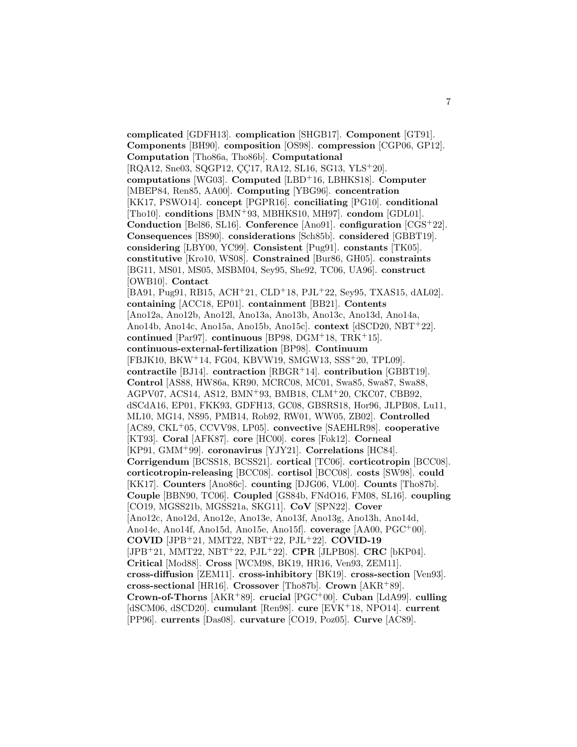**complicated** [GDFH13]. **complication** [SHGB17]. **Component** [GT91]. **Components** [BH90]. **composition** [OS98]. **compression** [CGP06, GP12]. **Computation** [Tho86a, Tho86b]. **Computational**  $[ROA12, Sne03, SQGP12, CC17, RA12, SL16, SG13, YLS<sup>+</sup>20].$ **computations** [WG03]. **Computed** [LBD<sup>+</sup>16, LBHKS18]. **Computer** [MBEP84, Ren85, AA00]. **Computing** [YBG96]. **concentration** [KK17, PSWO14]. **concept** [PGPR16]. **conciliating** [PG10]. **conditional** [Tho10]. **conditions** [BMN<sup>+</sup>93, MBHKS10, MH97]. **condom** [GDL01]. **Conduction** [Bel86, SL16]. **Conference** [Ano91]. **configuration** [CGS<sup>+</sup>22]. **Consequences** [BS90]. **considerations** [Sch85b]. **considered** [GBBT19]. **considering** [LBY00, YC99]. **Consistent** [Pug91]. **constants** [TK05]. **constitutive** [Kro10, WS08]. **Constrained** [Bur86, GH05]. **constraints** [BG11, MS01, MS05, MSBM04, Sey95, She92, TC06, UA96]. **construct** [OWB10]. **Contact** [BA91, Pug91, RB15, ACH<sup>+</sup>21, CLD<sup>+</sup>18, PJL<sup>+</sup>22, Sey95, TXAS15, dAL02]. **containing** [ACC18, EP01]. **containment** [BB21]. **Contents** [Ano12a, Ano12b, Ano12l, Ano13a, Ano13b, Ano13c, Ano13d, Ano14a, Ano14b, Ano14c, Ano15a, Ano15b, Ano15c]. **context** [dSCD20, NBT<sup>+</sup>22]. **continued** [Par97]. **continuous** [BP98, DGM<sup>+</sup>18, TRK<sup>+</sup>15]. **continuous-external-fertilization** [BP98]. **Continuum** [FBJK10, BKW<sup>+</sup>14, FG04, KBVW19, SMGW13, SSS<sup>+</sup>20, TPL09]. **contractile** [BJ14]. **contraction** [RBGR<sup>+</sup>14]. **contribution** [GBBT19]. **Control** [AS88, HW86a, KR90, MCRC08, MC01, Swa85, Swa87, Swa88, AGPV07, ACS14, AS12, BMN<sup>+</sup>93, BMB18, CLM<sup>+</sup>20, CKC07, CBB92, dSCdA16, EP01, FKK93, GDFH13, GC08, GBSRS18, Hor96, JLPB08, Lu11, ML10, MG14, NS95, PMB14, Rob92, RW01, WW05, ZB02]. **Controlled** [AC89, CKL<sup>+</sup>05, CCVV98, LP05]. **convective** [SAEHLR98]. **cooperative** [KT93]. **Coral** [AFK87]. **core** [HC00]. **cores** [Fok12]. **Corneal** [KP91, GMM<sup>+</sup>99]. **coronavirus** [YJY21]. **Correlations** [HC84]. **Corrigendum** [BCSS18, BCSS21]. **cortical** [TC06]. **corticotropin** [BCC08]. **corticotropin-releasing** [BCC08]. **cortisol** [BCC08]. **costs** [SW98]. **could** [KK17]. **Counters** [Ano86c]. **counting** [DJG06, VL00]. **Counts** [Tho87b]. **Couple** [BBN90, TC06]. **Coupled** [GS84b, FNdO16, FM08, SL16]. **coupling** [CO19, MGSS21b, MGSS21a, SKG11]. **CoV** [SPN22]. **Cover** [Ano12c, Ano12d, Ano12e, Ano13e, Ano13f, Ano13g, Ano13h, Ano14d, Ano14e, Ano14f, Ano15d, Ano15e, Ano15f]. **coverage** [AA00, PGC<sup>+</sup>00]. **COVID** [JPB<sup>+</sup>21, MMT22, NBT<sup>+</sup>22, PJL<sup>+</sup>22]. **COVID-19** [JPB<sup>+</sup>21, MMT22, NBT<sup>+</sup>22, PJL<sup>+</sup>22]. **CPR** [JLPB08]. **CRC** [bKP04]. **Critical** [Mod88]. **Cross** [WCM98, BK19, HR16, Ven93, ZEM11]. **cross-diffusion** [ZEM11]. **cross-inhibitory** [BK19]. **cross-section** [Ven93]. **cross-sectional** [HR16]. **Crossover** [Tho87b]. **Crown** [AKR<sup>+</sup>89]. **Crown-of-Thorns** [AKR<sup>+</sup>89]. **crucial** [PGC<sup>+</sup>00]. **Cuban** [LdA99]. **culling** [dSCM06, dSCD20]. **cumulant** [Ren98]. **cure** [EVK<sup>+</sup>18, NPO14]. **current** [PP96]. **currents** [Das08]. **curvature** [CO19, Poz05]. **Curve** [AC89].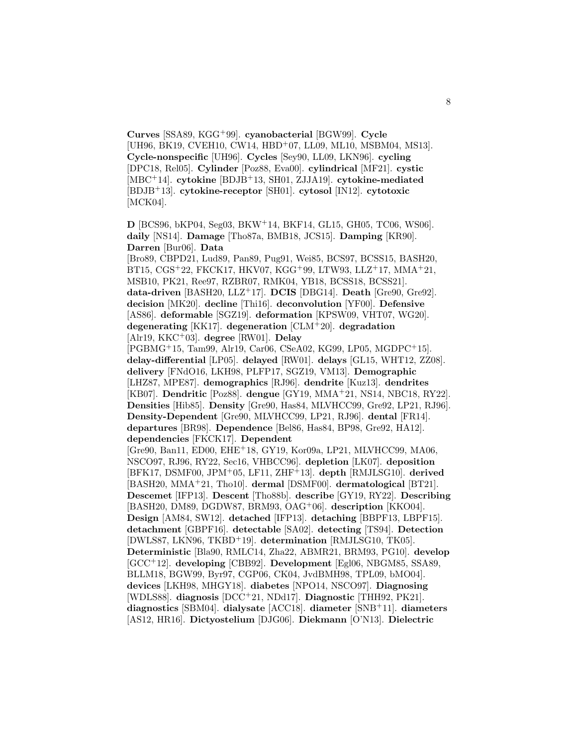**Curves** [SSA89, KGG<sup>+</sup>99]. **cyanobacterial** [BGW99]. **Cycle** [UH96, BK19, CVEH10, CW14, HBD<sup>+</sup>07, LL09, ML10, MSBM04, MS13]. **Cycle-nonspecific** [UH96]. **Cycles** [Sey90, LL09, LKN96]. **cycling** [DPC18, Rel05]. **Cylinder** [Poz88, Eva00]. **cylindrical** [MF21]. **cystic** [MBC<sup>+</sup>14]. **cytokine** [BDJB<sup>+</sup>13, SH01, ZJJA19]. **cytokine-mediated** [BDJB<sup>+</sup>13]. **cytokine-receptor** [SH01]. **cytosol** [IN12]. **cytotoxic** [MCK04].

**D** [BCS96, bKP04, Seg03, BKW<sup>+</sup>14, BKF14, GL15, GH05, TC06, WS06]. **daily** [NS14]. **Damage** [Tho87a, BMB18, JCS15]. **Damping** [KR90]. **Darren** [Bur06]. **Data**

[Bro89, CBPD21, Lud89, Pan89, Pug91, Wei85, BCS97, BCSS15, BASH20, BT15, CGS<sup>+</sup>22, FKCK17, HKV07, KGG<sup>+</sup>99, LTW93, LLZ<sup>+</sup>17, MMA<sup>+</sup>21, MSB10, PK21, Ree97, RZBR07, RMK04, YB18, BCSS18, BCSS21]. **data-driven** [BASH20, LLZ<sup>+</sup>17]. **DCIS** [DBG14]. **Death** [Gre90, Gre92]. **decision** [MK20]. **decline** [Thi16]. **deconvolution** [YF00]. **Defensive** [AS86]. **deformable** [SGZ19]. **deformation** [KPSW09, VHT07, WG20]. **degenerating** [KK17]. **degeneration** [CLM<sup>+</sup>20]. **degradation** [Alr19, KKC<sup>+</sup>03]. **degree** [RW01]. **Delay**

[PGBMG<sup>+</sup>15, Tam99, Alr19, Car06, CSeA02, KG99, LP05, MGDPC<sup>+</sup>15]. **delay-differential** [LP05]. **delayed** [RW01]. **delays** [GL15, WHT12, ZZ08]. **delivery** [FNdO16, LKH98, PLFP17, SGZ19, VM13]. **Demographic** [LHZ87, MPE87]. **demographics** [RJ96]. **dendrite** [Kuz13]. **dendrites** [KB07]. **Dendritic** [Poz88]. **dengue** [GY19, MMA<sup>+</sup>21, NS14, NBC18, RY22]. **Densities** [Hib85]. **Density** [Gre90, Has84, MLVHCC99, Gre92, LP21, RJ96]. **Density-Dependent** [Gre90, MLVHCC99, LP21, RJ96]. **dental** [FR14]. **departures** [BR98]. **Dependence** [Bel86, Has84, BP98, Gre92, HA12]. **dependencies** [FKCK17]. **Dependent**

[Gre90, Ban11, ED00, EHE<sup>+</sup>18, GY19, Kor09a, LP21, MLVHCC99, MA06, NSCO97, RJ96, RY22, Sec16, VHBCC96]. **depletion** [LK07]. **deposition** [BFK17, DSMF00, JPM<sup>+</sup>05, LF11, ZHF<sup>+</sup>13]. **depth** [RMJLSG10]. **derived** [BASH20, MMA<sup>+</sup>21, Tho10]. **dermal** [DSMF00]. **dermatological** [BT21]. **Descemet** [IFP13]. **Descent** [Tho88b]. **describe** [GY19, RY22]. **Describing** [BASH20, DM89, DGDW87, BRM93, OAG<sup>+</sup>06]. **description** [KKO04]. **Design** [AM84, SW12]. **detached** [IFP13]. **detaching** [BBPF13, LBPF15]. **detachment** [GBPF16]. **detectable** [SA02]. **detecting** [TS94]. **Detection** [DWLS87, LKN96, TKBD<sup>+</sup>19]. **determination** [RMJLSG10, TK05]. **Deterministic** [Bla90, RMLC14, Zha22, ABMR21, BRM93, PG10]. **develop** [GCC<sup>+</sup>12]. **developing** [CBB92]. **Development** [Egl06, NBGM85, SSA89, BLLM18, BGW99, Byr97, CGP06, CK04, JvdBMH98, TPL09, bMO04]. **devices** [LKH98, MHGY18]. **diabetes** [NPO14, NSCO97]. **Diagnosing** [WDLS88]. **diagnosis** [DCC<sup>+</sup>21, NDd17]. **Diagnostic** [THH92, PK21]. **diagnostics** [SBM04]. **dialysate** [ACC18]. **diameter** [SNB<sup>+</sup>11]. **diameters** [AS12, HR16]. **Dictyostelium** [DJG06]. **Diekmann** [O'N13]. **Dielectric**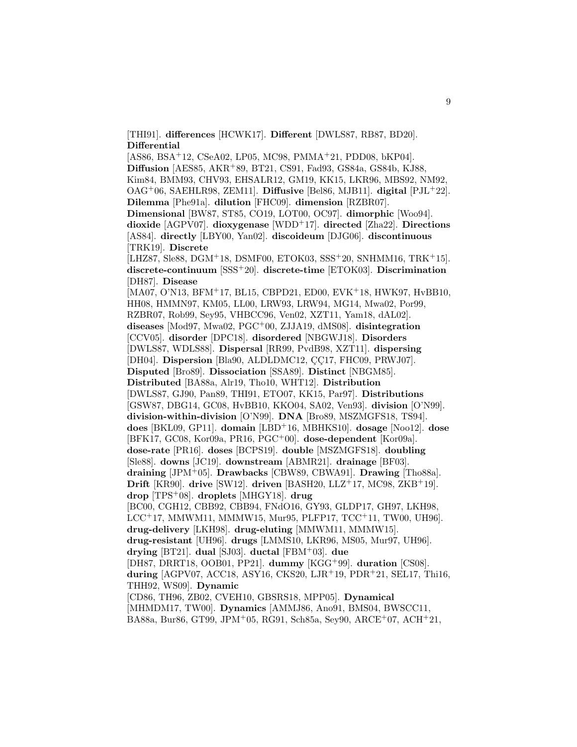[THI91]. **differences** [HCWK17]. **Different** [DWLS87, RB87, BD20]. **Differential**

[AS86, BSA<sup>+</sup>12, CSeA02, LP05, MC98, PMMA<sup>+</sup>21, PDD08, bKP04]. **Diffusion** [AES85, AKR<sup>+</sup>89, BT21, CS91, Fad93, GS84a, GS84b, KJ88, Kim84, BMM93, CHV93, EHSALR12, GM19, KK15, LKR96, MBS92, NM92, OAG<sup>+</sup>06, SAEHLR98, ZEM11]. **Diffusive** [Bel86, MJB11]. **digital** [PJL<sup>+</sup>22]. **Dilemma** [Phe91a]. **dilution** [FHC09]. **dimension** [RZBR07]. **Dimensional** [BW87, ST85, CO19, LOT00, OC97]. **dimorphic** [Woo94]. **dioxide** [AGPV07]. **dioxygenase** [WDD<sup>+</sup>17]. **directed** [Zha22]. **Directions** [AS84]. **directly** [LBY00, Yan02]. **discoideum** [DJG06]. **discontinuous** [TRK19]. **Discrete** [LHZ87, Sle88, DGM<sup>+</sup>18, DSMF00, ETOK03, SSS<sup>+</sup>20, SNHMM16, TRK<sup>+</sup>15]. **discrete-continuum** [SSS<sup>+</sup>20]. **discrete-time** [ETOK03]. **Discrimination** [DH87]. **Disease** [MA07, O'N13, BFM<sup>+</sup>17, BL15, CBPD21, ED00, EVK<sup>+</sup>18, HWK97, HvBB10, HH08, HMMN97, KM05, LL00, LRW93, LRW94, MG14, Mwa02, Por99, RZBR07, Rob99, Sey95, VHBCC96, Ven02, XZT11, Yam18, dAL02]. **diseases** [Mod97, Mwa02, PGC<sup>+</sup>00, ZJJA19, dMS08]. **disintegration** [CCV05]. **disorder** [DPC18]. **disordered** [NBGWJ18]. **Disorders** [DWLS87, WDLS88]. **Dispersal** [RR99, PvdB98, XZT11]. **dispersing** [DH04]. **Dispersion** [Bla90, ALDLDMC12, CC17, FHC09, PRWJ07]. **Disputed** [Bro89]. **Dissociation** [SSA89]. **Distinct** [NBGM85]. **Distributed** [BA88a, Alr19, Tho10, WHT12]. **Distribution** [DWLS87, GJ90, Pan89, THI91, ETO07, KK15, Par97]. **Distributions** [GSW87, DBG14, GC08, HvBB10, KKO04, SA02, Ven93]. **division** [O'N99]. **division-within-division** [O'N99]. **DNA** [Bro89, MSZMGFS18, TS94]. **does** [BKL09, GP11]. **domain** [LBD<sup>+</sup>16, MBHKS10]. **dosage** [Noo12]. **dose** [BFK17, GC08, Kor09a, PR16, PGC<sup>+</sup>00]. **dose-dependent** [Kor09a]. **dose-rate** [PR16]. **doses** [BCPS19]. **double** [MSZMGFS18]. **doubling** [Sle88]. **downs** [JC19]. **downstream** [ABMR21]. **drainage** [BF03]. **draining** [JPM<sup>+</sup>05]. **Drawbacks** [CBW89, CBWA91]. **Drawing** [Tho88a]. **Drift** [KR90]. **drive** [SW12]. **driven** [BASH20, LLZ<sup>+</sup>17, MC98, ZKB<sup>+</sup>19]. **drop** [TPS<sup>+</sup>08]. **droplets** [MHGY18]. **drug** [BC00, CGH12, CBB92, CBB94, FNdO16, GY93, GLDP17, GH97, LKH98, LCC<sup>+</sup>17, MMWM11, MMMW15, Mur95, PLFP17, TCC<sup>+</sup>11, TW00, UH96]. **drug-delivery** [LKH98]. **drug-eluting** [MMWM11, MMMW15]. **drug-resistant** [UH96]. **drugs** [LMMS10, LKR96, MS05, Mur97, UH96]. **drying** [BT21]. **dual** [SJ03]. **ductal** [FBM<sup>+</sup>03]. **due** [DH87, DRRT18, OOB01, PP21]. **dummy** [KGG<sup>+</sup>99]. **duration** [CS08]. **during** [AGPV07, ACC18, ASY16, CKS20, LJR<sup>+</sup>19, PDR<sup>+</sup>21, SEL17, Thi16, THH92, WS09]. **Dynamic** [CD86, TH96, ZB02, CVEH10, GBSRS18, MPP05]. **Dynamical** [MHMDM17, TW00]. **Dynamics** [AMMJ86, Ano91, BMS04, BWSCC11, BA88a, Bur86, GT99, JPM<sup>+</sup>05, RG91, Sch85a, Sey90, ARCE<sup>+</sup>07, ACH<sup>+</sup>21,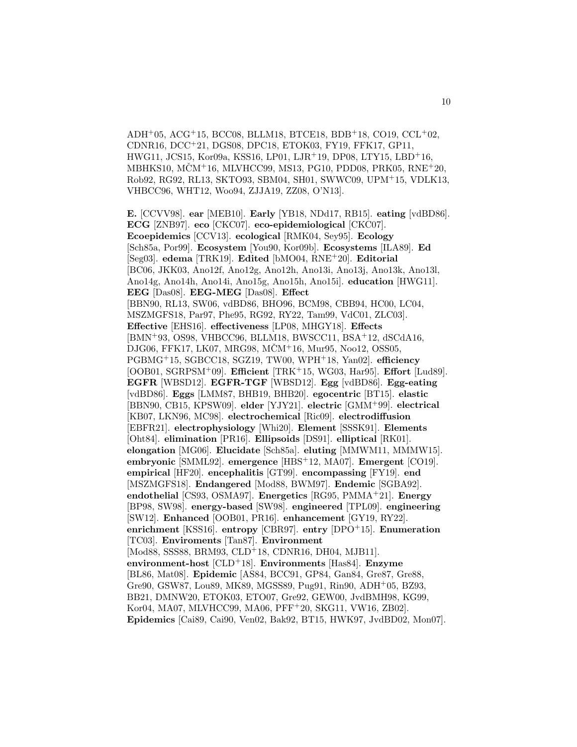$ADH<sup>+</sup>05, ACG<sup>+</sup>15, BCC08, BLLM18, BTCE18, BDB<sup>+</sup>18, CO19, CCL<sup>+</sup>02,$ CDNR16, DCC<sup>+</sup>21, DGS08, DPC18, ETOK03, FY19, FFK17, GP11, HWG11, JCS15, Kor09a, KSS16, LP01, LJR<sup>+</sup>19, DP08, LTY15, LBD<sup>+</sup>16, MBHKS10, MCMˇ <sup>+</sup>16, MLVHCC99, MS13, PG10, PDD08, PRK05, RNE<sup>+</sup>20, Rob92, RG92, RL13, SKTO93, SBM04, SH01, SWWC09, UPM<sup>+</sup>15, VDLK13, VHBCC96, WHT12, Woo94, ZJJA19, ZZ08, O'N13].

**E.** [CCVV98]. **ear** [MEB10]. **Early** [YB18, NDd17, RB15]. **eating** [vdBD86]. **ECG** [ZNB97]. **eco** [CKC07]. **eco-epidemiological** [CKC07]. **Ecoepidemics** [CCV13]. **ecological** [RMK04, Sey95]. **Ecology** [Sch85a, Por99]. **Ecosystem** [You90, Kor09b]. **Ecosystems** [ILA89]. **Ed** [Seg03]. **edema** [TRK19]. **Edited** [bMO04, RNE<sup>+</sup>20]. **Editorial** [BC06, JKK03, Ano12f, Ano12g, Ano12h, Ano13i, Ano13j, Ano13k, Ano13l, Ano14g, Ano14h, Ano14i, Ano15g, Ano15h, Ano15i]. **education** [HWG11]. **EEG** [Das08]. **EEG-MEG** [Das08]. **Effect** [BBN90, RL13, SW06, vdBD86, BHO96, BCM98, CBB94, HC00, LC04, MSZMGFS18, Par97, Phe95, RG92, RY22, Tam99, VdC01, ZLC03]. **Effective** [EHS16]. **effectiveness** [LP08, MHGY18]. **Effects** [BMN<sup>+</sup>93, OS98, VHBCC96, BLLM18, BWSCC11, BSA<sup>+</sup>12, dSCdA16, DJG06, FFK17, LK07, MRG98, MČM<sup>+</sup>16, Mur95, Noo12, OSS05, PGBMG<sup>+</sup>15, SGBCC18, SGZ19, TW00, WPH<sup>+</sup>18, Yan02]. **efficiency** [OOB01, SGRPSM<sup>+</sup>09]. **Efficient** [TRK<sup>+</sup>15, WG03, Har95]. **Effort** [Lud89]. **EGFR** [WBSD12]. **EGFR-TGF** [WBSD12]. **Egg** [vdBD86]. **Egg-eating** [vdBD86]. **Eggs** [LMM87, BHB19, BHB20]. **egocentric** [BT15]. **elastic** [BBN90, CB15, KPSW09]. **elder** [YJY21]. **electric** [GMM<sup>+</sup>99]. **electrical** [KB07, LKN96, MC98]. **electrochemical** [Ric09]. **electrodiffusion** [EBFR21]. **electrophysiology** [Whi20]. **Element** [SSSK91]. **Elements** [Oht84]. **elimination** [PR16]. **Ellipsoids** [DS91]. **elliptical** [RK01]. **elongation** [MG06]. **Elucidate** [Sch85a]. **eluting** [MMWM11, MMMW15]. **embryonic** [SMML92]. **emergence** [HBS<sup>+</sup>12, MA07]. **Emergent** [CO19]. **empirical** [HF20]. **encephalitis** [GT99]. **encompassing** [FY19]. **end** [MSZMGFS18]. **Endangered** [Mod88, BWM97]. **Endemic** [SGBA92]. **endothelial** [CS93, OSMA97]. **Energetics** [RG95, PMMA<sup>+</sup>21]. **Energy** [BP98, SW98]. **energy-based** [SW98]. **engineered** [TPL09]. **engineering** [SW12]. **Enhanced** [OOB01, PR16]. **enhancement** [GY19, RY22]. **enrichment** [KSS16]. **entropy** [CBR97]. **entry** [DPO<sup>+</sup>15]. **Enumeration** [TC03]. **Enviroments** [Tan87]. **Environment** [Mod88, SSS88, BRM93, CLD<sup>+</sup>18, CDNR16, DH04, MJB11]. **environment-host** [CLD<sup>+</sup>18]. **Environments** [Has84]. **Enzyme** [BL86, Mat08]. **Epidemic** [AS84, BCC91, GP84, Gan84, Gre87, Gre88, Gre90, GSW87, Lou89, MK89, MGSS89, Pug91, Rin90, ADH<sup>+</sup>05, BZ93, BB21, DMNW20, ETOK03, ETO07, Gre92, GEW00, JvdBMH98, KG99, Kor04, MA07, MLVHCC99, MA06, PFF<sup>+</sup>20, SKG11, VW16, ZB02]. **Epidemics** [Cai89, Cai90, Ven02, Bak92, BT15, HWK97, JvdBD02, Mon07].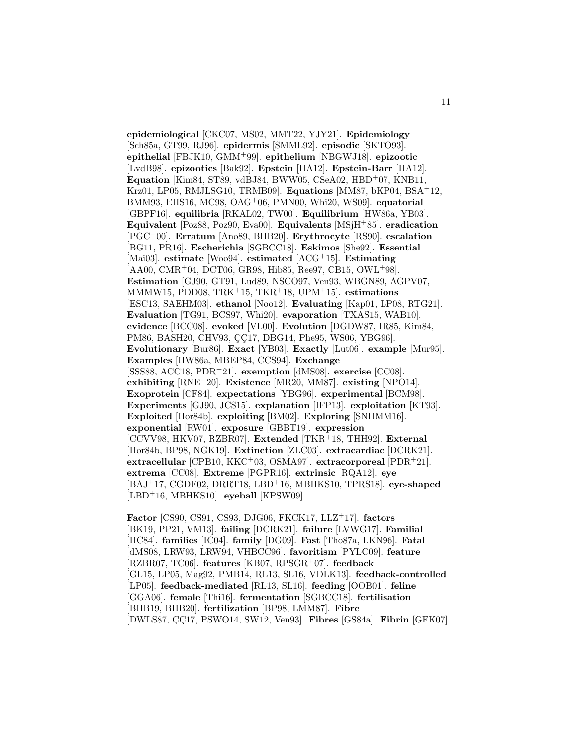**epidemiological** [CKC07, MS02, MMT22, YJY21]. **Epidemiology** [Sch85a, GT99, RJ96]. **epidermis** [SMML92]. **episodic** [SKTO93]. **epithelial** [FBJK10, GMM<sup>+</sup>99]. **epithelium** [NBGWJ18]. **epizootic** [LvdB98]. **epizootics** [Bak92]. **Epstein** [HA12]. **Epstein-Barr** [HA12]. **Equation** [Kim84, ST89, vdBJ84, BWW05, CSeA02, HBD<sup>+</sup>07, KNB11, Krz01, LP05, RMJLSG10, TRMB09]. **Equations** [MM87, bKP04, BSA<sup>+</sup>12, BMM93, EHS16, MC98, OAG<sup>+</sup>06, PMN00, Whi20, WS09]. **equatorial** [GBPF16]. **equilibria** [RKAL02, TW00]. **Equilibrium** [HW86a, YB03]. **Equivalent** [Poz88, Poz90, Eva00]. **Equivalents** [MSjH<sup>+</sup>85]. **eradication** [PGC<sup>+</sup>00]. **Erratum** [Ano89, BHB20]. **Erythrocyte** [RS90]. **escalation** [BG11, PR16]. **Escherichia** [SGBCC18]. **Eskimos** [She92]. **Essential** [Mai03]. **estimate** [Woo94]. **estimated** [ACG<sup>+</sup>15]. **Estimating** [AA00, CMR<sup>+</sup>04, DCT06, GR98, Hib85, Ree97, CB15, OWL<sup>+</sup>98]. **Estimation** [GJ90, GT91, Lud89, NSCO97, Ven93, WBGN89, AGPV07, MMMW15, PDD08, TRK<sup>+</sup>15, TKR<sup>+</sup>18, UPM<sup>+</sup>15]. **estimations** [ESC13, SAEHM03]. **ethanol** [Noo12]. **Evaluating** [Kap01, LP08, RTG21]. **Evaluation** [TG91, BCS97, Whi20]. **evaporation** [TXAS15, WAB10]. **evidence** [BCC08]. **evoked** [VL00]. **Evolution** [DGDW87, IR85, Kim84, PM86, BASH20, CHV93, CC17, DBG14, Phe95, WS06, YBG96]. **Evolutionary** [Bur86]. **Exact** [YB03]. **Exactly** [Lut06]. **example** [Mur95]. **Examples** [HW86a, MBEP84, CCS94]. **Exchange** [SSS88, ACC18, PDR<sup>+</sup>21]. **exemption** [dMS08]. **exercise** [CC08]. **exhibiting** [RNE<sup>+</sup>20]. **Existence** [MR20, MM87]. **existing** [NPO14]. **Exoprotein** [CF84]. **expectations** [YBG96]. **experimental** [BCM98]. **Experiments** [GJ90, JCS15]. **explanation** [IFP13]. **exploitation** [KT93]. **Exploited** [Hor84b]. **exploiting** [BM02]. **Exploring** [SNHMM16]. **exponential** [RW01]. **exposure** [GBBT19]. **expression** [CCVV98, HKV07, RZBR07]. **Extended** [TKR<sup>+</sup>18, THH92]. **External** [Hor84b, BP98, NGK19]. **Extinction** [ZLC03]. **extracardiac** [DCRK21]. **extracellular** [CPB10, KKC<sup>+</sup>03, OSMA97]. **extracorporeal** [PDR<sup>+</sup>21]. **extrema** [CC08]. **Extreme** [PGPR16]. **extrinsic** [RQA12]. **eye** [BAJ<sup>+</sup>17, CGDF02, DRRT18, LBD<sup>+</sup>16, MBHKS10, TPRS18]. **eye-shaped** [LBD<sup>+</sup>16, MBHKS10]. **eyeball** [KPSW09].

**Factor** [CS90, CS91, CS93, DJG06, FKCK17, LLZ<sup>+</sup>17]. **factors** [BK19, PP21, VM13]. **failing** [DCRK21]. **failure** [LVWG17]. **Familial** [HC84]. **families** [IC04]. **family** [DG09]. **Fast** [Tho87a, LKN96]. **Fatal** [dMS08, LRW93, LRW94, VHBCC96]. **favoritism** [PYLC09]. **feature** [RZBR07, TC06]. **features** [KB07, RPSGR<sup>+</sup>07]. **feedback** [GL15, LP05, Mag92, PMB14, RL13, SL16, VDLK13]. **feedback-controlled** [LP05]. **feedback-mediated** [RL13, SL16]. **feeding** [OOB01]. **feline** [GGA06]. **female** [Thi16]. **fermentation** [SGBCC18]. **fertilisation** [BHB19, BHB20]. **fertilization** [BP98, LMM87]. **Fibre** [DWLS87, CC17, PSWO14, SW12, Ven93]. **Fibres** [GS84a]. **Fibrin** [GFK07].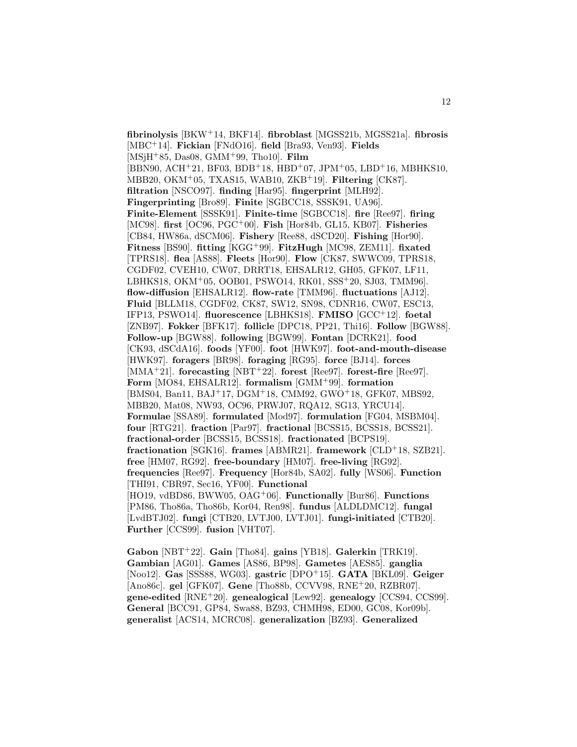**fibrinolysis** [BKW<sup>+</sup>14, BKF14]. **fibroblast** [MGSS21b, MGSS21a]. **fibrosis** [MBC<sup>+</sup>14]. **Fickian** [FNdO16]. **field** [Bra93, Ven93]. **Fields** [MSjH<sup>+</sup>85, Das08, GMM<sup>+</sup>99, Tho10]. **Film**  $[BBN90, ACH<sup>+</sup>21, BF03, BDB<sup>+</sup>18, HBD<sup>+</sup>07, JPM<sup>+</sup>05, LBD<sup>+</sup>16, MBHKS10,$ MBB20, OKM<sup>+</sup>05, TXAS15, WAB10, ZKB<sup>+</sup>19]. **Filtering** [CK87]. **filtration** [NSCO97]. **finding** [Har95]. **fingerprint** [MLH92]. **Fingerprinting** [Bro89]. **Finite** [SGBCC18, SSSK91, UA96]. **Finite-Element** [SSSK91]. **Finite-time** [SGBCC18]. **fire** [Ree97]. **firing** [MC98]. **first** [OC96, PGC<sup>+</sup>00]. **Fish** [Hor84b, GL15, KB07]. **Fisheries** [CB84, HW86a, dSCM06]. **Fishery** [Ree88, dSCD20]. **Fishing** [Hor90]. **Fitness** [BS90]. **fitting** [KGG<sup>+</sup>99]. **FitzHugh** [MC98, ZEM11]. **fixated** [TPRS18]. **flea** [AS88]. **Fleets** [Hor90]. **Flow** [CK87, SWWC09, TPRS18, CGDF02, CVEH10, CW07, DRRT18, EHSALR12, GH05, GFK07, LF11, LBHKS18, OKM<sup>+</sup>05, OOB01, PSWO14, RK01, SSS<sup>+</sup>20, SJ03, TMM96]. **flow-diffusion** [EHSALR12]. **flow-rate** [TMM96]. **fluctuations** [AJ12]. **Fluid** [BLLM18, CGDF02, CK87, SW12, SN98, CDNR16, CW07, ESC13, IFP13, PSWO14]. **fluorescence** [LBHKS18]. **FMISO** [GCC<sup>+</sup>12]. **foetal** [ZNB97]. **Fokker** [BFK17]. **follicle** [DPC18, PP21, Thi16]. **Follow** [BGW88]. **Follow-up** [BGW88]. **following** [BGW99]. **Fontan** [DCRK21]. **food** [CK93, dSCdA16]. **foods** [YF00]. **foot** [HWK97]. **foot-and-mouth-disease** [HWK97]. **foragers** [BR98]. **foraging** [RG95]. **force** [BJ14]. **forces** [MMA<sup>+</sup>21]. **forecasting** [NBT<sup>+</sup>22]. **forest** [Ree97]. **forest-fire** [Ree97]. **Form** [MO84, EHSALR12]. **formalism** [GMM<sup>+</sup>99]. **formation** [BMS04, Ban11, BAJ<sup>+</sup>17, DGM<sup>+</sup>18, CMM92, GWO<sup>+</sup>18, GFK07, MBS92, MBB20, Mat08, NW93, OC96, PRWJ07, RQA12, SG13, YRCU14]. **Formulae** [SSA89]. **formulated** [Mod97]. **formulation** [FG04, MSBM04]. **four** [RTG21]. **fraction** [Par97]. **fractional** [BCSS15, BCSS18, BCSS21]. **fractional-order** [BCSS15, BCSS18]. **fractionated** [BCPS19]. **fractionation** [SGK16]. **frames** [ABMR21]. **framework** [CLD<sup>+</sup>18, SZB21]. **free** [HM07, RG92]. **free-boundary** [HM07]. **free-living** [RG92]. **frequencies** [Ree97]. **Frequency** [Hor84b, SA02]. **fully** [WS06]. **Function** [THI91, CBR97, Sec16, YF00]. **Functional** [HO19, vdBD86, BWW05, OAG<sup>+</sup>06]. **Functionally** [Bur86]. **Functions** [PM86, Tho86a, Tho86b, Kor04, Ren98]. **fundus** [ALDLDMC12]. **fungal** [LvdBTJ02]. **fungi** [CTB20, LVTJ00, LVTJ01]. **fungi-initiated** [CTB20]. **Further** [CCS99]. **fusion** [VHT07].

**Gabon** [NBT<sup>+</sup>22]. **Gain** [Tho84]. **gains** [YB18]. **Galerkin** [TRK19]. **Gambian** [AG01]. **Games** [AS86, BP98]. **Gametes** [AES85]. **ganglia** [Noo12]. **Gas** [SSS88, WG03]. **gastric** [DPO<sup>+</sup>15]. **GATA** [BKL09]. **Geiger** [Ano86c]. **gel** [GFK07]. **Gene** [Tho88b, CCVV98, RNE<sup>+</sup>20, RZBR07]. **gene-edited** [RNE<sup>+</sup>20]. **genealogical** [Lew92]. **genealogy** [CCS94, CCS99]. **General** [BCC91, GP84, Swa88, BZ93, CHMH98, ED00, GC08, Kor09b]. **generalist** [ACS14, MCRC08]. **generalization** [BZ93]. **Generalized**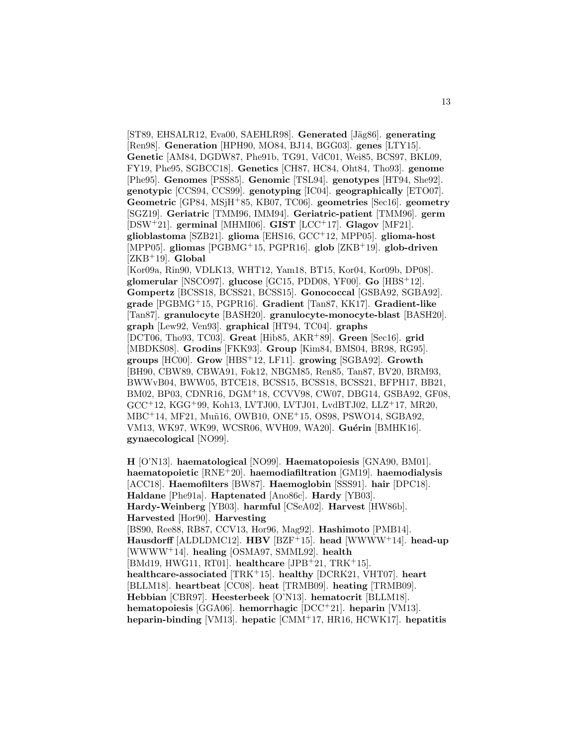[ST89, EHSALR12, Eva00, SAEHLR98]. **Generated** [Jäg86]. **generating** [Ren98]. **Generation** [HPH90, MO84, BJ14, BGG03]. **genes** [LTY15]. **Genetic** [AM84, DGDW87, Phe91b, TG91, VdC01, Wei85, BCS97, BKL09, FY19, Phe95, SGBCC18]. **Genetics** [CH87, HC84, Oht84, Tho93]. **genome** [Phe95]. **Genomes** [PSS85]. **Genomic** [TSL94]. **genotypes** [HT94, She92]. **genotypic** [CCS94, CCS99]. **genotyping** [IC04]. **geographically** [ETO07]. **Geometric** [GP84, MSjH<sup>+</sup>85, KB07, TC06]. **geometries** [Sec16]. **geometry** [SGZ19]. **Geriatric** [TMM96, IMM94]. **Geriatric-patient** [TMM96]. **germ** [DSW<sup>+</sup>21]. **germinal** [MHMI06]. **GIST** [LCC<sup>+</sup>17]. **Glagov** [MF21]. **glioblastoma** [SZB21]. **glioma** [EHS16, GCC<sup>+</sup>12, MPP05]. **glioma-host** [MPP05]. **gliomas** [PGBMG<sup>+</sup>15, PGPR16]. **glob** [ZKB<sup>+</sup>19]. **glob-driven** [ZKB<sup>+</sup>19]. **Global** [Kor09a, Rin90, VDLK13, WHT12, Yam18, BT15, Kor04, Kor09b, DP08]. **glomerular** [NSCO97]. **glucose** [GC15, PDD08, YF00]. **Go** [HBS<sup>+</sup>12]. **Gompertz** [BCSS18, BCSS21, BCSS15]. **Gonococcal** [GSBA92, SGBA92]. **grade** [PGBMG<sup>+</sup>15, PGPR16]. **Gradient** [Tan87, KK17]. **Gradient-like** [Tan87]. **granulocyte** [BASH20]. **granulocyte-monocyte-blast** [BASH20]. **graph** [Lew92, Ven93]. **graphical** [HT94, TC04]. **graphs** [DCT06, Tho93, TC03]. **Great** [Hib85, AKR<sup>+</sup>89]. **Green** [Sec16]. **grid** [MBDKS08]. **Grodins** [FKK93]. **Group** [Kim84, BMS04, BR98, RG95]. **groups** [HC00]. **Grow** [HBS<sup>+</sup>12, LF11]. **growing** [SGBA92]. **Growth** [BH90, CBW89, CBWA91, Fok12, NBGM85, Ren85, Tan87, BV20, BRM93, BWWvB04, BWW05, BTCE18, BCSS15, BCSS18, BCSS21, BFPH17, BB21, BM02, BP03, CDNR16, DGM<sup>+</sup>18, CCVV98, CW07, DBG14, GSBA92, GF08, GCC<sup>+</sup>12, KGG<sup>+</sup>99, Koh13, LVTJ00, LVTJ01, LvdBTJ02, LLZ<sup>+</sup>17, MR20, MBC<sup>+</sup>14, MF21, Muñ16, OWB10, ONE<sup>+</sup>15, OS98, PSWO14, SGBA92, VM13, WK97, WK99, WCSR06, WVH09, WA20]. **Guérin** [BMHK16]. **gynaecological** [NO99].

**H** [O'N13]. **haematological** [NO99]. **Haematopoiesis** [GNA90, BM01]. **haematopoietic** [RNE<sup>+</sup>20]. **haemodiafiltration** [GM19]. **haemodialysis** [ACC18]. **Haemofilters** [BW87]. **Haemoglobin** [SSS91]. **hair** [DPC18]. **Haldane** [Phe91a]. **Haptenated** [Ano86c]. **Hardy** [YB03]. **Hardy-Weinberg** [YB03]. **harmful** [CSeA02]. **Harvest** [HW86b]. **Harvested** [Hor90]. **Harvesting** [BS90, Ree88, RB87, CCV13, Hor96, Mag92]. **Hashimoto** [PMB14]. **Hausdorff** [ALDLDMC12]. **HBV** [BZF<sup>+</sup>15]. **head** [WWWW<sup>+</sup>14]. **head-up** [WWWW<sup>+</sup>14]. **healing** [OSMA97, SMML92]. **health** [BMd19, HWG11, RT01]. **healthcare** [JPB<sup>+</sup>21, TRK<sup>+</sup>15]. **healthcare-associated** [TRK<sup>+</sup>15]. **healthy** [DCRK21, VHT07]. **heart** [BLLM18]. **heartbeat** [CC08]. **heat** [TRMB09]. **heating** [TRMB09]. **Hebbian** [CBR97]. **Heesterbeek** [O'N13]. **hematocrit** [BLLM18]. **hematopoiesis** [GGA06]. **hemorrhagic** [DCC<sup>+</sup>21]. **heparin** [VM13]. **heparin-binding** [VM13]. **hepatic** [CMM<sup>+</sup>17, HR16, HCWK17]. **hepatitis**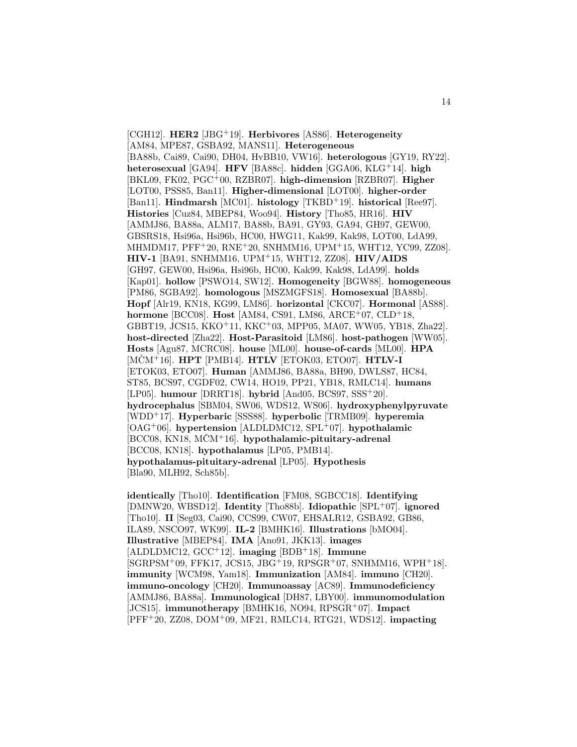[CGH12]. **HER2** [JBG<sup>+</sup>19]. **Herbivores** [AS86]. **Heterogeneity** [AM84, MPE87, GSBA92, MANS11]. **Heterogeneous** [BA88b, Cai89, Cai90, DH04, HvBB10, VW16]. **heterologous** [GY19, RY22]. **heterosexual** [GA94]. **HFV** [BA88c]. **hidden** [GGA06, KLG<sup>+</sup>14]. **high** [BKL09, FK02, PGC<sup>+</sup>00, RZBR07]. **high-dimension** [RZBR07]. **Higher** [LOT00, PSS85, Ban11]. **Higher-dimensional** [LOT00]. **higher-order** [Ban11]. **Hindmarsh** [MC01]. **histology** [TKBD<sup>+</sup>19]. **historical** [Ree97]. **Histories** [Cuz84, MBEP84, Woo94]. **History** [Tho85, HR16]. **HIV** [AMMJ86, BA88a, ALM17, BA88b, BA91, GY93, GA94, GH97, GEW00, GBSRS18, Hsi96a, Hsi96b, HC00, HWG11, Kak99, Kak98, LOT00, LdA99, MHMDM17, PFF<sup>+</sup>20, RNE<sup>+</sup>20, SNHMM16, UPM<sup>+</sup>15, WHT12, YC99, ZZ08]. **HIV-1** [BA91, SNHMM16, UPM<sup>+</sup>15, WHT12, ZZ08]. **HIV/AIDS** [GH97, GEW00, Hsi96a, Hsi96b, HC00, Kak99, Kak98, LdA99]. **holds** [Kap01]. **hollow** [PSWO14, SW12]. **Homogeneity** [BGW88]. **homogeneous** [PM86, SGBA92]. **homologous** [MSZMGFS18]. **Homosexual** [BA88b]. **Hopf** [Alr19, KN18, KG99, LM86]. **horizontal** [CKC07]. **Hormonal** [AS88]. **hormone** [BCC08]. **Host** [AM84, CS91, LM86, ARCE<sup>+</sup>07, CLD<sup>+</sup>18, GBBT19, JCS15, KKO<sup>+</sup>11, KKC<sup>+</sup>03, MPP05, MA07, WW05, YB18, Zha22]. **host-directed** [Zha22]. **Host-Parasitoid** [LM86]. **host-pathogen** [WW05]. **Hosts** [Agu87, MCRC08]. **house** [ML00]. **house-of-cards** [ML00]. **HPA** [MCMˇ <sup>+</sup>16]. **HPT** [PMB14]. **HTLV** [ETOK03, ETO07]. **HTLV-I** [ETOK03, ETO07]. **Human** [AMMJ86, BA88a, BH90, DWLS87, HC84, ST85, BCS97, CGDF02, CW14, HO19, PP21, YB18, RMLC14]. **humans** [LP05]. **humour** [DRRT18]. **hybrid** [And05, BCS97, SSS<sup>+</sup>20]. **hydrocephalus** [SBM04, SW06, WDS12, WS06]. **hydroxyphenylpyruvate** [WDD<sup>+</sup>17]. **Hyperbaric** [SSS88]. **hyperbolic** [TRMB09]. **hyperemia** [OAG<sup>+</sup>06]. **hypertension** [ALDLDMC12, SPL<sup>+</sup>07]. **hypothalamic** [BCC08, KN18, MCMˇ <sup>+</sup>16]. **hypothalamic-pituitary-adrenal** [BCC08, KN18]. **hypothalamus** [LP05, PMB14]. **hypothalamus-pituitary-adrenal** [LP05]. **Hypothesis** [Bla90, MLH92, Sch85b].

**identically** [Tho10]. **Identification** [FM08, SGBCC18]. **Identifying** [DMNW20, WBSD12]. **Identity** [Tho88b]. **Idiopathic** [SPL<sup>+</sup>07]. **ignored** [Tho10]. **II** [Seg03, Cai90, CCS99, CW07, EHSALR12, GSBA92, GB86, ILA89, NSCO97, WK99]. **IL-2** [BMHK16]. **Illustrations** [bMO04]. **Illustrative** [MBEP84]. **IMA** [Ano91, JKK13]. **images** [ALDLDMC12, GCC<sup>+</sup>12]. **imaging** [BDB<sup>+</sup>18]. **Immune**  $[SGRPSM<sup>+</sup>09, FFK17, JCS15, JBG<sup>+</sup>19, RPSGR<sup>+</sup>07, SNHMM16, WPH<sup>+</sup>18].$ **immunity** [WCM98, Yam18]. **Immunization** [AM84]. **immuno** [CH20]. **immuno-oncology** [CH20]. **Immunoassay** [AC89]. **Immunodeficiency** [AMMJ86, BA88a]. **Immunological** [DH87, LBY00]. **immunomodulation** [JCS15]. **immunotherapy** [BMHK16, NO94, RPSGR<sup>+</sup>07]. **Impact** [PFF<sup>+</sup>20, ZZ08, DOM<sup>+</sup>09, MF21, RMLC14, RTG21, WDS12]. **impacting**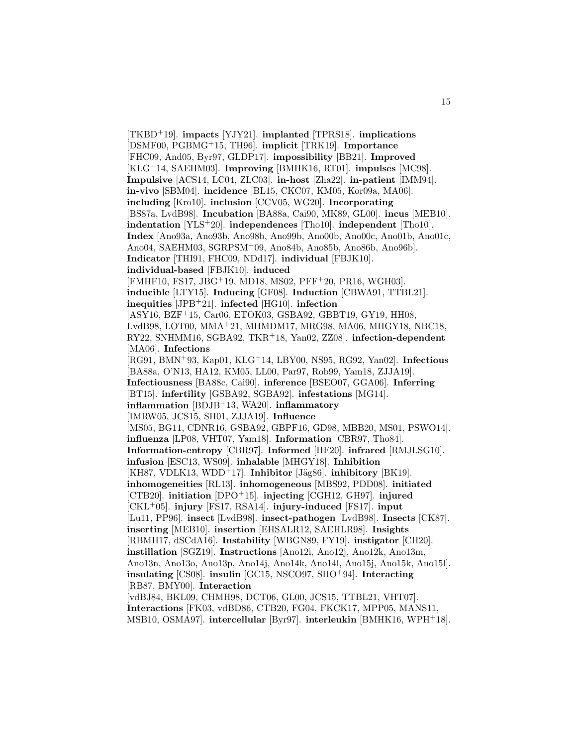[TKBD<sup>+</sup>19]. **impacts** [YJY21]. **implanted** [TPRS18]. **implications** [DSMF00, PGBMG<sup>+</sup>15, TH96]. **implicit** [TRK19]. **Importance** [FHC09, And05, Byr97, GLDP17]. **impossibility** [BB21]. **Improved** [KLG<sup>+</sup>14, SAEHM03]. **Improving** [BMHK16, RT01]. **impulses** [MC98]. **Impulsive** [ACS14, LC04, ZLC03]. **in-host** [Zha22]. **in-patient** [IMM94]. **in-vivo** [SBM04]. **incidence** [BL15, CKC07, KM05, Kor09a, MA06]. **including** [Kro10]. **inclusion** [CCV05, WG20]. **Incorporating** [BS87a, LvdB98]. **Incubation** [BA88a, Cai90, MK89, GL00]. **incus** [MEB10]. **indentation** [YLS<sup>+</sup>20]. **independences** [Tho10]. **independent** [Tho10]. **Index** [Ano93a, Ano93b, Ano98b, Ano99b, Ano00b, Ano00c, Ano01b, Ano01c, Ano04, SAEHM03, SGRPSM<sup>+</sup>09, Ano84b, Ano85b, Ano86b, Ano96b]. **Indicator** [THI91, FHC09, NDd17]. **individual** [FBJK10]. **individual-based** [FBJK10]. **induced** [FMHF10, FS17, JBG<sup>+</sup>19, MD18, MS02, PFF<sup>+</sup>20, PR16, WGH03]. **inducible** [LTY15]. **Inducing** [GF08]. **Induction** [CBWA91, TTBL21]. **inequities** [JPB<sup>+</sup>21]. **infected** [HG10]. **infection** [ASY16, BZF<sup>+</sup>15, Car06, ETOK03, GSBA92, GBBT19, GY19, HH08, LvdB98, LOT00, MMA<sup>+</sup>21, MHMDM17, MRG98, MA06, MHGY18, NBC18, RY22, SNHMM16, SGBA92, TKR<sup>+</sup>18, Yan02, ZZ08]. **infection-dependent** [MA06]. **Infections** [RG91, BMN<sup>+</sup>93, Kap01, KLG<sup>+</sup>14, LBY00, NS95, RG92, Yan02]. **Infectious** [BA88a, O'N13, HA12, KM05, LL00, Par97, Rob99, Yam18, ZJJA19]. **Infectiousness** [BA88c, Cai90]. **inference** [BSEO07, GGA06]. **Inferring** [BT15]. **infertility** [GSBA92, SGBA92]. **infestations** [MG14]. **inflammation** [BDJB<sup>+</sup>13, WA20]. **inflammatory** [IMRW05, JCS15, SH01, ZJJA19]. **Influence** [MS05, BG11, CDNR16, GSBA92, GBPF16, GD98, MBB20, MS01, PSWO14]. **influenza** [LP08, VHT07, Yam18]. **Information** [CBR97, Tho84]. **Information-entropy** [CBR97]. **Informed** [HF20]. **infrared** [RMJLSG10]. **infusion** [ESC13, WS09]. **inhalable** [MHGY18]. **Inhibition** [KH87, VDLK13, WDD<sup>+</sup>17]. **Inhibitor** [Jäg86]. **inhibitory** [BK19]. **inhomogeneities** [RL13]. **inhomogeneous** [MBS92, PDD08]. **initiated** [CTB20]. **initiation** [DPO<sup>+</sup>15]. **injecting** [CGH12, GH97]. **injured** [CKL<sup>+</sup>05]. **injury** [FS17, RSA14]. **injury-induced** [FS17]. **input** [Lu11, PP96]. **insect** [LvdB98]. **insect-pathogen** [LvdB98]. **Insects** [CK87]. **inserting** [MEB10]. **insertion** [EHSALR12, SAEHLR98]. **Insights** [RBMH17, dSCdA16]. **Instability** [WBGN89, FY19]. **instigator** [CH20]. **instillation** [SGZ19]. **Instructions** [Ano12i, Ano12j, Ano12k, Ano13m, Ano13n, Ano13o, Ano13p, Ano14j, Ano14k, Ano14l, Ano15j, Ano15k, Ano15l]. **insulating** [CS08]. **insulin** [GC15, NSCO97, SHO<sup>+</sup>94]. **Interacting** [RB87, BMY00]. **Interaction** [vdBJ84, BKL09, CHMH98, DCT06, GL00, JCS15, TTBL21, VHT07]. **Interactions** [FK03, vdBD86, CTB20, FG04, FKCK17, MPP05, MANS11, MSB10, OSMA97]. **intercellular** [Byr97]. **interleukin** [BMHK16, WPH<sup>+</sup>18].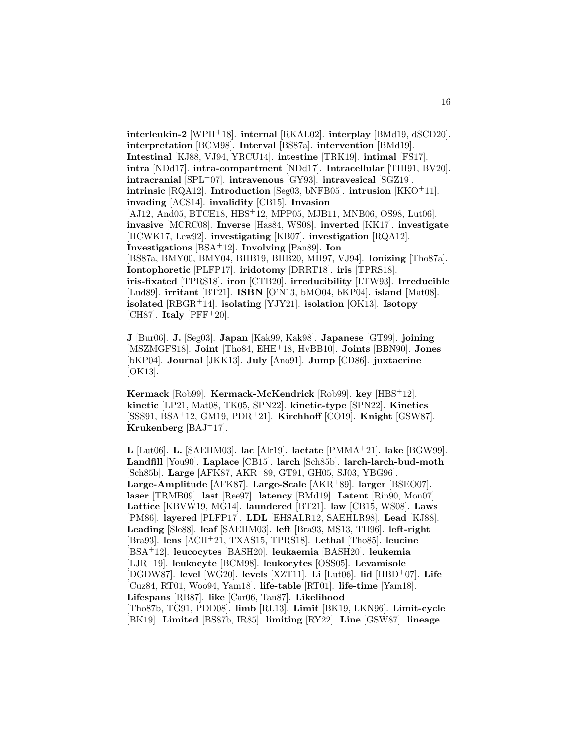**interleukin-2** [WPH<sup>+</sup>18]. **internal** [RKAL02]. **interplay** [BMd19, dSCD20]. **interpretation** [BCM98]. **Interval** [BS87a]. **intervention** [BMd19]. **Intestinal** [KJ88, VJ94, YRCU14]. **intestine** [TRK19]. **intimal** [FS17]. **intra** [NDd17]. **intra-compartment** [NDd17]. **Intracellular** [THI91, BV20]. **intracranial** [SPL<sup>+</sup>07]. **intravenous** [GY93]. **intravesical** [SGZ19]. **intrinsic** [RQA12]. **Introduction** [Seg03, bNFB05]. **intrusion** [KKO<sup>+</sup>11]. **invading** [ACS14]. **invalidity** [CB15]. **Invasion** [AJ12, And05, BTCE18, HBS<sup>+</sup>12, MPP05, MJB11, MNB06, OS98, Lut06]. **invasive** [MCRC08]. **Inverse** [Has84, WS08]. **inverted** [KK17]. **investigate** [HCWK17, Lew92]. **investigating** [KB07]. **investigation** [RQA12]. **Investigations** [BSA<sup>+</sup>12]. **Involving** [Pan89]. **Ion** [BS87a, BMY00, BMY04, BHB19, BHB20, MH97, VJ94]. **Ionizing** [Tho87a]. **Iontophoretic** [PLFP17]. **iridotomy** [DRRT18]. **iris** [TPRS18]. **iris-fixated** [TPRS18]. **iron** [CTB20]. **irreducibility** [LTW93]. **Irreducible** [Lud89]. **irritant** [BT21]. **ISBN** [O'N13, bMO04, bKP04]. **island** [Mat08]. **isolated** [RBGR<sup>+</sup>14]. **isolating** [YJY21]. **isolation** [OK13]. **Isotopy** [CH87]. **Italy** [PFF<sup>+</sup>20].

**J** [Bur06]. **J.** [Seg03]. **Japan** [Kak99, Kak98]. **Japanese** [GT99]. **joining** [MSZMGFS18]. **Joint** [Tho84, EHE<sup>+</sup>18, HvBB10]. **Joints** [BBN90]. **Jones** [bKP04]. **Journal** [JKK13]. **July** [Ano91]. **Jump** [CD86]. **juxtacrine** [OK13].

**Kermack** [Rob99]. **Kermack-McKendrick** [Rob99]. **key** [HBS<sup>+</sup>12]. **kinetic** [LP21, Mat08, TK05, SPN22]. **kinetic-type** [SPN22]. **Kinetics** [SSS91, BSA<sup>+</sup>12, GM19, PDR<sup>+</sup>21]. **Kirchhoff** [CO19]. **Knight** [GSW87]. **Krukenberg** [BAJ<sup>+</sup>17].

**L** [Lut06]. **L.** [SAEHM03]. **lac** [Alr19]. **lactate** [PMMA<sup>+</sup>21]. **lake** [BGW99]. **Landfill** [You90]. **Laplace** [CB15]. **larch** [Sch85b]. **larch-larch-bud-moth** [Sch85b]. **Large** [AFK87, AKR<sup>+</sup>89, GT91, GH05, SJ03, YBG96]. **Large-Amplitude** [AFK87]. **Large-Scale** [AKR<sup>+</sup>89]. **larger** [BSEO07]. **laser** [TRMB09]. **last** [Ree97]. **latency** [BMd19]. **Latent** [Rin90, Mon07]. **Lattice** [KBVW19, MG14]. **laundered** [BT21]. **law** [CB15, WS08]. **Laws** [PM86]. **layered** [PLFP17]. **LDL** [EHSALR12, SAEHLR98]. **Lead** [KJ88]. **Leading** [Sle88]. **leaf** [SAEHM03]. **left** [Bra93, MS13, TH96]. **left-right** [Bra93]. **lens** [ACH<sup>+</sup>21, TXAS15, TPRS18]. **Lethal** [Tho85]. **leucine** [BSA<sup>+</sup>12]. **leucocytes** [BASH20]. **leukaemia** [BASH20]. **leukemia** [LJR<sup>+</sup>19]. **leukocyte** [BCM98]. **leukocytes** [OSS05]. **Levamisole** [DGDW87]. **level** [WG20]. **levels** [XZT11]. **Li** [Lut06]. **lid** [HBD<sup>+</sup>07]. **Life** [Cuz84, RT01, Woo94, Yam18]. **life-table** [RT01]. **life-time** [Yam18]. **Lifespans** [RB87]. **like** [Car06, Tan87]. **Likelihood** [Tho87b, TG91, PDD08]. **limb** [RL13]. **Limit** [BK19, LKN96]. **Limit-cycle** [BK19]. **Limited** [BS87b, IR85]. **limiting** [RY22]. **Line** [GSW87]. **lineage**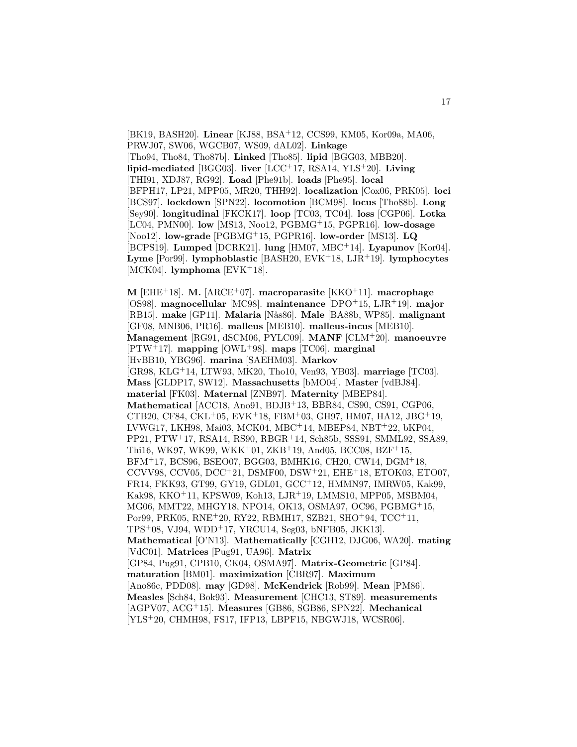[BK19, BASH20]. **Linear** [KJ88, BSA<sup>+</sup>12, CCS99, KM05, Kor09a, MA06, PRWJ07, SW06, WGCB07, WS09, dAL02]. **Linkage** [Tho94, Tho84, Tho87b]. **Linked** [Tho85]. **lipid** [BGG03, MBB20]. **lipid-mediated** [BGG03]. **liver** [LCC<sup>+</sup>17, RSA14, YLS<sup>+</sup>20]. **Living** [THI91, XDJ87, RG92]. **Load** [Phe91b]. **loads** [Phe95]. **local** [BFPH17, LP21, MPP05, MR20, THH92]. **localization** [Cox06, PRK05]. **loci** [BCS97]. **lockdown** [SPN22]. **locomotion** [BCM98]. **locus** [Tho88b]. **Long** [Sey90]. **longitudinal** [FKCK17]. **loop** [TC03, TC04]. **loss** [CGP06]. **Lotka** [LC04, PMN00]. **low** [MS13, Noo12, PGBMG<sup>+</sup>15, PGPR16]. **low-dosage** [Noo12]. **low-grade** [PGBMG<sup>+</sup>15, PGPR16]. **low-order** [MS13]. **LQ** [BCPS19]. **Lumped** [DCRK21]. **lung** [HM07, MBC<sup>+</sup>14]. **Lyapunov** [Kor04]. **Lyme** [Por99]. **lymphoblastic** [BASH20, EVK<sup>+</sup>18, LJR<sup>+</sup>19]. **lymphocytes** [MCK04]. **lymphoma** [EVK<sup>+</sup>18].

**M** [EHE<sup>+</sup>18]. **M.** [ARCE<sup>+</sup>07]. **macroparasite** [KKO<sup>+</sup>11]. **macrophage** [OS98]. **magnocellular** [MC98]. **maintenance** [DPO<sup>+</sup>15, LJR<sup>+</sup>19]. **major** [RB15]. **make** [GP11]. **Malaria** [N˚as86]. **Male** [BA88b, WP85]. **malignant** [GF08, MNB06, PR16]. **malleus** [MEB10]. **malleus-incus** [MEB10]. **Management** [RG91, dSCM06, PYLC09]. **MANF** [CLM<sup>+</sup>20]. **manoeuvre** [PTW<sup>+</sup>17]. **mapping** [OWL<sup>+</sup>98]. **maps** [TC06]. **marginal** [HvBB10, YBG96]. **marina** [SAEHM03]. **Markov** [GR98, KLG<sup>+</sup>14, LTW93, MK20, Tho10, Ven93, YB03]. **marriage** [TC03]. **Mass** [GLDP17, SW12]. **Massachusetts** [bMO04]. **Master** [vdBJ84]. **material** [FK03]. **Maternal** [ZNB97]. **Maternity** [MBEP84]. **Mathematical** [ACC18, Ano91, BDJB<sup>+</sup>13, BBR84, CS90, CS91, CGP06, CTB20, CF84, CKL<sup>+</sup>05, EVK<sup>+</sup>18, FBM<sup>+</sup>03, GH97, HM07, HA12, JBG<sup>+</sup>19, LVWG17, LKH98, Mai03, MCK04, MBC<sup>+</sup>14, MBEP84, NBT<sup>+</sup>22, bKP04, PP21, PTW<sup>+</sup>17, RSA14, RS90, RBGR<sup>+</sup>14, Sch85b, SSS91, SMML92, SSA89, Thi16, WK97, WK99, WKK<sup>+</sup>01, ZKB<sup>+</sup>19, And05, BCC08, BZF<sup>+</sup>15, BFM<sup>+</sup>17, BCS96, BSEO07, BGG03, BMHK16, CH20, CW14, DGM<sup>+</sup>18, CCVV98, CCV05, DCC<sup>+</sup>21, DSMF00, DSW<sup>+</sup>21, EHE<sup>+</sup>18, ETOK03, ETO07, FR14, FKK93, GT99, GY19, GDL01, GCC<sup>+</sup>12, HMMN97, IMRW05, Kak99, Kak98, KKO<sup>+</sup>11, KPSW09, Koh13, LJR<sup>+</sup>19, LMMS10, MPP05, MSBM04, MG06, MMT22, MHGY18, NPO14, OK13, OSMA97, OC96, PGBMG<sup>+</sup>15, Por99, PRK05, RNE<sup>+</sup>20, RY22, RBMH17, SZB21, SHO<sup>+</sup>94, TCC<sup>+</sup>11, TPS<sup>+</sup>08, VJ94, WDD<sup>+</sup>17, YRCU14, Seg03, bNFB05, JKK13]. **Mathematical** [O'N13]. **Mathematically** [CGH12, DJG06, WA20]. **mating** [VdC01]. **Matrices** [Pug91, UA96]. **Matrix** [GP84, Pug91, CPB10, CK04, OSMA97]. **Matrix-Geometric** [GP84]. **maturation** [BM01]. **maximization** [CBR97]. **Maximum** [Ano86c, PDD08]. **may** [GD98]. **McKendrick** [Rob99]. **Mean** [PM86]. **Measles** [Sch84, Bok93]. **Measurement** [CHC13, ST89]. **measurements** [AGPV07, ACG<sup>+</sup>15]. **Measures** [GB86, SGB86, SPN22]. **Mechanical** [YLS<sup>+</sup>20, CHMH98, FS17, IFP13, LBPF15, NBGWJ18, WCSR06].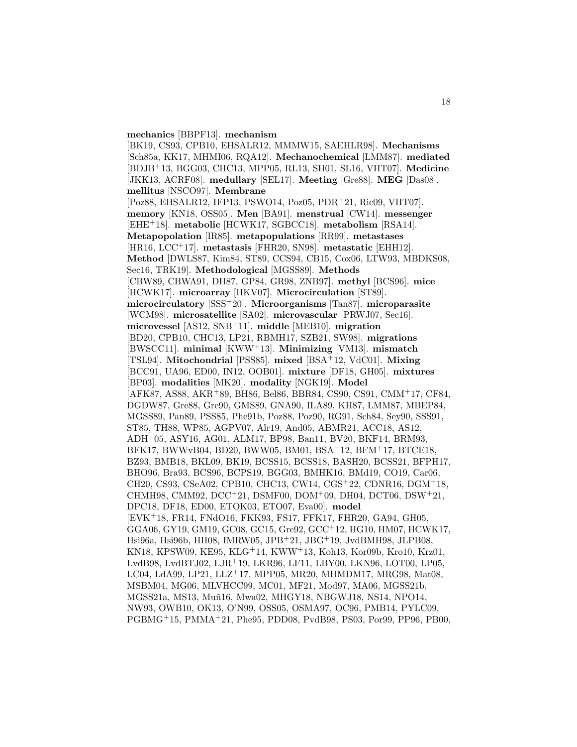#### **mechanics** [BBPF13]. **mechanism**

[BK19, CS93, CPB10, EHSALR12, MMMW15, SAEHLR98]. **Mechanisms** [Sch85a, KK17, MHMI06, RQA12]. **Mechanochemical** [LMM87]. **mediated** [BDJB<sup>+</sup>13, BGG03, CHC13, MPP05, RL13, SH01, SL16, VHT07]. **Medicine** [JKK13, ACRF08]. **medullary** [SEL17]. **Meeting** [Gre88]. **MEG** [Das08]. **mellitus** [NSCO97]. **Membrane** [Poz88, EHSALR12, IFP13, PSWO14, Poz05, PDR<sup>+</sup>21, Ric09, VHT07]. **memory** [KN18, OSS05]. **Men** [BA91]. **menstrual** [CW14]. **messenger** [EHE<sup>+</sup>18]. **metabolic** [HCWK17, SGBCC18]. **metabolism** [RSA14]. **Metapopolation** [IR85]. **metapopulations** [RR99]. **metastases** [HR16, LCC<sup>+</sup>17]. **metastasis** [FHR20, SN98]. **metastatic** [EHH12]. **Method** [DWLS87, Kim84, ST89, CCS94, CB15, Cox06, LTW93, MBDKS08, Sec16, TRK19]. **Methodological** [MGSS89]. **Methods** [CBW89, CBWA91, DH87, GP84, GR98, ZNB97]. **methyl** [BCS96]. **mice** [HCWK17]. **microarray** [HKV07]. **Microcirculation** [ST89]. **microcirculatory** [SSS<sup>+</sup>20]. **Microorganisms** [Tan87]. **microparasite** [WCM98]. **microsatellite** [SA02]. **microvascular** [PRWJ07, Sec16]. **microvessel** [AS12, SNB<sup>+</sup>11]. **middle** [MEB10]. **migration** [BD20, CPB10, CHC13, LP21, RBMH17, SZB21, SW98]. **migrations** [BWSCC11]. **minimal** [KWW<sup>+</sup>13]. **Minimizing** [VM13]. **mismatch** [TSL94]. **Mitochondrial** [PSS85]. **mixed** [BSA<sup>+</sup>12, VdC01]. **Mixing** [BCC91, UA96, ED00, IN12, OOB01]. **mixture** [DF18, GH05]. **mixtures** [BP03]. **modalities** [MK20]. **modality** [NGK19]. **Model** [AFK87, AS88, AKR<sup>+</sup>89, BH86, Bel86, BBR84, CS90, CS91, CMM<sup>+</sup>17, CF84, DGDW87, Gre88, Gre90, GMS89, GNA90, ILA89, KH87, LMM87, MBEP84, MGSS89, Pan89, PSS85, Phe91b, Poz88, Poz90, RG91, Sch84, Sey90, SSS91, ST85, TH88, WP85, AGPV07, Alr19, And05, ABMR21, ACC18, AS12, ADH<sup>+</sup>05, ASY16, AG01, ALM17, BP98, Ban11, BV20, BKF14, BRM93, BFK17, BWWvB04, BD20, BWW05, BM01, BSA<sup>+</sup>12, BFM<sup>+</sup>17, BTCE18, BZ93, BMB18, BKL09, BK19, BCSS15, BCSS18, BASH20, BCSS21, BFPH17, BHO96, Bra93, BCS96, BCPS19, BGG03, BMHK16, BMd19, CO19, Car06, CH20, CS93, CSeA02, CPB10, CHC13, CW14, CGS<sup>+</sup>22, CDNR16, DGM<sup>+</sup>18, CHMH98, CMM92, DCC<sup>+</sup>21, DSMF00, DOM<sup>+</sup>09, DH04, DCT06, DSW<sup>+</sup>21, DPC18, DF18, ED00, ETOK03, ETO07, Eva00]. **model** [EVK<sup>+</sup>18, FR14, FNdO16, FKK93, FS17, FFK17, FHR20, GA94, GH05, GGA06, GY19, GM19, GC08, GC15, Gre92, GCC<sup>+</sup>12, HG10, HM07, HCWK17, Hsi96a, Hsi96b, HH08, IMRW05, JPB<sup>+</sup>21, JBG<sup>+</sup>19, JvdBMH98, JLPB08, KN18, KPSW09, KE95, KLG<sup>+</sup>14, KWW<sup>+</sup>13, Koh13, Kor09b, Kro10, Krz01, LvdB98, LvdBTJ02, LJR<sup>+</sup>19, LKR96, LF11, LBY00, LKN96, LOT00, LP05, LC04, LdA99, LP21, LLZ<sup>+</sup>17, MPP05, MR20, MHMDM17, MRG98, Mat08, MSBM04, MG06, MLVHCC99, MC01, MF21, Mod97, MA06, MGSS21b, MGSS21a, MS13, Muñ16, Mwa02, MHGY18, NBGWJ18, NS14, NPO14, NW93, OWB10, OK13, O'N99, OSS05, OSMA97, OC96, PMB14, PYLC09, PGBMG<sup>+</sup>15, PMMA<sup>+</sup>21, Phe95, PDD08, PvdB98, PS03, Por99, PP96, PB00,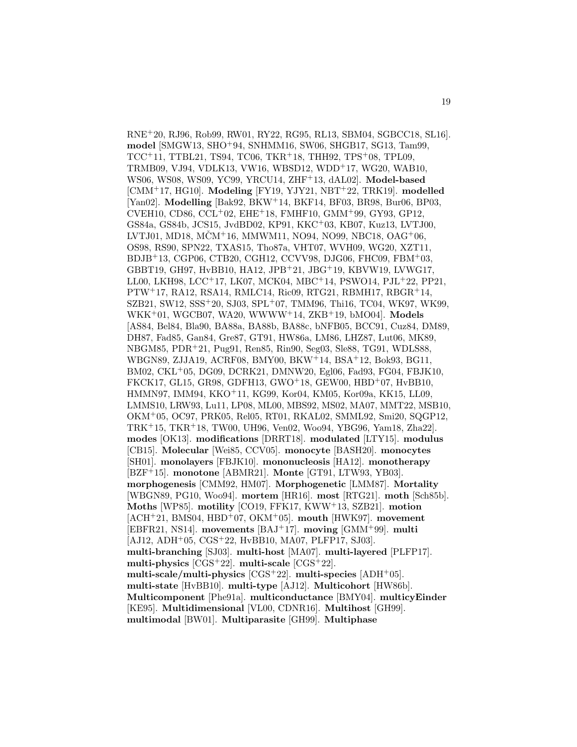RNE<sup>+</sup>20, RJ96, Rob99, RW01, RY22, RG95, RL13, SBM04, SGBCC18, SL16]. **model** [SMGW13, SHO<sup>+</sup>94, SNHMM16, SW06, SHGB17, SG13, Tam99, TCC<sup>+</sup>11, TTBL21, TS94, TC06, TKR<sup>+</sup>18, THH92, TPS<sup>+</sup>08, TPL09, TRMB09, VJ94, VDLK13, VW16, WBSD12, WDD<sup>+</sup>17, WG20, WAB10, WS06, WS08, WS09, YC99, YRCU14, ZHF<sup>+</sup>13, dAL02]. **Model-based** [CMM<sup>+</sup>17, HG10]. **Modeling** [FY19, YJY21, NBT<sup>+</sup>22, TRK19]. **modelled** [Yan02]. **Modelling** [Bak92, BKW<sup>+</sup>14, BKF14, BF03, BR98, Bur06, BP03, CVEH10, CD86, CCL<sup>+</sup>02, EHE<sup>+</sup>18, FMHF10, GMM<sup>+</sup>99, GY93, GP12, GS84a, GS84b, JCS15, JvdBD02, KP91, KKC<sup>+</sup>03, KB07, Kuz13, LVTJ00, LVTJ01, MD18, MČM<sup>+</sup>16, MMWM11, NO94, NO99, NBC18, OAG<sup>+</sup>06, OS98, RS90, SPN22, TXAS15, Tho87a, VHT07, WVH09, WG20, XZT11, BDJB<sup>+</sup>13, CGP06, CTB20, CGH12, CCVV98, DJG06, FHC09, FBM<sup>+</sup>03, GBBT19, GH97, HvBB10, HA12, JPB<sup>+</sup>21, JBG<sup>+</sup>19, KBVW19, LVWG17, LL00, LKH98, LCC<sup>+</sup>17, LK07, MCK04, MBC<sup>+</sup>14, PSWO14, PJL<sup>+</sup>22, PP21, PTW<sup>+</sup>17, RA12, RSA14, RMLC14, Ric09, RTG21, RBMH17, RBGR<sup>+</sup>14, SZB21, SW12, SSS<sup>+</sup>20, SJ03, SPL<sup>+</sup>07, TMM96, Thi16, TC04, WK97, WK99, WKK<sup>+</sup>01, WGCB07, WA20, WWWW<sup>+</sup>14, ZKB<sup>+</sup>19, bMO04]. **Models** [AS84, Bel84, Bla90, BA88a, BA88b, BA88c, bNFB05, BCC91, Cuz84, DM89, DH87, Fad85, Gan84, Gre87, GT91, HW86a, LM86, LHZ87, Lut06, MK89, NBGM85, PDR<sup>+</sup>21, Pug91, Ren85, Rin90, Seg03, Sle88, TG91, WDLS88, WBGN89, ZJJA19, ACRF08, BMY00, BKW<sup>+</sup>14, BSA<sup>+</sup>12, Bok93, BG11, BM02, CKL<sup>+</sup>05, DG09, DCRK21, DMNW20, Egl06, Fad93, FG04, FBJK10, FKCK17, GL15, GR98, GDFH13, GWO<sup>+</sup>18, GEW00, HBD<sup>+</sup>07, HvBB10, HMMN97, IMM94, KKO<sup>+</sup>11, KG99, Kor04, KM05, Kor09a, KK15, LL09, LMMS10, LRW93, Lu11, LP08, ML00, MBS92, MS02, MA07, MMT22, MSB10, OKM<sup>+</sup>05, OC97, PRK05, Rel05, RT01, RKAL02, SMML92, Smi20, SQGP12, TRK<sup>+</sup>15, TKR<sup>+</sup>18, TW00, UH96, Ven02, Woo94, YBG96, Yam18, Zha22]. **modes** [OK13]. **modifications** [DRRT18]. **modulated** [LTY15]. **modulus** [CB15]. **Molecular** [Wei85, CCV05]. **monocyte** [BASH20]. **monocytes** [SH01]. **monolayers** [FBJK10]. **mononucleosis** [HA12]. **monotherapy** [BZF<sup>+</sup>15]. **monotone** [ABMR21]. **Monte** [GT91, LTW93, YB03]. **morphogenesis** [CMM92, HM07]. **Morphogenetic** [LMM87]. **Mortality** [WBGN89, PG10, Woo94]. **mortem** [HR16]. **most** [RTG21]. **moth** [Sch85b]. **Moths** [WP85]. **motility** [CO19, FFK17, KWW<sup>+</sup>13, SZB21]. **motion** [ACH<sup>+</sup>21, BMS04, HBD<sup>+</sup>07, OKM<sup>+</sup>05]. **mouth** [HWK97]. **movement** [EBFR21, NS14]. **movements** [BAJ<sup>+</sup>17]. **moving** [GMM<sup>+</sup>99]. **multi** [AJ12, ADH<sup>+</sup>05, CGS<sup>+</sup>22, HvBB10, MA07, PLFP17, SJ03]. **multi-branching** [SJ03]. **multi-host** [MA07]. **multi-layered** [PLFP17]. **multi-physics** [CGS<sup>+</sup>22]. **multi-scale** [CGS<sup>+</sup>22]. **multi-scale/multi-physics** [CGS<sup>+</sup>22]. **multi-species** [ADH<sup>+</sup>05]. **multi-state** [HvBB10]. **multi-type** [AJ12]. **Multicohort** [HW86b]. **Multicomponent** [Phe91a]. **multiconductance** [BMY04]. **multicyEinder** [KE95]. **Multidimensional** [VL00, CDNR16]. **Multihost** [GH99]. **multimodal** [BW01]. **Multiparasite** [GH99]. **Multiphase**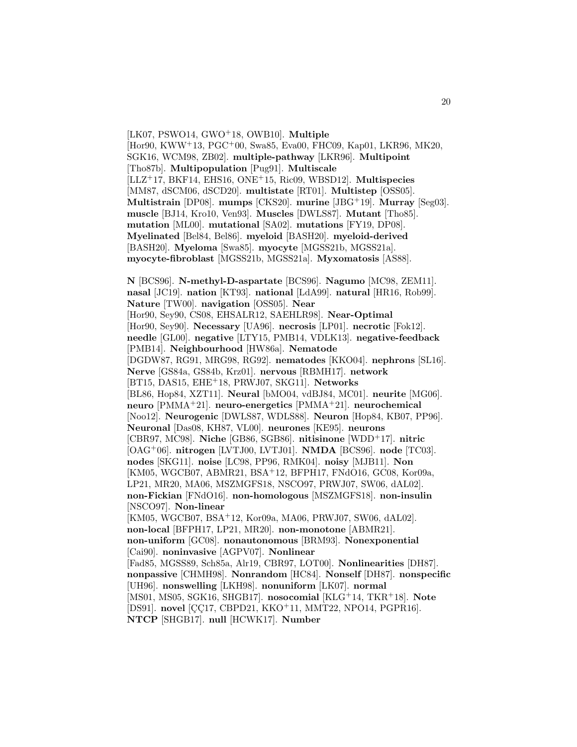[LK07, PSWO14, GWO<sup>+</sup>18, OWB10]. **Multiple** [Hor90, KWW<sup>+</sup>13, PGC<sup>+</sup>00, Swa85, Eva00, FHC09, Kap01, LKR96, MK20, SGK16, WCM98, ZB02]. **multiple-pathway** [LKR96]. **Multipoint** [Tho87b]. **Multipopulation** [Pug91]. **Multiscale** [LLZ<sup>+</sup>17, BKF14, EHS16, ONE<sup>+</sup>15, Ric09, WBSD12]. **Multispecies** [MM87, dSCM06, dSCD20]. **multistate** [RT01]. **Multistep** [OSS05]. **Multistrain** [DP08]. **mumps** [CKS20]. **murine** [JBG<sup>+</sup>19]. **Murray** [Seg03]. **muscle** [BJ14, Kro10, Ven93]. **Muscles** [DWLS87]. **Mutant** [Tho85]. **mutation** [ML00]. **mutational** [SA02]. **mutations** [FY19, DP08]. **Myelinated** [Bel84, Bel86]. **myeloid** [BASH20]. **myeloid-derived** [BASH20]. **Myeloma** [Swa85]. **myocyte** [MGSS21b, MGSS21a]. **myocyte-fibroblast** [MGSS21b, MGSS21a]. **Myxomatosis** [AS88].

**N** [BCS96]. **N-methyl-D-aspartate** [BCS96]. **Nagumo** [MC98, ZEM11]. **nasal** [JC19]. **nation** [KT93]. **national** [LdA99]. **natural** [HR16, Rob99]. **Nature** [TW00]. **navigation** [OSS05]. **Near** [Hor90, Sey90, CS08, EHSALR12, SAEHLR98]. **Near-Optimal** [Hor90, Sey90]. **Necessary** [UA96]. **necrosis** [LP01]. **necrotic** [Fok12]. **needle** [GL00]. **negative** [LTY15, PMB14, VDLK13]. **negative-feedback** [PMB14]. **Neighbourhood** [HW86a]. **Nematode** [DGDW87, RG91, MRG98, RG92]. **nematodes** [KKO04]. **nephrons** [SL16]. **Nerve** [GS84a, GS84b, Krz01]. **nervous** [RBMH17]. **network** [BT15, DAS15, EHE<sup>+</sup>18, PRWJ07, SKG11]. **Networks** [BL86, Hop84, XZT11]. **Neural** [bMO04, vdBJ84, MC01]. **neurite** [MG06]. **neuro** [PMMA<sup>+</sup>21]. **neuro-energetics** [PMMA<sup>+</sup>21]. **neurochemical** [Noo12]. **Neurogenic** [DWLS87, WDLS88]. **Neuron** [Hop84, KB07, PP96]. **Neuronal** [Das08, KH87, VL00]. **neurones** [KE95]. **neurons** [CBR97, MC98]. **Niche** [GB86, SGB86]. **nitisinone** [WDD<sup>+</sup>17]. **nitric** [OAG<sup>+</sup>06]. **nitrogen** [LVTJ00, LVTJ01]. **NMDA** [BCS96]. **node** [TC03]. **nodes** [SKG11]. **noise** [LC98, PP96, RMK04]. **noisy** [MJB11]. **Non** [KM05, WGCB07, ABMR21, BSA<sup>+</sup>12, BFPH17, FNdO16, GC08, Kor09a, LP21, MR20, MA06, MSZMGFS18, NSCO97, PRWJ07, SW06, dAL02]. **non-Fickian** [FNdO16]. **non-homologous** [MSZMGFS18]. **non-insulin** [NSCO97]. **Non-linear** [KM05, WGCB07, BSA<sup>+</sup>12, Kor09a, MA06, PRWJ07, SW06, dAL02]. **non-local** [BFPH17, LP21, MR20]. **non-monotone** [ABMR21]. **non-uniform** [GC08]. **nonautonomous** [BRM93]. **Nonexponential** [Cai90]. **noninvasive** [AGPV07]. **Nonlinear** [Fad85, MGSS89, Sch85a, Alr19, CBR97, LOT00]. **Nonlinearities** [DH87]. **nonpassive** [CHMH98]. **Nonrandom** [HC84]. **Nonself** [DH87]. **nonspecific** [UH96]. **nonswelling** [LKH98]. **nonuniform** [LK07]. **normal** [MS01, MS05, SGK16, SHGB17]. **nosocomial** [KLG<sup>+</sup>14, TKR<sup>+</sup>18]. **Note** [DS91]. **novel** [CC17, CBPD21, KKO<sup>+</sup>11, MMT22, NPO14, PGPR16]. **NTCP** [SHGB17]. **null** [HCWK17]. **Number**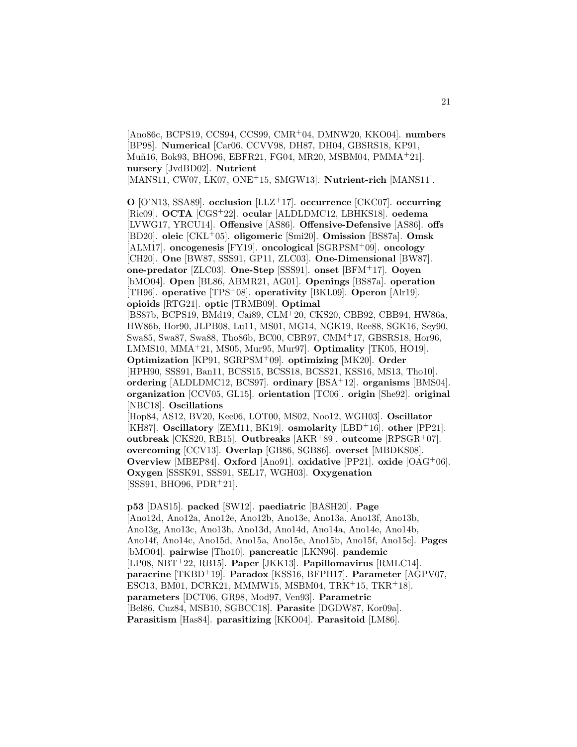[Ano86c, BCPS19, CCS94, CCS99, CMR<sup>+</sup>04, DMNW20, KKO04]. **numbers** [BP98]. **Numerical** [Car06, CCVV98, DH87, DH04, GBSRS18, KP91, Mu˜n16, Bok93, BHO96, EBFR21, FG04, MR20, MSBM04, PMMA<sup>+</sup>21]. **nursery** [JvdBD02]. **Nutrient** [MANS11, CW07, LK07, ONE<sup>+</sup>15, SMGW13]. **Nutrient-rich** [MANS11].

**O** [O'N13, SSA89]. **occlusion** [LLZ<sup>+</sup>17]. **occurrence** [CKC07]. **occurring** [Ric09]. **OCTA** [CGS<sup>+</sup>22]. **ocular** [ALDLDMC12, LBHKS18]. **oedema** [LVWG17, YRCU14]. **Offensive** [AS86]. **Offensive-Defensive** [AS86]. **offs** [BD20]. **oleic** [CKL<sup>+</sup>05]. **oligomeric** [Smi20]. **Omission** [BS87a]. **Omsk** [ALM17]. **oncogenesis** [FY19]. **oncological** [SGRPSM<sup>+</sup>09]. **oncology** [CH20]. **One** [BW87, SSS91, GP11, ZLC03]. **One-Dimensional** [BW87]. **one-predator** [ZLC03]. **One-Step** [SSS91]. **onset** [BFM<sup>+</sup>17]. **Ooyen** [bMO04]. **Open** [BL86, ABMR21, AG01]. **Openings** [BS87a]. **operation** [TH96]. **operative** [TPS<sup>+</sup>08]. **operativity** [BKL09]. **Operon** [Alr19]. **opioids** [RTG21]. **optic** [TRMB09]. **Optimal** [BS87b, BCPS19, BMd19, Cai89, CLM<sup>+</sup>20, CKS20, CBB92, CBB94, HW86a, HW86b, Hor90, JLPB08, Lu11, MS01, MG14, NGK19, Ree88, SGK16, Sey90, Swa85, Swa87, Swa88, Tho86b, BC00, CBR97, CMM<sup>+</sup>17, GBSRS18, Hor96, LMMS10, MMA<sup>+</sup>21, MS05, Mur95, Mur97]. **Optimality** [TK05, HO19]. **Optimization** [KP91, SGRPSM<sup>+</sup>09]. **optimizing** [MK20]. **Order** [HPH90, SSS91, Ban11, BCSS15, BCSS18, BCSS21, KSS16, MS13, Tho10]. **ordering** [ALDLDMC12, BCS97]. **ordinary** [BSA<sup>+</sup>12]. **organisms** [BMS04]. **organization** [CCV05, GL15]. **orientation** [TC06]. **origin** [She92]. **original** [NBC18]. **Oscillations** [Hop84, AS12, BV20, Kee06, LOT00, MS02, Noo12, WGH03]. **Oscillator** [KH87]. **Oscillatory** [ZEM11, BK19]. **osmolarity** [LBD<sup>+</sup>16]. **other** [PP21]. **outbreak** [CKS20, RB15]. **Outbreaks** [AKR<sup>+</sup>89]. **outcome** [RPSGR<sup>+</sup>07]. **overcoming** [CCV13]. **Overlap** [GB86, SGB86]. **overset** [MBDKS08]. **Overview** [MBEP84]. **Oxford** [Ano91]. **oxidative** [PP21]. **oxide** [OAG<sup>+</sup>06]. **Oxygen** [SSSK91, SSS91, SEL17, WGH03]. **Oxygenation**

 $[SSS91, BHO96, PDR<sup>+</sup>21]$ .

**p53** [DAS15]. **packed** [SW12]. **paediatric** [BASH20]. **Page** [Ano12d, Ano12a, Ano12e, Ano12b, Ano13e, Ano13a, Ano13f, Ano13b, Ano13g, Ano13c, Ano13h, Ano13d, Ano14d, Ano14a, Ano14e, Ano14b, Ano14f, Ano14c, Ano15d, Ano15a, Ano15e, Ano15b, Ano15f, Ano15c]. **Pages** [bMO04]. **pairwise** [Tho10]. **pancreatic** [LKN96]. **pandemic** [LP08, NBT<sup>+</sup>22, RB15]. **Paper** [JKK13]. **Papillomavirus** [RMLC14]. **paracrine** [TKBD<sup>+</sup>19]. **Paradox** [KSS16, BFPH17]. **Parameter** [AGPV07, ESC13, BM01, DCRK21, MMMW15, MSBM04, TRK<sup>+</sup>15, TKR<sup>+</sup>18]. **parameters** [DCT06, GR98, Mod97, Ven93]. **Parametric** [Bel86, Cuz84, MSB10, SGBCC18]. **Parasite** [DGDW87, Kor09a]. **Parasitism** [Has84]. **parasitizing** [KKO04]. **Parasitoid** [LM86].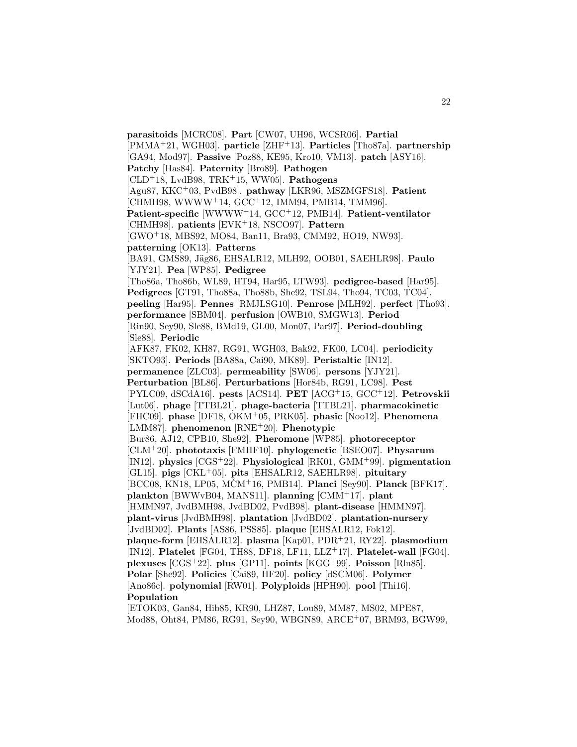[PMMA<sup>+</sup>21, WGH03]. **particle** [ZHF<sup>+</sup>13]. **Particles** [Tho87a]. **partnership** [GA94, Mod97]. **Passive** [Poz88, KE95, Kro10, VM13]. **patch** [ASY16]. **Patchy** [Has84]. **Paternity** [Bro89]. **Pathogen** [CLD<sup>+</sup>18, LvdB98, TRK<sup>+</sup>15, WW05]. **Pathogens** [Agu87, KKC<sup>+</sup>03, PvdB98]. **pathway** [LKR96, MSZMGFS18]. **Patient** [CHMH98, WWWW<sup>+</sup>14, GCC<sup>+</sup>12, IMM94, PMB14, TMM96]. Patient-specific<sup>[WWWW+14, GCC+12, PMB14]. Patient-ventilator</sup> [CHMH98]. **patients** [EVK<sup>+</sup>18, NSCO97]. **Pattern** [GWO<sup>+</sup>18, MBS92, MO84, Ban11, Bra93, CMM92, HO19, NW93]. **patterning** [OK13]. **Patterns** [BA91, GMS89, Jäg86, EHSALR12, MLH92, OOB01, SAEHLR98]. Paulo [YJY21]. **Pea** [WP85]. **Pedigree** [Tho86a, Tho86b, WL89, HT94, Har95, LTW93]. **pedigree-based** [Har95]. **Pedigrees** [GT91, Tho88a, Tho88b, She92, TSL94, Tho94, TC03, TC04]. **peeling** [Har95]. **Pennes** [RMJLSG10]. **Penrose** [MLH92]. **perfect** [Tho93]. **performance** [SBM04]. **perfusion** [OWB10, SMGW13]. **Period** [Rin90, Sey90, Sle88, BMd19, GL00, Mon07, Par97]. **Period-doubling** [Sle88]. **Periodic** [AFK87, FK02, KH87, RG91, WGH03, Bak92, FK00, LC04]. **periodicity** [SKTO93]. **Periods** [BA88a, Cai90, MK89]. **Peristaltic** [IN12]. **permanence** [ZLC03]. **permeability** [SW06]. **persons** [YJY21]. **Perturbation** [BL86]. **Perturbations** [Hor84b, RG91, LC98]. **Pest** [PYLC09, dSCdA16]. **pests** [ACS14]. **PET** [ACG<sup>+</sup>15, GCC<sup>+</sup>12]. **Petrovskii** [Lut06]. **phage** [TTBL21]. **phage-bacteria** [TTBL21]. **pharmacokinetic** [FHC09]. **phase** [DF18, OKM<sup>+</sup>05, PRK05]. **phasic** [Noo12]. **Phenomena** [LMM87]. **phenomenon** [RNE<sup>+</sup>20]. **Phenotypic** [Bur86, AJ12, CPB10, She92]. **Pheromone** [WP85]. **photoreceptor** [CLM<sup>+</sup>20]. **phototaxis** [FMHF10]. **phylogenetic** [BSEO07]. **Physarum** [IN12]. **physics** [CGS<sup>+</sup>22]. **Physiological** [RK01, GMM<sup>+</sup>99]. **pigmentation** [GL15]. **pigs** [CKL<sup>+</sup>05]. **pits** [EHSALR12, SAEHLR98]. **pituitary** [BCC08, KN18, LP05, MCMˇ <sup>+</sup>16, PMB14]. **Planci** [Sey90]. **Planck** [BFK17]. **plankton** [BWWvB04, MANS11]. **planning** [CMM<sup>+</sup>17]. **plant** [HMMN97, JvdBMH98, JvdBD02, PvdB98]. **plant-disease** [HMMN97]. **plant-virus** [JvdBMH98]. **plantation** [JvdBD02]. **plantation-nursery** [JvdBD02]. **Plants** [AS86, PSS85]. **plaque** [EHSALR12, Fok12]. **plaque-form** [EHSALR12]. **plasma** [Kap01, PDR<sup>+</sup>21, RY22]. **plasmodium** [IN12]. **Platelet** [FG04, TH88, DF18, LF11, LLZ<sup>+</sup>17]. **Platelet-wall** [FG04]. **plexuses** [CGS<sup>+</sup>22]. **plus** [GP11]. **points** [KGG<sup>+</sup>99]. **Poisson** [Rln85]. **Polar** [She92]. **Policies** [Cai89, HF20]. **policy** [dSCM06]. **Polymer** [Ano86c]. **polynomial** [RW01]. **Polyploids** [HPH90]. **pool** [Thi16]. **Population** [ETOK03, Gan84, Hib85, KR90, LHZ87, Lou89, MM87, MS02, MPE87, Mod88, Oht84, PM86, RG91, Sey90, WBGN89, ARCE<sup>+</sup>07, BRM93, BGW99,

**parasitoids** [MCRC08]. **Part** [CW07, UH96, WCSR06]. **Partial**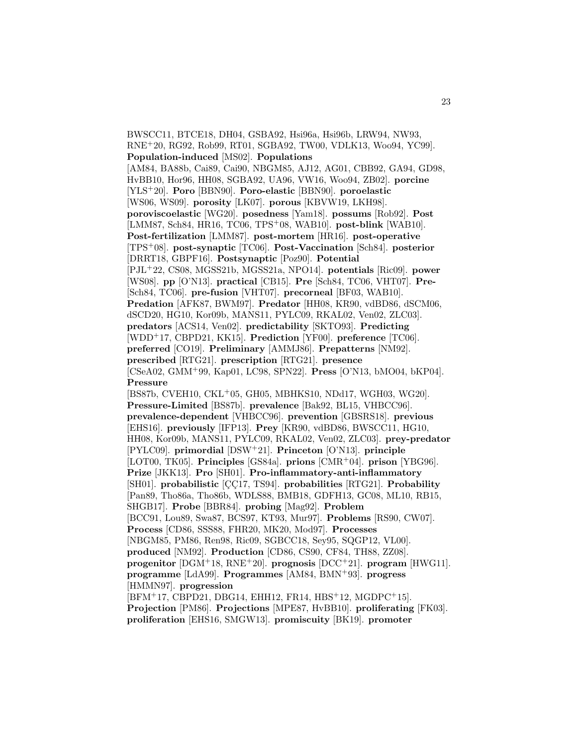BWSCC11, BTCE18, DH04, GSBA92, Hsi96a, Hsi96b, LRW94, NW93, RNE<sup>+</sup>20, RG92, Rob99, RT01, SGBA92, TW00, VDLK13, Woo94, YC99]. **Population-induced** [MS02]. **Populations** [AM84, BA88b, Cai89, Cai90, NBGM85, AJ12, AG01, CBB92, GA94, GD98, HvBB10, Hor96, HH08, SGBA92, UA96, VW16, Woo94, ZB02]. **porcine** [YLS<sup>+</sup>20]. **Poro** [BBN90]. **Poro-elastic** [BBN90]. **poroelastic** [WS06, WS09]. **porosity** [LK07]. **porous** [KBVW19, LKH98]. **poroviscoelastic** [WG20]. **posedness** [Yam18]. **possums** [Rob92]. **Post** [LMM87, Sch84, HR16, TC06, TPS<sup>+</sup>08, WAB10]. **post-blink** [WAB10]. **Post-fertilization** [LMM87]. **post-mortem** [HR16]. **post-operative** [TPS<sup>+</sup>08]. **post-synaptic** [TC06]. **Post-Vaccination** [Sch84]. **posterior** [DRRT18, GBPF16]. **Postsynaptic** [Poz90]. **Potential** [PJL<sup>+</sup>22, CS08, MGSS21b, MGSS21a, NPO14]. **potentials** [Ric09]. **power** [WS08]. **pp** [O'N13]. **practical** [CB15]. **Pre** [Sch84, TC06, VHT07]. **Pre-** [Sch84, TC06]. **pre-fusion** [VHT07]. **precorneal** [BF03, WAB10]. **Predation** [AFK87, BWM97]. **Predator** [HH08, KR90, vdBD86, dSCM06, dSCD20, HG10, Kor09b, MANS11, PYLC09, RKAL02, Ven02, ZLC03]. **predators** [ACS14, Ven02]. **predictability** [SKTO93]. **Predicting** [WDD<sup>+</sup>17, CBPD21, KK15]. **Prediction** [YF00]. **preference** [TC06]. **preferred** [CO19]. **Preliminary** [AMMJ86]. **Prepatterns** [NM92]. **prescribed** [RTG21]. **prescription** [RTG21]. **presence** [CSeA02, GMM<sup>+</sup>99, Kap01, LC98, SPN22]. **Press** [O'N13, bMO04, bKP04]. **Pressure** [BS87b, CVEH10, CKL<sup>+</sup>05, GH05, MBHKS10, NDd17, WGH03, WG20]. **Pressure-Limited** [BS87b]. **prevalence** [Bak92, BL15, VHBCC96]. **prevalence-dependent** [VHBCC96]. **prevention** [GBSRS18]. **previous** [EHS16]. **previously** [IFP13]. **Prey** [KR90, vdBD86, BWSCC11, HG10, HH08, Kor09b, MANS11, PYLC09, RKAL02, Ven02, ZLC03]. **prey-predator** [PYLC09]. **primordial** [DSW<sup>+</sup>21]. **Princeton** [O'N13]. **principle** [LOT00, TK05]. **Principles** [GS84a]. **prions** [CMR<sup>+</sup>04]. **prison** [YBG96]. **Prize** [JKK13]. **Pro** [SH01]. **Pro-inflammatory-anti-inflammatory** [SH01]. probabilistic [CC17, TS94]. probabilities [RTG21]. Probability [Pan89, Tho86a, Tho86b, WDLS88, BMB18, GDFH13, GC08, ML10, RB15, SHGB17]. **Probe** [BBR84]. **probing** [Mag92]. **Problem** [BCC91, Lou89, Swa87, BCS97, KT93, Mur97]. **Problems** [RS90, CW07]. **Process** [CD86, SSS88, FHR20, MK20, Mod97]. **Processes** [NBGM85, PM86, Ren98, Ric09, SGBCC18, Sey95, SQGP12, VL00]. **produced** [NM92]. **Production** [CD86, CS90, CF84, TH88, ZZ08]. **progenitor** [DGM<sup>+</sup>18, RNE<sup>+</sup>20]. **prognosis** [DCC<sup>+</sup>21]. **program** [HWG11]. **programme** [LdA99]. **Programmes** [AM84, BMN<sup>+</sup>93]. **progress** [HMMN97]. **progression** [BFM<sup>+</sup>17, CBPD21, DBG14, EHH12, FR14, HBS<sup>+</sup>12, MGDPC<sup>+</sup>15]. **Projection** [PM86]. **Projections** [MPE87, HvBB10]. **proliferating** [FK03].

**proliferation** [EHS16, SMGW13]. **promiscuity** [BK19]. **promoter**

23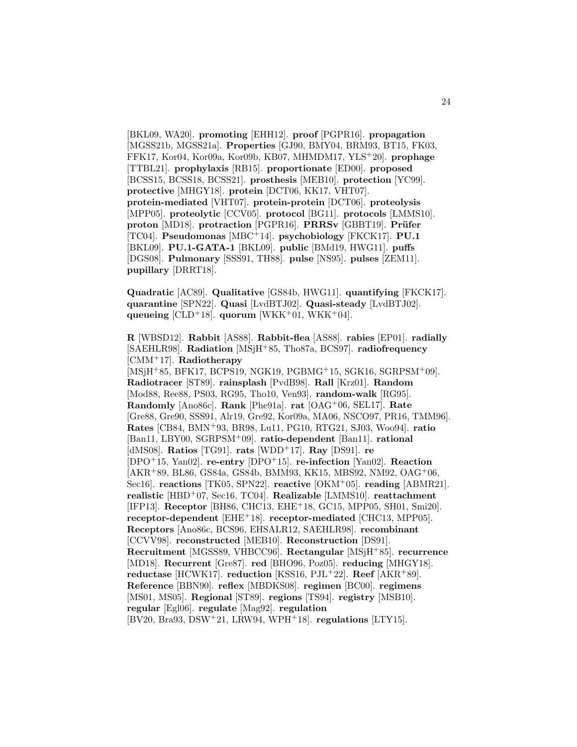[BKL09, WA20]. **promoting** [EHH12]. **proof** [PGPR16]. **propagation** [MGSS21b, MGSS21a]. **Properties** [GJ90, BMY04, BRM93, BT15, FK03, FFK17, Kor04, Kor09a, Kor09b, KB07, MHMDM17, YLS<sup>+</sup>20]. **prophage** [TTBL21]. **prophylaxis** [RB15]. **proportionate** [ED00]. **proposed** [BCSS15, BCSS18, BCSS21]. **prosthesis** [MEB10]. **protection** [YC99]. **protective** [MHGY18]. **protein** [DCT06, KK17, VHT07]. **protein-mediated** [VHT07]. **protein-protein** [DCT06]. **proteolysis** [MPP05]. **proteolytic** [CCV05]. **protocol** [BG11]. **protocols** [LMMS10]. **proton** [MD18]. **protraction** [PGPR16]. **PRRSv** [GBBT19]. **Prüfer** [TC04]. **Pseudomonas** [MBC<sup>+</sup>14]. **psychobiology** [FKCK17]. **PU.1** [BKL09]. **PU.1-GATA-1** [BKL09]. **public** [BMd19, HWG11]. **puffs** [DGS08]. **Pulmonary** [SSS91, TH88]. **pulse** [NS95]. **pulses** [ZEM11]. **pupillary** [DRRT18].

**Quadratic** [AC89]. **Qualitative** [GS84b, HWG11]. **quantifying** [FKCK17]. **quarantine** [SPN22]. **Quasi** [LvdBTJ02]. **Quasi-steady** [LvdBTJ02]. **queueing** [CLD<sup>+</sup>18]. **quorum** [WKK<sup>+</sup>01, WKK<sup>+</sup>04].

**R** [WBSD12]. **Rabbit** [AS88]. **Rabbit-flea** [AS88]. **rabies** [EP01]. **radially** [SAEHLR98]. **Radiation** [MSjH<sup>+</sup>85, Tho87a, BCS97]. **radiofrequency** [CMM<sup>+</sup>17]. **Radiotherapy** [MSjH<sup>+</sup>85, BFK17, BCPS19, NGK19, PGBMG<sup>+</sup>15, SGK16, SGRPSM<sup>+</sup>09]. **Radiotracer** [ST89]. **rainsplash** [PvdB98]. **Rall** [Krz01]. **Random** [Mod88, Ree88, PS03, RG95, Tho10, Ven93]. **random-walk** [RG95]. **Randomly** [Ano86c]. **Rank** [Phe91a]. **rat** [OAG<sup>+</sup>06, SEL17]. **Rate** [Gre88, Gre90, SSS91, Alr19, Gre92, Kor09a, MA06, NSCO97, PR16, TMM96]. **Rates** [CB84, BMN<sup>+</sup>93, BR98, Lu11, PG10, RTG21, SJ03, Woo94]. **ratio** [Ban11, LBY00, SGRPSM<sup>+</sup>09]. **ratio-dependent** [Ban11]. **rational** [dMS08]. **Ratios** [TG91]. **rats** [WDD<sup>+</sup>17]. **Ray** [DS91]. **re** [DPO<sup>+</sup>15, Yan02]. **re-entry** [DPO<sup>+</sup>15]. **re-infection** [Yan02]. **Reaction** [AKR<sup>+</sup>89, BL86, GS84a, GS84b, BMM93, KK15, MBS92, NM92, OAG<sup>+</sup>06, Sec16]. **reactions** [TK05, SPN22]. **reactive** [OKM<sup>+</sup>05]. **reading** [ABMR21]. **realistic** [HBD<sup>+</sup>07, Sec16, TC04]. **Realizable** [LMMS10]. **reattachment** [IFP13]. **Receptor** [BH86, CHC13, EHE<sup>+</sup>18, GC15, MPP05, SH01, Smi20]. **receptor-dependent** [EHE<sup>+</sup>18]. **receptor-mediated** [CHC13, MPP05]. **Receptors** [Ano86c, BCS96, EHSALR12, SAEHLR98]. **recombinant** [CCVV98]. **reconstructed** [MEB10]. **Reconstruction** [DS91]. **Recruitment** [MGSS89, VHBCC96]. **Rectangular** [MSjH<sup>+</sup>85]. **recurrence** [MD18]. **Recurrent** [Gre87]. **red** [BHO96, Poz05]. **reducing** [MHGY18]. **reductase** [HCWK17]. **reduction** [KSS16, PJL<sup>+</sup>22]. **Reef** [AKR<sup>+</sup>89]. **Reference** [BBN90]. **reflex** [MBDKS08]. **regimen** [BC00]. **regimens** [MS01, MS05]. **Regional** [ST89]. **regions** [TS94]. **registry** [MSB10]. **regular** [Egl06]. **regulate** [Mag92]. **regulation** [BV20, Bra93, DSW<sup>+</sup>21, LRW94, WPH<sup>+</sup>18]. **regulations** [LTY15].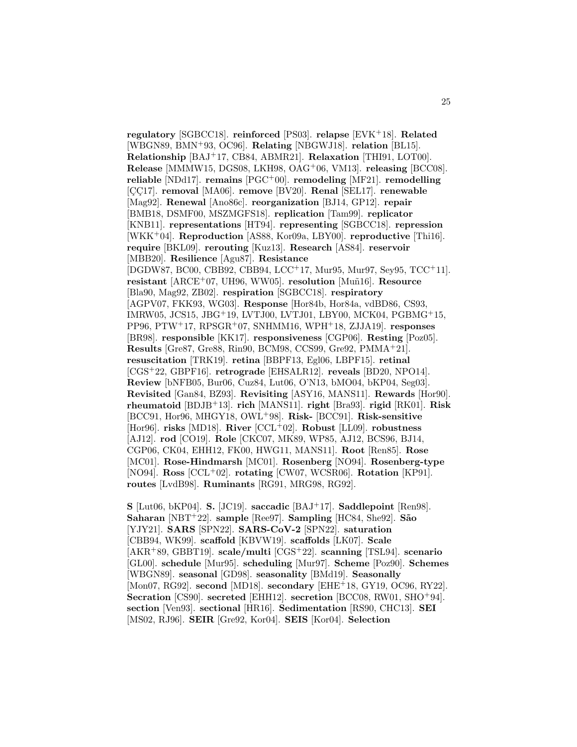**regulatory** [SGBCC18]. **reinforced** [PS03]. **relapse** [EVK<sup>+</sup>18]. **Related** [WBGN89, BMN<sup>+</sup>93, OC96]. **Relating** [NBGWJ18]. **relation** [BL15]. **Relationship** [BAJ<sup>+</sup>17, CB84, ABMR21]. **Relaxation** [THI91, LOT00]. **Release** [MMMW15, DGS08, LKH98, OAG<sup>+</sup>06, VM13]. **releasing** [BCC08]. **reliable** [NDd17]. **remains** [PGC<sup>+</sup>00]. **remodeling** [MF21]. **remodelling** [CC17]. **removal** [MA06]. **remove** [BV20]. **Renal** [SEL17]. **renewable** [Mag92]. **Renewal** [Ano86c]. **reorganization** [BJ14, GP12]. **repair** [BMB18, DSMF00, MSZMGFS18]. **replication** [Tam99]. **replicator** [KNB11]. **representations** [HT94]. **representing** [SGBCC18]. **repression** [WKK<sup>+</sup>04]. **Reproduction** [AS88, Kor09a, LBY00]. **reproductive** [Thi16]. **require** [BKL09]. **rerouting** [Kuz13]. **Research** [AS84]. **reservoir** [MBB20]. **Resilience** [Agu87]. **Resistance** [DGDW87, BC00, CBB92, CBB94, LCC<sup>+</sup>17, Mur95, Mur97, Sey95, TCC<sup>+</sup>11]. **resistant** [ARCE<sup>+</sup>07, UH96, WW05]. **resolution** [Mu˜n16]. **Resource** [Bla90, Mag92, ZB02]. **respiration** [SGBCC18]. **respiratory** [AGPV07, FKK93, WG03]. **Response** [Hor84b, Hor84a, vdBD86, CS93, IMRW05, JCS15, JBG<sup>+</sup>19, LVTJ00, LVTJ01, LBY00, MCK04, PGBMG<sup>+</sup>15, PP96, PTW<sup>+</sup>17, RPSGR<sup>+</sup>07, SNHMM16, WPH<sup>+</sup>18, ZJJA19]. **responses** [BR98]. **responsible** [KK17]. **responsiveness** [CGP06]. **Resting** [Poz05]. **Results** [Gre87, Gre88, Rin90, BCM98, CCS99, Gre92, PMMA<sup>+</sup>21]. **resuscitation** [TRK19]. **retina** [BBPF13, Egl06, LBPF15]. **retinal** [CGS<sup>+</sup>22, GBPF16]. **retrograde** [EHSALR12]. **reveals** [BD20, NPO14]. **Review** [bNFB05, Bur06, Cuz84, Lut06, O'N13, bMO04, bKP04, Seg03]. **Revisited** [Gan84, BZ93]. **Revisiting** [ASY16, MANS11]. **Rewards** [Hor90]. **rheumatoid** [BDJB<sup>+</sup>13]. **rich** [MANS11]. **right** [Bra93]. **rigid** [RK01]. **Risk** [BCC91, Hor96, MHGY18, OWL<sup>+</sup>98]. **Risk-** [BCC91]. **Risk-sensitive** [Hor96]. **risks** [MD18]. **River** [CCL<sup>+</sup>02]. **Robust** [LL09]. **robustness** [AJ12]. **rod** [CO19]. **Role** [CKC07, MK89, WP85, AJ12, BCS96, BJ14, CGP06, CK04, EHH12, FK00, HWG11, MANS11]. **Root** [Ren85]. **Rose** [MC01]. **Rose-Hindmarsh** [MC01]. **Rosenberg** [NO94]. **Rosenberg-type** [NO94]. **Ross** [CCL<sup>+</sup>02]. **rotating** [CW07, WCSR06]. **Rotation** [KP91]. **routes** [LvdB98]. **Ruminants** [RG91, MRG98, RG92].

**S** [Lut06, bKP04]. **S.** [JC19]. **saccadic** [BAJ<sup>+</sup>17]. **Saddlepoint** [Ren98]. **Saharan** [NBT<sup>+</sup>22]. **sample** [Ree97]. **Sampling** [HC84, She92]. **S˜ao** [YJY21]. **SARS** [SPN22]. **SARS-CoV-2** [SPN22]. **saturation** [CBB94, WK99]. **scaffold** [KBVW19]. **scaffolds** [LK07]. **Scale** [AKR<sup>+</sup>89, GBBT19]. **scale/multi** [CGS<sup>+</sup>22]. **scanning** [TSL94]. **scenario** [GL00]. **schedule** [Mur95]. **scheduling** [Mur97]. **Scheme** [Poz90]. **Schemes** [WBGN89]. **seasonal** [GD98]. **seasonality** [BMd19]. **Seasonally** [Mon07, RG92]. **second** [MD18]. **secondary** [EHE<sup>+</sup>18, GY19, OC96, RY22]. **Secration** [CS90]. **secreted** [EHH12]. **secretion** [BCC08, RW01, SHO<sup>+</sup>94]. **section** [Ven93]. **sectional** [HR16]. **Sedimentation** [RS90, CHC13]. **SEI** [MS02, RJ96]. **SEIR** [Gre92, Kor04]. **SEIS** [Kor04]. **Selection**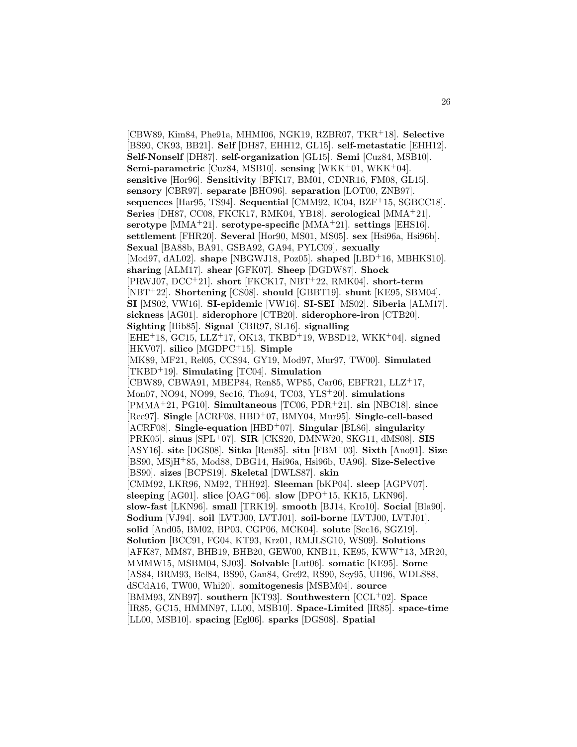[CBW89, Kim84, Phe91a, MHMI06, NGK19, RZBR07, TKR<sup>+</sup>18]. **Selective** [BS90, CK93, BB21]. **Self** [DH87, EHH12, GL15]. **self-metastatic** [EHH12]. **Self-Nonself** [DH87]. **self-organization** [GL15]. **Semi** [Cuz84, MSB10]. **Semi-parametric** [Cuz84, MSB10]. **sensing** [WKK<sup>+</sup>01, WKK<sup>+</sup>04]. **sensitive** [Hor96]. **Sensitivity** [BFK17, BM01, CDNR16, FM08, GL15]. **sensory** [CBR97]. **separate** [BHO96]. **separation** [LOT00, ZNB97]. **sequences** [Har95, TS94]. **Sequential** [CMM92, IC04, BZF<sup>+</sup>15, SGBCC18]. **Series** [DH87, CC08, FKCK17, RMK04, YB18]. **serological** [MMA<sup>+</sup>21]. **serotype** [MMA<sup>+</sup>21]. **serotype-specific** [MMA<sup>+</sup>21]. **settings** [EHS16]. **settlement** [FHR20]. **Several** [Hor90, MS01, MS05]. **sex** [Hsi96a, Hsi96b]. **Sexual** [BA88b, BA91, GSBA92, GA94, PYLC09]. **sexually** [Mod97, dAL02]. **shape** [NBGWJ18, Poz05]. **shaped** [LBD<sup>+</sup>16, MBHKS10]. **sharing** [ALM17]. **shear** [GFK07]. **Sheep** [DGDW87]. **Shock** [PRWJ07, DCC<sup>+</sup>21]. **short** [FKCK17, NBT<sup>+</sup>22, RMK04]. **short-term** [NBT<sup>+</sup>22]. **Shortening** [CS08]. **should** [GBBT19]. **shunt** [KE95, SBM04]. **SI** [MS02, VW16]. **SI-epidemic** [VW16]. **SI-SEI** [MS02]. **Siberia** [ALM17]. **sickness** [AG01]. **siderophore** [CTB20]. **siderophore-iron** [CTB20]. **Sighting** [Hib85]. **Signal** [CBR97, SL16]. **signalling** [EHE<sup>+</sup>18, GC15, LLZ<sup>+</sup>17, OK13, TKBD<sup>+</sup>19, WBSD12, WKK<sup>+</sup>04]. **signed** [HKV07]. **silico** [MGDPC<sup>+</sup>15]. **Simple** [MK89, MF21, Rel05, CCS94, GY19, Mod97, Mur97, TW00]. **Simulated** [TKBD<sup>+</sup>19]. **Simulating** [TC04]. **Simulation** [CBW89, CBWA91, MBEP84, Ren85, WP85, Car06, EBFR21, LLZ<sup>+</sup>17, Mon07, NO94, NO99, Sec16, Tho94, TC03, YLS<sup>+</sup>20]. **simulations** [PMMA<sup>+</sup>21, PG10]. **Simultaneous** [TC06, PDR<sup>+</sup>21]. **sin** [NBC18]. **since** [Ree97]. **Single** [ACRF08, HBD<sup>+</sup>07, BMY04, Mur95]. **Single-cell-based** [ACRF08]. **Single-equation** [HBD<sup>+</sup>07]. **Singular** [BL86]. **singularity** [PRK05]. **sinus** [SPL<sup>+</sup>07]. **SIR** [CKS20, DMNW20, SKG11, dMS08]. **SIS** [ASY16]. **site** [DGS08]. **Sitka** [Ren85]. **situ** [FBM<sup>+</sup>03]. **Sixth** [Ano91]. **Size** [BS90, MSjH<sup>+</sup>85, Mod88, DBG14, Hsi96a, Hsi96b, UA96]. **Size-Selective** [BS90]. **sizes** [BCPS19]. **Skeletal** [DWLS87]. **skin** [CMM92, LKR96, NM92, THH92]. **Sleeman** [bKP04]. **sleep** [AGPV07]. **sleeping** [AG01]. **slice**  $[OAG^+06]$ . **slow**  $[DPO^+15, KK15, LKN96]$ . **slow-fast** [LKN96]. **small** [TRK19]. **smooth** [BJ14, Kro10]. **Social** [Bla90]. **Sodium** [VJ94]. **soil** [LVTJ00, LVTJ01]. **soil-borne** [LVTJ00, LVTJ01]. **solid** [And05, BM02, BP03, CGP06, MCK04]. **solute** [Sec16, SGZ19]. **Solution** [BCC91, FG04, KT93, Krz01, RMJLSG10, WS09]. **Solutions** [AFK87, MM87, BHB19, BHB20, GEW00, KNB11, KE95, KWW<sup>+</sup>13, MR20, MMMW15, MSBM04, SJ03]. **Solvable** [Lut06]. **somatic** [KE95]. **Some** [AS84, BRM93, Bel84, BS90, Gan84, Gre92, RS90, Sey95, UH96, WDLS88, dSCdA16, TW00, Whi20]. **somitogenesis** [MSBM04]. **source** [BMM93, ZNB97]. **southern** [KT93]. **Southwestern** [CCL<sup>+</sup>02]. **Space** [IR85, GC15, HMMN97, LL00, MSB10]. **Space-Limited** [IR85]. **space-time** [LL00, MSB10]. **spacing** [Egl06]. **sparks** [DGS08]. **Spatial**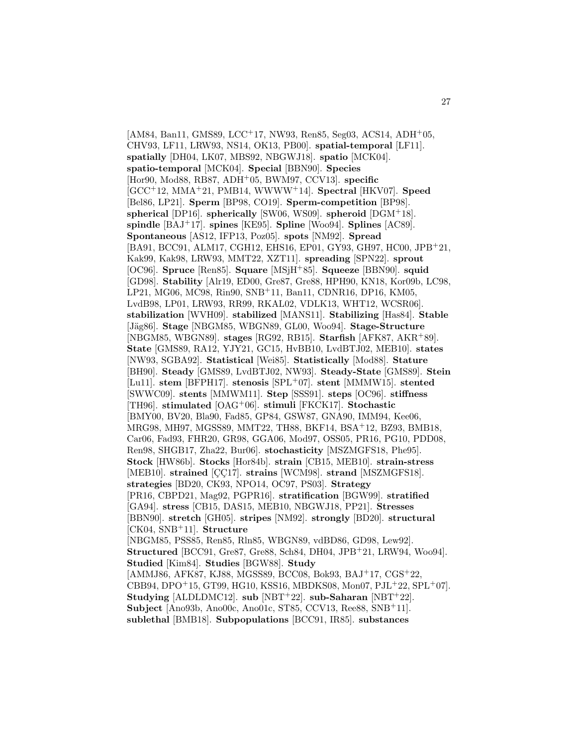$[AM84, Ban11, GMS89, LCC<sup>+</sup>17, NW93, Ren85, Seg03, ACS14, ADH<sup>+</sup>05,$ CHV93, LF11, LRW93, NS14, OK13, PB00]. **spatial-temporal** [LF11]. **spatially** [DH04, LK07, MBS92, NBGWJ18]. **spatio** [MCK04]. **spatio-temporal** [MCK04]. **Special** [BBN90]. **Species** [Hor90, Mod88, RB87, ADH<sup>+</sup>05, BWM97, CCV13]. **specific** [GCC<sup>+</sup>12, MMA<sup>+</sup>21, PMB14, WWWW<sup>+</sup>14]. **Spectral** [HKV07]. **Speed** [Bel86, LP21]. **Sperm** [BP98, CO19]. **Sperm-competition** [BP98]. **spherical** [DP16]. **spherically** [SW06, WS09]. **spheroid** [DGM<sup>+</sup>18]. **spindle** [BAJ<sup>+</sup>17]. **spines** [KE95]. **Spline** [Woo94]. **Splines** [AC89]. **Spontaneous** [AS12, IFP13, Poz05]. **spots** [NM92]. **Spread** [BA91, BCC91, ALM17, CGH12, EHS16, EP01, GY93, GH97, HC00, JPB<sup>+</sup>21, Kak99, Kak98, LRW93, MMT22, XZT11]. **spreading** [SPN22]. **sprout** [OC96]. **Spruce** [Ren85]. **Square** [MSjH<sup>+</sup>85]. **Squeeze** [BBN90]. **squid** [GD98]. **Stability** [Alr19, ED00, Gre87, Gre88, HPH90, KN18, Kor09b, LC98, LP21, MG06, MC98, Rin90, SNB<sup>+</sup>11, Ban11, CDNR16, DP16, KM05, LvdB98, LP01, LRW93, RR99, RKAL02, VDLK13, WHT12, WCSR06]. **stabilization** [WVH09]. **stabilized** [MANS11]. **Stabilizing** [Has84]. **Stable** [Jäg86]. **Stage** [NBGM85, WBGN89, GL00, Woo94]. **Stage-Structure** [NBGM85, WBGN89]. **stages** [RG92, RB15]. **Starfish** [AFK87, AKR<sup>+</sup>89]. **State** [GMS89, RA12, YJY21, GC15, HvBB10, LvdBTJ02, MEB10]. **states** [NW93, SGBA92]. **Statistical** [Wei85]. **Statistically** [Mod88]. **Stature** [BH90]. **Steady** [GMS89, LvdBTJ02, NW93]. **Steady-State** [GMS89]. **Stein** [Lu11]. **stem** [BFPH17]. **stenosis** [SPL<sup>+</sup>07]. **stent** [MMMW15]. **stented** [SWWC09]. **stents** [MMWM11]. **Step** [SSS91]. **steps** [OC96]. **stiffness** [TH96]. **stimulated** [OAG<sup>+</sup>06]. **stimuli** [FKCK17]. **Stochastic** [BMY00, BV20, Bla90, Fad85, GP84, GSW87, GNA90, IMM94, Kee06, MRG98, MH97, MGSS89, MMT22, TH88, BKF14, BSA<sup>+</sup>12, BZ93, BMB18, Car06, Fad93, FHR20, GR98, GGA06, Mod97, OSS05, PR16, PG10, PDD08, Ren98, SHGB17, Zha22, Bur06]. **stochasticity** [MSZMGFS18, Phe95]. **Stock** [HW86b]. **Stocks** [Hor84b]. **strain** [CB15, MEB10]. **strain-stress** [MEB10]. **strained** [CC17]. **strains** [WCM98]. **strand** [MSZMGFS18]. **strategies** [BD20, CK93, NPO14, OC97, PS03]. **Strategy** [PR16, CBPD21, Mag92, PGPR16]. **stratification** [BGW99]. **stratified** [GA94]. **stress** [CB15, DAS15, MEB10, NBGWJ18, PP21]. **Stresses** [BBN90]. **stretch** [GH05]. **stripes** [NM92]. **strongly** [BD20]. **structural** [CK04, SNB<sup>+</sup>11]. **Structure** [NBGM85, PSS85, Ren85, Rln85, WBGN89, vdBD86, GD98, Lew92]. **Structured** [BCC91, Gre87, Gre88, Sch84, DH04, JPB<sup>+</sup>21, LRW94, Woo94]. **Studied** [Kim84]. **Studies** [BGW88]. **Study** [AMMJ86, AFK87, KJ88, MGSS89, BCC08, Bok93, BAJ<sup>+</sup>17, CGS<sup>+</sup>22, CBB94, DPO<sup>+</sup>15, GT99, HG10, KSS16, MBDKS08, Mon07, PJL<sup>+</sup>22, SPL<sup>+</sup>07]. **Studying** [ALDLDMC12]. **sub** [NBT<sup>+</sup>22]. **sub-Saharan** [NBT<sup>+</sup>22]. **Subject** [Ano93b, Ano00c, Ano01c, ST85, CCV13, Ree88, SNB<sup>+</sup>11]. **sublethal** [BMB18]. **Subpopulations** [BCC91, IR85]. **substances**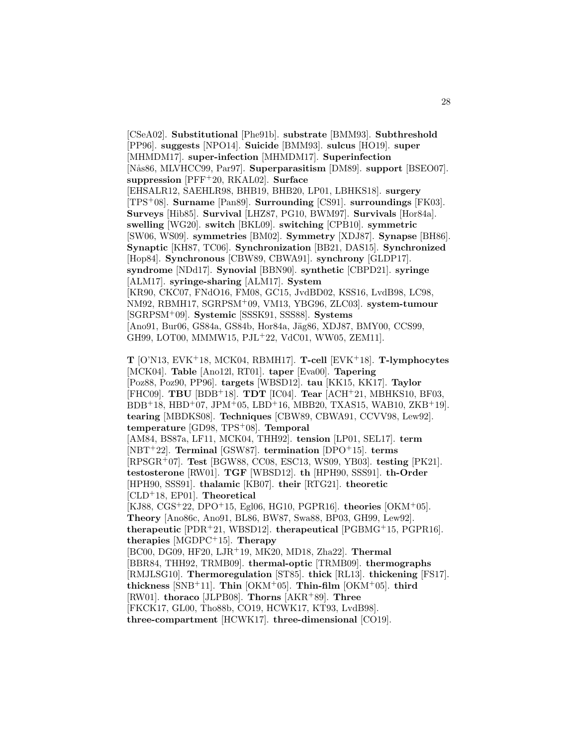[CSeA02]. **Substitutional** [Phe91b]. **substrate** [BMM93]. **Subthreshold** [PP96]. **suggests** [NPO14]. **Suicide** [BMM93]. **sulcus** [HO19]. **super** [MHMDM17]. **super-infection** [MHMDM17]. **Superinfection** [N˚as86, MLVHCC99, Par97]. **Superparasitism** [DM89]. **support** [BSEO07]. **suppression** [PFF<sup>+</sup>20, RKAL02]. **Surface** [EHSALR12, SAEHLR98, BHB19, BHB20, LP01, LBHKS18]. **surgery** [TPS<sup>+</sup>08]. **Surname** [Pan89]. **Surrounding** [CS91]. **surroundings** [FK03]. **Surveys** [Hib85]. **Survival** [LHZ87, PG10, BWM97]. **Survivals** [Hor84a]. **swelling** [WG20]. **switch** [BKL09]. **switching** [CPB10]. **symmetric** [SW06, WS09]. **symmetries** [BM02]. **Symmetry** [XDJ87]. **Synapse** [BH86]. **Synaptic** [KH87, TC06]. **Synchronization** [BB21, DAS15]. **Synchronized** [Hop84]. **Synchronous** [CBW89, CBWA91]. **synchrony** [GLDP17]. **syndrome** [NDd17]. **Synovial** [BBN90]. **synthetic** [CBPD21]. **syringe** [ALM17]. **syringe-sharing** [ALM17]. **System** [KR90, CKC07, FNdO16, FM08, GC15, JvdBD02, KSS16, LvdB98, LC98, NM92, RBMH17, SGRPSM<sup>+</sup>09, VM13, YBG96, ZLC03]. **system-tumour** [SGRPSM<sup>+</sup>09]. **Systemic** [SSSK91, SSS88]. **Systems** [Ano91, Bur06, GS84a, GS84b, Hor84a, Jäg86, XDJ87, BMY00, CCS99, GH99, LOT00, MMMW15, PJL<sup>+</sup>22, VdC01, WW05, ZEM11].

**T** [O'N13, EVK<sup>+</sup>18, MCK04, RBMH17]. **T-cell** [EVK<sup>+</sup>18]. **T-lymphocytes** [MCK04]. **Table** [Ano12l, RT01]. **taper** [Eva00]. **Tapering** [Poz88, Poz90, PP96]. **targets** [WBSD12]. **tau** [KK15, KK17]. **Taylor** [FHC09]. **TBU** [BDB<sup>+</sup>18]. **TDT** [IC04]. **Tear** [ACH<sup>+</sup>21, MBHKS10, BF03,  $BDB+18$ ,  $HBD+07$ ,  $JPM+05$ ,  $LBD+16$ ,  $MBB20$ ,  $TXAS15$ ,  $WAB10$ ,  $ZKB+19$ . **tearing** [MBDKS08]. **Techniques** [CBW89, CBWA91, CCVV98, Lew92]. **temperature** [GD98, TPS<sup>+</sup>08]. **Temporal** [AM84, BS87a, LF11, MCK04, THH92]. **tension** [LP01, SEL17]. **term** [NBT<sup>+</sup>22]. **Terminal** [GSW87]. **termination** [DPO<sup>+</sup>15]. **terms** [RPSGR<sup>+</sup>07]. **Test** [BGW88, CC08, ESC13, WS09, YB03]. **testing** [PK21]. **testosterone** [RW01]. **TGF** [WBSD12]. **th** [HPH90, SSS91]. **th-Order** [HPH90, SSS91]. **thalamic** [KB07]. **their** [RTG21]. **theoretic** [CLD<sup>+</sup>18, EP01]. **Theoretical** [KJ88, CGS<sup>+</sup>22, DPO<sup>+</sup>15, Egl06, HG10, PGPR16]. **theories** [OKM<sup>+</sup>05]. **Theory** [Ano86c, Ano91, BL86, BW87, Swa88, BP03, GH99, Lew92]. **therapeutic** [PDR<sup>+</sup>21, WBSD12]. **therapeutical** [PGBMG<sup>+</sup>15, PGPR16]. **therapies** [MGDPC<sup>+</sup>15]. **Therapy** [BC00, DG09, HF20, LJR<sup>+</sup>19, MK20, MD18, Zha22]. **Thermal** [BBR84, THH92, TRMB09]. **thermal-optic** [TRMB09]. **thermographs** [RMJLSG10]. **Thermoregulation** [ST85]. **thick** [RL13]. **thickening** [FS17]. **thickness** [SNB<sup>+</sup>11]. **Thin** [OKM<sup>+</sup>05]. **Thin-film** [OKM<sup>+</sup>05]. **third** [RW01]. **thoraco** [JLPB08]. **Thorns** [AKR<sup>+</sup>89]. **Three** [FKCK17, GL00, Tho88b, CO19, HCWK17, KT93, LvdB98]. **three-compartment** [HCWK17]. **three-dimensional** [CO19].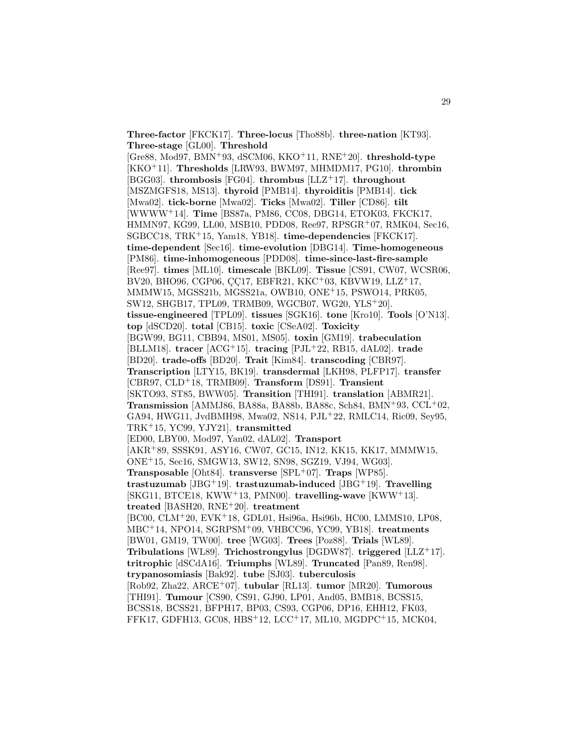**Three-factor** [FKCK17]. **Three-locus** [Tho88b]. **three-nation** [KT93]. **Three-stage** [GL00]. **Threshold**

[Gre88, Mod97, BMN<sup>+</sup>93, dSCM06, KKO<sup>+</sup>11, RNE<sup>+</sup>20]. **threshold-type** [KKO<sup>+</sup>11]. **Thresholds** [LRW93, BWM97, MHMDM17, PG10]. **thrombin** [BGG03]. **thrombosis** [FG04]. **thrombus** [LLZ<sup>+</sup>17]. **throughout** [MSZMGFS18, MS13]. **thyroid** [PMB14]. **thyroiditis** [PMB14]. **tick** [Mwa02]. **tick-borne** [Mwa02]. **Ticks** [Mwa02]. **Tiller** [CD86]. **tilt** [WWWW<sup>+</sup>14]. **Time** [BS87a, PM86, CC08, DBG14, ETOK03, FKCK17, HMMN97, KG99, LL00, MSB10, PDD08, Ree97, RPSGR<sup>+</sup>07, RMK04, Sec16, SGBCC18, TRK<sup>+</sup>15, Yam18, YB18]. **time-dependencies** [FKCK17]. **time-dependent** [Sec16]. **time-evolution** [DBG14]. **Time-homogeneous** [PM86]. **time-inhomogeneous** [PDD08]. **time-since-last-fire-sample** [Ree97]. **times** [ML10]. **timescale** [BKL09]. **Tissue** [CS91, CW07, WCSR06, BV20, BHO96, CGP06, CC17, EBFR21, KKC<sup>+</sup>03, KBVW19, LLZ<sup>+</sup>17, MMMW15, MGSS21b, MGSS21a, OWB10, ONE<sup>+</sup>15, PSWO14, PRK05, SW12, SHGB17, TPL09, TRMB09, WGCB07, WG20, YLS<sup>+</sup>20]. **tissue-engineered** [TPL09]. **tissues** [SGK16]. **tone** [Kro10]. **Tools** [O'N13]. **top** [dSCD20]. **total** [CB15]. **toxic** [CSeA02]. **Toxicity** [BGW99, BG11, CBB94, MS01, MS05]. **toxin** [GM19]. **trabeculation** [BLLM18]. **tracer** [ACG<sup>+</sup>15]. **tracing** [PJL<sup>+</sup>22, RB15, dAL02]. **trade** [BD20]. **trade-offs** [BD20]. **Trait** [Kim84]. **transcoding** [CBR97]. **Transcription** [LTY15, BK19]. **transdermal** [LKH98, PLFP17]. **transfer** [CBR97, CLD<sup>+</sup>18, TRMB09]. **Transform** [DS91]. **Transient** [SKTO93, ST85, BWW05]. **Transition** [THI91]. **translation** [ABMR21]. **Transmission** [AMMJ86, BA88a, BA88b, BA88c, Sch84, BMN<sup>+</sup>93, CCL<sup>+</sup>02, GA94, HWG11, JvdBMH98, Mwa02, NS14, PJL<sup>+</sup>22, RMLC14, Ric09, Sey95, TRK<sup>+</sup>15, YC99, YJY21]. **transmitted** [ED00, LBY00, Mod97, Yan02, dAL02]. **Transport** [AKR<sup>+</sup>89, SSSK91, ASY16, CW07, GC15, IN12, KK15, KK17, MMMW15, ONE<sup>+</sup>15, Sec16, SMGW13, SW12, SN98, SGZ19, VJ94, WG03]. **Transposable** [Oht84]. **transverse** [SPL+07]. **Traps** [WP85]. **trastuzumab** [JBG<sup>+</sup>19]. **trastuzumab-induced** [JBG<sup>+</sup>19]. **Travelling** [SKG11, BTCE18, KWW<sup>+</sup>13, PMN00]. **travelling-wave** [KWW<sup>+</sup>13]. **treated** [BASH20, RNE<sup>+</sup>20]. **treatment** [BC00, CLM<sup>+</sup>20, EVK<sup>+</sup>18, GDL01, Hsi96a, Hsi96b, HC00, LMMS10, LP08, MBC<sup>+</sup>14, NPO14, SGRPSM<sup>+</sup>09, VHBCC96, YC99, YB18]. **treatments** [BW01, GM19, TW00]. **tree** [WG03]. **Trees** [Poz88]. **Trials** [WL89]. **Tribulations** [WL89]. **Trichostrongylus** [DGDW87]. **triggered** [LLZ<sup>+</sup>17]. **tritrophic** [dSCdA16]. **Triumphs** [WL89]. **Truncated** [Pan89, Ren98]. **trypanosomiasis** [Bak92]. **tube** [SJ03]. **tuberculosis** [Rob92, Zha22, ARCE<sup>+</sup>07]. **tubular** [RL13]. **tumor** [MR20]. **Tumorous** [THI91]. **Tumour** [CS90, CS91, GJ90, LP01, And05, BMB18, BCSS15, BCSS18, BCSS21, BFPH17, BP03, CS93, CGP06, DP16, EHH12, FK03, FFK17, GDFH13, GC08, HBS<sup>+</sup>12, LCC<sup>+</sup>17, ML10, MGDPC<sup>+</sup>15, MCK04,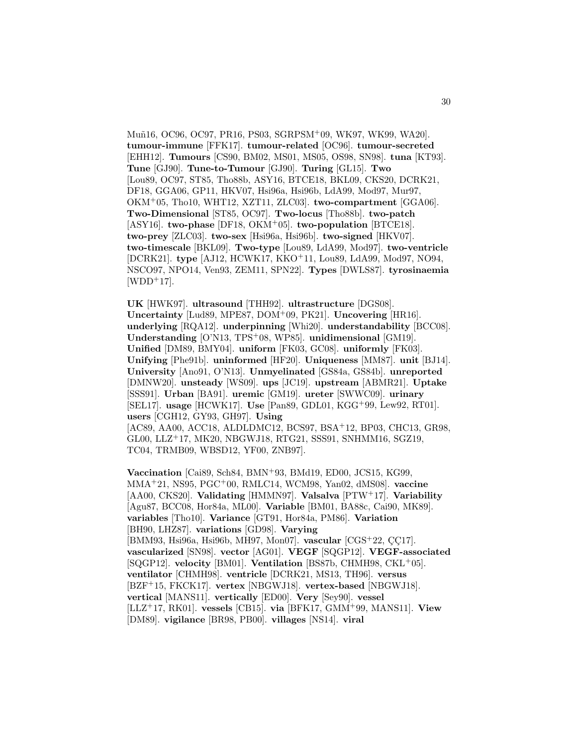Mu˜n16, OC96, OC97, PR16, PS03, SGRPSM<sup>+</sup>09, WK97, WK99, WA20]. **tumour-immune** [FFK17]. **tumour-related** [OC96]. **tumour-secreted** [EHH12]. **Tumours** [CS90, BM02, MS01, MS05, OS98, SN98]. **tuna** [KT93]. **Tune** [GJ90]. **Tune-to-Tumour** [GJ90]. **Turing** [GL15]. **Two** [Lou89, OC97, ST85, Tho88b, ASY16, BTCE18, BKL09, CKS20, DCRK21, DF18, GGA06, GP11, HKV07, Hsi96a, Hsi96b, LdA99, Mod97, Mur97, OKM<sup>+</sup>05, Tho10, WHT12, XZT11, ZLC03]. **two-compartment** [GGA06]. **Two-Dimensional** [ST85, OC97]. **Two-locus** [Tho88b]. **two-patch** [ASY16]. **two-phase** [DF18, OKM<sup>+</sup>05]. **two-population** [BTCE18]. **two-prey** [ZLC03]. **two-sex** [Hsi96a, Hsi96b]. **two-signed** [HKV07]. **two-timescale** [BKL09]. **Two-type** [Lou89, LdA99, Mod97]. **two-ventricle** [DCRK21]. **type** [AJ12, HCWK17, KKO<sup>+</sup>11, Lou89, LdA99, Mod97, NO94, NSCO97, NPO14, Ven93, ZEM11, SPN22]. **Types** [DWLS87]. **tyrosinaemia**  $[WDD+17]$ .

**UK** [HWK97]. **ultrasound** [THH92]. **ultrastructure** [DGS08]. **Uncertainty** [Lud89, MPE87, DOM<sup>+</sup>09, PK21]. **Uncovering** [HR16]. **underlying** [RQA12]. **underpinning** [Whi20]. **understandability** [BCC08]. **Understanding** [O'N13, TPS<sup>+</sup>08, WP85]. **unidimensional** [GM19]. **Unified** [DM89, BMY04]. **uniform** [FK03, GC08]. **uniformly** [FK03]. **Unifying** [Phe91b]. **uninformed** [HF20]. **Uniqueness** [MM87]. **unit** [BJ14]. **University** [Ano91, O'N13]. **Unmyelinated** [GS84a, GS84b]. **unreported** [DMNW20]. **unsteady** [WS09]. **ups** [JC19]. **upstream** [ABMR21]. **Uptake** [SSS91]. **Urban** [BA91]. **uremic** [GM19]. **ureter** [SWWC09]. **urinary** [SEL17]. **usage** [HCWK17]. **Use** [Pan89, GDL01, KGG<sup>+</sup>99, Lew92, RT01]. **users** [CGH12, GY93, GH97]. **Using** [AC89, AA00, ACC18, ALDLDMC12, BCS97, BSA<sup>+</sup>12, BP03, CHC13, GR98, GL00, LLZ<sup>+</sup>17, MK20, NBGWJ18, RTG21, SSS91, SNHMM16, SGZ19, TC04, TRMB09, WBSD12, YF00, ZNB97].

**Vaccination** [Cai89, Sch84, BMN<sup>+</sup>93, BMd19, ED00, JCS15, KG99, MMA<sup>+</sup>21, NS95, PGC<sup>+</sup>00, RMLC14, WCM98, Yan02, dMS08]. **vaccine** [AA00, CKS20]. **Validating** [HMMN97]. **Valsalva** [PTW<sup>+</sup>17]. **Variability** [Agu87, BCC08, Hor84a, ML00]. **Variable** [BM01, BA88c, Cai90, MK89]. **variables** [Tho10]. **Variance** [GT91, Hor84a, PM86]. **Variation** [BH90, LHZ87]. **variations** [GD98]. **Varying** [BMM93, Hsi96a, Hsi96b, MH97, Mon07]. **vascular** [CGS<sup>+</sup>22, CC17]. **vascularized** [SN98]. **vector** [AG01]. **VEGF** [SQGP12]. **VEGF-associated** [SQGP12]. **velocity** [BM01]. **Ventilation** [BS87b, CHMH98, CKL<sup>+</sup>05]. **ventilator** [CHMH98]. **ventricle** [DCRK21, MS13, TH96]. **versus** [BZF<sup>+</sup>15, FKCK17]. **vertex** [NBGWJ18]. **vertex-based** [NBGWJ18]. **vertical** [MANS11]. **vertically** [ED00]. **Very** [Sey90]. **vessel** [LLZ<sup>+</sup>17, RK01]. **vessels** [CB15]. **via** [BFK17, GMM<sup>+</sup>99, MANS11]. **View** [DM89]. **vigilance** [BR98, PB00]. **villages** [NS14]. **viral**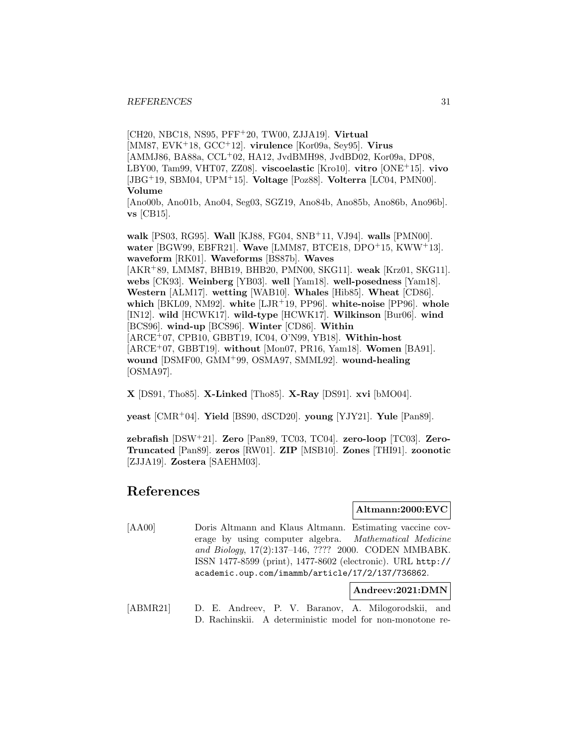[CH20, NBC18, NS95, PFF<sup>+</sup>20, TW00, ZJJA19]. **Virtual** [MM87, EVK<sup>+</sup>18, GCC<sup>+</sup>12]. **virulence** [Kor09a, Sey95]. **Virus** [AMMJ86, BA88a, CCL<sup>+</sup>02, HA12, JvdBMH98, JvdBD02, Kor09a, DP08, LBY00, Tam99, VHT07, ZZ08]. **viscoelastic** [Kro10]. **vitro** [ONE<sup>+</sup>15]. **vivo** [JBG<sup>+</sup>19, SBM04, UPM<sup>+</sup>15]. **Voltage** [Poz88]. **Volterra** [LC04, PMN00]. **Volume**

[Ano00b, Ano01b, Ano04, Seg03, SGZ19, Ano84b, Ano85b, Ano86b, Ano96b]. **vs** [CB15].

**walk** [PS03, RG95]. **Wall** [KJ88, FG04, SNB<sup>+</sup>11, VJ94]. **walls** [PMN00]. **water** [BGW99, EBFR21]. **Wave** [LMM87, BTCE18, DPO<sup>+</sup>15, KWW<sup>+</sup>13]. **waveform** [RK01]. **Waveforms** [BS87b]. **Waves** [AKR<sup>+</sup>89, LMM87, BHB19, BHB20, PMN00, SKG11]. **weak** [Krz01, SKG11]. **webs** [CK93]. **Weinberg** [YB03]. **well** [Yam18]. **well-posedness** [Yam18]. **Western** [ALM17]. **wetting** [WAB10]. **Whales** [Hib85]. **Wheat** [CD86]. **which** [BKL09, NM92]. **white** [LJR<sup>+</sup>19, PP96]. **white-noise** [PP96]. **whole** [IN12]. **wild** [HCWK17]. **wild-type** [HCWK17]. **Wilkinson** [Bur06]. **wind** [BCS96]. **wind-up** [BCS96]. **Winter** [CD86]. **Within** [ARCE<sup>+</sup>07, CPB10, GBBT19, IC04, O'N99, YB18]. **Within-host** [ARCE<sup>+</sup>07, GBBT19]. **without** [Mon07, PR16, Yam18]. **Women** [BA91]. **wound** [DSMF00, GMM<sup>+</sup>99, OSMA97, SMML92]. **wound-healing** [OSMA97].

**X** [DS91, Tho85]. **X-Linked** [Tho85]. **X-Ray** [DS91]. **xvi** [bMO04].

**yeast** [CMR<sup>+</sup>04]. **Yield** [BS90, dSCD20]. **young** [YJY21]. **Yule** [Pan89].

**zebrafish** [DSW<sup>+</sup>21]. **Zero** [Pan89, TC03, TC04]. **zero-loop** [TC03]. **Zero-Truncated** [Pan89]. **zeros** [RW01]. **ZIP** [MSB10]. **Zones** [THI91]. **zoonotic** [ZJJA19]. **Zostera** [SAEHM03].

# **References**

**Altmann:2000:EVC**

[AA00] Doris Altmann and Klaus Altmann. Estimating vaccine coverage by using computer algebra. Mathematical Medicine and Biology, 17(2):137–146, ???? 2000. CODEN MMBABK. ISSN 1477-8599 (print), 1477-8602 (electronic). URL http:// academic.oup.com/imammb/article/17/2/137/736862.

**Andreev:2021:DMN**

[ABMR21] D. E. Andreev, P. V. Baranov, A. Milogorodskii, and D. Rachinskii. A deterministic model for non-monotone re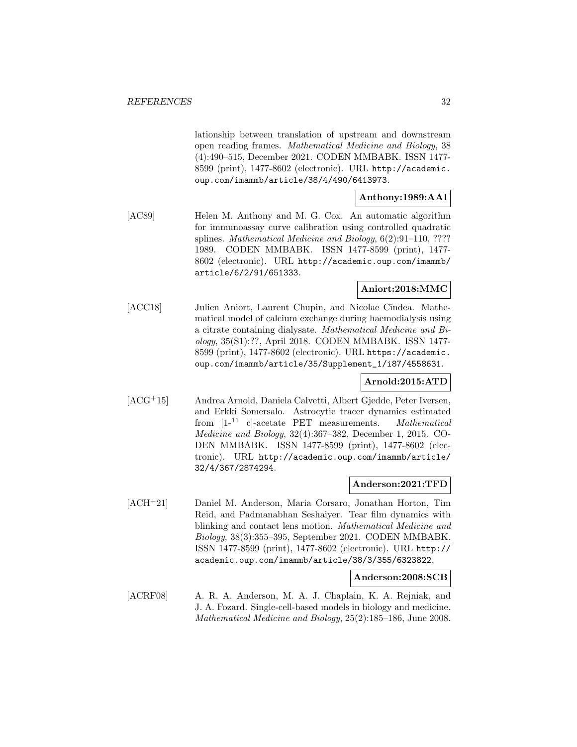lationship between translation of upstream and downstream open reading frames. Mathematical Medicine and Biology, 38 (4):490–515, December 2021. CODEN MMBABK. ISSN 1477- 8599 (print), 1477-8602 (electronic). URL http://academic. oup.com/imammb/article/38/4/490/6413973.

# **Anthony:1989:AAI**

[AC89] Helen M. Anthony and M. G. Cox. An automatic algorithm for immunoassay curve calibration using controlled quadratic splines. Mathematical Medicine and Biology, 6(2):91–110, ???? 1989. CODEN MMBABK. ISSN 1477-8599 (print), 1477- 8602 (electronic). URL http://academic.oup.com/imammb/ article/6/2/91/651333.

## **Aniort:2018:MMC**

[ACC18] Julien Aniort, Laurent Chupin, and Nicolae Cîndea. Mathematical model of calcium exchange during haemodialysis using a citrate containing dialysate. Mathematical Medicine and Biology, 35(S1):??, April 2018. CODEN MMBABK. ISSN 1477- 8599 (print), 1477-8602 (electronic). URL https://academic. oup.com/imammb/article/35/Supplement\_1/i87/4558631.

# **Arnold:2015:ATD**

[ACG<sup>+</sup>15] Andrea Arnold, Daniela Calvetti, Albert Gjedde, Peter Iversen, and Erkki Somersalo. Astrocytic tracer dynamics estimated from [1-<sup>11</sup> c]-acetate PET measurements. Mathematical Medicine and Biology, 32(4):367–382, December 1, 2015. CO-DEN MMBABK. ISSN 1477-8599 (print), 1477-8602 (electronic). URL http://academic.oup.com/imammb/article/ 32/4/367/2874294.

#### **Anderson:2021:TFD**

[ACH<sup>+</sup>21] Daniel M. Anderson, Maria Corsaro, Jonathan Horton, Tim Reid, and Padmanabhan Seshaiyer. Tear film dynamics with blinking and contact lens motion. Mathematical Medicine and Biology, 38(3):355–395, September 2021. CODEN MMBABK. ISSN 1477-8599 (print), 1477-8602 (electronic). URL http:// academic.oup.com/imammb/article/38/3/355/6323822.

**Anderson:2008:SCB**

[ACRF08] A. R. A. Anderson, M. A. J. Chaplain, K. A. Rejniak, and J. A. Fozard. Single-cell-based models in biology and medicine. Mathematical Medicine and Biology, 25(2):185–186, June 2008.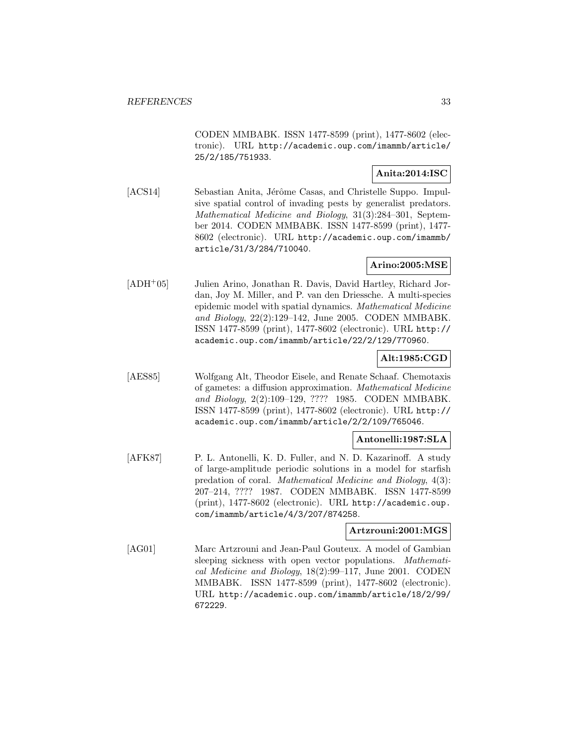CODEN MMBABK. ISSN 1477-8599 (print), 1477-8602 (electronic). URL http://academic.oup.com/imammb/article/ 25/2/185/751933.

## **Anita:2014:ISC**

[ACS14] Sebastian Anita, Jérôme Casas, and Christelle Suppo. Impulsive spatial control of invading pests by generalist predators. Mathematical Medicine and Biology, 31(3):284–301, September 2014. CODEN MMBABK. ISSN 1477-8599 (print), 1477- 8602 (electronic). URL http://academic.oup.com/imammb/ article/31/3/284/710040.

# **Arino:2005:MSE**

[ADH<sup>+</sup>05] Julien Arino, Jonathan R. Davis, David Hartley, Richard Jordan, Joy M. Miller, and P. van den Driessche. A multi-species epidemic model with spatial dynamics. Mathematical Medicine and Biology, 22(2):129–142, June 2005. CODEN MMBABK. ISSN 1477-8599 (print), 1477-8602 (electronic). URL http:// academic.oup.com/imammb/article/22/2/129/770960.

## **Alt:1985:CGD**

[AES85] Wolfgang Alt, Theodor Eisele, and Renate Schaaf. Chemotaxis of gametes: a diffusion approximation. Mathematical Medicine and Biology, 2(2):109–129, ???? 1985. CODEN MMBABK. ISSN 1477-8599 (print), 1477-8602 (electronic). URL http:// academic.oup.com/imammb/article/2/2/109/765046.

#### **Antonelli:1987:SLA**

[AFK87] P. L. Antonelli, K. D. Fuller, and N. D. Kazarinoff. A study of large-amplitude periodic solutions in a model for starfish predation of coral. Mathematical Medicine and Biology, 4(3): 207–214, ???? 1987. CODEN MMBABK. ISSN 1477-8599 (print), 1477-8602 (electronic). URL http://academic.oup. com/imammb/article/4/3/207/874258.

## **Artzrouni:2001:MGS**

[AG01] Marc Artzrouni and Jean-Paul Gouteux. A model of Gambian sleeping sickness with open vector populations. Mathematical Medicine and Biology, 18(2):99–117, June 2001. CODEN MMBABK. ISSN 1477-8599 (print), 1477-8602 (electronic). URL http://academic.oup.com/imammb/article/18/2/99/ 672229.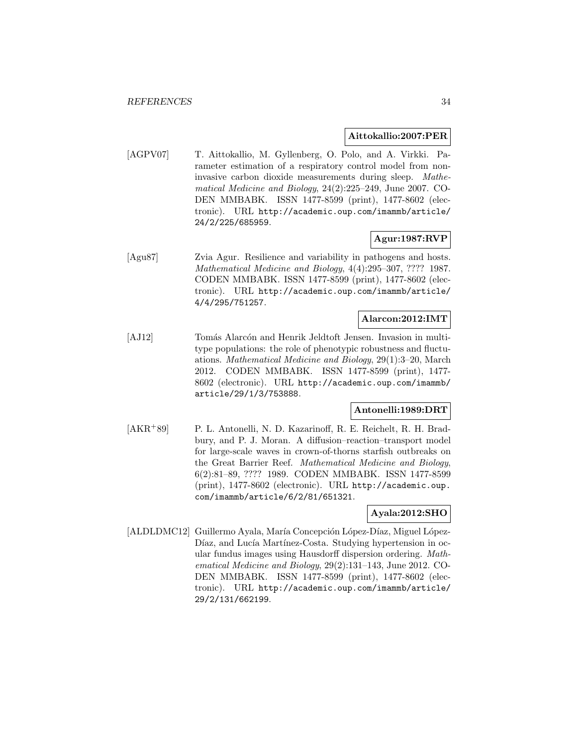#### **Aittokallio:2007:PER**

[AGPV07] T. Aittokallio, M. Gyllenberg, O. Polo, and A. Virkki. Parameter estimation of a respiratory control model from noninvasive carbon dioxide measurements during sleep. Mathematical Medicine and Biology, 24(2):225–249, June 2007. CO-DEN MMBABK. ISSN 1477-8599 (print), 1477-8602 (electronic). URL http://academic.oup.com/imammb/article/ 24/2/225/685959.

## **Agur:1987:RVP**

[Agu87] Zvia Agur. Resilience and variability in pathogens and hosts. Mathematical Medicine and Biology, 4(4):295–307, ???? 1987. CODEN MMBABK. ISSN 1477-8599 (print), 1477-8602 (electronic). URL http://academic.oup.com/imammb/article/ 4/4/295/751257.

#### **Alarcon:2012:IMT**

[AJ12] Tomás Alarcón and Henrik Jeldtoft Jensen. Invasion in multitype populations: the role of phenotypic robustness and fluctuations. Mathematical Medicine and Biology, 29(1):3–20, March 2012. CODEN MMBABK. ISSN 1477-8599 (print), 1477- 8602 (electronic). URL http://academic.oup.com/imammb/ article/29/1/3/753888.

### **Antonelli:1989:DRT**

[AKR<sup>+</sup>89] P. L. Antonelli, N. D. Kazarinoff, R. E. Reichelt, R. H. Bradbury, and P. J. Moran. A diffusion–reaction–transport model for large-scale waves in crown-of-thorns starfish outbreaks on the Great Barrier Reef. Mathematical Medicine and Biology, 6(2):81–89, ???? 1989. CODEN MMBABK. ISSN 1477-8599 (print), 1477-8602 (electronic). URL http://academic.oup. com/imammb/article/6/2/81/651321.

# **Ayala:2012:SHO**

[ALDLDMC12] Guillermo Ayala, María Concepción López-Díaz, Miguel López-Díaz, and Lucía Martínez-Costa. Studying hypertension in ocular fundus images using Hausdorff dispersion ordering. Mathematical Medicine and Biology, 29(2):131–143, June 2012. CO-DEN MMBABK. ISSN 1477-8599 (print), 1477-8602 (electronic). URL http://academic.oup.com/imammb/article/ 29/2/131/662199.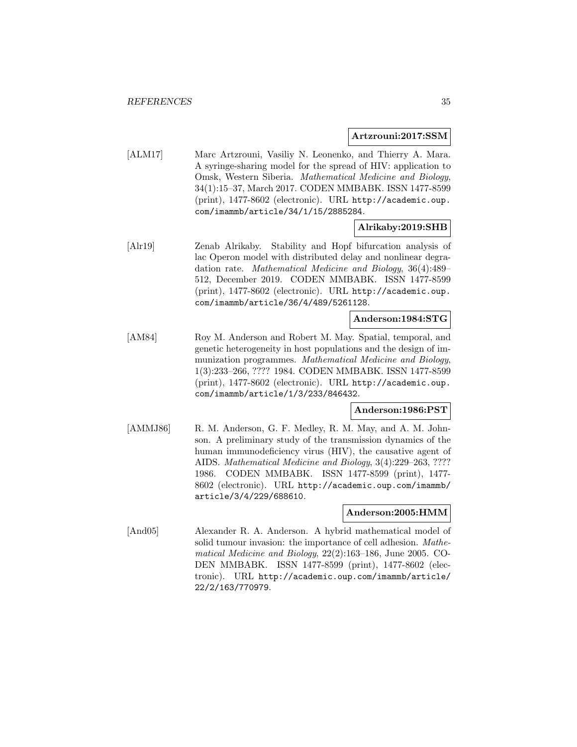#### **Artzrouni:2017:SSM**

[ALM17] Marc Artzrouni, Vasiliy N. Leonenko, and Thierry A. Mara. A syringe-sharing model for the spread of HIV: application to Omsk, Western Siberia. Mathematical Medicine and Biology, 34(1):15–37, March 2017. CODEN MMBABK. ISSN 1477-8599 (print), 1477-8602 (electronic). URL http://academic.oup. com/imammb/article/34/1/15/2885284.

#### **Alrikaby:2019:SHB**

[Alr19] Zenab Alrikaby. Stability and Hopf bifurcation analysis of lac Operon model with distributed delay and nonlinear degradation rate. Mathematical Medicine and Biology, 36(4):489– 512, December 2019. CODEN MMBABK. ISSN 1477-8599 (print), 1477-8602 (electronic). URL http://academic.oup. com/imammb/article/36/4/489/5261128.

# **Anderson:1984:STG**

[AM84] Roy M. Anderson and Robert M. May. Spatial, temporal, and genetic heterogeneity in host populations and the design of immunization programmes. Mathematical Medicine and Biology, 1(3):233–266, ???? 1984. CODEN MMBABK. ISSN 1477-8599 (print), 1477-8602 (electronic). URL http://academic.oup. com/imammb/article/1/3/233/846432.

#### **Anderson:1986:PST**

[AMMJ86] R. M. Anderson, G. F. Medley, R. M. May, and A. M. Johnson. A preliminary study of the transmission dynamics of the human immunodeficiency virus (HIV), the causative agent of AIDS. Mathematical Medicine and Biology, 3(4):229–263, ???? 1986. CODEN MMBABK. ISSN 1477-8599 (print), 1477- 8602 (electronic). URL http://academic.oup.com/imammb/ article/3/4/229/688610.

#### **Anderson:2005:HMM**

[And05] Alexander R. A. Anderson. A hybrid mathematical model of solid tumour invasion: the importance of cell adhesion. Mathematical Medicine and Biology, 22(2):163–186, June 2005. CO-DEN MMBABK. ISSN 1477-8599 (print), 1477-8602 (electronic). URL http://academic.oup.com/imammb/article/ 22/2/163/770979.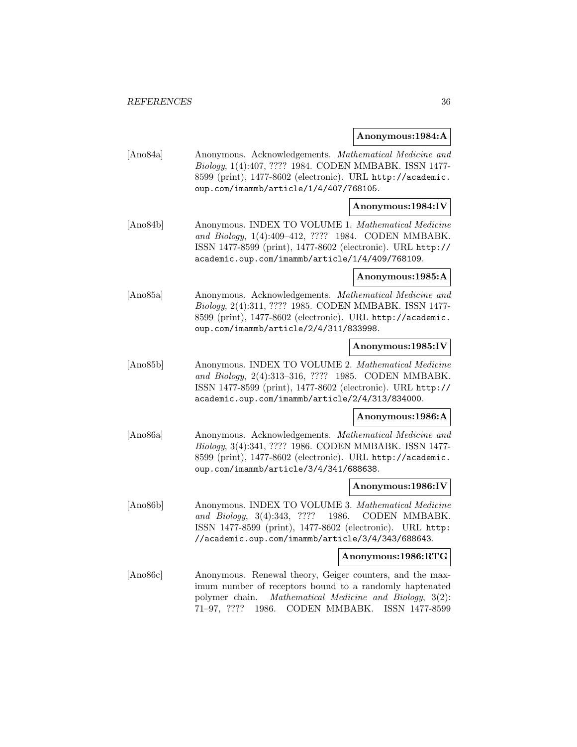#### **Anonymous:1984:A**

[Ano84a] Anonymous. Acknowledgements. Mathematical Medicine and Biology, 1(4):407, ???? 1984. CODEN MMBABK. ISSN 1477- 8599 (print), 1477-8602 (electronic). URL http://academic. oup.com/imammb/article/1/4/407/768105.

#### **Anonymous:1984:IV**

[Ano84b] Anonymous. INDEX TO VOLUME 1. Mathematical Medicine and Biology, 1(4):409–412, ???? 1984. CODEN MMBABK. ISSN 1477-8599 (print), 1477-8602 (electronic). URL http:// academic.oup.com/imammb/article/1/4/409/768109.

#### **Anonymous:1985:A**

[Ano85a] Anonymous. Acknowledgements. Mathematical Medicine and Biology, 2(4):311, ???? 1985. CODEN MMBABK. ISSN 1477- 8599 (print), 1477-8602 (electronic). URL http://academic. oup.com/imammb/article/2/4/311/833998.

#### **Anonymous:1985:IV**

[Ano85b] Anonymous. INDEX TO VOLUME 2. Mathematical Medicine and Biology, 2(4):313–316, ???? 1985. CODEN MMBABK. ISSN 1477-8599 (print), 1477-8602 (electronic). URL http:// academic.oup.com/imammb/article/2/4/313/834000.

#### **Anonymous:1986:A**

[Ano86a] Anonymous. Acknowledgements. Mathematical Medicine and Biology, 3(4):341, ???? 1986. CODEN MMBABK. ISSN 1477- 8599 (print), 1477-8602 (electronic). URL http://academic. oup.com/imammb/article/3/4/341/688638.

#### **Anonymous:1986:IV**

[Ano86b] Anonymous. INDEX TO VOLUME 3. Mathematical Medicine and Biology, 3(4):343, ???? 1986. CODEN MMBABK. ISSN 1477-8599 (print), 1477-8602 (electronic). URL http: //academic.oup.com/imammb/article/3/4/343/688643.

#### **Anonymous:1986:RTG**

[Ano86c] Anonymous. Renewal theory, Geiger counters, and the maximum number of receptors bound to a randomly haptenated polymer chain. Mathematical Medicine and Biology, 3(2): 71–97, ???? 1986. CODEN MMBABK. ISSN 1477-8599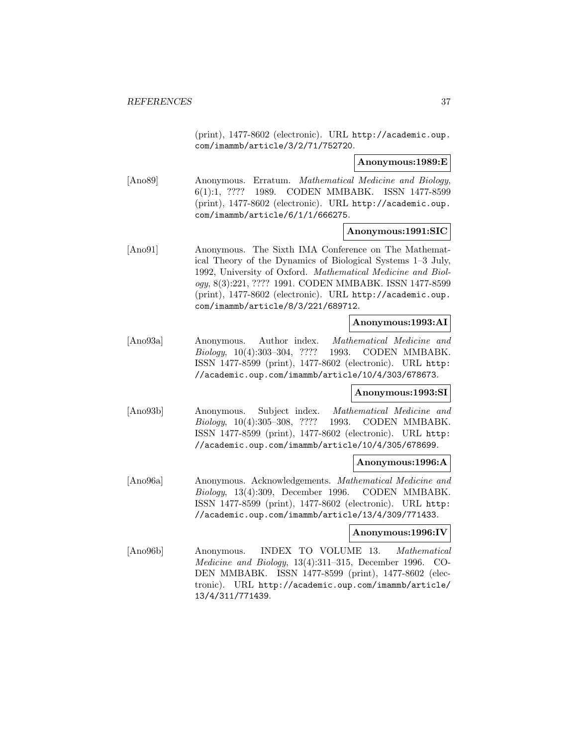(print), 1477-8602 (electronic). URL http://academic.oup. com/imammb/article/3/2/71/752720.

### **Anonymous:1989:E**

[Ano89] Anonymous. Erratum. Mathematical Medicine and Biology, 6(1):1, ???? 1989. CODEN MMBABK. ISSN 1477-8599 (print), 1477-8602 (electronic). URL http://academic.oup. com/imammb/article/6/1/1/666275.

# **Anonymous:1991:SIC**

[Ano91] Anonymous. The Sixth IMA Conference on The Mathematical Theory of the Dynamics of Biological Systems 1–3 July, 1992, University of Oxford. Mathematical Medicine and Biology, 8(3):221, ???? 1991. CODEN MMBABK. ISSN 1477-8599 (print), 1477-8602 (electronic). URL http://academic.oup. com/imammb/article/8/3/221/689712.

### **Anonymous:1993:AI**

[Ano93a] Anonymous. Author index. Mathematical Medicine and Biology, 10(4):303–304, ???? 1993. CODEN MMBABK. ISSN 1477-8599 (print), 1477-8602 (electronic). URL http: //academic.oup.com/imammb/article/10/4/303/678673.

# **Anonymous:1993:SI**

[Ano93b] Anonymous. Subject index. Mathematical Medicine and Biology, 10(4):305–308, ???? 1993. CODEN MMBABK. ISSN 1477-8599 (print), 1477-8602 (electronic). URL http: //academic.oup.com/imammb/article/10/4/305/678699.

#### **Anonymous:1996:A**

[Ano96a] Anonymous. Acknowledgements. Mathematical Medicine and Biology, 13(4):309, December 1996. CODEN MMBABK. ISSN 1477-8599 (print), 1477-8602 (electronic). URL http: //academic.oup.com/imammb/article/13/4/309/771433.

# **Anonymous:1996:IV**

[Ano96b] Anonymous. INDEX TO VOLUME 13. Mathematical Medicine and Biology, 13(4):311–315, December 1996. CO-DEN MMBABK. ISSN 1477-8599 (print), 1477-8602 (electronic). URL http://academic.oup.com/imammb/article/ 13/4/311/771439.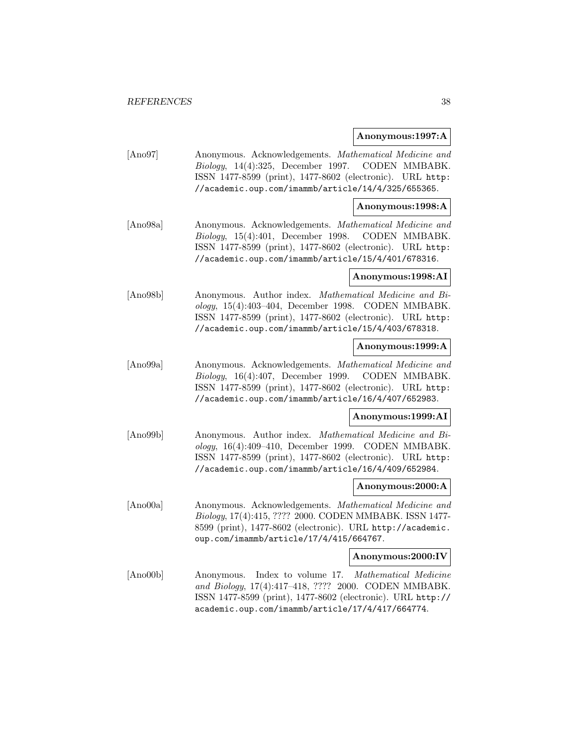#### **Anonymous:1997:A**

[Ano97] Anonymous. Acknowledgements. Mathematical Medicine and Biology, 14(4):325, December 1997. CODEN MMBABK. ISSN 1477-8599 (print), 1477-8602 (electronic). URL http: //academic.oup.com/imammb/article/14/4/325/655365.

## **Anonymous:1998:A**

[Ano98a] Anonymous. Acknowledgements. Mathematical Medicine and Biology, 15(4):401, December 1998. CODEN MMBABK. ISSN 1477-8599 (print), 1477-8602 (electronic). URL http: //academic.oup.com/imammb/article/15/4/401/678316.

#### **Anonymous:1998:AI**

[Ano98b] Anonymous. Author index. Mathematical Medicine and Biology, 15(4):403–404, December 1998. CODEN MMBABK. ISSN 1477-8599 (print), 1477-8602 (electronic). URL http: //academic.oup.com/imammb/article/15/4/403/678318.

### **Anonymous:1999:A**

[Ano99a] Anonymous. Acknowledgements. Mathematical Medicine and Biology, 16(4):407, December 1999. CODEN MMBABK. ISSN 1477-8599 (print), 1477-8602 (electronic). URL http: //academic.oup.com/imammb/article/16/4/407/652983.

# **Anonymous:1999:AI**

[Ano99b] Anonymous. Author index. Mathematical Medicine and Biology, 16(4):409–410, December 1999. CODEN MMBABK. ISSN 1477-8599 (print), 1477-8602 (electronic). URL http: //academic.oup.com/imammb/article/16/4/409/652984.

#### **Anonymous:2000:A**

[Ano00a] Anonymous. Acknowledgements. Mathematical Medicine and Biology, 17(4):415, ???? 2000. CODEN MMBABK. ISSN 1477- 8599 (print), 1477-8602 (electronic). URL http://academic. oup.com/imammb/article/17/4/415/664767.

#### **Anonymous:2000:IV**

[Ano00b] Anonymous. Index to volume 17. Mathematical Medicine and Biology, 17(4):417–418, ???? 2000. CODEN MMBABK. ISSN 1477-8599 (print), 1477-8602 (electronic). URL http:// academic.oup.com/imammb/article/17/4/417/664774.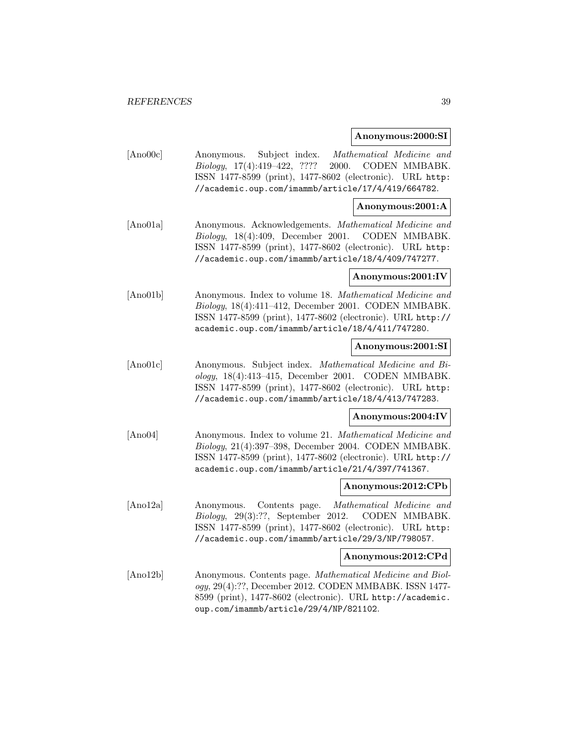#### **Anonymous:2000:SI**

[Ano00c] Anonymous. Subject index. Mathematical Medicine and Biology, 17(4):419–422, ???? 2000. CODEN MMBABK. ISSN 1477-8599 (print), 1477-8602 (electronic). URL http: //academic.oup.com/imammb/article/17/4/419/664782.

## **Anonymous:2001:A**

[Ano01a] Anonymous. Acknowledgements. Mathematical Medicine and Biology, 18(4):409, December 2001. CODEN MMBABK. ISSN 1477-8599 (print), 1477-8602 (electronic). URL http: //academic.oup.com/imammb/article/18/4/409/747277.

### **Anonymous:2001:IV**

[Ano01b] Anonymous. Index to volume 18. Mathematical Medicine and Biology, 18(4):411–412, December 2001. CODEN MMBABK. ISSN 1477-8599 (print), 1477-8602 (electronic). URL http:// academic.oup.com/imammb/article/18/4/411/747280.

### **Anonymous:2001:SI**

[Ano01c] Anonymous. Subject index. Mathematical Medicine and Biology, 18(4):413–415, December 2001. CODEN MMBABK. ISSN 1477-8599 (print), 1477-8602 (electronic). URL http: //academic.oup.com/imammb/article/18/4/413/747283.

# **Anonymous:2004:IV**

[Ano04] Anonymous. Index to volume 21. Mathematical Medicine and Biology, 21(4):397–398, December 2004. CODEN MMBABK. ISSN 1477-8599 (print), 1477-8602 (electronic). URL http:// academic.oup.com/imammb/article/21/4/397/741367.

#### **Anonymous:2012:CPb**

[Ano12a] Anonymous. Contents page. Mathematical Medicine and Biology, 29(3):??, September 2012. CODEN MMBABK. ISSN 1477-8599 (print), 1477-8602 (electronic). URL http: //academic.oup.com/imammb/article/29/3/NP/798057.

#### **Anonymous:2012:CPd**

[Ano12b] Anonymous. Contents page. Mathematical Medicine and Biology, 29(4):??, December 2012. CODEN MMBABK. ISSN 1477- 8599 (print), 1477-8602 (electronic). URL http://academic. oup.com/imammb/article/29/4/NP/821102.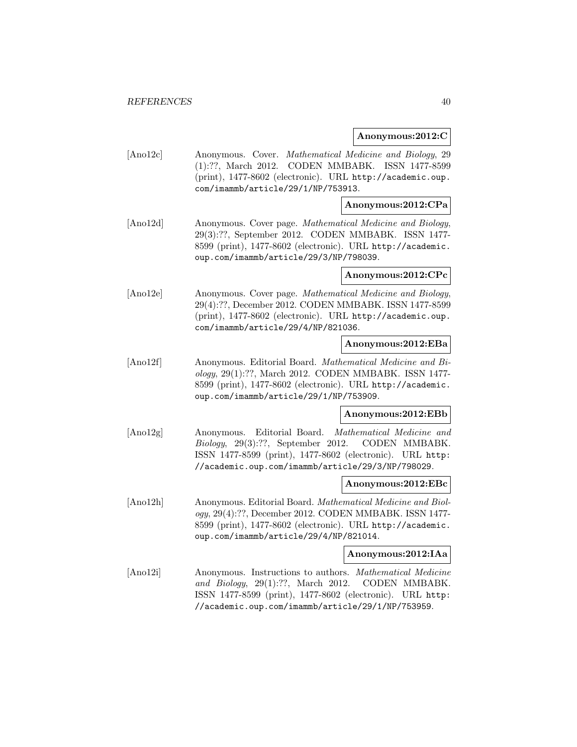#### **Anonymous:2012:C**

[Ano12c] Anonymous. Cover. Mathematical Medicine and Biology, 29 (1):??, March 2012. CODEN MMBABK. ISSN 1477-8599 (print), 1477-8602 (electronic). URL http://academic.oup. com/imammb/article/29/1/NP/753913.

# **Anonymous:2012:CPa**

[Ano12d] Anonymous. Cover page. Mathematical Medicine and Biology, 29(3):??, September 2012. CODEN MMBABK. ISSN 1477- 8599 (print), 1477-8602 (electronic). URL http://academic. oup.com/imammb/article/29/3/NP/798039.

# **Anonymous:2012:CPc**

[Ano12e] Anonymous. Cover page. Mathematical Medicine and Biology, 29(4):??, December 2012. CODEN MMBABK. ISSN 1477-8599 (print), 1477-8602 (electronic). URL http://academic.oup. com/imammb/article/29/4/NP/821036.

# **Anonymous:2012:EBa**

[Ano12f] Anonymous. Editorial Board. Mathematical Medicine and Biology, 29(1):??, March 2012. CODEN MMBABK. ISSN 1477- 8599 (print), 1477-8602 (electronic). URL http://academic. oup.com/imammb/article/29/1/NP/753909.

# **Anonymous:2012:EBb**

[Ano12g] Anonymous. Editorial Board. Mathematical Medicine and Biology, 29(3):??, September 2012. CODEN MMBABK. ISSN 1477-8599 (print), 1477-8602 (electronic). URL http: //academic.oup.com/imammb/article/29/3/NP/798029.

#### **Anonymous:2012:EBc**

[Ano12h] Anonymous. Editorial Board. Mathematical Medicine and Biology, 29(4):??, December 2012. CODEN MMBABK. ISSN 1477- 8599 (print), 1477-8602 (electronic). URL http://academic. oup.com/imammb/article/29/4/NP/821014.

### **Anonymous:2012:IAa**

[Ano12i] Anonymous. Instructions to authors. Mathematical Medicine and Biology, 29(1):??, March 2012. CODEN MMBABK. ISSN 1477-8599 (print), 1477-8602 (electronic). URL http: //academic.oup.com/imammb/article/29/1/NP/753959.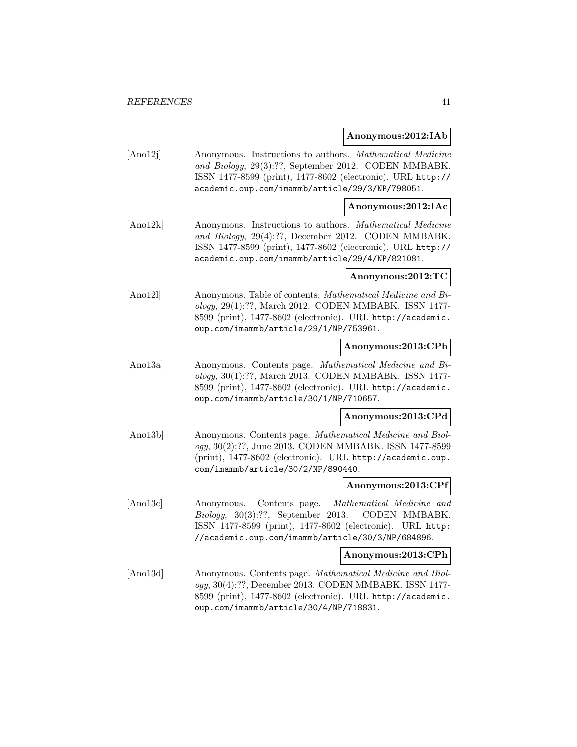#### **Anonymous:2012:IAb**

[Ano12j] Anonymous. Instructions to authors. Mathematical Medicine and Biology, 29(3):??, September 2012. CODEN MMBABK. ISSN 1477-8599 (print), 1477-8602 (electronic). URL http:// academic.oup.com/imammb/article/29/3/NP/798051.

# **Anonymous:2012:IAc**

[Ano12k] Anonymous. Instructions to authors. Mathematical Medicine and Biology, 29(4):??, December 2012. CODEN MMBABK. ISSN 1477-8599 (print), 1477-8602 (electronic). URL http:// academic.oup.com/imammb/article/29/4/NP/821081.

#### **Anonymous:2012:TC**

[Ano12l] Anonymous. Table of contents. Mathematical Medicine and Biology, 29(1):??, March 2012. CODEN MMBABK. ISSN 1477- 8599 (print), 1477-8602 (electronic). URL http://academic. oup.com/imammb/article/29/1/NP/753961.

# **Anonymous:2013:CPb**

[Ano13a] Anonymous. Contents page. Mathematical Medicine and Biology, 30(1):??, March 2013. CODEN MMBABK. ISSN 1477- 8599 (print), 1477-8602 (electronic). URL http://academic. oup.com/imammb/article/30/1/NP/710657.

# **Anonymous:2013:CPd**

[Ano13b] Anonymous. Contents page. Mathematical Medicine and Biology, 30(2):??, June 2013. CODEN MMBABK. ISSN 1477-8599 (print), 1477-8602 (electronic). URL http://academic.oup. com/imammb/article/30/2/NP/890440.

#### **Anonymous:2013:CPf**

[Ano13c] Anonymous. Contents page. Mathematical Medicine and Biology, 30(3):??, September 2013. CODEN MMBABK. ISSN 1477-8599 (print), 1477-8602 (electronic). URL http: //academic.oup.com/imammb/article/30/3/NP/684896.

#### **Anonymous:2013:CPh**

[Ano13d] Anonymous. Contents page. Mathematical Medicine and Biology, 30(4):??, December 2013. CODEN MMBABK. ISSN 1477- 8599 (print), 1477-8602 (electronic). URL http://academic. oup.com/imammb/article/30/4/NP/718831.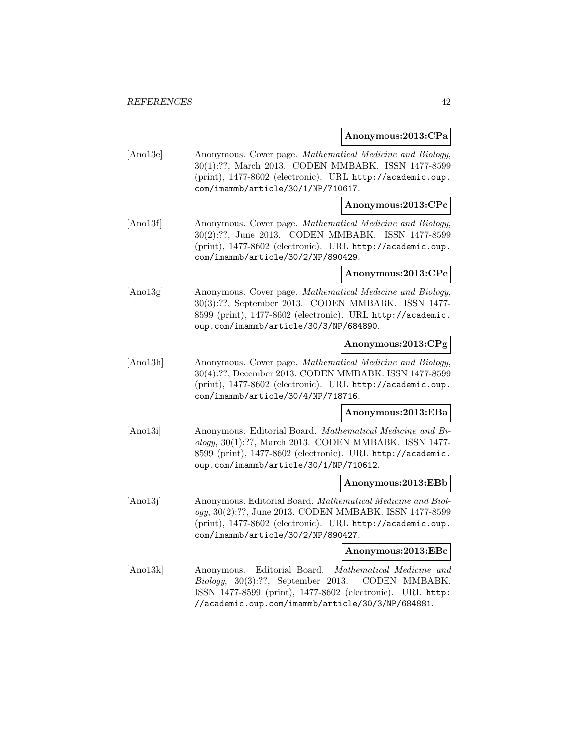#### **Anonymous:2013:CPa**

[Ano13e] Anonymous. Cover page. Mathematical Medicine and Biology, 30(1):??, March 2013. CODEN MMBABK. ISSN 1477-8599 (print), 1477-8602 (electronic). URL http://academic.oup. com/imammb/article/30/1/NP/710617.

# **Anonymous:2013:CPc**

[Ano13f] Anonymous. Cover page. Mathematical Medicine and Biology, 30(2):??, June 2013. CODEN MMBABK. ISSN 1477-8599 (print), 1477-8602 (electronic). URL http://academic.oup. com/imammb/article/30/2/NP/890429.

### **Anonymous:2013:CPe**

[Ano13g] Anonymous. Cover page. Mathematical Medicine and Biology, 30(3):??, September 2013. CODEN MMBABK. ISSN 1477- 8599 (print), 1477-8602 (electronic). URL http://academic. oup.com/imammb/article/30/3/NP/684890.

# **Anonymous:2013:CPg**

[Ano13h] Anonymous. Cover page. Mathematical Medicine and Biology, 30(4):??, December 2013. CODEN MMBABK. ISSN 1477-8599 (print), 1477-8602 (electronic). URL http://academic.oup. com/imammb/article/30/4/NP/718716.

#### **Anonymous:2013:EBa**

[Ano13i] Anonymous. Editorial Board. Mathematical Medicine and Biology, 30(1):??, March 2013. CODEN MMBABK. ISSN 1477- 8599 (print), 1477-8602 (electronic). URL http://academic. oup.com/imammb/article/30/1/NP/710612.

#### **Anonymous:2013:EBb**

[Ano13j] Anonymous. Editorial Board. Mathematical Medicine and Biology, 30(2):??, June 2013. CODEN MMBABK. ISSN 1477-8599 (print), 1477-8602 (electronic). URL http://academic.oup. com/imammb/article/30/2/NP/890427.

#### **Anonymous:2013:EBc**

[Ano13k] Anonymous. Editorial Board. Mathematical Medicine and Biology, 30(3):??, September 2013. CODEN MMBABK. ISSN 1477-8599 (print), 1477-8602 (electronic). URL http: //academic.oup.com/imammb/article/30/3/NP/684881.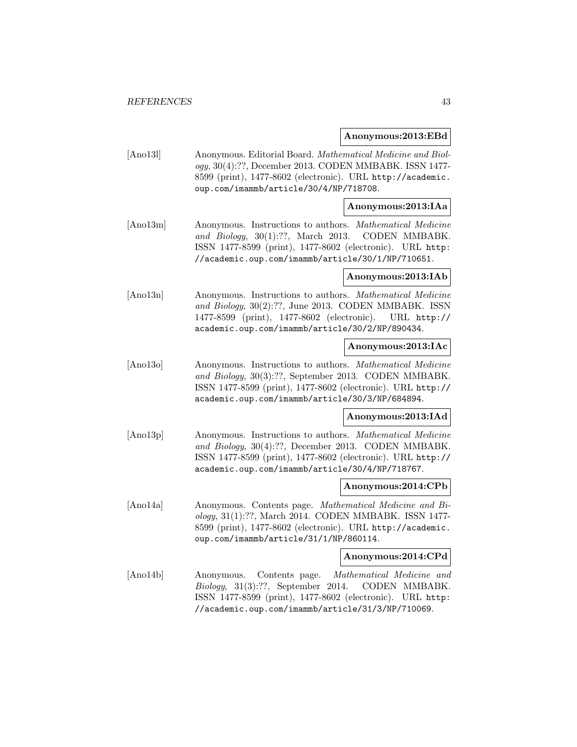### **Anonymous:2013:EBd**

[Ano13l] Anonymous. Editorial Board. Mathematical Medicine and Biology, 30(4):??, December 2013. CODEN MMBABK. ISSN 1477- 8599 (print), 1477-8602 (electronic). URL http://academic. oup.com/imammb/article/30/4/NP/718708.

# **Anonymous:2013:IAa**

[Ano13m] Anonymous. Instructions to authors. Mathematical Medicine and Biology, 30(1):??, March 2013. CODEN MMBABK. ISSN 1477-8599 (print), 1477-8602 (electronic). URL http: //academic.oup.com/imammb/article/30/1/NP/710651.

### **Anonymous:2013:IAb**

[Ano13n] Anonymous. Instructions to authors. Mathematical Medicine and Biology, 30(2):??, June 2013. CODEN MMBABK. ISSN 1477-8599 (print), 1477-8602 (electronic). URL http:// academic.oup.com/imammb/article/30/2/NP/890434.

# **Anonymous:2013:IAc**

[Ano13o] Anonymous. Instructions to authors. Mathematical Medicine and Biology, 30(3):??, September 2013. CODEN MMBABK. ISSN 1477-8599 (print), 1477-8602 (electronic). URL http:// academic.oup.com/imammb/article/30/3/NP/684894.

# **Anonymous:2013:IAd**

[Ano13p] Anonymous. Instructions to authors. Mathematical Medicine and Biology, 30(4):??, December 2013. CODEN MMBABK. ISSN 1477-8599 (print), 1477-8602 (electronic). URL http:// academic.oup.com/imammb/article/30/4/NP/718767.

#### **Anonymous:2014:CPb**

[Ano14a] Anonymous. Contents page. Mathematical Medicine and Biology, 31(1):??, March 2014. CODEN MMBABK. ISSN 1477- 8599 (print), 1477-8602 (electronic). URL http://academic. oup.com/imammb/article/31/1/NP/860114.

#### **Anonymous:2014:CPd**

[Ano14b] Anonymous. Contents page. Mathematical Medicine and Biology, 31(3):??, September 2014. CODEN MMBABK. ISSN 1477-8599 (print), 1477-8602 (electronic). URL http: //academic.oup.com/imammb/article/31/3/NP/710069.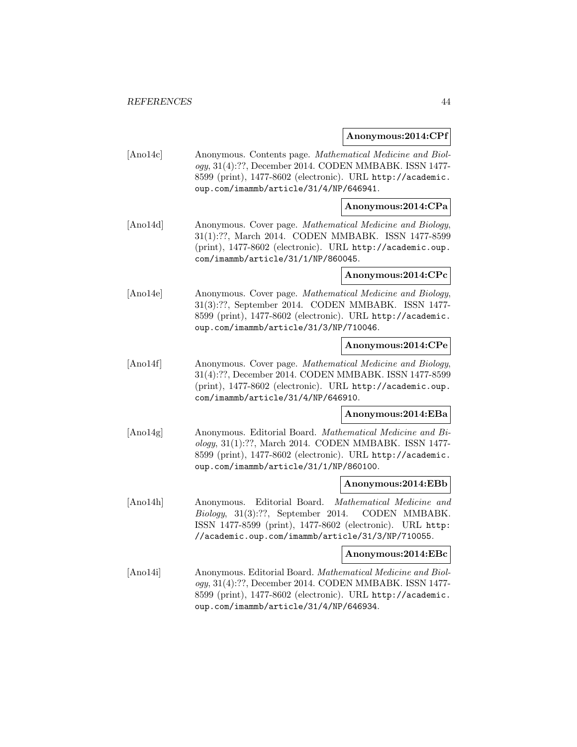#### **Anonymous:2014:CPf**

[Ano14c] Anonymous. Contents page. Mathematical Medicine and Biology, 31(4):??, December 2014. CODEN MMBABK. ISSN 1477- 8599 (print), 1477-8602 (electronic). URL http://academic. oup.com/imammb/article/31/4/NP/646941.

# **Anonymous:2014:CPa**

[Ano14d] Anonymous. Cover page. Mathematical Medicine and Biology, 31(1):??, March 2014. CODEN MMBABK. ISSN 1477-8599 (print), 1477-8602 (electronic). URL http://academic.oup. com/imammb/article/31/1/NP/860045.

### **Anonymous:2014:CPc**

[Ano14e] Anonymous. Cover page. Mathematical Medicine and Biology, 31(3):??, September 2014. CODEN MMBABK. ISSN 1477- 8599 (print), 1477-8602 (electronic). URL http://academic. oup.com/imammb/article/31/3/NP/710046.

# **Anonymous:2014:CPe**

[Ano14f] Anonymous. Cover page. Mathematical Medicine and Biology, 31(4):??, December 2014. CODEN MMBABK. ISSN 1477-8599 (print), 1477-8602 (electronic). URL http://academic.oup. com/imammb/article/31/4/NP/646910.

# **Anonymous:2014:EBa**

[Ano14g] Anonymous. Editorial Board. Mathematical Medicine and Biology, 31(1):??, March 2014. CODEN MMBABK. ISSN 1477- 8599 (print), 1477-8602 (electronic). URL http://academic. oup.com/imammb/article/31/1/NP/860100.

#### **Anonymous:2014:EBb**

[Ano14h] Anonymous. Editorial Board. Mathematical Medicine and Biology, 31(3):??, September 2014. CODEN MMBABK. ISSN 1477-8599 (print), 1477-8602 (electronic). URL http: //academic.oup.com/imammb/article/31/3/NP/710055.

### **Anonymous:2014:EBc**

[Ano14i] Anonymous. Editorial Board. Mathematical Medicine and Biology, 31(4):??, December 2014. CODEN MMBABK. ISSN 1477- 8599 (print), 1477-8602 (electronic). URL http://academic. oup.com/imammb/article/31/4/NP/646934.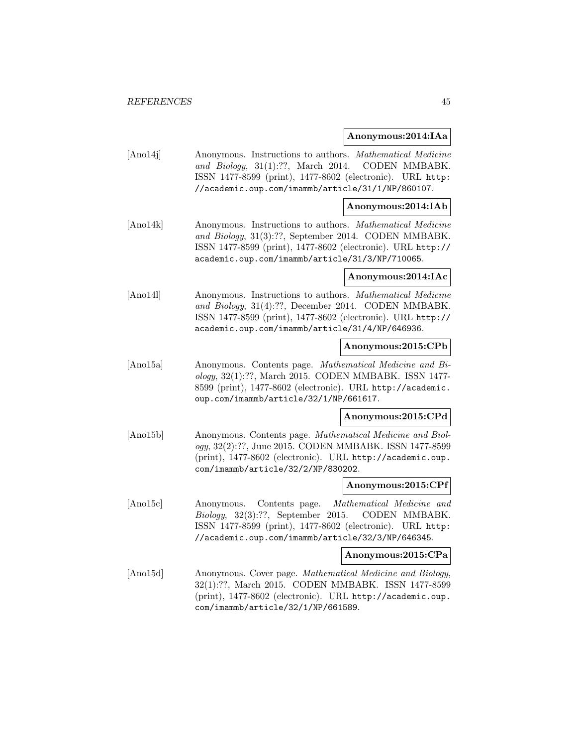### **Anonymous:2014:IAa**

[Ano14j] Anonymous. Instructions to authors. Mathematical Medicine and Biology, 31(1):??, March 2014. CODEN MMBABK. ISSN 1477-8599 (print), 1477-8602 (electronic). URL http: //academic.oup.com/imammb/article/31/1/NP/860107.

### **Anonymous:2014:IAb**

[Ano14k] Anonymous. Instructions to authors. Mathematical Medicine and Biology, 31(3):??, September 2014. CODEN MMBABK. ISSN 1477-8599 (print), 1477-8602 (electronic). URL http:// academic.oup.com/imammb/article/31/3/NP/710065.

#### **Anonymous:2014:IAc**

[Ano14l] Anonymous. Instructions to authors. Mathematical Medicine and Biology, 31(4):??, December 2014. CODEN MMBABK. ISSN 1477-8599 (print), 1477-8602 (electronic). URL http:// academic.oup.com/imammb/article/31/4/NP/646936.

### **Anonymous:2015:CPb**

[Ano15a] Anonymous. Contents page. Mathematical Medicine and Biology, 32(1):??, March 2015. CODEN MMBABK. ISSN 1477- 8599 (print), 1477-8602 (electronic). URL http://academic. oup.com/imammb/article/32/1/NP/661617.

#### **Anonymous:2015:CPd**

[Ano15b] Anonymous. Contents page. Mathematical Medicine and Biology, 32(2):??, June 2015. CODEN MMBABK. ISSN 1477-8599 (print), 1477-8602 (electronic). URL http://academic.oup. com/imammb/article/32/2/NP/830202.

#### **Anonymous:2015:CPf**

[Ano15c] Anonymous. Contents page. Mathematical Medicine and Biology, 32(3):??, September 2015. CODEN MMBABK. ISSN 1477-8599 (print), 1477-8602 (electronic). URL http: //academic.oup.com/imammb/article/32/3/NP/646345.

### **Anonymous:2015:CPa**

[Ano15d] Anonymous. Cover page. Mathematical Medicine and Biology, 32(1):??, March 2015. CODEN MMBABK. ISSN 1477-8599 (print), 1477-8602 (electronic). URL http://academic.oup. com/imammb/article/32/1/NP/661589.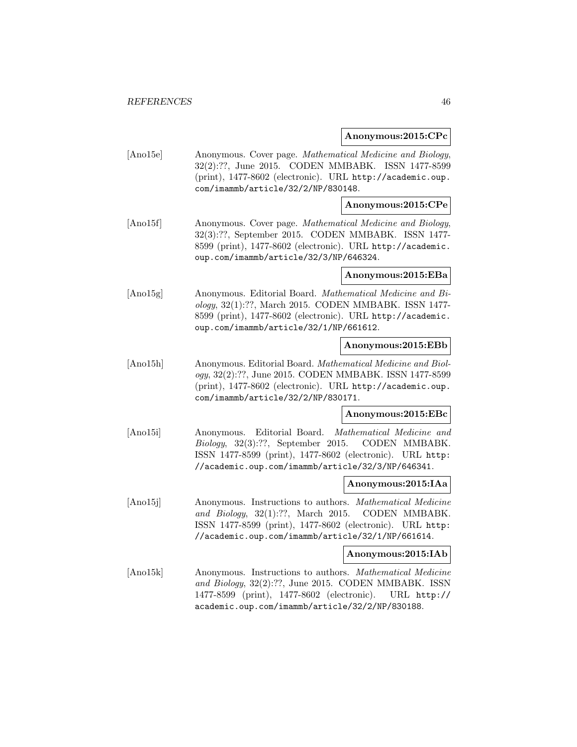#### **Anonymous:2015:CPc**

[Ano15e] Anonymous. Cover page. Mathematical Medicine and Biology, 32(2):??, June 2015. CODEN MMBABK. ISSN 1477-8599 (print), 1477-8602 (electronic). URL http://academic.oup. com/imammb/article/32/2/NP/830148.

# **Anonymous:2015:CPe**

[Ano15f] Anonymous. Cover page. Mathematical Medicine and Biology, 32(3):??, September 2015. CODEN MMBABK. ISSN 1477- 8599 (print), 1477-8602 (electronic). URL http://academic. oup.com/imammb/article/32/3/NP/646324.

# **Anonymous:2015:EBa**

[Ano15g] Anonymous. Editorial Board. Mathematical Medicine and Biology, 32(1):??, March 2015. CODEN MMBABK. ISSN 1477- 8599 (print), 1477-8602 (electronic). URL http://academic. oup.com/imammb/article/32/1/NP/661612.

# **Anonymous:2015:EBb**

[Ano15h] Anonymous. Editorial Board. Mathematical Medicine and Biology, 32(2):??, June 2015. CODEN MMBABK. ISSN 1477-8599 (print), 1477-8602 (electronic). URL http://academic.oup. com/imammb/article/32/2/NP/830171.

# **Anonymous:2015:EBc**

[Ano15i] Anonymous. Editorial Board. Mathematical Medicine and Biology, 32(3):??, September 2015. CODEN MMBABK. ISSN 1477-8599 (print), 1477-8602 (electronic). URL http: //academic.oup.com/imammb/article/32/3/NP/646341.

#### **Anonymous:2015:IAa**

[Ano15j] Anonymous. Instructions to authors. Mathematical Medicine and Biology, 32(1):??, March 2015. CODEN MMBABK. ISSN 1477-8599 (print), 1477-8602 (electronic). URL http: //academic.oup.com/imammb/article/32/1/NP/661614.

### **Anonymous:2015:IAb**

[Ano15k] Anonymous. Instructions to authors. Mathematical Medicine and Biology, 32(2):??, June 2015. CODEN MMBABK. ISSN 1477-8599 (print), 1477-8602 (electronic). URL http:// academic.oup.com/imammb/article/32/2/NP/830188.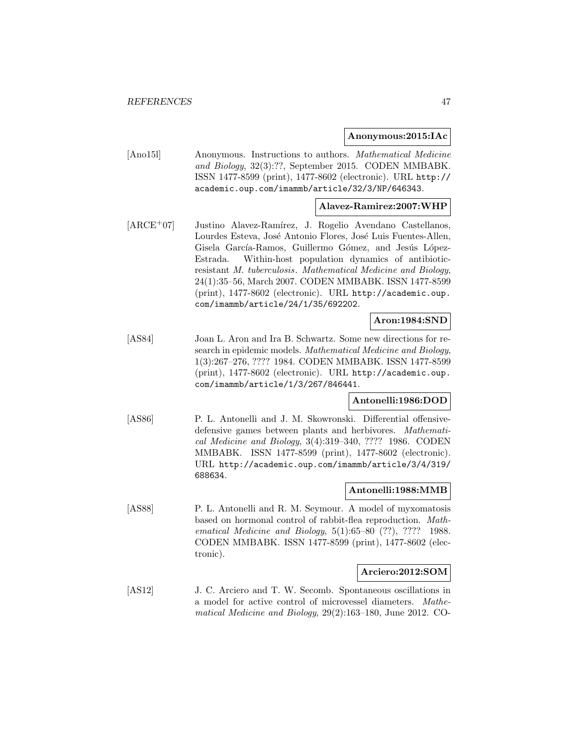#### **Anonymous:2015:IAc**

[Ano15l] Anonymous. Instructions to authors. Mathematical Medicine and Biology, 32(3):??, September 2015. CODEN MMBABK. ISSN 1477-8599 (print), 1477-8602 (electronic). URL http:// academic.oup.com/imammb/article/32/3/NP/646343.

### **Alavez-Ramirez:2007:WHP**

[ARCE<sup>+</sup>07] Justino Alavez-Ramírez, J. Rogelio Avendano Castellanos, Lourdes Esteva, José Antonio Flores, José Luis Fuentes-Allen, Gisela García-Ramos, Guillermo Gómez, and Jesús López-Estrada. Within-host population dynamics of antibioticresistant M. tuberculosis. Mathematical Medicine and Biology, 24(1):35–56, March 2007. CODEN MMBABK. ISSN 1477-8599 (print), 1477-8602 (electronic). URL http://academic.oup. com/imammb/article/24/1/35/692202.

# **Aron:1984:SND**

[AS84] Joan L. Aron and Ira B. Schwartz. Some new directions for research in epidemic models. Mathematical Medicine and Biology, 1(3):267–276, ???? 1984. CODEN MMBABK. ISSN 1477-8599 (print), 1477-8602 (electronic). URL http://academic.oup. com/imammb/article/1/3/267/846441.

# **Antonelli:1986:DOD**

[AS86] P. L. Antonelli and J. M. Skowronski. Differential offensivedefensive games between plants and herbivores. Mathematical Medicine and Biology, 3(4):319–340, ???? 1986. CODEN MMBABK. ISSN 1477-8599 (print), 1477-8602 (electronic). URL http://academic.oup.com/imammb/article/3/4/319/ 688634.

#### **Antonelli:1988:MMB**

[AS88] P. L. Antonelli and R. M. Seymour. A model of myxomatosis based on hormonal control of rabbit-flea reproduction. Mathematical Medicine and Biology, 5(1):65–80 (??), ???? 1988. CODEN MMBABK. ISSN 1477-8599 (print), 1477-8602 (electronic).

#### **Arciero:2012:SOM**

[AS12] J. C. Arciero and T. W. Secomb. Spontaneous oscillations in a model for active control of microvessel diameters. Mathematical Medicine and Biology, 29(2):163–180, June 2012. CO-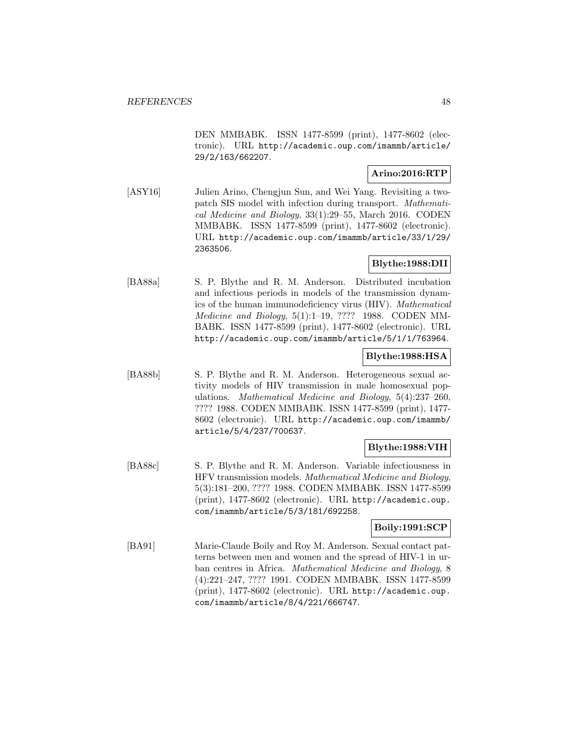DEN MMBABK. ISSN 1477-8599 (print), 1477-8602 (electronic). URL http://academic.oup.com/imammb/article/ 29/2/163/662207.

# **Arino:2016:RTP**

[ASY16] Julien Arino, Chengjun Sun, and Wei Yang. Revisiting a twopatch SIS model with infection during transport. Mathematical Medicine and Biology, 33(1):29–55, March 2016. CODEN MMBABK. ISSN 1477-8599 (print), 1477-8602 (electronic). URL http://academic.oup.com/imammb/article/33/1/29/ 2363506.

# **Blythe:1988:DII**

[BA88a] S. P. Blythe and R. M. Anderson. Distributed incubation and infectious periods in models of the transmission dynamics of the human immunodeficiency virus (HIV). Mathematical Medicine and Biology, 5(1):1–19, ???? 1988. CODEN MM-BABK. ISSN 1477-8599 (print), 1477-8602 (electronic). URL http://academic.oup.com/imammb/article/5/1/1/763964.

# **Blythe:1988:HSA**

[BA88b] S. P. Blythe and R. M. Anderson. Heterogeneous sexual activity models of HIV transmission in male homosexual populations. Mathematical Medicine and Biology, 5(4):237–260, ???? 1988. CODEN MMBABK. ISSN 1477-8599 (print), 1477- 8602 (electronic). URL http://academic.oup.com/imammb/ article/5/4/237/700637.

# **Blythe:1988:VIH**

[BA88c] S. P. Blythe and R. M. Anderson. Variable infectiousness in HFV transmission models. Mathematical Medicine and Biology, 5(3):181–200, ???? 1988. CODEN MMBABK. ISSN 1477-8599 (print), 1477-8602 (electronic). URL http://academic.oup. com/imammb/article/5/3/181/692258.

# **Boily:1991:SCP**

[BA91] Marie-Claude Boily and Roy M. Anderson. Sexual contact patterns between men and women and the spread of HIV-1 in urban centres in Africa. Mathematical Medicine and Biology, 8 (4):221–247, ???? 1991. CODEN MMBABK. ISSN 1477-8599 (print), 1477-8602 (electronic). URL http://academic.oup. com/imammb/article/8/4/221/666747.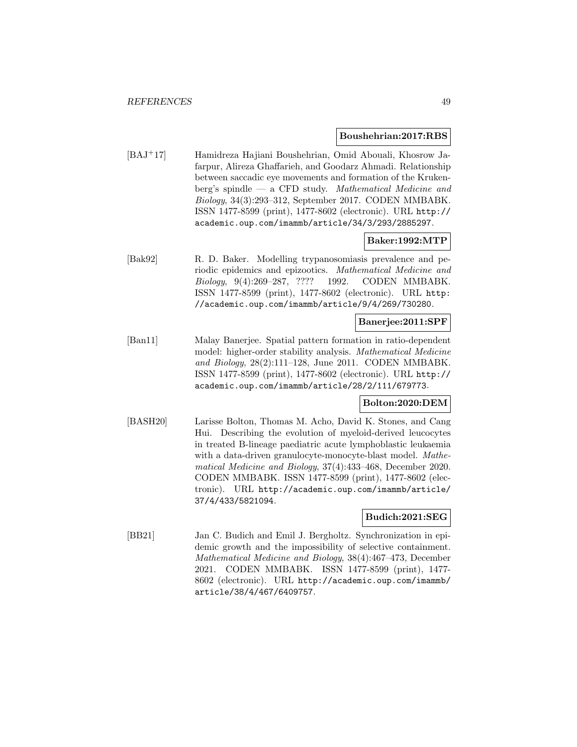#### **Boushehrian:2017:RBS**

[BAJ<sup>+</sup>17] Hamidreza Hajiani Boushehrian, Omid Abouali, Khosrow Jafarpur, Alireza Ghaffarieh, and Goodarz Ahmadi. Relationship between saccadic eye movements and formation of the Krukenberg's spindle — a CFD study. Mathematical Medicine and Biology, 34(3):293–312, September 2017. CODEN MMBABK. ISSN 1477-8599 (print), 1477-8602 (electronic). URL http:// academic.oup.com/imammb/article/34/3/293/2885297.

# **Baker:1992:MTP**

[Bak92] R. D. Baker. Modelling trypanosomiasis prevalence and periodic epidemics and epizootics. Mathematical Medicine and Biology, 9(4):269–287, ???? 1992. CODEN MMBABK. ISSN 1477-8599 (print), 1477-8602 (electronic). URL http: //academic.oup.com/imammb/article/9/4/269/730280.

# **Banerjee:2011:SPF**

[Ban11] Malay Banerjee. Spatial pattern formation in ratio-dependent model: higher-order stability analysis. Mathematical Medicine and Biology, 28(2):111–128, June 2011. CODEN MMBABK. ISSN 1477-8599 (print), 1477-8602 (electronic). URL http:// academic.oup.com/imammb/article/28/2/111/679773.

# **Bolton:2020:DEM**

[BASH20] Larisse Bolton, Thomas M. Acho, David K. Stones, and Cang Hui. Describing the evolution of myeloid-derived leucocytes in treated B-lineage paediatric acute lymphoblastic leukaemia with a data-driven granulocyte-monocyte-blast model. Mathematical Medicine and Biology, 37(4):433–468, December 2020. CODEN MMBABK. ISSN 1477-8599 (print), 1477-8602 (electronic). URL http://academic.oup.com/imammb/article/ 37/4/433/5821094.

# **Budich:2021:SEG**

[BB21] Jan C. Budich and Emil J. Bergholtz. Synchronization in epidemic growth and the impossibility of selective containment. Mathematical Medicine and Biology, 38(4):467–473, December 2021. CODEN MMBABK. ISSN 1477-8599 (print), 1477- 8602 (electronic). URL http://academic.oup.com/imammb/ article/38/4/467/6409757.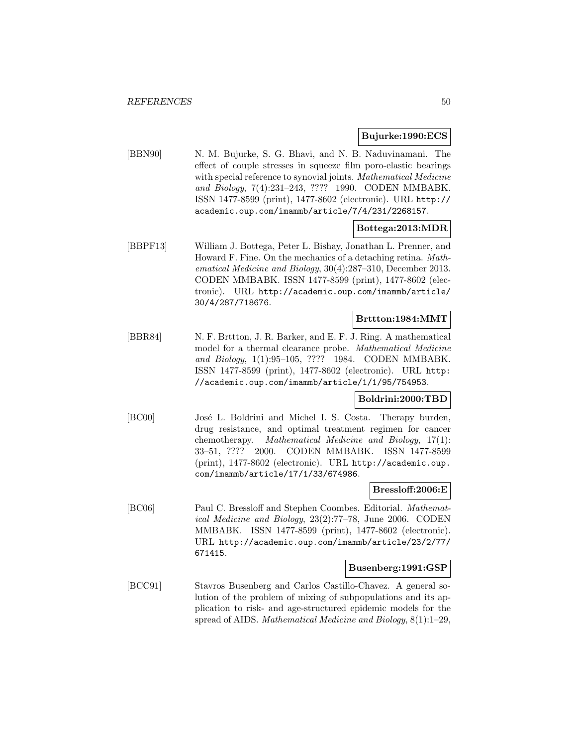### **Bujurke:1990:ECS**

[BBN90] N. M. Bujurke, S. G. Bhavi, and N. B. Naduvinamani. The effect of couple stresses in squeeze film poro-elastic bearings with special reference to synovial joints. Mathematical Medicine and Biology, 7(4):231–243, ???? 1990. CODEN MMBABK. ISSN 1477-8599 (print), 1477-8602 (electronic). URL http:// academic.oup.com/imammb/article/7/4/231/2268157.

# **Bottega:2013:MDR**

[BBPF13] William J. Bottega, Peter L. Bishay, Jonathan L. Prenner, and Howard F. Fine. On the mechanics of a detaching retina. Mathematical Medicine and Biology, 30(4):287–310, December 2013. CODEN MMBABK. ISSN 1477-8599 (print), 1477-8602 (electronic). URL http://academic.oup.com/imammb/article/ 30/4/287/718676.

# **Brttton:1984:MMT**

[BBR84] N. F. Brttton, J. R. Barker, and E. F. J. Ring. A mathematical model for a thermal clearance probe. Mathematical Medicine and Biology, 1(1):95–105, ???? 1984. CODEN MMBABK. ISSN 1477-8599 (print), 1477-8602 (electronic). URL http: //academic.oup.com/imammb/article/1/1/95/754953.

#### **Boldrini:2000:TBD**

[BC00] José L. Boldrini and Michel I. S. Costa. Therapy burden, drug resistance, and optimal treatment regimen for cancer chemotherapy. Mathematical Medicine and Biology, 17(1): 33–51, ???? 2000. CODEN MMBABK. ISSN 1477-8599 (print), 1477-8602 (electronic). URL http://academic.oup. com/imammb/article/17/1/33/674986.

#### **Bressloff:2006:E**

[BC06] Paul C. Bressloff and Stephen Coombes. Editorial. Mathematical Medicine and Biology, 23(2):77–78, June 2006. CODEN MMBABK. ISSN 1477-8599 (print), 1477-8602 (electronic). URL http://academic.oup.com/imammb/article/23/2/77/ 671415.

#### **Busenberg:1991:GSP**

[BCC91] Stavros Busenberg and Carlos Castillo-Chavez. A general solution of the problem of mixing of subpopulations and its application to risk- and age-structured epidemic models for the spread of AIDS. Mathematical Medicine and Biology, 8(1):1–29,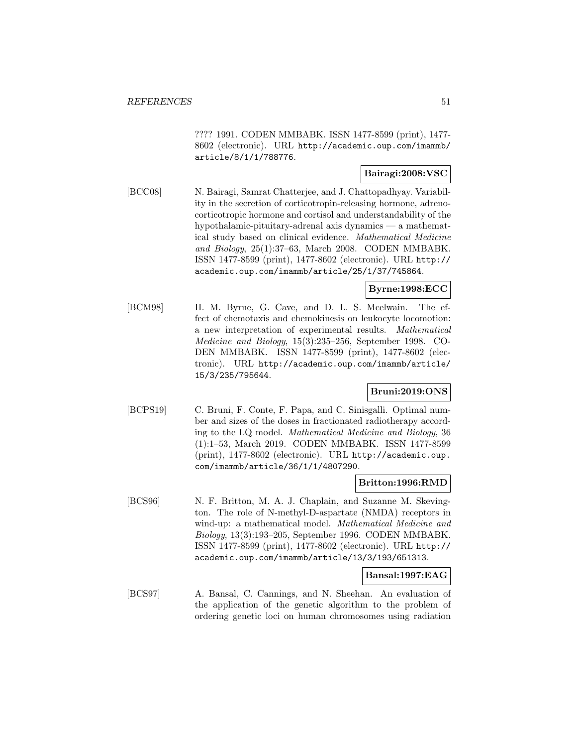???? 1991. CODEN MMBABK. ISSN 1477-8599 (print), 1477- 8602 (electronic). URL http://academic.oup.com/imammb/ article/8/1/1/788776.

# **Bairagi:2008:VSC**

[BCC08] N. Bairagi, Samrat Chatterjee, and J. Chattopadhyay. Variability in the secretion of corticotropin-releasing hormone, adrenocorticotropic hormone and cortisol and understandability of the hypothalamic-pituitary-adrenal axis dynamics — a mathematical study based on clinical evidence. Mathematical Medicine and Biology, 25(1):37–63, March 2008. CODEN MMBABK. ISSN 1477-8599 (print), 1477-8602 (electronic). URL http:// academic.oup.com/imammb/article/25/1/37/745864.

# **Byrne:1998:ECC**

[BCM98] H. M. Byrne, G. Cave, and D. L. S. Mcelwain. The effect of chemotaxis and chemokinesis on leukocyte locomotion: a new interpretation of experimental results. Mathematical Medicine and Biology, 15(3):235–256, September 1998. CO-DEN MMBABK. ISSN 1477-8599 (print), 1477-8602 (electronic). URL http://academic.oup.com/imammb/article/ 15/3/235/795644.

# **Bruni:2019:ONS**

[BCPS19] C. Bruni, F. Conte, F. Papa, and C. Sinisgalli. Optimal number and sizes of the doses in fractionated radiotherapy according to the LQ model. Mathematical Medicine and Biology, 36 (1):1–53, March 2019. CODEN MMBABK. ISSN 1477-8599 (print), 1477-8602 (electronic). URL http://academic.oup. com/imammb/article/36/1/1/4807290.

# **Britton:1996:RMD**

[BCS96] N. F. Britton, M. A. J. Chaplain, and Suzanne M. Skevington. The role of N-methyl-D-aspartate (NMDA) receptors in wind-up: a mathematical model. Mathematical Medicine and Biology, 13(3):193–205, September 1996. CODEN MMBABK. ISSN 1477-8599 (print), 1477-8602 (electronic). URL http:// academic.oup.com/imammb/article/13/3/193/651313.

# **Bansal:1997:EAG**

[BCS97] A. Bansal, C. Cannings, and N. Sheehan. An evaluation of the application of the genetic algorithm to the problem of ordering genetic loci on human chromosomes using radiation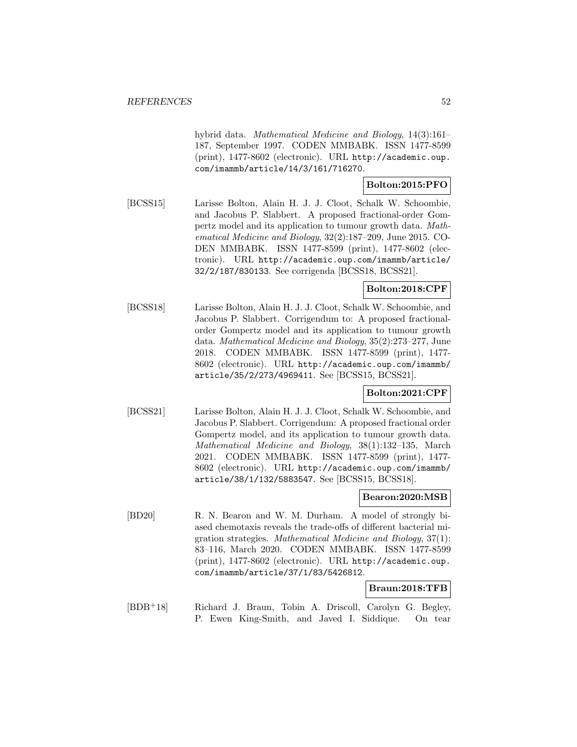hybrid data. Mathematical Medicine and Biology, 14(3):161– 187, September 1997. CODEN MMBABK. ISSN 1477-8599 (print), 1477-8602 (electronic). URL http://academic.oup. com/imammb/article/14/3/161/716270.

# **Bolton:2015:PFO**

[BCSS15] Larisse Bolton, Alain H. J. J. Cloot, Schalk W. Schoombie, and Jacobus P. Slabbert. A proposed fractional-order Gompertz model and its application to tumour growth data. Mathematical Medicine and Biology, 32(2):187–209, June 2015. CO-DEN MMBABK. ISSN 1477-8599 (print), 1477-8602 (electronic). URL http://academic.oup.com/imammb/article/ 32/2/187/830133. See corrigenda [BCSS18, BCSS21].

# **Bolton:2018:CPF**

[BCSS18] Larisse Bolton, Alain H. J. J. Cloot, Schalk W. Schoombie, and Jacobus P. Slabbert. Corrigendum to: A proposed fractionalorder Gompertz model and its application to tumour growth data. Mathematical Medicine and Biology, 35(2):273–277, June 2018. CODEN MMBABK. ISSN 1477-8599 (print), 1477- 8602 (electronic). URL http://academic.oup.com/imammb/ article/35/2/273/4969411. See [BCSS15, BCSS21].

# **Bolton:2021:CPF**

[BCSS21] Larisse Bolton, Alain H. J. J. Cloot, Schalk W. Schoombie, and Jacobus P. Slabbert. Corrigendum: A proposed fractional order Gompertz model, and its application to tumour growth data. Mathematical Medicine and Biology, 38(1):132–135, March 2021. CODEN MMBABK. ISSN 1477-8599 (print), 1477- 8602 (electronic). URL http://academic.oup.com/imammb/ article/38/1/132/5883547. See [BCSS15, BCSS18].

# **Bearon:2020:MSB**

[BD20] R. N. Bearon and W. M. Durham. A model of strongly biased chemotaxis reveals the trade-offs of different bacterial migration strategies. Mathematical Medicine and Biology, 37(1): 83–116, March 2020. CODEN MMBABK. ISSN 1477-8599 (print), 1477-8602 (electronic). URL http://academic.oup. com/imammb/article/37/1/83/5426812.

# **Braun:2018:TFB**

[BDB<sup>+</sup>18] Richard J. Braun, Tobin A. Driscoll, Carolyn G. Begley, P. Ewen King-Smith, and Javed I. Siddique. On tear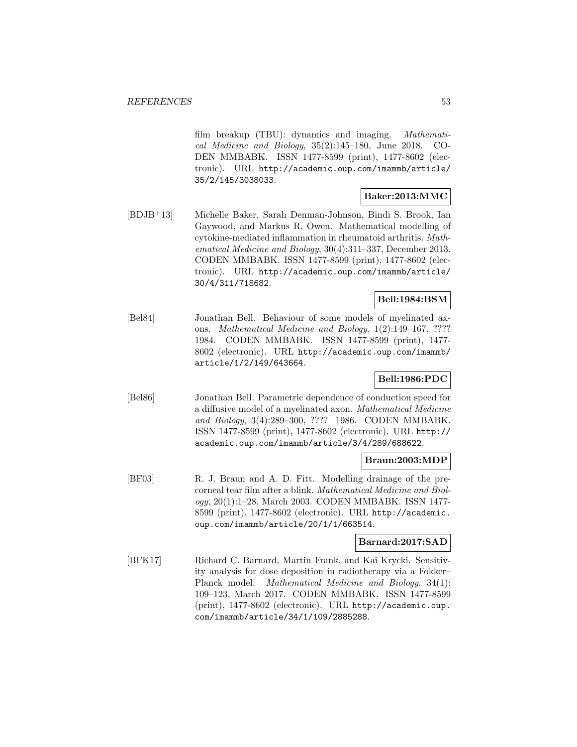film breakup (TBU): dynamics and imaging. Mathematical Medicine and Biology, 35(2):145–180, June 2018. CO-DEN MMBABK. ISSN 1477-8599 (print), 1477-8602 (electronic). URL http://academic.oup.com/imammb/article/ 35/2/145/3038033.

# **Baker:2013:MMC**

[BDJB<sup>+</sup>13] Michelle Baker, Sarah Denman-Johnson, Bindi S. Brook, Ian Gaywood, and Markus R. Owen. Mathematical modelling of cytokine-mediated inflammation in rheumatoid arthritis. Mathematical Medicine and Biology, 30(4):311–337, December 2013. CODEN MMBABK. ISSN 1477-8599 (print), 1477-8602 (electronic). URL http://academic.oup.com/imammb/article/ 30/4/311/718682.

# **Bell:1984:BSM**

[Bel84] Jonathan Bell. Behaviour of some models of myelinated axons. Mathematical Medicine and Biology, 1(2):149–167, ???? 1984. CODEN MMBABK. ISSN 1477-8599 (print), 1477- 8602 (electronic). URL http://academic.oup.com/imammb/ article/1/2/149/643664.

# **Bell:1986:PDC**

[Bel86] Jonathan Bell. Parametric dependence of conduction speed for a diffusive model of a myelinated axon. Mathematical Medicine and Biology, 3(4):289–300, ???? 1986. CODEN MMBABK. ISSN 1477-8599 (print), 1477-8602 (electronic). URL http:// academic.oup.com/imammb/article/3/4/289/688622.

# **Braun:2003:MDP**

[BF03] R. J. Braun and A. D. Fitt. Modelling drainage of the precorneal tear film after a blink. Mathematical Medicine and Biology, 20(1):1–28, March 2003. CODEN MMBABK. ISSN 1477- 8599 (print), 1477-8602 (electronic). URL http://academic. oup.com/imammb/article/20/1/1/663514.

# **Barnard:2017:SAD**

[BFK17] Richard C. Barnard, Martin Frank, and Kai Krycki. Sensitivity analysis for dose deposition in radiotherapy via a Fokker– Planck model. Mathematical Medicine and Biology, 34(1): 109–123, March 2017. CODEN MMBABK. ISSN 1477-8599 (print), 1477-8602 (electronic). URL http://academic.oup. com/imammb/article/34/1/109/2885288.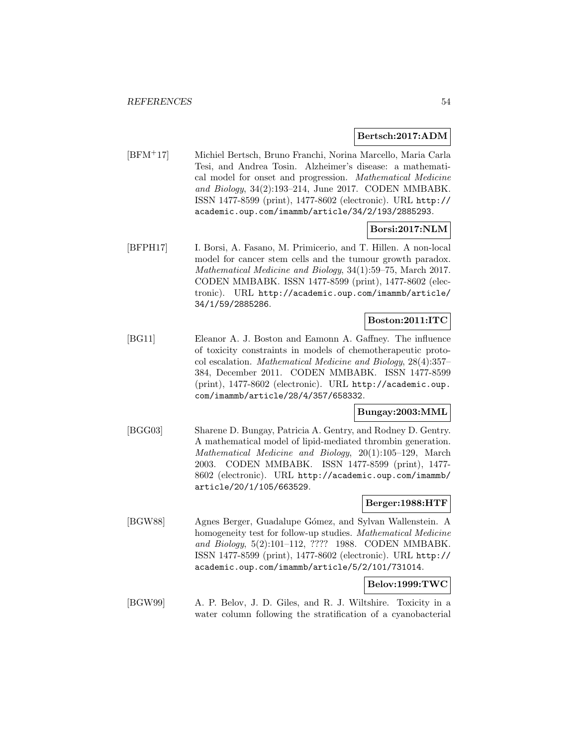# **Bertsch:2017:ADM**

[BFM<sup>+</sup>17] Michiel Bertsch, Bruno Franchi, Norina Marcello, Maria Carla Tesi, and Andrea Tosin. Alzheimer's disease: a mathematical model for onset and progression. Mathematical Medicine and Biology, 34(2):193–214, June 2017. CODEN MMBABK. ISSN 1477-8599 (print), 1477-8602 (electronic). URL http:// academic.oup.com/imammb/article/34/2/193/2885293.

# **Borsi:2017:NLM**

[BFPH17] I. Borsi, A. Fasano, M. Primicerio, and T. Hillen. A non-local model for cancer stem cells and the tumour growth paradox. Mathematical Medicine and Biology, 34(1):59–75, March 2017. CODEN MMBABK. ISSN 1477-8599 (print), 1477-8602 (electronic). URL http://academic.oup.com/imammb/article/ 34/1/59/2885286.

# **Boston:2011:ITC**

[BG11] Eleanor A. J. Boston and Eamonn A. Gaffney. The influence of toxicity constraints in models of chemotherapeutic protocol escalation. Mathematical Medicine and Biology, 28(4):357– 384, December 2011. CODEN MMBABK. ISSN 1477-8599 (print), 1477-8602 (electronic). URL http://academic.oup. com/imammb/article/28/4/357/658332.

# **Bungay:2003:MML**

[BGG03] Sharene D. Bungay, Patricia A. Gentry, and Rodney D. Gentry. A mathematical model of lipid-mediated thrombin generation. Mathematical Medicine and Biology, 20(1):105–129, March 2003. CODEN MMBABK. ISSN 1477-8599 (print), 1477- 8602 (electronic). URL http://academic.oup.com/imammb/ article/20/1/105/663529.

# **Berger:1988:HTF**

[BGW88] Agnes Berger, Guadalupe G´omez, and Sylvan Wallenstein. A homogeneity test for follow-up studies. Mathematical Medicine and Biology, 5(2):101–112, ???? 1988. CODEN MMBABK. ISSN 1477-8599 (print), 1477-8602 (electronic). URL http:// academic.oup.com/imammb/article/5/2/101/731014.

# **Belov:1999:TWC**

[BGW99] A. P. Belov, J. D. Giles, and R. J. Wiltshire. Toxicity in a water column following the stratification of a cyanobacterial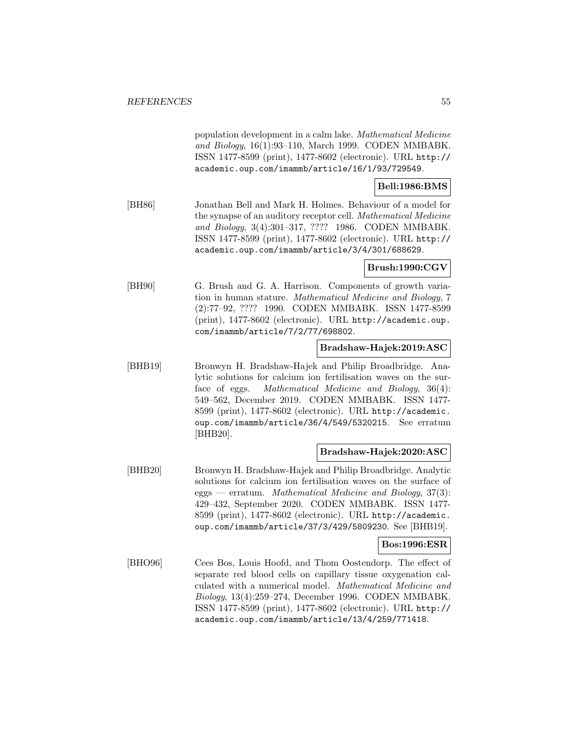population development in a calm lake. Mathematical Medicine and Biology, 16(1):93–110, March 1999. CODEN MMBABK. ISSN 1477-8599 (print), 1477-8602 (electronic). URL http:// academic.oup.com/imammb/article/16/1/93/729549.

# **Bell:1986:BMS**

[BH86] Jonathan Bell and Mark H. Holmes. Behaviour of a model for the synapse of an auditory receptor cell. Mathematical Medicine and Biology, 3(4):301–317, ???? 1986. CODEN MMBABK. ISSN 1477-8599 (print), 1477-8602 (electronic). URL http:// academic.oup.com/imammb/article/3/4/301/688629.

# **Brush:1990:CGV**

[BH90] G. Brush and G. A. Harrison. Components of growth variation in human stature. Mathematical Medicine and Biology, 7 (2):77–92, ???? 1990. CODEN MMBABK. ISSN 1477-8599 (print), 1477-8602 (electronic). URL http://academic.oup. com/imammb/article/7/2/77/698802.

# **Bradshaw-Hajek:2019:ASC**

[BHB19] Bronwyn H. Bradshaw-Hajek and Philip Broadbridge. Analytic solutions for calcium ion fertilisation waves on the surface of eggs. Mathematical Medicine and Biology, 36(4): 549–562, December 2019. CODEN MMBABK. ISSN 1477- 8599 (print), 1477-8602 (electronic). URL http://academic. oup.com/imammb/article/36/4/549/5320215. See erratum [BHB20].

# **Bradshaw-Hajek:2020:ASC**

[BHB20] Bronwyn H. Bradshaw-Hajek and Philip Broadbridge. Analytic solutions for calcium ion fertilisation waves on the surface of eggs — erratum. Mathematical Medicine and Biology, 37(3): 429–432, September 2020. CODEN MMBABK. ISSN 1477- 8599 (print), 1477-8602 (electronic). URL http://academic. oup.com/imammb/article/37/3/429/5809230. See [BHB19].

# **Bos:1996:ESR**

[BHO96] Cees Bos, Louis Hoofd, and Thom Oostendorp. The effect of separate red blood cells on capillary tissue oxygenation calculated with a numerical model. Mathematical Medicine and Biology, 13(4):259–274, December 1996. CODEN MMBABK. ISSN 1477-8599 (print), 1477-8602 (electronic). URL http:// academic.oup.com/imammb/article/13/4/259/771418.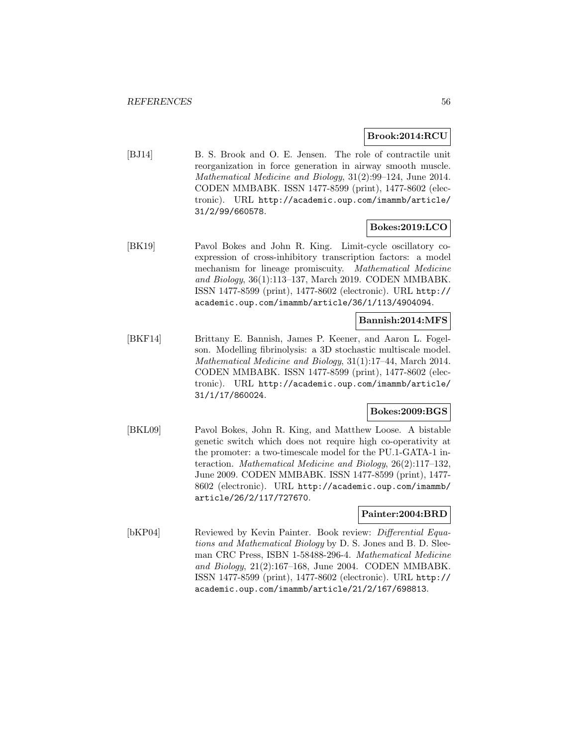### **Brook:2014:RCU**

[BJ14] B. S. Brook and O. E. Jensen. The role of contractile unit reorganization in force generation in airway smooth muscle. Mathematical Medicine and Biology, 31(2):99–124, June 2014. CODEN MMBABK. ISSN 1477-8599 (print), 1477-8602 (electronic). URL http://academic.oup.com/imammb/article/ 31/2/99/660578.

# **Bokes:2019:LCO**

[BK19] Pavol Bokes and John R. King. Limit-cycle oscillatory coexpression of cross-inhibitory transcription factors: a model mechanism for lineage promiscuity. Mathematical Medicine and Biology, 36(1):113–137, March 2019. CODEN MMBABK. ISSN 1477-8599 (print), 1477-8602 (electronic). URL http:// academic.oup.com/imammb/article/36/1/113/4904094.

# **Bannish:2014:MFS**

[BKF14] Brittany E. Bannish, James P. Keener, and Aaron L. Fogelson. Modelling fibrinolysis: a 3D stochastic multiscale model. Mathematical Medicine and Biology, 31(1):17–44, March 2014. CODEN MMBABK. ISSN 1477-8599 (print), 1477-8602 (electronic). URL http://academic.oup.com/imammb/article/ 31/1/17/860024.

# **Bokes:2009:BGS**

[BKL09] Pavol Bokes, John R. King, and Matthew Loose. A bistable genetic switch which does not require high co-operativity at the promoter: a two-timescale model for the PU.1-GATA-1 interaction. Mathematical Medicine and Biology, 26(2):117–132, June 2009. CODEN MMBABK. ISSN 1477-8599 (print), 1477- 8602 (electronic). URL http://academic.oup.com/imammb/ article/26/2/117/727670.

### **Painter:2004:BRD**

[bKP04] Reviewed by Kevin Painter. Book review: *Differential Equa*tions and Mathematical Biology by D. S. Jones and B. D. Sleeman CRC Press, ISBN 1-58488-296-4. Mathematical Medicine and Biology, 21(2):167–168, June 2004. CODEN MMBABK. ISSN 1477-8599 (print), 1477-8602 (electronic). URL http:// academic.oup.com/imammb/article/21/2/167/698813.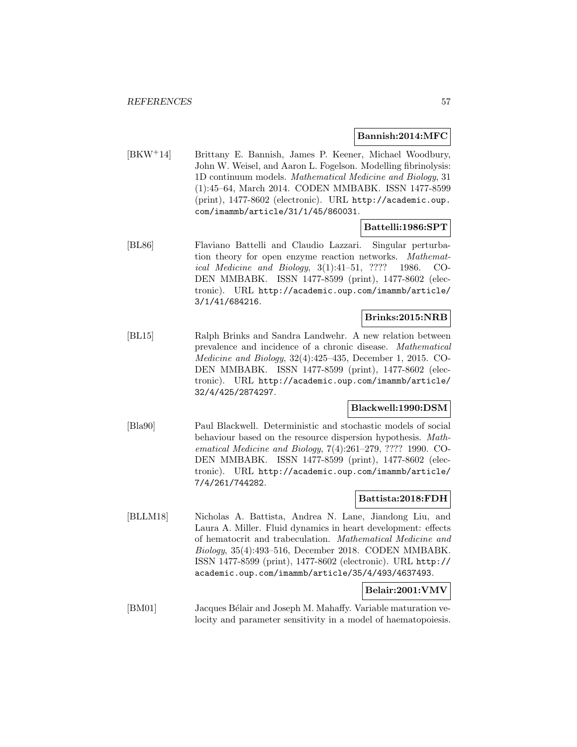### **Bannish:2014:MFC**

[BKW<sup>+</sup>14] Brittany E. Bannish, James P. Keener, Michael Woodbury, John W. Weisel, and Aaron L. Fogelson. Modelling fibrinolysis: 1D continuum models. Mathematical Medicine and Biology, 31 (1):45–64, March 2014. CODEN MMBABK. ISSN 1477-8599 (print), 1477-8602 (electronic). URL http://academic.oup. com/imammb/article/31/1/45/860031.

# **Battelli:1986:SPT**

[BL86] Flaviano Battelli and Claudio Lazzari. Singular perturbation theory for open enzyme reaction networks. Mathematical Medicine and Biology, 3(1):41–51, ???? 1986. CO-DEN MMBABK. ISSN 1477-8599 (print), 1477-8602 (electronic). URL http://academic.oup.com/imammb/article/ 3/1/41/684216.

#### **Brinks:2015:NRB**

[BL15] Ralph Brinks and Sandra Landwehr. A new relation between prevalence and incidence of a chronic disease. Mathematical Medicine and Biology, 32(4):425–435, December 1, 2015. CO-DEN MMBABK. ISSN 1477-8599 (print), 1477-8602 (electronic). URL http://academic.oup.com/imammb/article/ 32/4/425/2874297.

# **Blackwell:1990:DSM**

[Bla90] Paul Blackwell. Deterministic and stochastic models of social behaviour based on the resource dispersion hypothesis. Mathematical Medicine and Biology, 7(4):261–279, ???? 1990. CO-DEN MMBABK. ISSN 1477-8599 (print), 1477-8602 (electronic). URL http://academic.oup.com/imammb/article/ 7/4/261/744282.

# **Battista:2018:FDH**

[BLLM18] Nicholas A. Battista, Andrea N. Lane, Jiandong Liu, and Laura A. Miller. Fluid dynamics in heart development: effects of hematocrit and trabeculation. Mathematical Medicine and Biology, 35(4):493–516, December 2018. CODEN MMBABK. ISSN 1477-8599 (print), 1477-8602 (electronic). URL http:// academic.oup.com/imammb/article/35/4/493/4637493.

# **Belair:2001:VMV**

[BM01] Jacques Bélair and Joseph M. Mahaffy. Variable maturation velocity and parameter sensitivity in a model of haematopoiesis.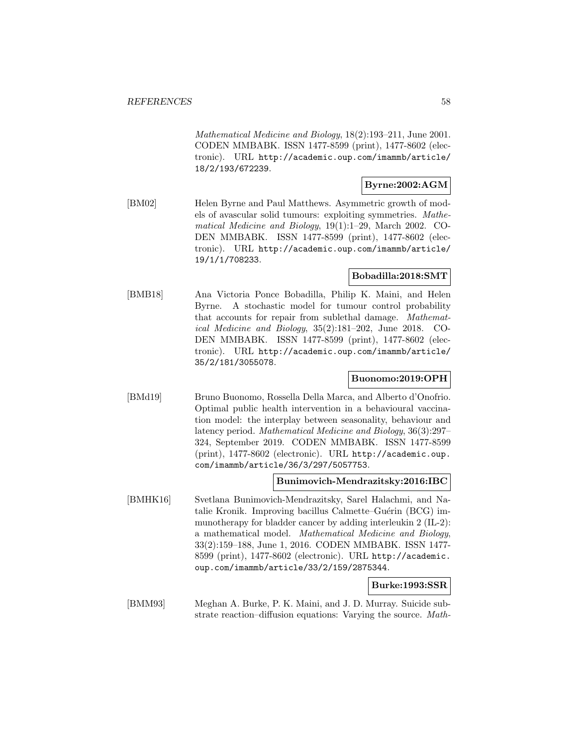Mathematical Medicine and Biology, 18(2):193–211, June 2001. CODEN MMBABK. ISSN 1477-8599 (print), 1477-8602 (electronic). URL http://academic.oup.com/imammb/article/ 18/2/193/672239.

# **Byrne:2002:AGM**

[BM02] Helen Byrne and Paul Matthews. Asymmetric growth of models of avascular solid tumours: exploiting symmetries. Mathematical Medicine and Biology, 19(1):1–29, March 2002. CO-DEN MMBABK. ISSN 1477-8599 (print), 1477-8602 (electronic). URL http://academic.oup.com/imammb/article/ 19/1/1/708233.

### **Bobadilla:2018:SMT**

[BMB18] Ana Victoria Ponce Bobadilla, Philip K. Maini, and Helen Byrne. A stochastic model for tumour control probability that accounts for repair from sublethal damage. Mathematical Medicine and Biology, 35(2):181–202, June 2018. CO-DEN MMBABK. ISSN 1477-8599 (print), 1477-8602 (electronic). URL http://academic.oup.com/imammb/article/ 35/2/181/3055078.

# **Buonomo:2019:OPH**

[BMd19] Bruno Buonomo, Rossella Della Marca, and Alberto d'Onofrio. Optimal public health intervention in a behavioural vaccination model: the interplay between seasonality, behaviour and latency period. Mathematical Medicine and Biology, 36(3):297– 324, September 2019. CODEN MMBABK. ISSN 1477-8599 (print), 1477-8602 (electronic). URL http://academic.oup. com/imammb/article/36/3/297/5057753.

### **Bunimovich-Mendrazitsky:2016:IBC**

[BMHK16] Svetlana Bunimovich-Mendrazitsky, Sarel Halachmi, and Natalie Kronik. Improving bacillus Calmette–Guérin (BCG) immunotherapy for bladder cancer by adding interleukin 2 (IL-2): a mathematical model. Mathematical Medicine and Biology, 33(2):159–188, June 1, 2016. CODEN MMBABK. ISSN 1477- 8599 (print), 1477-8602 (electronic). URL http://academic. oup.com/imammb/article/33/2/159/2875344.

# **Burke:1993:SSR**

[BMM93] Meghan A. Burke, P. K. Maini, and J. D. Murray. Suicide substrate reaction–diffusion equations: Varying the source. Math-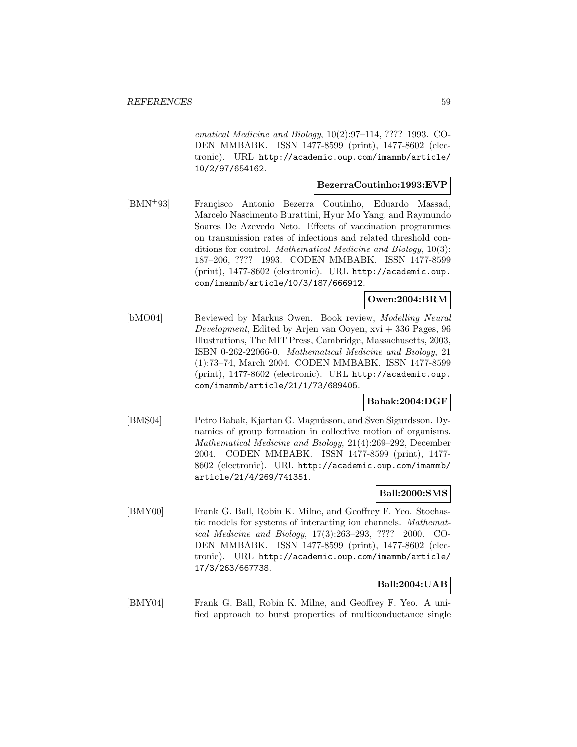ematical Medicine and Biology, 10(2):97–114, ???? 1993. CO-DEN MMBABK. ISSN 1477-8599 (print), 1477-8602 (electronic). URL http://academic.oup.com/imammb/article/ 10/2/97/654162.

### **BezerraCoutinho:1993:EVP**

[BMN+93] Francisco Antonio Bezerra Coutinho, Eduardo Massad, Marcelo Nascimento Burattini, Hyur Mo Yang, and Raymundo Soares De Azevedo Neto. Effects of vaccination programmes on transmission rates of infections and related threshold conditions for control. Mathematical Medicine and Biology, 10(3): 187–206, ???? 1993. CODEN MMBABK. ISSN 1477-8599 (print), 1477-8602 (electronic). URL http://academic.oup. com/imammb/article/10/3/187/666912.

# **Owen:2004:BRM**

[bMO04] Reviewed by Markus Owen. Book review, Modelling Neural Development, Edited by Arjen van Ooyen,  $xvi + 336$  Pages, 96 Illustrations, The MIT Press, Cambridge, Massachusetts, 2003, ISBN 0-262-22066-0. Mathematical Medicine and Biology, 21 (1):73–74, March 2004. CODEN MMBABK. ISSN 1477-8599 (print), 1477-8602 (electronic). URL http://academic.oup. com/imammb/article/21/1/73/689405.

# **Babak:2004:DGF**

[BMS04] Petro Babak, Kjartan G. Magnússon, and Sven Sigurdsson. Dynamics of group formation in collective motion of organisms. Mathematical Medicine and Biology, 21(4):269–292, December 2004. CODEN MMBABK. ISSN 1477-8599 (print), 1477- 8602 (electronic). URL http://academic.oup.com/imammb/ article/21/4/269/741351.

# **Ball:2000:SMS**

[BMY00] Frank G. Ball, Robin K. Milne, and Geoffrey F. Yeo. Stochastic models for systems of interacting ion channels. Mathematical Medicine and Biology, 17(3):263–293, ???? 2000. CO-DEN MMBABK. ISSN 1477-8599 (print), 1477-8602 (electronic). URL http://academic.oup.com/imammb/article/ 17/3/263/667738.

# **Ball:2004:UAB**

[BMY04] Frank G. Ball, Robin K. Milne, and Geoffrey F. Yeo. A unified approach to burst properties of multiconductance single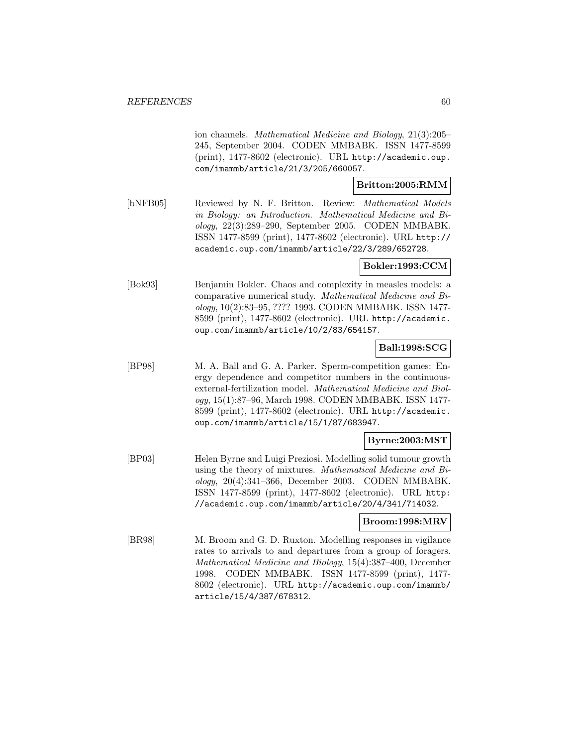ion channels. Mathematical Medicine and Biology, 21(3):205– 245, September 2004. CODEN MMBABK. ISSN 1477-8599 (print), 1477-8602 (electronic). URL http://academic.oup. com/imammb/article/21/3/205/660057.

# **Britton:2005:RMM**

[bNFB05] Reviewed by N. F. Britton. Review: Mathematical Models in Biology: an Introduction. Mathematical Medicine and Biology, 22(3):289–290, September 2005. CODEN MMBABK. ISSN 1477-8599 (print), 1477-8602 (electronic). URL http:// academic.oup.com/imammb/article/22/3/289/652728.

# **Bokler:1993:CCM**

[Bok93] Benjamin Bokler. Chaos and complexity in measles models: a comparative numerical study. Mathematical Medicine and Biology, 10(2):83–95, ???? 1993. CODEN MMBABK. ISSN 1477- 8599 (print), 1477-8602 (electronic). URL http://academic. oup.com/imammb/article/10/2/83/654157.

# **Ball:1998:SCG**

[BP98] M. A. Ball and G. A. Parker. Sperm-competition games: Energy dependence and competitor numbers in the continuousexternal-fertilization model. Mathematical Medicine and Biology, 15(1):87–96, March 1998. CODEN MMBABK. ISSN 1477- 8599 (print), 1477-8602 (electronic). URL http://academic. oup.com/imammb/article/15/1/87/683947.

# **Byrne:2003:MST**

[BP03] Helen Byrne and Luigi Preziosi. Modelling solid tumour growth using the theory of mixtures. Mathematical Medicine and Biology, 20(4):341–366, December 2003. CODEN MMBABK. ISSN 1477-8599 (print), 1477-8602 (electronic). URL http: //academic.oup.com/imammb/article/20/4/341/714032.

# **Broom:1998:MRV**

[BR98] M. Broom and G. D. Ruxton. Modelling responses in vigilance rates to arrivals to and departures from a group of foragers. Mathematical Medicine and Biology, 15(4):387–400, December 1998. CODEN MMBABK. ISSN 1477-8599 (print), 1477- 8602 (electronic). URL http://academic.oup.com/imammb/ article/15/4/387/678312.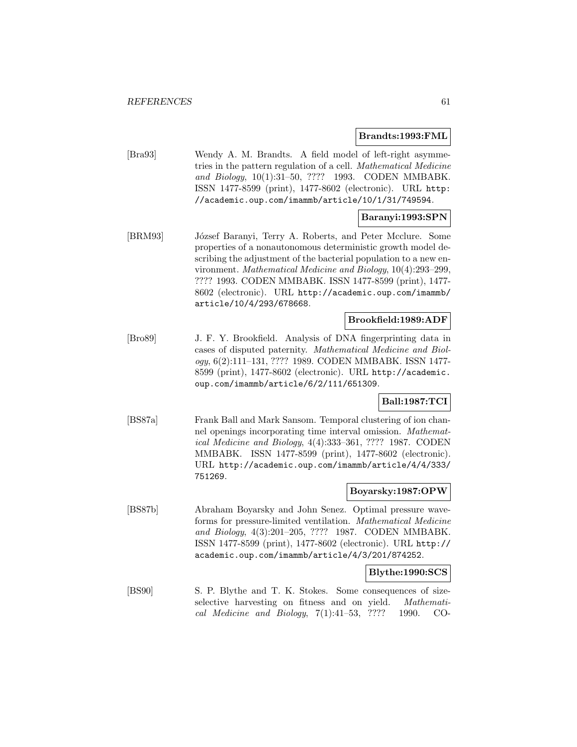# **Brandts:1993:FML**

[Bra93] Wendy A. M. Brandts. A field model of left-right asymmetries in the pattern regulation of a cell. Mathematical Medicine and Biology, 10(1):31–50, ???? 1993. CODEN MMBABK. ISSN 1477-8599 (print), 1477-8602 (electronic). URL http: //academic.oup.com/imammb/article/10/1/31/749594.

# **Baranyi:1993:SPN**

[BRM93] József Baranyi, Terry A. Roberts, and Peter Mcclure. Some properties of a nonautonomous deterministic growth model describing the adjustment of the bacterial population to a new environment. Mathematical Medicine and Biology, 10(4):293–299, ???? 1993. CODEN MMBABK. ISSN 1477-8599 (print), 1477- 8602 (electronic). URL http://academic.oup.com/imammb/ article/10/4/293/678668.

# **Brookfield:1989:ADF**

[Bro89] J. F. Y. Brookfield. Analysis of DNA fingerprinting data in cases of disputed paternity. Mathematical Medicine and Biology, 6(2):111–131, ???? 1989. CODEN MMBABK. ISSN 1477- 8599 (print), 1477-8602 (electronic). URL http://academic. oup.com/imammb/article/6/2/111/651309.

# **Ball:1987:TCI**

[BS87a] Frank Ball and Mark Sansom. Temporal clustering of ion channel openings incorporating time interval omission. Mathematical Medicine and Biology, 4(4):333–361, ???? 1987. CODEN MMBABK. ISSN 1477-8599 (print), 1477-8602 (electronic). URL http://academic.oup.com/imammb/article/4/4/333/ 751269.

#### **Boyarsky:1987:OPW**

[BS87b] Abraham Boyarsky and John Senez. Optimal pressure waveforms for pressure-limited ventilation. Mathematical Medicine and Biology, 4(3):201–205, ???? 1987. CODEN MMBABK. ISSN 1477-8599 (print), 1477-8602 (electronic). URL http:// academic.oup.com/imammb/article/4/3/201/874252.

# **Blythe:1990:SCS**

[BS90] S. P. Blythe and T. K. Stokes. Some consequences of sizeselective harvesting on fitness and on yield. Mathematical Medicine and Biology, 7(1):41–53, ???? 1990. CO-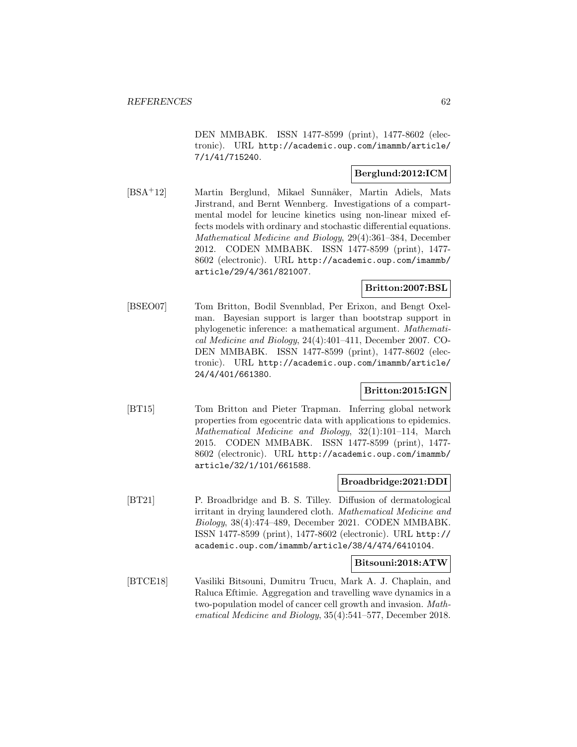DEN MMBABK. ISSN 1477-8599 (print), 1477-8602 (electronic). URL http://academic.oup.com/imammb/article/ 7/1/41/715240.

# **Berglund:2012:ICM**

[BSA<sup>+</sup>12] Martin Berglund, Mikael Sunnåker, Martin Adiels, Mats Jirstrand, and Bernt Wennberg. Investigations of a compartmental model for leucine kinetics using non-linear mixed effects models with ordinary and stochastic differential equations. Mathematical Medicine and Biology, 29(4):361–384, December 2012. CODEN MMBABK. ISSN 1477-8599 (print), 1477- 8602 (electronic). URL http://academic.oup.com/imammb/ article/29/4/361/821007.

# **Britton:2007:BSL**

[BSEO07] Tom Britton, Bodil Svennblad, Per Erixon, and Bengt Oxelman. Bayesian support is larger than bootstrap support in phylogenetic inference: a mathematical argument. Mathematical Medicine and Biology, 24(4):401–411, December 2007. CO-DEN MMBABK. ISSN 1477-8599 (print), 1477-8602 (electronic). URL http://academic.oup.com/imammb/article/ 24/4/401/661380.

# **Britton:2015:IGN**

[BT15] Tom Britton and Pieter Trapman. Inferring global network properties from egocentric data with applications to epidemics. Mathematical Medicine and Biology, 32(1):101–114, March 2015. CODEN MMBABK. ISSN 1477-8599 (print), 1477- 8602 (electronic). URL http://academic.oup.com/imammb/ article/32/1/101/661588.

# **Broadbridge:2021:DDI**

[BT21] P. Broadbridge and B. S. Tilley. Diffusion of dermatological irritant in drying laundered cloth. Mathematical Medicine and Biology, 38(4):474–489, December 2021. CODEN MMBABK. ISSN 1477-8599 (print), 1477-8602 (electronic). URL http:// academic.oup.com/imammb/article/38/4/474/6410104.

# **Bitsouni:2018:ATW**

[BTCE18] Vasiliki Bitsouni, Dumitru Trucu, Mark A. J. Chaplain, and Raluca Eftimie. Aggregation and travelling wave dynamics in a two-population model of cancer cell growth and invasion. Mathematical Medicine and Biology, 35(4):541–577, December 2018.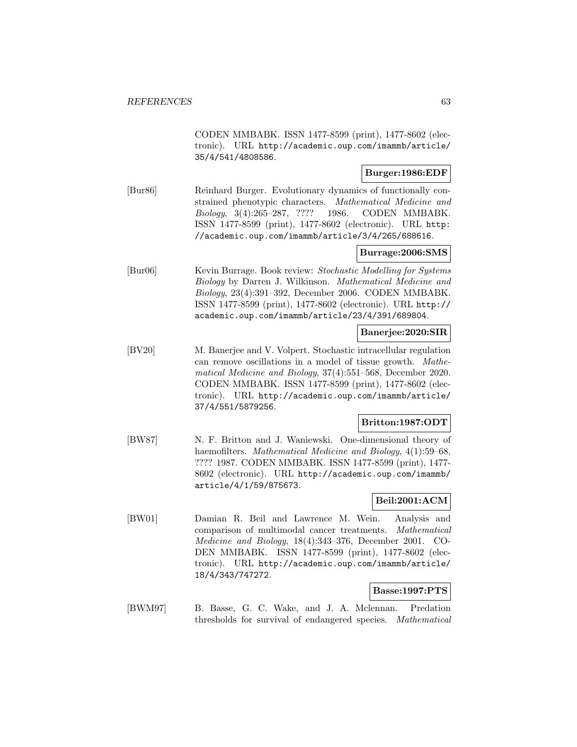CODEN MMBABK. ISSN 1477-8599 (print), 1477-8602 (electronic). URL http://academic.oup.com/imammb/article/ 35/4/541/4808586.

# **Burger:1986:EDF**

[Bur86] Reinhard Burger. Evolutionary dynamics of functionally constrained phenotypic characters. Mathematical Medicine and Biology, 3(4):265–287, ???? 1986. CODEN MMBABK. ISSN 1477-8599 (print), 1477-8602 (electronic). URL http: //academic.oup.com/imammb/article/3/4/265/688616.

# **Burrage:2006:SMS**

[Bur06] Kevin Burrage. Book review: Stochastic Modelling for Systems Biology by Darren J. Wilkinson. Mathematical Medicine and Biology, 23(4):391–392, December 2006. CODEN MMBABK. ISSN 1477-8599 (print), 1477-8602 (electronic). URL http:// academic.oup.com/imammb/article/23/4/391/689804.

#### **Banerjee:2020:SIR**

[BV20] M. Banerjee and V. Volpert. Stochastic intracellular regulation can remove oscillations in a model of tissue growth. Mathematical Medicine and Biology, 37(4):551–568, December 2020. CODEN MMBABK. ISSN 1477-8599 (print), 1477-8602 (electronic). URL http://academic.oup.com/imammb/article/ 37/4/551/5879256.

# **Britton:1987:ODT**

[BW87] N. F. Britton and J. Waniewski. One-dimensional theory of haemofilters. Mathematical Medicine and Biology, 4(1):59–68, ???? 1987. CODEN MMBABK. ISSN 1477-8599 (print), 1477- 8602 (electronic). URL http://academic.oup.com/imammb/ article/4/1/59/875673.

# **Beil:2001:ACM**

[BW01] Damian R. Beil and Lawrence M. Wein. Analysis and comparison of multimodal cancer treatments. Mathematical Medicine and Biology, 18(4):343–376, December 2001. CO-DEN MMBABK. ISSN 1477-8599 (print), 1477-8602 (electronic). URL http://academic.oup.com/imammb/article/ 18/4/343/747272.

# **Basse:1997:PTS**

[BWM97] B. Basse, G. C. Wake, and J. A. Mclennan. Predation thresholds for survival of endangered species. Mathematical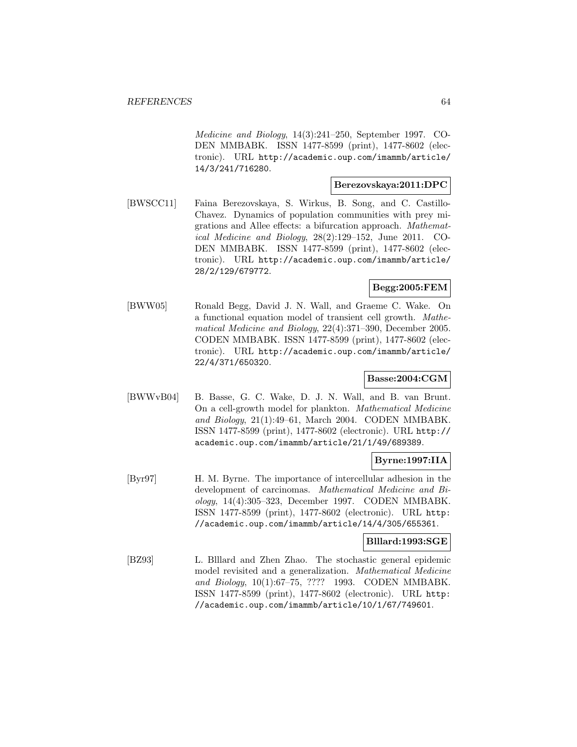Medicine and Biology, 14(3):241–250, September 1997. CO-DEN MMBABK. ISSN 1477-8599 (print), 1477-8602 (electronic). URL http://academic.oup.com/imammb/article/ 14/3/241/716280.

# **Berezovskaya:2011:DPC**

[BWSCC11] Faina Berezovskaya, S. Wirkus, B. Song, and C. Castillo-Chavez. Dynamics of population communities with prey migrations and Allee effects: a bifurcation approach. Mathematical Medicine and Biology, 28(2):129–152, June 2011. CO-DEN MMBABK. ISSN 1477-8599 (print), 1477-8602 (electronic). URL http://academic.oup.com/imammb/article/ 28/2/129/679772.

# **Begg:2005:FEM**

[BWW05] Ronald Begg, David J. N. Wall, and Graeme C. Wake. On a functional equation model of transient cell growth. Mathematical Medicine and Biology, 22(4):371–390, December 2005. CODEN MMBABK. ISSN 1477-8599 (print), 1477-8602 (electronic). URL http://academic.oup.com/imammb/article/ 22/4/371/650320.

# **Basse:2004:CGM**

[BWWvB04] B. Basse, G. C. Wake, D. J. N. Wall, and B. van Brunt. On a cell-growth model for plankton. Mathematical Medicine and Biology, 21(1):49–61, March 2004. CODEN MMBABK. ISSN 1477-8599 (print), 1477-8602 (electronic). URL http:// academic.oup.com/imammb/article/21/1/49/689389.

# **Byrne:1997:IIA**

[Byr97] H. M. Byrne. The importance of intercellular adhesion in the development of carcinomas. Mathematical Medicine and Biology, 14(4):305–323, December 1997. CODEN MMBABK. ISSN 1477-8599 (print), 1477-8602 (electronic). URL http: //academic.oup.com/imammb/article/14/4/305/655361.

# **Blllard:1993:SGE**

[BZ93] L. Blllard and Zhen Zhao. The stochastic general epidemic model revisited and a generalization. Mathematical Medicine and Biology, 10(1):67–75, ???? 1993. CODEN MMBABK. ISSN 1477-8599 (print), 1477-8602 (electronic). URL http: //academic.oup.com/imammb/article/10/1/67/749601.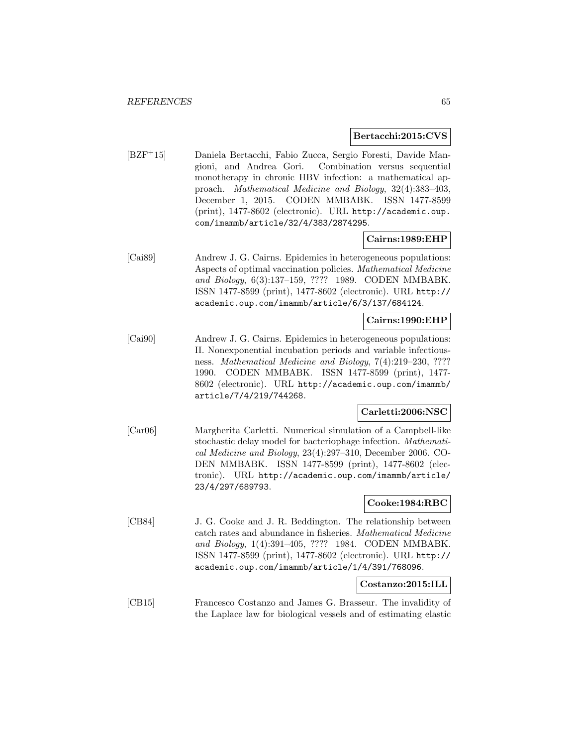### **Bertacchi:2015:CVS**

[BZF<sup>+</sup>15] Daniela Bertacchi, Fabio Zucca, Sergio Foresti, Davide Mangioni, and Andrea Gori. Combination versus sequential monotherapy in chronic HBV infection: a mathematical approach. Mathematical Medicine and Biology, 32(4):383–403, December 1, 2015. CODEN MMBABK. ISSN 1477-8599 (print), 1477-8602 (electronic). URL http://academic.oup. com/imammb/article/32/4/383/2874295.

# **Cairns:1989:EHP**

[Cai89] Andrew J. G. Cairns. Epidemics in heterogeneous populations: Aspects of optimal vaccination policies. Mathematical Medicine and Biology, 6(3):137–159, ???? 1989. CODEN MMBABK. ISSN 1477-8599 (print), 1477-8602 (electronic). URL http:// academic.oup.com/imammb/article/6/3/137/684124.

### **Cairns:1990:EHP**

[Cai90] Andrew J. G. Cairns. Epidemics in heterogeneous populations: II. Nonexponential incubation periods and variable infectiousness. Mathematical Medicine and Biology, 7(4):219–230, ???? 1990. CODEN MMBABK. ISSN 1477-8599 (print), 1477- 8602 (electronic). URL http://academic.oup.com/imammb/ article/7/4/219/744268.

# **Carletti:2006:NSC**

[Car06] Margherita Carletti. Numerical simulation of a Campbell-like stochastic delay model for bacteriophage infection. Mathematical Medicine and Biology, 23(4):297–310, December 2006. CO-DEN MMBABK. ISSN 1477-8599 (print), 1477-8602 (electronic). URL http://academic.oup.com/imammb/article/ 23/4/297/689793.

# **Cooke:1984:RBC**

[CB84] J. G. Cooke and J. R. Beddington. The relationship between catch rates and abundance in fisheries. Mathematical Medicine and Biology, 1(4):391–405, ???? 1984. CODEN MMBABK. ISSN 1477-8599 (print), 1477-8602 (electronic). URL http:// academic.oup.com/imammb/article/1/4/391/768096.

### **Costanzo:2015:ILL**

[CB15] Francesco Costanzo and James G. Brasseur. The invalidity of the Laplace law for biological vessels and of estimating elastic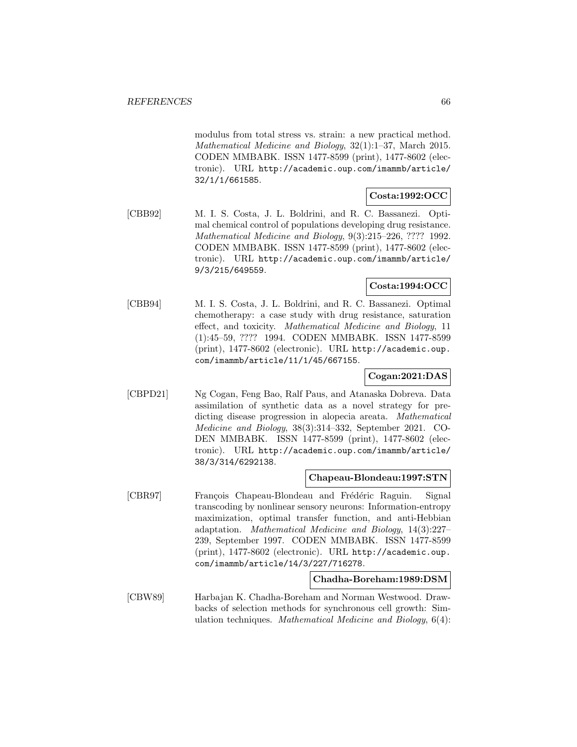modulus from total stress vs. strain: a new practical method. Mathematical Medicine and Biology, 32(1):1–37, March 2015. CODEN MMBABK. ISSN 1477-8599 (print), 1477-8602 (electronic). URL http://academic.oup.com/imammb/article/ 32/1/1/661585.

# **Costa:1992:OCC**

[CBB92] M. I. S. Costa, J. L. Boldrini, and R. C. Bassanezi. Optimal chemical control of populations developing drug resistance. Mathematical Medicine and Biology, 9(3):215–226, ???? 1992. CODEN MMBABK. ISSN 1477-8599 (print), 1477-8602 (electronic). URL http://academic.oup.com/imammb/article/ 9/3/215/649559.

# **Costa:1994:OCC**

[CBB94] M. I. S. Costa, J. L. Boldrini, and R. C. Bassanezi. Optimal chemotherapy: a case study with drug resistance, saturation effect, and toxicity. Mathematical Medicine and Biology, 11 (1):45–59, ???? 1994. CODEN MMBABK. ISSN 1477-8599 (print), 1477-8602 (electronic). URL http://academic.oup. com/imammb/article/11/1/45/667155.

# **Cogan:2021:DAS**

[CBPD21] Ng Cogan, Feng Bao, Ralf Paus, and Atanaska Dobreva. Data assimilation of synthetic data as a novel strategy for predicting disease progression in alopecia areata. Mathematical Medicine and Biology, 38(3):314–332, September 2021. CO-DEN MMBABK. ISSN 1477-8599 (print), 1477-8602 (electronic). URL http://academic.oup.com/imammb/article/ 38/3/314/6292138.

# **Chapeau-Blondeau:1997:STN**

[CBR97] François Chapeau-Blondeau and Frédéric Raguin. Signal transcoding by nonlinear sensory neurons: Information-entropy maximization, optimal transfer function, and anti-Hebbian adaptation. Mathematical Medicine and Biology, 14(3):227– 239, September 1997. CODEN MMBABK. ISSN 1477-8599 (print), 1477-8602 (electronic). URL http://academic.oup. com/imammb/article/14/3/227/716278.

# **Chadha-Boreham:1989:DSM**

[CBW89] Harbajan K. Chadha-Boreham and Norman Westwood. Drawbacks of selection methods for synchronous cell growth: Simulation techniques. Mathematical Medicine and Biology, 6(4):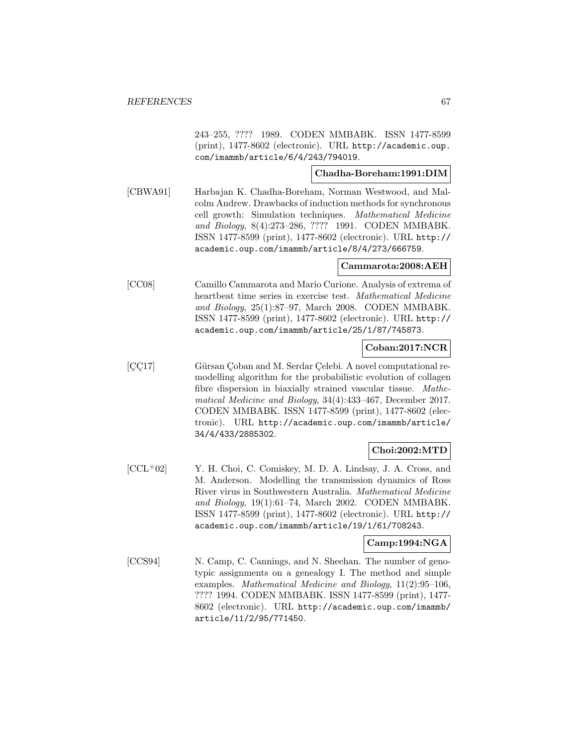243–255, ???? 1989. CODEN MMBABK. ISSN 1477-8599 (print), 1477-8602 (electronic). URL http://academic.oup. com/imammb/article/6/4/243/794019.

### **Chadha-Boreham:1991:DIM**

[CBWA91] Harbajan K. Chadha-Boreham, Norman Westwood, and Malcolm Andrew. Drawbacks of induction methods for synchronous cell growth: Simulation techniques. Mathematical Medicine and Biology, 8(4):273–286, ???? 1991. CODEN MMBABK. ISSN 1477-8599 (print), 1477-8602 (electronic). URL http:// academic.oup.com/imammb/article/8/4/273/666759.

# **Cammarota:2008:AEH**

[CC08] Camillo Cammarota and Mario Curione. Analysis of extrema of heartbeat time series in exercise test. Mathematical Medicine and Biology, 25(1):87–97, March 2008. CODEN MMBABK. ISSN 1477-8599 (print), 1477-8602 (electronic). URL http:// academic.oup.com/imammb/article/25/1/87/745873.

# **Coban:2017:NCR**

[CC17] Gürsan Çoban and M. Serdar Çelebi. A novel computational remodelling algorithm for the probabilistic evolution of collagen fibre dispersion in biaxially strained vascular tissue. Mathematical Medicine and Biology, 34(4):433–467, December 2017. CODEN MMBABK. ISSN 1477-8599 (print), 1477-8602 (electronic). URL http://academic.oup.com/imammb/article/ 34/4/433/2885302.

# **Choi:2002:MTD**

 $[CL<sup>+</sup>02]$  Y. H. Choi, C. Comiskey, M. D. A. Lindsay, J. A. Cross, and M. Anderson. Modelling the transmission dynamics of Ross River virus in Southwestern Australia. Mathematical Medicine and Biology, 19(1):61–74, March 2002. CODEN MMBABK. ISSN 1477-8599 (print), 1477-8602 (electronic). URL http:// academic.oup.com/imammb/article/19/1/61/708243.

# **Camp:1994:NGA**

[CCS94] N. Camp, C. Cannings, and N. Sheehan. The number of genotypic assignments on a genealogy I. The method and simple examples. Mathematical Medicine and Biology, 11(2):95–106, ???? 1994. CODEN MMBABK. ISSN 1477-8599 (print), 1477- 8602 (electronic). URL http://academic.oup.com/imammb/ article/11/2/95/771450.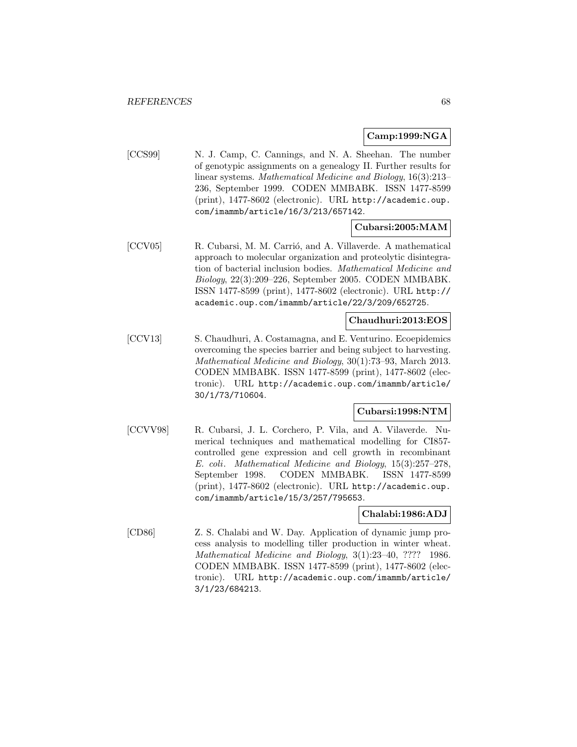### **Camp:1999:NGA**

[CCS99] N. J. Camp, C. Cannings, and N. A. Sheehan. The number of genotypic assignments on a genealogy II. Further results for linear systems. Mathematical Medicine and Biology, 16(3):213– 236, September 1999. CODEN MMBABK. ISSN 1477-8599 (print), 1477-8602 (electronic). URL http://academic.oup. com/imammb/article/16/3/213/657142.

### **Cubarsi:2005:MAM**

[CCV05] R. Cubarsi, M. M. Carrió, and A. Villaverde. A mathematical approach to molecular organization and proteolytic disintegration of bacterial inclusion bodies. Mathematical Medicine and Biology, 22(3):209–226, September 2005. CODEN MMBABK. ISSN 1477-8599 (print), 1477-8602 (electronic). URL http:// academic.oup.com/imammb/article/22/3/209/652725.

# **Chaudhuri:2013:EOS**

[CCV13] S. Chaudhuri, A. Costamagna, and E. Venturino. Ecoepidemics overcoming the species barrier and being subject to harvesting. Mathematical Medicine and Biology, 30(1):73–93, March 2013. CODEN MMBABK. ISSN 1477-8599 (print), 1477-8602 (electronic). URL http://academic.oup.com/imammb/article/ 30/1/73/710604.

# **Cubarsi:1998:NTM**

[CCVV98] R. Cubarsi, J. L. Corchero, P. Vila, and A. Vilaverde. Numerical techniques and mathematical modelling for CI857 controlled gene expression and cell growth in recombinant E. coli. Mathematical Medicine and Biology, 15(3):257–278, September 1998. CODEN MMBABK. ISSN 1477-8599 (print), 1477-8602 (electronic). URL http://academic.oup. com/imammb/article/15/3/257/795653.

# **Chalabi:1986:ADJ**

[CD86] Z. S. Chalabi and W. Day. Application of dynamic jump process analysis to modelling tiller production in winter wheat. Mathematical Medicine and Biology, 3(1):23–40, ???? 1986. CODEN MMBABK. ISSN 1477-8599 (print), 1477-8602 (electronic). URL http://academic.oup.com/imammb/article/ 3/1/23/684213.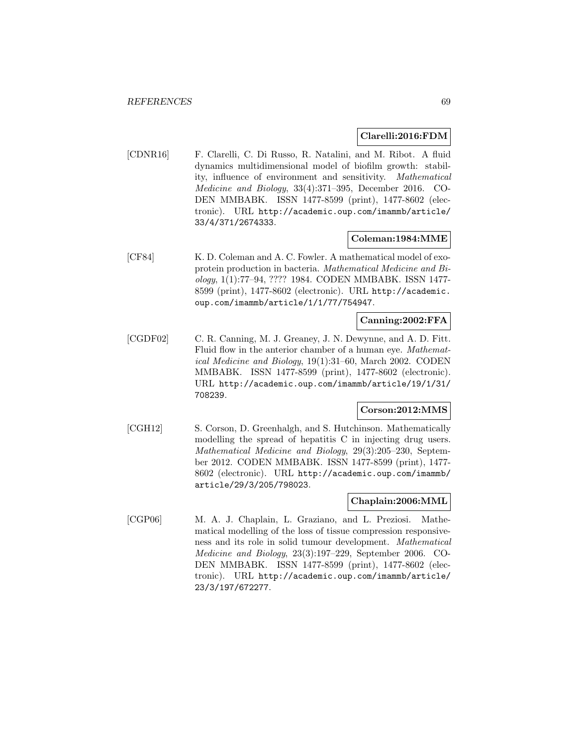### **Clarelli:2016:FDM**

[CDNR16] F. Clarelli, C. Di Russo, R. Natalini, and M. Ribot. A fluid dynamics multidimensional model of biofilm growth: stability, influence of environment and sensitivity. Mathematical Medicine and Biology, 33(4):371–395, December 2016. CO-DEN MMBABK. ISSN 1477-8599 (print), 1477-8602 (electronic). URL http://academic.oup.com/imammb/article/ 33/4/371/2674333.

# **Coleman:1984:MME**

[CF84] K. D. Coleman and A. C. Fowler. A mathematical model of exoprotein production in bacteria. Mathematical Medicine and Biology, 1(1):77–94, ???? 1984. CODEN MMBABK. ISSN 1477- 8599 (print), 1477-8602 (electronic). URL http://academic. oup.com/imammb/article/1/1/77/754947.

# **Canning:2002:FFA**

[CGDF02] C. R. Canning, M. J. Greaney, J. N. Dewynne, and A. D. Fitt. Fluid flow in the anterior chamber of a human eye. Mathematical Medicine and Biology, 19(1):31–60, March 2002. CODEN MMBABK. ISSN 1477-8599 (print), 1477-8602 (electronic). URL http://academic.oup.com/imammb/article/19/1/31/ 708239.

# **Corson:2012:MMS**

[CGH12] S. Corson, D. Greenhalgh, and S. Hutchinson. Mathematically modelling the spread of hepatitis C in injecting drug users. Mathematical Medicine and Biology, 29(3):205–230, September 2012. CODEN MMBABK. ISSN 1477-8599 (print), 1477- 8602 (electronic). URL http://academic.oup.com/imammb/ article/29/3/205/798023.

# **Chaplain:2006:MML**

[CGP06] M. A. J. Chaplain, L. Graziano, and L. Preziosi. Mathematical modelling of the loss of tissue compression responsiveness and its role in solid tumour development. Mathematical Medicine and Biology, 23(3):197–229, September 2006. CO-DEN MMBABK. ISSN 1477-8599 (print), 1477-8602 (electronic). URL http://academic.oup.com/imammb/article/ 23/3/197/672277.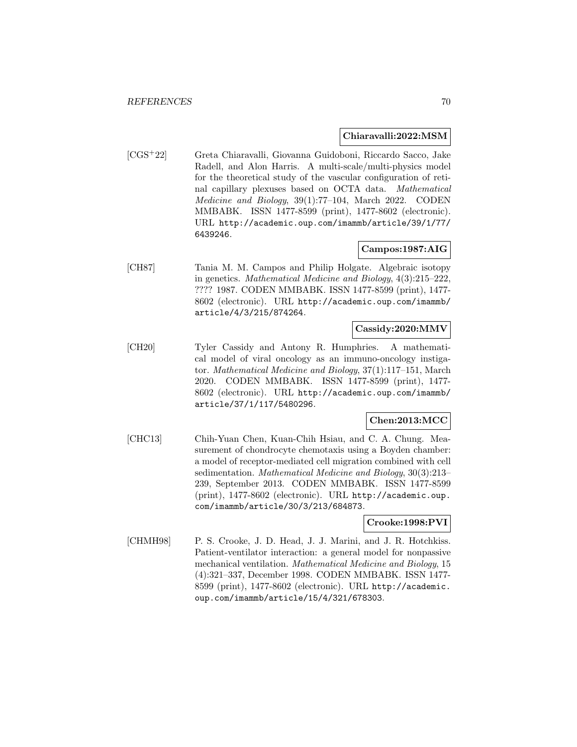### **Chiaravalli:2022:MSM**

[CGS<sup>+</sup>22] Greta Chiaravalli, Giovanna Guidoboni, Riccardo Sacco, Jake Radell, and Alon Harris. A multi-scale/multi-physics model for the theoretical study of the vascular configuration of retinal capillary plexuses based on OCTA data. Mathematical Medicine and Biology, 39(1):77–104, March 2022. CODEN MMBABK. ISSN 1477-8599 (print), 1477-8602 (electronic). URL http://academic.oup.com/imammb/article/39/1/77/ 6439246.

# **Campos:1987:AIG**

[CH87] Tania M. M. Campos and Philip Holgate. Algebraic isotopy in genetics. Mathematical Medicine and Biology, 4(3):215–222, ???? 1987. CODEN MMBABK. ISSN 1477-8599 (print), 1477- 8602 (electronic). URL http://academic.oup.com/imammb/ article/4/3/215/874264.

# **Cassidy:2020:MMV**

[CH20] Tyler Cassidy and Antony R. Humphries. A mathematical model of viral oncology as an immuno-oncology instigator. Mathematical Medicine and Biology, 37(1):117–151, March 2020. CODEN MMBABK. ISSN 1477-8599 (print), 1477- 8602 (electronic). URL http://academic.oup.com/imammb/ article/37/1/117/5480296.

# **Chen:2013:MCC**

[CHC13] Chih-Yuan Chen, Kuan-Chih Hsiau, and C. A. Chung. Measurement of chondrocyte chemotaxis using a Boyden chamber: a model of receptor-mediated cell migration combined with cell sedimentation. Mathematical Medicine and Biology, 30(3):213– 239, September 2013. CODEN MMBABK. ISSN 1477-8599 (print), 1477-8602 (electronic). URL http://academic.oup. com/imammb/article/30/3/213/684873.

# **Crooke:1998:PVI**

[CHMH98] P. S. Crooke, J. D. Head, J. J. Marini, and J. R. Hotchkiss. Patient-ventilator interaction: a general model for nonpassive mechanical ventilation. Mathematical Medicine and Biology, 15 (4):321–337, December 1998. CODEN MMBABK. ISSN 1477- 8599 (print), 1477-8602 (electronic). URL http://academic. oup.com/imammb/article/15/4/321/678303.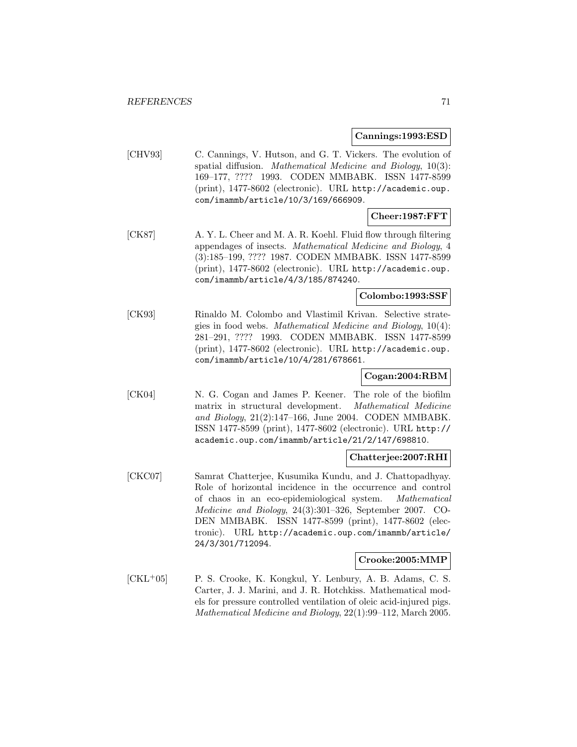#### **Cannings:1993:ESD**

[CHV93] C. Cannings, V. Hutson, and G. T. Vickers. The evolution of spatial diffusion. Mathematical Medicine and Biology, 10(3): 169–177, ???? 1993. CODEN MMBABK. ISSN 1477-8599 (print), 1477-8602 (electronic). URL http://academic.oup. com/imammb/article/10/3/169/666909.

# **Cheer:1987:FFT**

[CK87] A. Y. L. Cheer and M. A. R. Koehl. Fluid flow through filtering appendages of insects. Mathematical Medicine and Biology, 4 (3):185–199, ???? 1987. CODEN MMBABK. ISSN 1477-8599 (print), 1477-8602 (electronic). URL http://academic.oup. com/imammb/article/4/3/185/874240.

# **Colombo:1993:SSF**

[CK93] Rinaldo M. Colombo and Vlastimil Krivan. Selective strategies in food webs. Mathematical Medicine and Biology, 10(4): 281–291, ???? 1993. CODEN MMBABK. ISSN 1477-8599 (print), 1477-8602 (electronic). URL http://academic.oup. com/imammb/article/10/4/281/678661.

# **Cogan:2004:RBM**

[CK04] N. G. Cogan and James P. Keener. The role of the biofilm matrix in structural development. Mathematical Medicine and Biology, 21(2):147–166, June 2004. CODEN MMBABK. ISSN 1477-8599 (print), 1477-8602 (electronic). URL http:// academic.oup.com/imammb/article/21/2/147/698810.

#### **Chatterjee:2007:RHI**

[CKC07] Samrat Chatterjee, Kusumika Kundu, and J. Chattopadhyay. Role of horizontal incidence in the occurrence and control of chaos in an eco-epidemiological system. Mathematical Medicine and Biology, 24(3):301–326, September 2007. CO-DEN MMBABK. ISSN 1477-8599 (print), 1477-8602 (electronic). URL http://academic.oup.com/imammb/article/ 24/3/301/712094.

# **Crooke:2005:MMP**

[CKL<sup>+</sup>05] P. S. Crooke, K. Kongkul, Y. Lenbury, A. B. Adams, C. S. Carter, J. J. Marini, and J. R. Hotchkiss. Mathematical models for pressure controlled ventilation of oleic acid-injured pigs. Mathematical Medicine and Biology, 22(1):99–112, March 2005.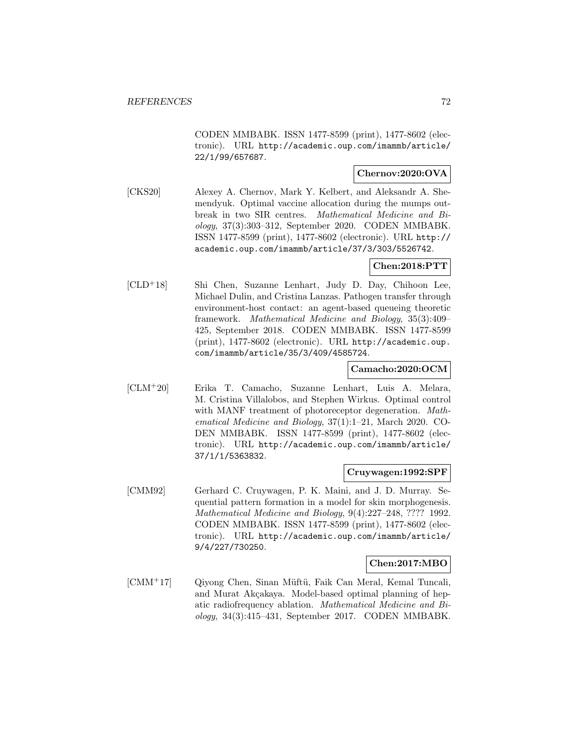CODEN MMBABK. ISSN 1477-8599 (print), 1477-8602 (electronic). URL http://academic.oup.com/imammb/article/ 22/1/99/657687.

# **Chernov:2020:OVA**

[CKS20] Alexey A. Chernov, Mark Y. Kelbert, and Aleksandr A. Shemendyuk. Optimal vaccine allocation during the mumps outbreak in two SIR centres. Mathematical Medicine and Biology, 37(3):303–312, September 2020. CODEN MMBABK. ISSN 1477-8599 (print), 1477-8602 (electronic). URL http:// academic.oup.com/imammb/article/37/3/303/5526742.

# **Chen:2018:PTT**

[CLD<sup>+</sup>18] Shi Chen, Suzanne Lenhart, Judy D. Day, Chihoon Lee, Michael Dulin, and Cristina Lanzas. Pathogen transfer through environment-host contact: an agent-based queueing theoretic framework. Mathematical Medicine and Biology, 35(3):409– 425, September 2018. CODEN MMBABK. ISSN 1477-8599 (print), 1477-8602 (electronic). URL http://academic.oup. com/imammb/article/35/3/409/4585724.

# **Camacho:2020:OCM**

[CLM<sup>+</sup>20] Erika T. Camacho, Suzanne Lenhart, Luis A. Melara, M. Cristina Villalobos, and Stephen Wirkus. Optimal control with MANF treatment of photoreceptor degeneration. Mathematical Medicine and Biology, 37(1):1–21, March 2020. CO-DEN MMBABK. ISSN 1477-8599 (print), 1477-8602 (electronic). URL http://academic.oup.com/imammb/article/ 37/1/1/5363832.

### **Cruywagen:1992:SPF**

[CMM92] Gerhard C. Cruywagen, P. K. Maini, and J. D. Murray. Sequential pattern formation in a model for skin morphogenesis. Mathematical Medicine and Biology, 9(4):227–248, ???? 1992. CODEN MMBABK. ISSN 1477-8599 (print), 1477-8602 (electronic). URL http://academic.oup.com/imammb/article/ 9/4/227/730250.

# **Chen:2017:MBO**

[CMM<sup>+17</sup>] Qiyong Chen, Sinan Müftü, Faik Can Meral, Kemal Tuncali, and Murat Akçakaya. Model-based optimal planning of hepatic radiofrequency ablation. Mathematical Medicine and Biology, 34(3):415–431, September 2017. CODEN MMBABK.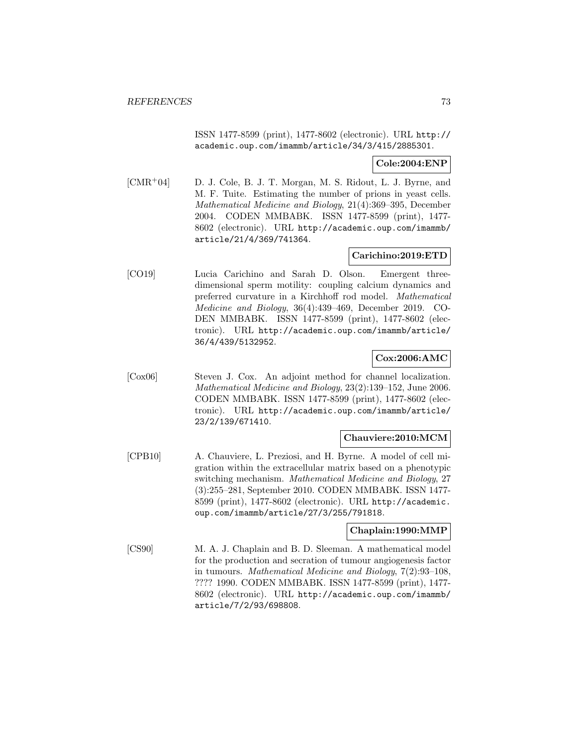ISSN 1477-8599 (print), 1477-8602 (electronic). URL http:// academic.oup.com/imammb/article/34/3/415/2885301.

### **Cole:2004:ENP**

[CMR<sup>+</sup>04] D. J. Cole, B. J. T. Morgan, M. S. Ridout, L. J. Byrne, and M. F. Tuite. Estimating the number of prions in yeast cells. Mathematical Medicine and Biology, 21(4):369–395, December 2004. CODEN MMBABK. ISSN 1477-8599 (print), 1477- 8602 (electronic). URL http://academic.oup.com/imammb/ article/21/4/369/741364.

### **Carichino:2019:ETD**

[CO19] Lucia Carichino and Sarah D. Olson. Emergent threedimensional sperm motility: coupling calcium dynamics and preferred curvature in a Kirchhoff rod model. Mathematical Medicine and Biology, 36(4):439–469, December 2019. CO-DEN MMBABK. ISSN 1477-8599 (print), 1477-8602 (electronic). URL http://academic.oup.com/imammb/article/ 36/4/439/5132952.

### **Cox:2006:AMC**

[Cox06] Steven J. Cox. An adjoint method for channel localization. Mathematical Medicine and Biology, 23(2):139–152, June 2006. CODEN MMBABK. ISSN 1477-8599 (print), 1477-8602 (electronic). URL http://academic.oup.com/imammb/article/ 23/2/139/671410.

# **Chauviere:2010:MCM**

[CPB10] A. Chauviere, L. Preziosi, and H. Byrne. A model of cell migration within the extracellular matrix based on a phenotypic switching mechanism. Mathematical Medicine and Biology, 27 (3):255–281, September 2010. CODEN MMBABK. ISSN 1477- 8599 (print), 1477-8602 (electronic). URL http://academic. oup.com/imammb/article/27/3/255/791818.

### **Chaplain:1990:MMP**

[CS90] M. A. J. Chaplain and B. D. Sleeman. A mathematical model for the production and secration of tumour angiogenesis factor in tumours. Mathematical Medicine and Biology, 7(2):93–108, ???? 1990. CODEN MMBABK. ISSN 1477-8599 (print), 1477- 8602 (electronic). URL http://academic.oup.com/imammb/ article/7/2/93/698808.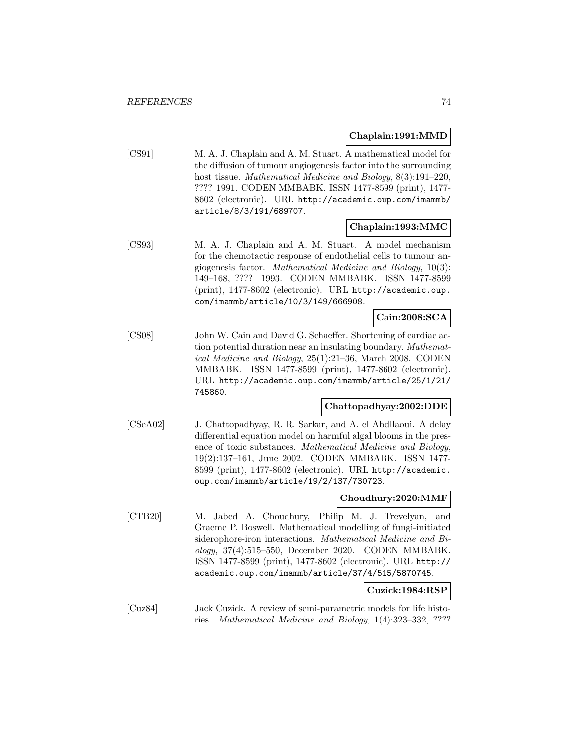### **Chaplain:1991:MMD**

[CS91] M. A. J. Chaplain and A. M. Stuart. A mathematical model for the diffusion of tumour angiogenesis factor into the surrounding host tissue. Mathematical Medicine and Biology, 8(3):191–220, ???? 1991. CODEN MMBABK. ISSN 1477-8599 (print), 1477- 8602 (electronic). URL http://academic.oup.com/imammb/ article/8/3/191/689707.

### **Chaplain:1993:MMC**

[CS93] M. A. J. Chaplain and A. M. Stuart. A model mechanism for the chemotactic response of endothelial cells to tumour angiogenesis factor. Mathematical Medicine and Biology, 10(3): 149–168, ???? 1993. CODEN MMBABK. ISSN 1477-8599 (print), 1477-8602 (electronic). URL http://academic.oup. com/imammb/article/10/3/149/666908.

### **Cain:2008:SCA**

[CS08] John W. Cain and David G. Schaeffer. Shortening of cardiac action potential duration near an insulating boundary. Mathematical Medicine and Biology, 25(1):21–36, March 2008. CODEN MMBABK. ISSN 1477-8599 (print), 1477-8602 (electronic). URL http://academic.oup.com/imammb/article/25/1/21/ 745860.

### **Chattopadhyay:2002:DDE**

[CSeA02] J. Chattopadhyay, R. R. Sarkar, and A. el Abdllaoui. A delay differential equation model on harmful algal blooms in the presence of toxic substances. Mathematical Medicine and Biology, 19(2):137–161, June 2002. CODEN MMBABK. ISSN 1477- 8599 (print), 1477-8602 (electronic). URL http://academic. oup.com/imammb/article/19/2/137/730723.

### **Choudhury:2020:MMF**

[CTB20] M. Jabed A. Choudhury, Philip M. J. Trevelyan, and Graeme P. Boswell. Mathematical modelling of fungi-initiated siderophore-iron interactions. Mathematical Medicine and Biology, 37(4):515–550, December 2020. CODEN MMBABK. ISSN 1477-8599 (print), 1477-8602 (electronic). URL http:// academic.oup.com/imammb/article/37/4/515/5870745.

# **Cuzick:1984:RSP**

[Cuz84] Jack Cuzick. A review of semi-parametric models for life histories. Mathematical Medicine and Biology, 1(4):323–332, ????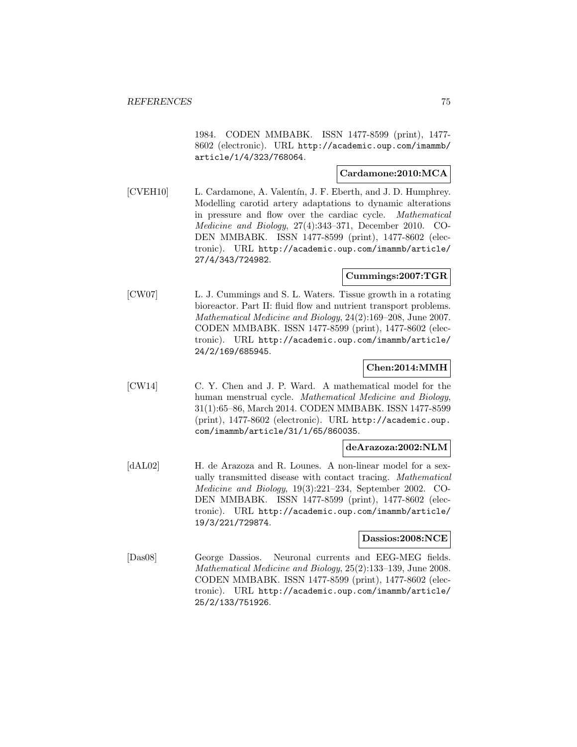1984. CODEN MMBABK. ISSN 1477-8599 (print), 1477- 8602 (electronic). URL http://academic.oup.com/imammb/ article/1/4/323/768064.

### **Cardamone:2010:MCA**

[CVEH10] L. Cardamone, A. Valentín, J. F. Eberth, and J. D. Humphrey. Modelling carotid artery adaptations to dynamic alterations in pressure and flow over the cardiac cycle. Mathematical Medicine and Biology, 27(4):343–371, December 2010. CO-DEN MMBABK. ISSN 1477-8599 (print), 1477-8602 (electronic). URL http://academic.oup.com/imammb/article/ 27/4/343/724982.

#### **Cummings:2007:TGR**

[CW07] L. J. Cummings and S. L. Waters. Tissue growth in a rotating bioreactor. Part II: fluid flow and nutrient transport problems. Mathematical Medicine and Biology, 24(2):169–208, June 2007. CODEN MMBABK. ISSN 1477-8599 (print), 1477-8602 (electronic). URL http://academic.oup.com/imammb/article/ 24/2/169/685945.

### **Chen:2014:MMH**

[CW14] C. Y. Chen and J. P. Ward. A mathematical model for the human menstrual cycle. Mathematical Medicine and Biology, 31(1):65–86, March 2014. CODEN MMBABK. ISSN 1477-8599 (print), 1477-8602 (electronic). URL http://academic.oup. com/imammb/article/31/1/65/860035.

### **deArazoza:2002:NLM**

[dAL02] H. de Arazoza and R. Lounes. A non-linear model for a sexually transmitted disease with contact tracing. Mathematical Medicine and Biology, 19(3):221–234, September 2002. CO-DEN MMBABK. ISSN 1477-8599 (print), 1477-8602 (electronic). URL http://academic.oup.com/imammb/article/ 19/3/221/729874.

### **Dassios:2008:NCE**

[Das08] George Dassios. Neuronal currents and EEG-MEG fields. Mathematical Medicine and Biology, 25(2):133–139, June 2008. CODEN MMBABK. ISSN 1477-8599 (print), 1477-8602 (electronic). URL http://academic.oup.com/imammb/article/ 25/2/133/751926.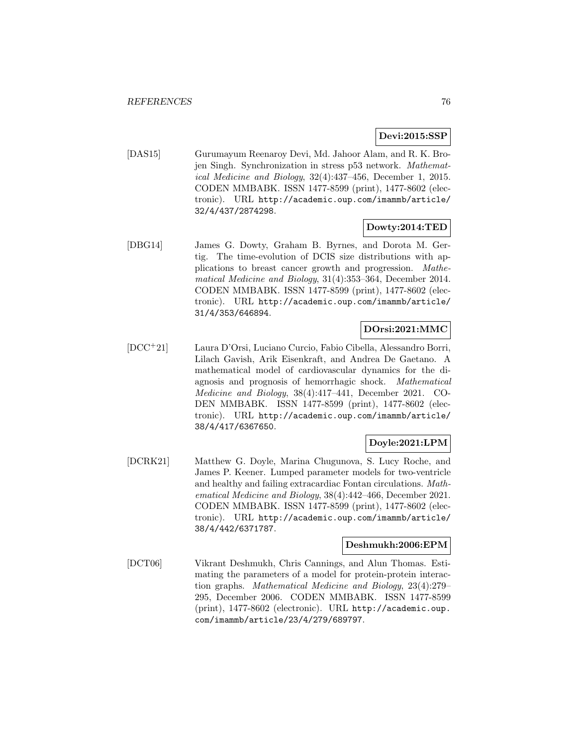# **Devi:2015:SSP**

[DAS15] Gurumayum Reenaroy Devi, Md. Jahoor Alam, and R. K. Brojen Singh. Synchronization in stress p53 network. Mathematical Medicine and Biology, 32(4):437–456, December 1, 2015. CODEN MMBABK. ISSN 1477-8599 (print), 1477-8602 (electronic). URL http://academic.oup.com/imammb/article/ 32/4/437/2874298.

### **Dowty:2014:TED**

[DBG14] James G. Dowty, Graham B. Byrnes, and Dorota M. Gertig. The time-evolution of DCIS size distributions with applications to breast cancer growth and progression. Mathematical Medicine and Biology, 31(4):353–364, December 2014. CODEN MMBABK. ISSN 1477-8599 (print), 1477-8602 (electronic). URL http://academic.oup.com/imammb/article/ 31/4/353/646894.

### **DOrsi:2021:MMC**

[DCC<sup>+</sup>21] Laura D'Orsi, Luciano Curcio, Fabio Cibella, Alessandro Borri, Lilach Gavish, Arik Eisenkraft, and Andrea De Gaetano. A mathematical model of cardiovascular dynamics for the diagnosis and prognosis of hemorrhagic shock. Mathematical Medicine and Biology, 38(4):417–441, December 2021. CO-DEN MMBABK. ISSN 1477-8599 (print), 1477-8602 (electronic). URL http://academic.oup.com/imammb/article/ 38/4/417/6367650.

### **Doyle:2021:LPM**

[DCRK21] Matthew G. Doyle, Marina Chugunova, S. Lucy Roche, and James P. Keener. Lumped parameter models for two-ventricle and healthy and failing extracardiac Fontan circulations. Mathematical Medicine and Biology, 38(4):442–466, December 2021. CODEN MMBABK. ISSN 1477-8599 (print), 1477-8602 (electronic). URL http://academic.oup.com/imammb/article/ 38/4/442/6371787.

### **Deshmukh:2006:EPM**

[DCT06] Vikrant Deshmukh, Chris Cannings, and Alun Thomas. Estimating the parameters of a model for protein-protein interaction graphs. Mathematical Medicine and Biology, 23(4):279– 295, December 2006. CODEN MMBABK. ISSN 1477-8599 (print), 1477-8602 (electronic). URL http://academic.oup. com/imammb/article/23/4/279/689797.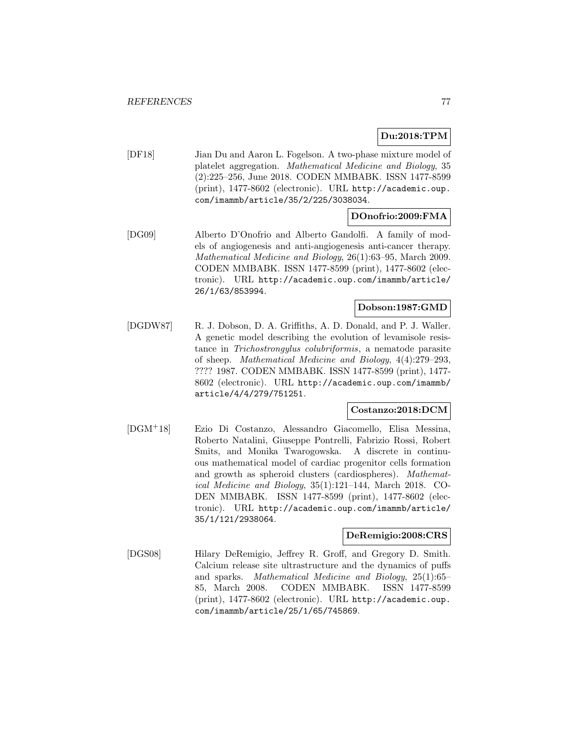# **Du:2018:TPM**

[DF18] Jian Du and Aaron L. Fogelson. A two-phase mixture model of platelet aggregation. Mathematical Medicine and Biology, 35 (2):225–256, June 2018. CODEN MMBABK. ISSN 1477-8599 (print), 1477-8602 (electronic). URL http://academic.oup. com/imammb/article/35/2/225/3038034.

### **DOnofrio:2009:FMA**

[DG09] Alberto D'Onofrio and Alberto Gandolfi. A family of models of angiogenesis and anti-angiogenesis anti-cancer therapy. Mathematical Medicine and Biology, 26(1):63–95, March 2009. CODEN MMBABK. ISSN 1477-8599 (print), 1477-8602 (electronic). URL http://academic.oup.com/imammb/article/ 26/1/63/853994.

### **Dobson:1987:GMD**

[DGDW87] R. J. Dobson, D. A. Griffiths, A. D. Donald, and P. J. Waller. A genetic model describing the evolution of levamisole resistance in Trichostrongylus colubriformis, a nematode parasite of sheep. Mathematical Medicine and Biology, 4(4):279–293, ???? 1987. CODEN MMBABK. ISSN 1477-8599 (print), 1477- 8602 (electronic). URL http://academic.oup.com/imammb/ article/4/4/279/751251.

### **Costanzo:2018:DCM**

[DGM<sup>+</sup>18] Ezio Di Costanzo, Alessandro Giacomello, Elisa Messina, Roberto Natalini, Giuseppe Pontrelli, Fabrizio Rossi, Robert Smits, and Monika Twarogowska. A discrete in continuous mathematical model of cardiac progenitor cells formation and growth as spheroid clusters (cardiospheres). Mathematical Medicine and Biology, 35(1):121–144, March 2018. CO-DEN MMBABK. ISSN 1477-8599 (print), 1477-8602 (electronic). URL http://academic.oup.com/imammb/article/ 35/1/121/2938064.

#### **DeRemigio:2008:CRS**

[DGS08] Hilary DeRemigio, Jeffrey R. Groff, and Gregory D. Smith. Calcium release site ultrastructure and the dynamics of puffs and sparks. Mathematical Medicine and Biology, 25(1):65– 85, March 2008. CODEN MMBABK. ISSN 1477-8599 (print), 1477-8602 (electronic). URL http://academic.oup. com/imammb/article/25/1/65/745869.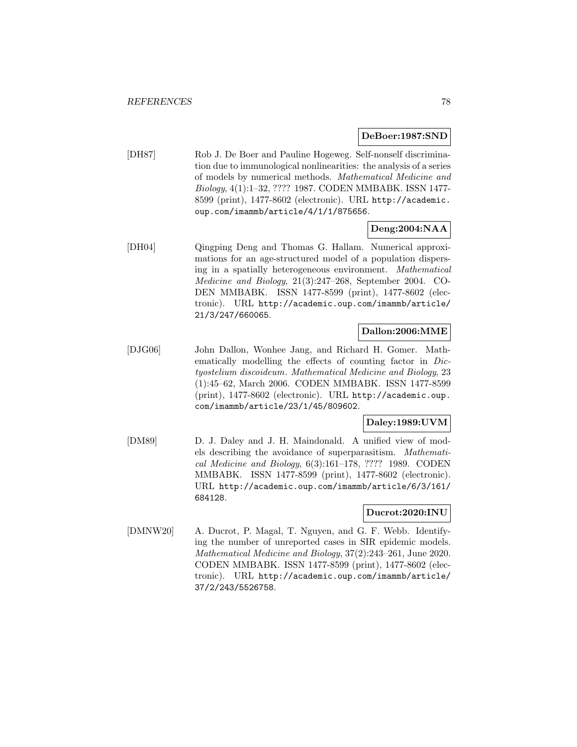#### **DeBoer:1987:SND**

[DH87] Rob J. De Boer and Pauline Hogeweg. Self-nonself discrimination due to immunological nonlinearities: the analysis of a series of models by numerical methods. Mathematical Medicine and Biology, 4(1):1–32, ???? 1987. CODEN MMBABK. ISSN 1477- 8599 (print), 1477-8602 (electronic). URL http://academic. oup.com/imammb/article/4/1/1/875656.

# **Deng:2004:NAA**

[DH04] Qingping Deng and Thomas G. Hallam. Numerical approximations for an age-structured model of a population dispersing in a spatially heterogeneous environment. Mathematical Medicine and Biology, 21(3):247–268, September 2004. CO-DEN MMBABK. ISSN 1477-8599 (print), 1477-8602 (electronic). URL http://academic.oup.com/imammb/article/ 21/3/247/660065.

# **Dallon:2006:MME**

[DJG06] John Dallon, Wonhee Jang, and Richard H. Gomer. Mathematically modelling the effects of counting factor in Dictyostelium discoideum. Mathematical Medicine and Biology, 23 (1):45–62, March 2006. CODEN MMBABK. ISSN 1477-8599 (print), 1477-8602 (electronic). URL http://academic.oup. com/imammb/article/23/1/45/809602.

## **Daley:1989:UVM**

[DM89] D. J. Daley and J. H. Maindonald. A unified view of models describing the avoidance of superparasitism. Mathematical Medicine and Biology, 6(3):161–178, ???? 1989. CODEN MMBABK. ISSN 1477-8599 (print), 1477-8602 (electronic). URL http://academic.oup.com/imammb/article/6/3/161/ 684128.

### **Ducrot:2020:INU**

[DMNW20] A. Ducrot, P. Magal, T. Nguyen, and G. F. Webb. Identifying the number of unreported cases in SIR epidemic models. Mathematical Medicine and Biology, 37(2):243–261, June 2020. CODEN MMBABK. ISSN 1477-8599 (print), 1477-8602 (electronic). URL http://academic.oup.com/imammb/article/ 37/2/243/5526758.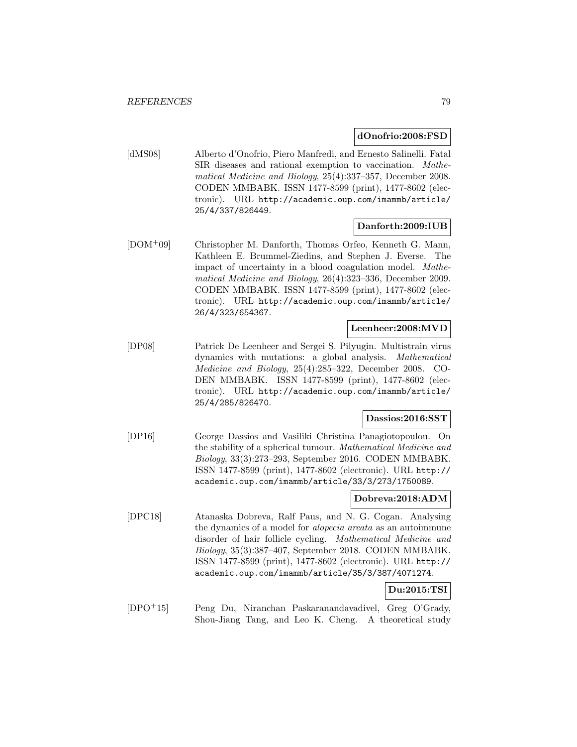### **dOnofrio:2008:FSD**

[dMS08] Alberto d'Onofrio, Piero Manfredi, and Ernesto Salinelli. Fatal SIR diseases and rational exemption to vaccination. Mathematical Medicine and Biology, 25(4):337–357, December 2008. CODEN MMBABK. ISSN 1477-8599 (print), 1477-8602 (electronic). URL http://academic.oup.com/imammb/article/ 25/4/337/826449.

# **Danforth:2009:IUB**

[DOM<sup>+</sup>09] Christopher M. Danforth, Thomas Orfeo, Kenneth G. Mann, Kathleen E. Brummel-Ziedins, and Stephen J. Everse. The impact of uncertainty in a blood coagulation model. Mathematical Medicine and Biology, 26(4):323–336, December 2009. CODEN MMBABK. ISSN 1477-8599 (print), 1477-8602 (electronic). URL http://academic.oup.com/imammb/article/ 26/4/323/654367.

### **Leenheer:2008:MVD**

[DP08] Patrick De Leenheer and Sergei S. Pilyugin. Multistrain virus dynamics with mutations: a global analysis. Mathematical Medicine and Biology, 25(4):285–322, December 2008. CO-DEN MMBABK. ISSN 1477-8599 (print), 1477-8602 (electronic). URL http://academic.oup.com/imammb/article/ 25/4/285/826470.

### **Dassios:2016:SST**

[DP16] George Dassios and Vasiliki Christina Panagiotopoulou. On the stability of a spherical tumour. Mathematical Medicine and Biology, 33(3):273–293, September 2016. CODEN MMBABK. ISSN 1477-8599 (print), 1477-8602 (electronic). URL http:// academic.oup.com/imammb/article/33/3/273/1750089.

# **Dobreva:2018:ADM**

[DPC18] Atanaska Dobreva, Ralf Paus, and N. G. Cogan. Analysing the dynamics of a model for alopecia areata as an autoimmune disorder of hair follicle cycling. Mathematical Medicine and Biology, 35(3):387–407, September 2018. CODEN MMBABK. ISSN 1477-8599 (print), 1477-8602 (electronic). URL http:// academic.oup.com/imammb/article/35/3/387/4071274.

# **Du:2015:TSI**

[DPO<sup>+</sup>15] Peng Du, Niranchan Paskaranandavadivel, Greg O'Grady, Shou-Jiang Tang, and Leo K. Cheng. A theoretical study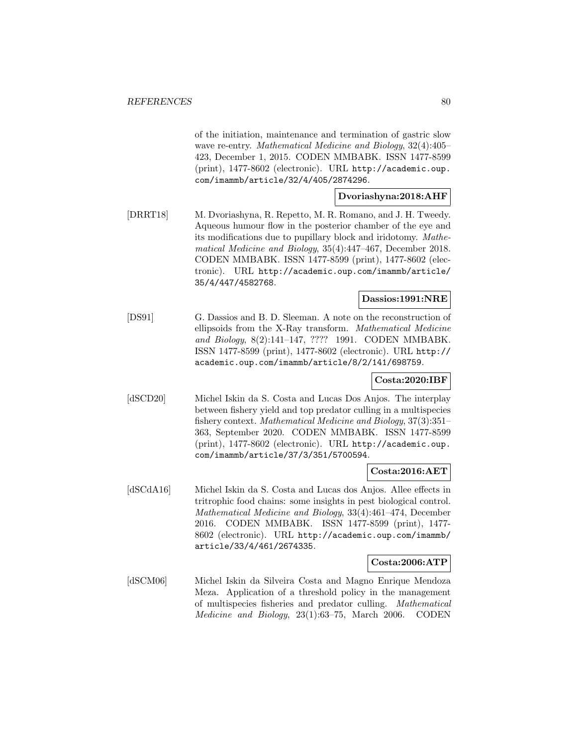of the initiation, maintenance and termination of gastric slow wave re-entry. Mathematical Medicine and Biology, 32(4):405– 423, December 1, 2015. CODEN MMBABK. ISSN 1477-8599 (print), 1477-8602 (electronic). URL http://academic.oup. com/imammb/article/32/4/405/2874296.

### **Dvoriashyna:2018:AHF**

[DRRT18] M. Dvoriashyna, R. Repetto, M. R. Romano, and J. H. Tweedy. Aqueous humour flow in the posterior chamber of the eye and its modifications due to pupillary block and iridotomy. Mathematical Medicine and Biology, 35(4):447–467, December 2018. CODEN MMBABK. ISSN 1477-8599 (print), 1477-8602 (electronic). URL http://academic.oup.com/imammb/article/ 35/4/447/4582768.

## **Dassios:1991:NRE**

[DS91] G. Dassios and B. D. Sleeman. A note on the reconstruction of ellipsoids from the X-Ray transform. Mathematical Medicine and Biology, 8(2):141–147, ???? 1991. CODEN MMBABK. ISSN 1477-8599 (print), 1477-8602 (electronic). URL http:// academic.oup.com/imammb/article/8/2/141/698759.

### **Costa:2020:IBF**

[dSCD20] Michel Iskin da S. Costa and Lucas Dos Anjos. The interplay between fishery yield and top predator culling in a multispecies fishery context. Mathematical Medicine and Biology, 37(3):351– 363, September 2020. CODEN MMBABK. ISSN 1477-8599 (print), 1477-8602 (electronic). URL http://academic.oup. com/imammb/article/37/3/351/5700594.

### **Costa:2016:AET**

[dSCdA16] Michel Iskin da S. Costa and Lucas dos Anjos. Allee effects in tritrophic food chains: some insights in pest biological control. Mathematical Medicine and Biology, 33(4):461–474, December 2016. CODEN MMBABK. ISSN 1477-8599 (print), 1477- 8602 (electronic). URL http://academic.oup.com/imammb/ article/33/4/461/2674335.

# **Costa:2006:ATP**

[dSCM06] Michel Iskin da Silveira Costa and Magno Enrique Mendoza Meza. Application of a threshold policy in the management of multispecies fisheries and predator culling. Mathematical Medicine and Biology, 23(1):63–75, March 2006. CODEN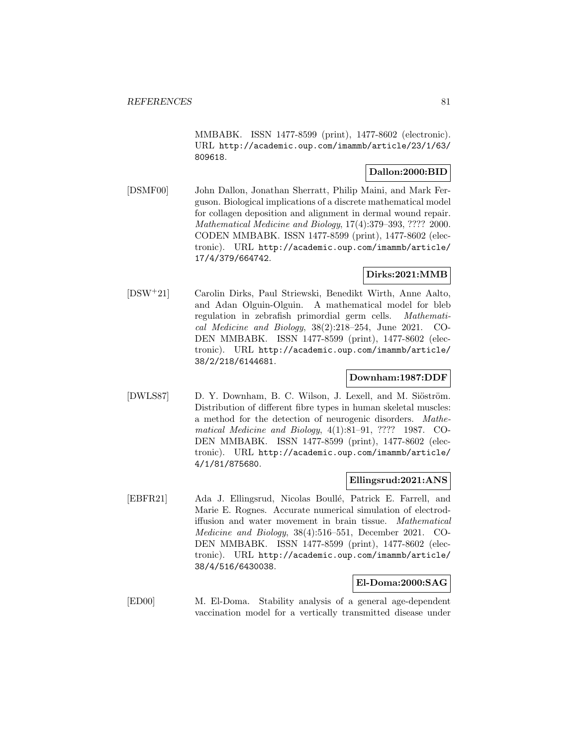MMBABK. ISSN 1477-8599 (print), 1477-8602 (electronic). URL http://academic.oup.com/imammb/article/23/1/63/ 809618.

# **Dallon:2000:BID**

[DSMF00] John Dallon, Jonathan Sherratt, Philip Maini, and Mark Ferguson. Biological implications of a discrete mathematical model for collagen deposition and alignment in dermal wound repair. Mathematical Medicine and Biology, 17(4):379–393, ???? 2000. CODEN MMBABK. ISSN 1477-8599 (print), 1477-8602 (electronic). URL http://academic.oup.com/imammb/article/ 17/4/379/664742.

### **Dirks:2021:MMB**

[DSW<sup>+</sup>21] Carolin Dirks, Paul Striewski, Benedikt Wirth, Anne Aalto, and Adan Olguin-Olguin. A mathematical model for bleb regulation in zebrafish primordial germ cells. Mathematical Medicine and Biology, 38(2):218–254, June 2021. CO-DEN MMBABK. ISSN 1477-8599 (print), 1477-8602 (electronic). URL http://academic.oup.com/imammb/article/ 38/2/218/6144681.

# **Downham:1987:DDF**

[DWLS87] D. Y. Downham, B. C. Wilson, J. Lexell, and M. Siöström. Distribution of different fibre types in human skeletal muscles: a method for the detection of neurogenic disorders. Mathematical Medicine and Biology, 4(1):81–91, ???? 1987. CO-DEN MMBABK. ISSN 1477-8599 (print), 1477-8602 (electronic). URL http://academic.oup.com/imammb/article/ 4/1/81/875680.

### **Ellingsrud:2021:ANS**

[EBFR21] Ada J. Ellingsrud, Nicolas Boullé, Patrick E. Farrell, and Marie E. Rognes. Accurate numerical simulation of electrodiffusion and water movement in brain tissue. Mathematical Medicine and Biology, 38(4):516–551, December 2021. CO-DEN MMBABK. ISSN 1477-8599 (print), 1477-8602 (electronic). URL http://academic.oup.com/imammb/article/ 38/4/516/6430038.

### **El-Doma:2000:SAG**

[ED00] M. El-Doma. Stability analysis of a general age-dependent vaccination model for a vertically transmitted disease under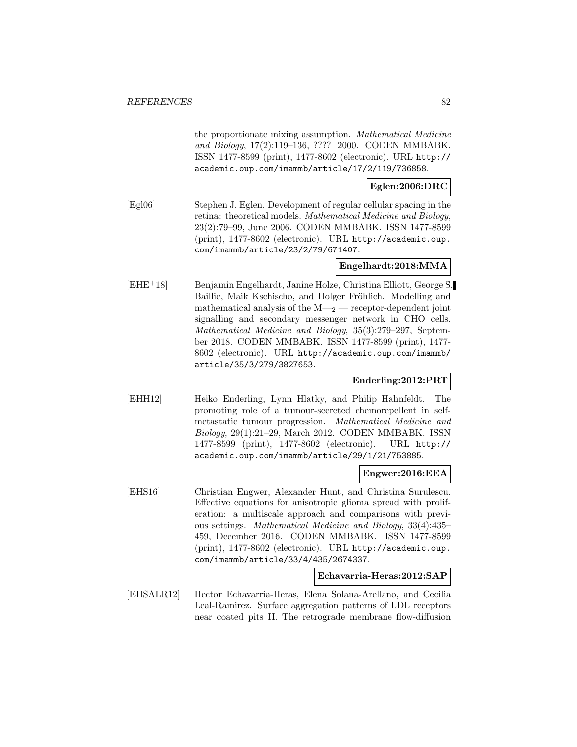the proportionate mixing assumption. Mathematical Medicine and Biology, 17(2):119–136, ???? 2000. CODEN MMBABK. ISSN 1477-8599 (print), 1477-8602 (electronic). URL http:// academic.oup.com/imammb/article/17/2/119/736858.

# **Eglen:2006:DRC**

[Egl06] Stephen J. Eglen. Development of regular cellular spacing in the retina: theoretical models. Mathematical Medicine and Biology, 23(2):79–99, June 2006. CODEN MMBABK. ISSN 1477-8599 (print), 1477-8602 (electronic). URL http://academic.oup. com/imammb/article/23/2/79/671407.

# **Engelhardt:2018:MMA**

[EHE<sup>+</sup>18] Benjamin Engelhardt, Janine Holze, Christina Elliott, George S. Baillie, Maik Kschischo, and Holger Fröhlich. Modelling and mathematical analysis of the  $M_{2}$  — receptor-dependent joint signalling and secondary messenger network in CHO cells. Mathematical Medicine and Biology, 35(3):279–297, September 2018. CODEN MMBABK. ISSN 1477-8599 (print), 1477- 8602 (electronic). URL http://academic.oup.com/imammb/ article/35/3/279/3827653.

# **Enderling:2012:PRT**

[EHH12] Heiko Enderling, Lynn Hlatky, and Philip Hahnfeldt. The promoting role of a tumour-secreted chemorepellent in selfmetastatic tumour progression. Mathematical Medicine and Biology, 29(1):21–29, March 2012. CODEN MMBABK. ISSN 1477-8599 (print), 1477-8602 (electronic). URL http:// academic.oup.com/imammb/article/29/1/21/753885.

### **Engwer:2016:EEA**

[EHS16] Christian Engwer, Alexander Hunt, and Christina Surulescu. Effective equations for anisotropic glioma spread with proliferation: a multiscale approach and comparisons with previous settings. Mathematical Medicine and Biology, 33(4):435– 459, December 2016. CODEN MMBABK. ISSN 1477-8599 (print), 1477-8602 (electronic). URL http://academic.oup. com/imammb/article/33/4/435/2674337.

#### **Echavarria-Heras:2012:SAP**

[EHSALR12] Hector Echavarria-Heras, Elena Solana-Arellano, and Cecilia Leal-Ramirez. Surface aggregation patterns of LDL receptors near coated pits II. The retrograde membrane flow-diffusion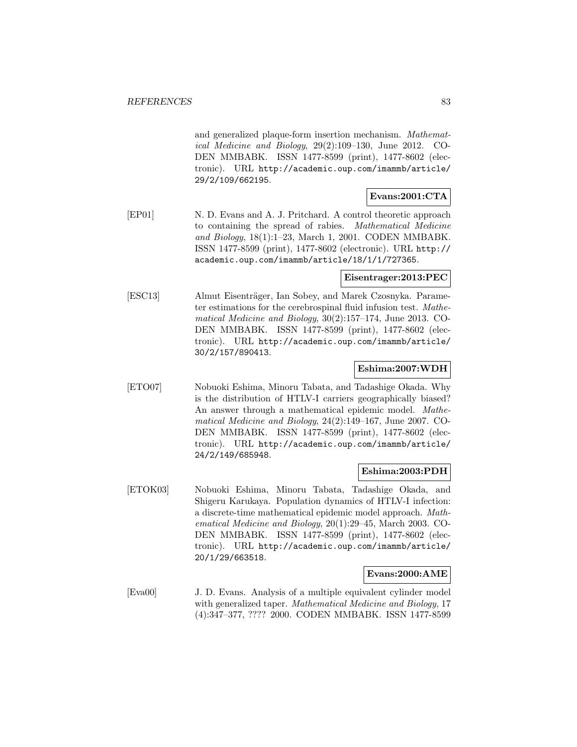and generalized plaque-form insertion mechanism. Mathematical Medicine and Biology, 29(2):109–130, June 2012. CO-DEN MMBABK. ISSN 1477-8599 (print), 1477-8602 (electronic). URL http://academic.oup.com/imammb/article/ 29/2/109/662195.

# **Evans:2001:CTA**

[EP01] N. D. Evans and A. J. Pritchard. A control theoretic approach to containing the spread of rabies. Mathematical Medicine and Biology, 18(1):1–23, March 1, 2001. CODEN MMBABK. ISSN 1477-8599 (print), 1477-8602 (electronic). URL http:// academic.oup.com/imammb/article/18/1/1/727365.

### **Eisentrager:2013:PEC**

[ESC13] Almut Eisenträger, Ian Sobey, and Marek Czosnyka. Parameter estimations for the cerebrospinal fluid infusion test. Mathematical Medicine and Biology, 30(2):157–174, June 2013. CO-DEN MMBABK. ISSN 1477-8599 (print), 1477-8602 (electronic). URL http://academic.oup.com/imammb/article/ 30/2/157/890413.

### **Eshima:2007:WDH**

[ETO07] Nobuoki Eshima, Minoru Tabata, and Tadashige Okada. Why is the distribution of HTLV-I carriers geographically biased? An answer through a mathematical epidemic model. Mathematical Medicine and Biology, 24(2):149–167, June 2007. CO-DEN MMBABK. ISSN 1477-8599 (print), 1477-8602 (electronic). URL http://academic.oup.com/imammb/article/ 24/2/149/685948.

### **Eshima:2003:PDH**

[ETOK03] Nobuoki Eshima, Minoru Tabata, Tadashige Okada, and Shigeru Karukaya. Population dynamics of HTLV-I infection: a discrete-time mathematical epidemic model approach. Mathematical Medicine and Biology, 20(1):29–45, March 2003. CO-DEN MMBABK. ISSN 1477-8599 (print), 1477-8602 (electronic). URL http://academic.oup.com/imammb/article/ 20/1/29/663518.

#### **Evans:2000:AME**

[Eva00] J. D. Evans. Analysis of a multiple equivalent cylinder model with generalized taper. *Mathematical Medicine and Biology*, 17 (4):347–377, ???? 2000. CODEN MMBABK. ISSN 1477-8599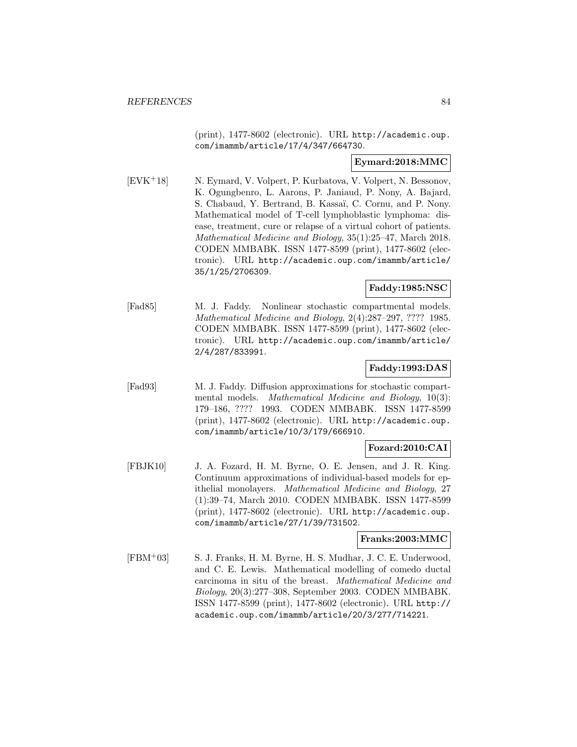(print), 1477-8602 (electronic). URL http://academic.oup. com/imammb/article/17/4/347/664730.

### **Eymard:2018:MMC**

[EVK<sup>+</sup>18] N. Eymard, V. Volpert, P. Kurbatova, V. Volpert, N. Bessonov, K. Ogungbenro, L. Aarons, P. Janiaud, P. Nony, A. Bajard, S. Chabaud, Y. Bertrand, B. Kassaï, C. Cornu, and P. Nony. Mathematical model of T-cell lymphoblastic lymphoma: disease, treatment, cure or relapse of a virtual cohort of patients. Mathematical Medicine and Biology, 35(1):25–47, March 2018. CODEN MMBABK. ISSN 1477-8599 (print), 1477-8602 (electronic). URL http://academic.oup.com/imammb/article/ 35/1/25/2706309.

### **Faddy:1985:NSC**

[Fad85] M. J. Faddy. Nonlinear stochastic compartmental models. Mathematical Medicine and Biology, 2(4):287–297, ???? 1985. CODEN MMBABK. ISSN 1477-8599 (print), 1477-8602 (electronic). URL http://academic.oup.com/imammb/article/ 2/4/287/833991.

### **Faddy:1993:DAS**

[Fad93] M. J. Faddy. Diffusion approximations for stochastic compartmental models. Mathematical Medicine and Biology, 10(3): 179–186, ???? 1993. CODEN MMBABK. ISSN 1477-8599 (print), 1477-8602 (electronic). URL http://academic.oup. com/imammb/article/10/3/179/666910.

### **Fozard:2010:CAI**

[FBJK10] J. A. Fozard, H. M. Byrne, O. E. Jensen, and J. R. King. Continuum approximations of individual-based models for epithelial monolayers. Mathematical Medicine and Biology, 27 (1):39–74, March 2010. CODEN MMBABK. ISSN 1477-8599 (print), 1477-8602 (electronic). URL http://academic.oup. com/imammb/article/27/1/39/731502.

### **Franks:2003:MMC**

[FBM<sup>+</sup>03] S. J. Franks, H. M. Byrne, H. S. Mudhar, J. C. E. Underwood, and C. E. Lewis. Mathematical modelling of comedo ductal carcinoma in situ of the breast. Mathematical Medicine and Biology, 20(3):277–308, September 2003. CODEN MMBABK. ISSN 1477-8599 (print), 1477-8602 (electronic). URL http:// academic.oup.com/imammb/article/20/3/277/714221.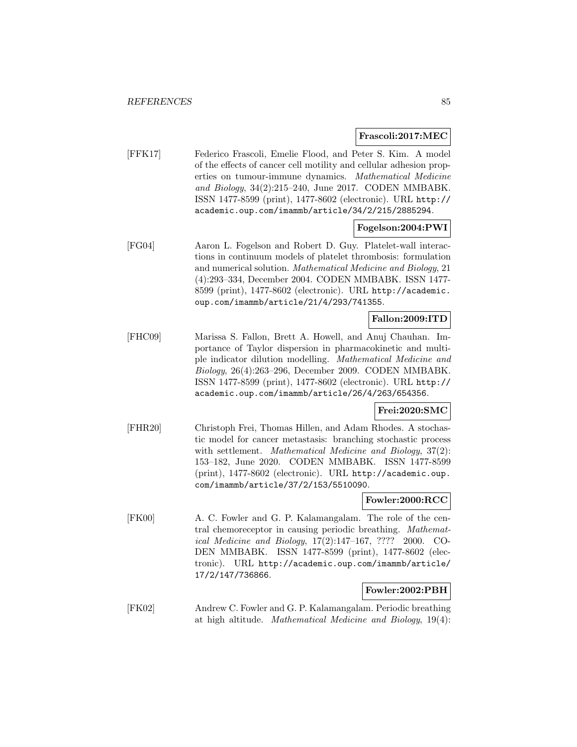### **Frascoli:2017:MEC**

[FFK17] Federico Frascoli, Emelie Flood, and Peter S. Kim. A model of the effects of cancer cell motility and cellular adhesion properties on tumour-immune dynamics. Mathematical Medicine and Biology, 34(2):215–240, June 2017. CODEN MMBABK. ISSN 1477-8599 (print), 1477-8602 (electronic). URL http:// academic.oup.com/imammb/article/34/2/215/2885294.

### **Fogelson:2004:PWI**

[FG04] Aaron L. Fogelson and Robert D. Guy. Platelet-wall interactions in continuum models of platelet thrombosis: formulation and numerical solution. Mathematical Medicine and Biology, 21 (4):293–334, December 2004. CODEN MMBABK. ISSN 1477- 8599 (print), 1477-8602 (electronic). URL http://academic. oup.com/imammb/article/21/4/293/741355.

### **Fallon:2009:ITD**

[FHC09] Marissa S. Fallon, Brett A. Howell, and Anuj Chauhan. Importance of Taylor dispersion in pharmacokinetic and multiple indicator dilution modelling. Mathematical Medicine and Biology, 26(4):263–296, December 2009. CODEN MMBABK. ISSN 1477-8599 (print), 1477-8602 (electronic). URL http:// academic.oup.com/imammb/article/26/4/263/654356.

### **Frei:2020:SMC**

[FHR20] Christoph Frei, Thomas Hillen, and Adam Rhodes. A stochastic model for cancer metastasis: branching stochastic process with settlement. *Mathematical Medicine and Biology*, 37(2): 153–182, June 2020. CODEN MMBABK. ISSN 1477-8599 (print), 1477-8602 (electronic). URL http://academic.oup. com/imammb/article/37/2/153/5510090.

### **Fowler:2000:RCC**

[FK00] A. C. Fowler and G. P. Kalamangalam. The role of the central chemoreceptor in causing periodic breathing. Mathematical Medicine and Biology, 17(2):147–167, ???? 2000. CO-DEN MMBABK. ISSN 1477-8599 (print), 1477-8602 (electronic). URL http://academic.oup.com/imammb/article/ 17/2/147/736866.

### **Fowler:2002:PBH**

[FK02] Andrew C. Fowler and G. P. Kalamangalam. Periodic breathing at high altitude. Mathematical Medicine and Biology, 19(4):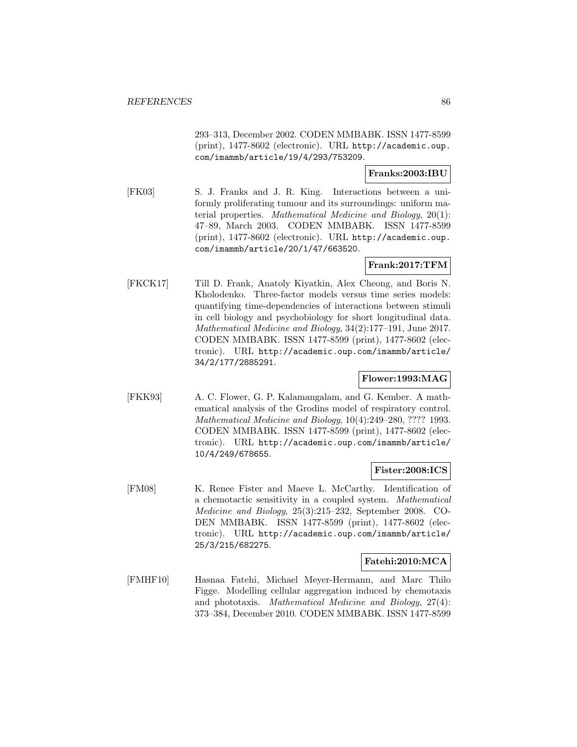293–313, December 2002. CODEN MMBABK. ISSN 1477-8599 (print), 1477-8602 (electronic). URL http://academic.oup. com/imammb/article/19/4/293/753209.

#### **Franks:2003:IBU**

[FK03] S. J. Franks and J. R. King. Interactions between a uniformly proliferating tumour and its surroundings: uniform material properties. Mathematical Medicine and Biology, 20(1): 47–89, March 2003. CODEN MMBABK. ISSN 1477-8599 (print), 1477-8602 (electronic). URL http://academic.oup. com/imammb/article/20/1/47/663520.

# **Frank:2017:TFM**

[FKCK17] Till D. Frank, Anatoly Kiyatkin, Alex Cheong, and Boris N. Kholodenko. Three-factor models versus time series models: quantifying time-dependencies of interactions between stimuli in cell biology and psychobiology for short longitudinal data. Mathematical Medicine and Biology, 34(2):177–191, June 2017. CODEN MMBABK. ISSN 1477-8599 (print), 1477-8602 (electronic). URL http://academic.oup.com/imammb/article/ 34/2/177/2885291.

### **Flower:1993:MAG**

[FKK93] A. C. Flower, G. P. Kalamangalam, and G. Kember. A mathematical analysis of the Grodins model of respiratory control. Mathematical Medicine and Biology, 10(4):249–280, ???? 1993. CODEN MMBABK. ISSN 1477-8599 (print), 1477-8602 (electronic). URL http://academic.oup.com/imammb/article/ 10/4/249/678655.

### **Fister:2008:ICS**

[FM08] K. Renee Fister and Maeve L. McCarthy. Identification of a chemotactic sensitivity in a coupled system. Mathematical Medicine and Biology, 25(3):215–232, September 2008. CO-DEN MMBABK. ISSN 1477-8599 (print), 1477-8602 (electronic). URL http://academic.oup.com/imammb/article/ 25/3/215/682275.

# **Fatehi:2010:MCA**

[FMHF10] Hasnaa Fatehi, Michael Meyer-Hermann, and Marc Thilo Figge. Modelling cellular aggregation induced by chemotaxis and phototaxis. Mathematical Medicine and Biology, 27(4): 373–384, December 2010. CODEN MMBABK. ISSN 1477-8599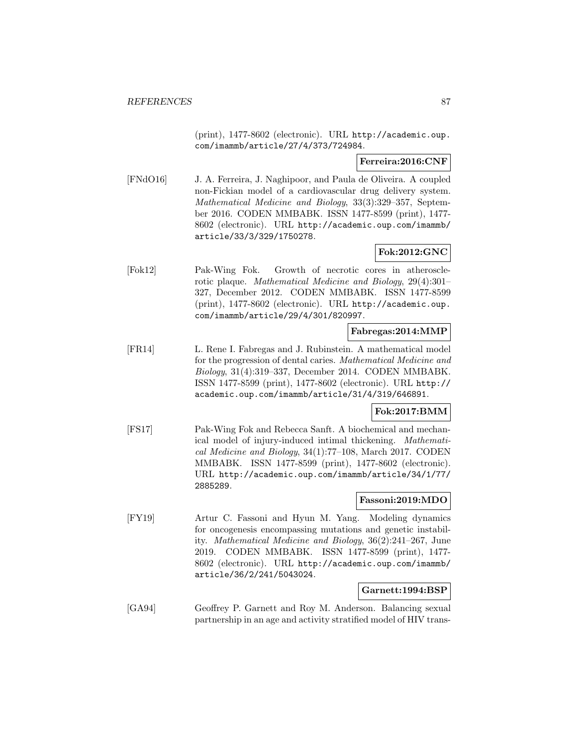(print), 1477-8602 (electronic). URL http://academic.oup. com/imammb/article/27/4/373/724984.

### **Ferreira:2016:CNF**

[FNdO16] J. A. Ferreira, J. Naghipoor, and Paula de Oliveira. A coupled non-Fickian model of a cardiovascular drug delivery system. Mathematical Medicine and Biology, 33(3):329–357, September 2016. CODEN MMBABK. ISSN 1477-8599 (print), 1477- 8602 (electronic). URL http://academic.oup.com/imammb/ article/33/3/329/1750278.

# **Fok:2012:GNC**

[Fok12] Pak-Wing Fok. Growth of necrotic cores in atherosclerotic plaque. Mathematical Medicine and Biology, 29(4):301– 327, December 2012. CODEN MMBABK. ISSN 1477-8599 (print), 1477-8602 (electronic). URL http://academic.oup. com/imammb/article/29/4/301/820997.

### **Fabregas:2014:MMP**

[FR14] L. Rene I. Fabregas and J. Rubinstein. A mathematical model for the progression of dental caries. Mathematical Medicine and Biology, 31(4):319–337, December 2014. CODEN MMBABK. ISSN 1477-8599 (print), 1477-8602 (electronic). URL http:// academic.oup.com/imammb/article/31/4/319/646891.

### **Fok:2017:BMM**

[FS17] Pak-Wing Fok and Rebecca Sanft. A biochemical and mechanical model of injury-induced intimal thickening. Mathematical Medicine and Biology, 34(1):77–108, March 2017. CODEN MMBABK. ISSN 1477-8599 (print), 1477-8602 (electronic). URL http://academic.oup.com/imammb/article/34/1/77/ 2885289.

### **Fassoni:2019:MDO**

[FY19] Artur C. Fassoni and Hyun M. Yang. Modeling dynamics for oncogenesis encompassing mutations and genetic instability. Mathematical Medicine and Biology, 36(2):241–267, June 2019. CODEN MMBABK. ISSN 1477-8599 (print), 1477- 8602 (electronic). URL http://academic.oup.com/imammb/ article/36/2/241/5043024.

### **Garnett:1994:BSP**

[GA94] Geoffrey P. Garnett and Roy M. Anderson. Balancing sexual partnership in an age and activity stratified model of HIV trans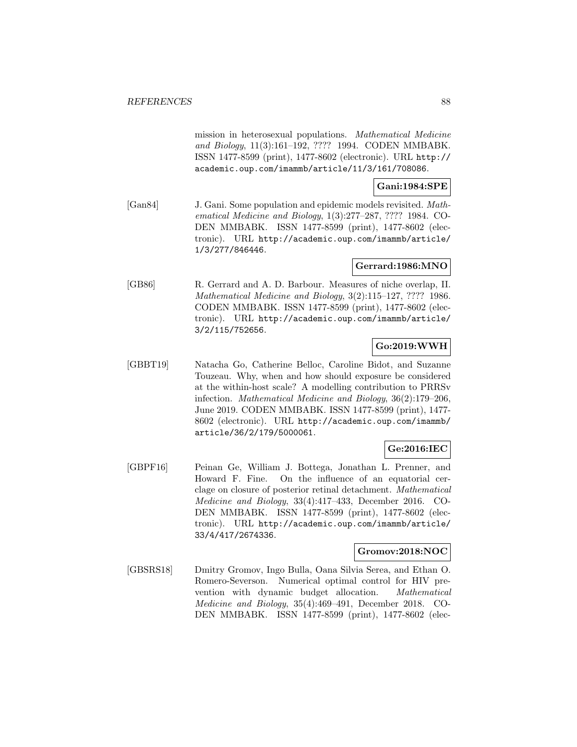mission in heterosexual populations. Mathematical Medicine and Biology, 11(3):161–192, ???? 1994. CODEN MMBABK. ISSN 1477-8599 (print), 1477-8602 (electronic). URL http:// academic.oup.com/imammb/article/11/3/161/708086.

# **Gani:1984:SPE**

[Gan84] J. Gani. Some population and epidemic models revisited. Mathematical Medicine and Biology, 1(3):277–287, ???? 1984. CO-DEN MMBABK. ISSN 1477-8599 (print), 1477-8602 (electronic). URL http://academic.oup.com/imammb/article/ 1/3/277/846446.

### **Gerrard:1986:MNO**

[GB86] R. Gerrard and A. D. Barbour. Measures of niche overlap, II. Mathematical Medicine and Biology, 3(2):115–127, ???? 1986. CODEN MMBABK. ISSN 1477-8599 (print), 1477-8602 (electronic). URL http://academic.oup.com/imammb/article/ 3/2/115/752656.

# **Go:2019:WWH**

[GBBT19] Natacha Go, Catherine Belloc, Caroline Bidot, and Suzanne Touzeau. Why, when and how should exposure be considered at the within-host scale? A modelling contribution to PRRSv infection. Mathematical Medicine and Biology, 36(2):179–206, June 2019. CODEN MMBABK. ISSN 1477-8599 (print), 1477- 8602 (electronic). URL http://academic.oup.com/imammb/ article/36/2/179/5000061.

# **Ge:2016:IEC**

[GBPF16] Peinan Ge, William J. Bottega, Jonathan L. Prenner, and Howard F. Fine. On the influence of an equatorial cerclage on closure of posterior retinal detachment. Mathematical Medicine and Biology, 33(4):417–433, December 2016. CO-DEN MMBABK. ISSN 1477-8599 (print), 1477-8602 (electronic). URL http://academic.oup.com/imammb/article/ 33/4/417/2674336.

### **Gromov:2018:NOC**

[GBSRS18] Dmitry Gromov, Ingo Bulla, Oana Silvia Serea, and Ethan O. Romero-Severson. Numerical optimal control for HIV prevention with dynamic budget allocation. Mathematical Medicine and Biology, 35(4):469–491, December 2018. CO-DEN MMBABK. ISSN 1477-8599 (print), 1477-8602 (elec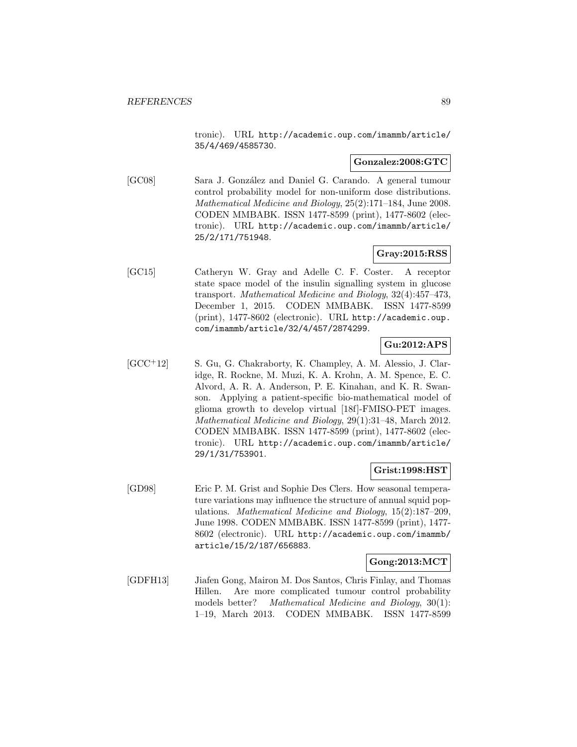tronic). URL http://academic.oup.com/imammb/article/ 35/4/469/4585730.

### **Gonzalez:2008:GTC**

[GC08] Sara J. González and Daniel G. Carando. A general tumour control probability model for non-uniform dose distributions. Mathematical Medicine and Biology, 25(2):171–184, June 2008. CODEN MMBABK. ISSN 1477-8599 (print), 1477-8602 (electronic). URL http://academic.oup.com/imammb/article/ 25/2/171/751948.

# **Gray:2015:RSS**

[GC15] Catheryn W. Gray and Adelle C. F. Coster. A receptor state space model of the insulin signalling system in glucose transport. Mathematical Medicine and Biology, 32(4):457–473, December 1, 2015. CODEN MMBABK. ISSN 1477-8599 (print), 1477-8602 (electronic). URL http://academic.oup. com/imammb/article/32/4/457/2874299.

# **Gu:2012:APS**

[GCC<sup>+</sup>12] S. Gu, G. Chakraborty, K. Champley, A. M. Alessio, J. Claridge, R. Rockne, M. Muzi, K. A. Krohn, A. M. Spence, E. C. Alvord, A. R. A. Anderson, P. E. Kinahan, and K. R. Swanson. Applying a patient-specific bio-mathematical model of glioma growth to develop virtual [18f]-FMISO-PET images. Mathematical Medicine and Biology, 29(1):31–48, March 2012. CODEN MMBABK. ISSN 1477-8599 (print), 1477-8602 (electronic). URL http://academic.oup.com/imammb/article/ 29/1/31/753901.

### **Grist:1998:HST**

[GD98] Eric P. M. Grist and Sophie Des Clers. How seasonal temperature variations may influence the structure of annual squid populations. Mathematical Medicine and Biology, 15(2):187–209, June 1998. CODEN MMBABK. ISSN 1477-8599 (print), 1477- 8602 (electronic). URL http://academic.oup.com/imammb/ article/15/2/187/656883.

# **Gong:2013:MCT**

[GDFH13] Jiafen Gong, Mairon M. Dos Santos, Chris Finlay, and Thomas Hillen. Are more complicated tumour control probability models better? Mathematical Medicine and Biology, 30(1): 1–19, March 2013. CODEN MMBABK. ISSN 1477-8599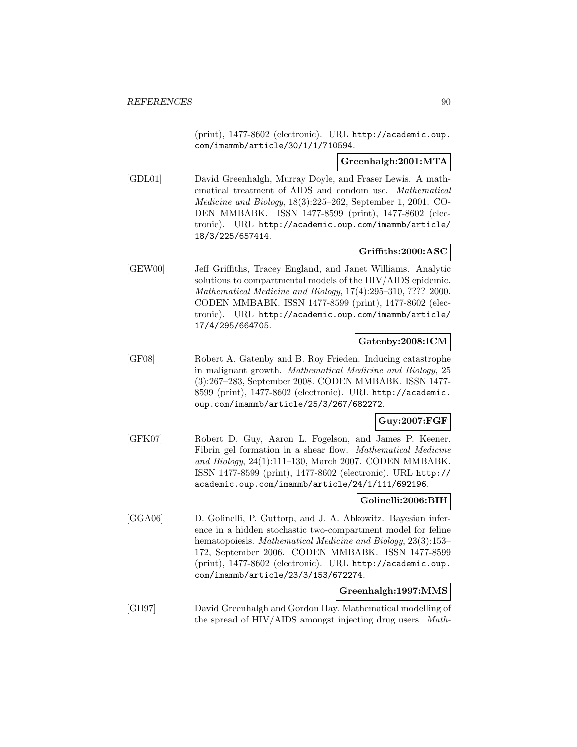(print), 1477-8602 (electronic). URL http://academic.oup. com/imammb/article/30/1/1/710594.

#### **Greenhalgh:2001:MTA**

[GDL01] David Greenhalgh, Murray Doyle, and Fraser Lewis. A mathematical treatment of AIDS and condom use. Mathematical Medicine and Biology, 18(3):225–262, September 1, 2001. CO-DEN MMBABK. ISSN 1477-8599 (print), 1477-8602 (electronic). URL http://academic.oup.com/imammb/article/ 18/3/225/657414.

# **Griffiths:2000:ASC**

[GEW00] Jeff Griffiths, Tracey England, and Janet Williams. Analytic solutions to compartmental models of the HIV/AIDS epidemic. Mathematical Medicine and Biology, 17(4):295–310, ???? 2000. CODEN MMBABK. ISSN 1477-8599 (print), 1477-8602 (electronic). URL http://academic.oup.com/imammb/article/ 17/4/295/664705.

# **Gatenby:2008:ICM**

[GF08] Robert A. Gatenby and B. Roy Frieden. Inducing catastrophe in malignant growth. Mathematical Medicine and Biology, 25 (3):267–283, September 2008. CODEN MMBABK. ISSN 1477- 8599 (print), 1477-8602 (electronic). URL http://academic. oup.com/imammb/article/25/3/267/682272.

# **Guy:2007:FGF**

[GFK07] Robert D. Guy, Aaron L. Fogelson, and James P. Keener. Fibrin gel formation in a shear flow. Mathematical Medicine and Biology, 24(1):111–130, March 2007. CODEN MMBABK. ISSN 1477-8599 (print), 1477-8602 (electronic). URL http:// academic.oup.com/imammb/article/24/1/111/692196.

# **Golinelli:2006:BIH**

[GGA06] D. Golinelli, P. Guttorp, and J. A. Abkowitz. Bayesian inference in a hidden stochastic two-compartment model for feline hematopoiesis. Mathematical Medicine and Biology, 23(3):153– 172, September 2006. CODEN MMBABK. ISSN 1477-8599 (print), 1477-8602 (electronic). URL http://academic.oup. com/imammb/article/23/3/153/672274.

### **Greenhalgh:1997:MMS**

[GH97] David Greenhalgh and Gordon Hay. Mathematical modelling of the spread of HIV/AIDS amongst injecting drug users. Math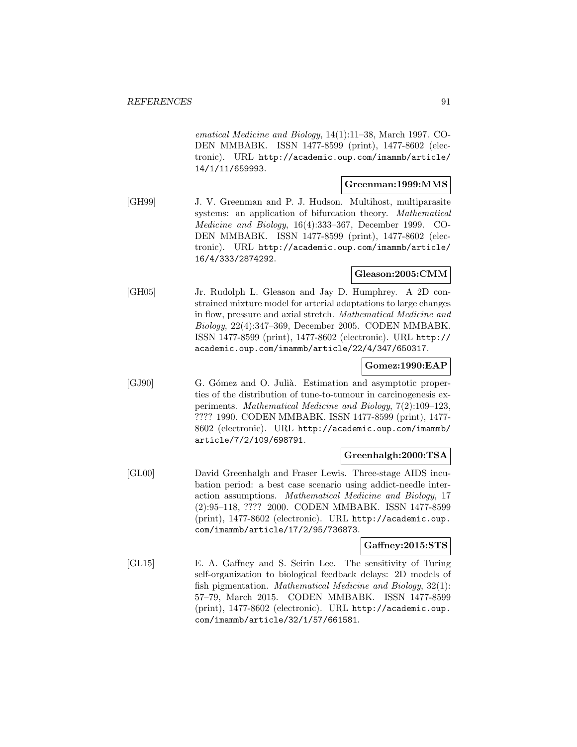ematical Medicine and Biology, 14(1):11–38, March 1997. CO-DEN MMBABK. ISSN 1477-8599 (print), 1477-8602 (electronic). URL http://academic.oup.com/imammb/article/ 14/1/11/659993.

#### **Greenman:1999:MMS**

[GH99] J. V. Greenman and P. J. Hudson. Multihost, multiparasite systems: an application of bifurcation theory. Mathematical Medicine and Biology, 16(4):333–367, December 1999. CO-DEN MMBABK. ISSN 1477-8599 (print), 1477-8602 (electronic). URL http://academic.oup.com/imammb/article/ 16/4/333/2874292.

#### **Gleason:2005:CMM**

[GH05] Jr. Rudolph L. Gleason and Jay D. Humphrey. A 2D constrained mixture model for arterial adaptations to large changes in flow, pressure and axial stretch. Mathematical Medicine and Biology, 22(4):347–369, December 2005. CODEN MMBABK. ISSN 1477-8599 (print), 1477-8602 (electronic). URL http:// academic.oup.com/imammb/article/22/4/347/650317.

#### **Gomez:1990:EAP**

[GJ90] G. Gómez and O. Julià. Estimation and asymptotic properties of the distribution of tune-to-tumour in carcinogenesis experiments. Mathematical Medicine and Biology, 7(2):109–123, ???? 1990. CODEN MMBABK. ISSN 1477-8599 (print), 1477- 8602 (electronic). URL http://academic.oup.com/imammb/ article/7/2/109/698791.

### **Greenhalgh:2000:TSA**

[GL00] David Greenhalgh and Fraser Lewis. Three-stage AIDS incubation period: a best case scenario using addict-needle interaction assumptions. Mathematical Medicine and Biology, 17 (2):95–118, ???? 2000. CODEN MMBABK. ISSN 1477-8599 (print), 1477-8602 (electronic). URL http://academic.oup. com/imammb/article/17/2/95/736873.

### **Gaffney:2015:STS**

[GL15] E. A. Gaffney and S. Seirin Lee. The sensitivity of Turing self-organization to biological feedback delays: 2D models of fish pigmentation. Mathematical Medicine and Biology, 32(1): 57–79, March 2015. CODEN MMBABK. ISSN 1477-8599 (print), 1477-8602 (electronic). URL http://academic.oup. com/imammb/article/32/1/57/661581.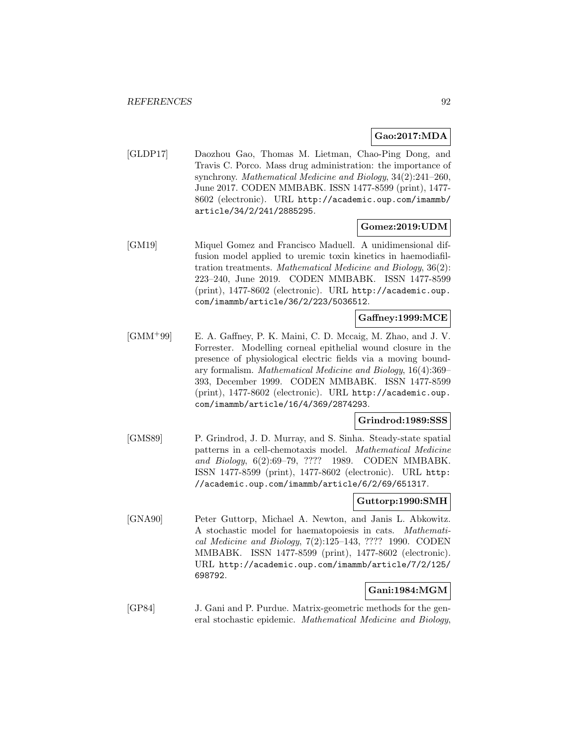### **Gao:2017:MDA**

[GLDP17] Daozhou Gao, Thomas M. Lietman, Chao-Ping Dong, and Travis C. Porco. Mass drug administration: the importance of synchrony. Mathematical Medicine and Biology, 34(2):241–260, June 2017. CODEN MMBABK. ISSN 1477-8599 (print), 1477- 8602 (electronic). URL http://academic.oup.com/imammb/ article/34/2/241/2885295.

### **Gomez:2019:UDM**

[GM19] Miquel Gomez and Francisco Maduell. A unidimensional diffusion model applied to uremic toxin kinetics in haemodiafiltration treatments. Mathematical Medicine and Biology, 36(2): 223–240, June 2019. CODEN MMBABK. ISSN 1477-8599 (print), 1477-8602 (electronic). URL http://academic.oup. com/imammb/article/36/2/223/5036512.

#### **Gaffney:1999:MCE**

[GMM<sup>+</sup>99] E. A. Gaffney, P. K. Maini, C. D. Mccaig, M. Zhao, and J. V. Forrester. Modelling corneal epithelial wound closure in the presence of physiological electric fields via a moving boundary formalism. Mathematical Medicine and Biology, 16(4):369– 393, December 1999. CODEN MMBABK. ISSN 1477-8599 (print), 1477-8602 (electronic). URL http://academic.oup. com/imammb/article/16/4/369/2874293.

### **Grindrod:1989:SSS**

[GMS89] P. Grindrod, J. D. Murray, and S. Sinha. Steady-state spatial patterns in a cell-chemotaxis model. Mathematical Medicine and Biology, 6(2):69–79, ???? 1989. CODEN MMBABK. ISSN 1477-8599 (print), 1477-8602 (electronic). URL http: //academic.oup.com/imammb/article/6/2/69/651317.

# **Guttorp:1990:SMH**

[GNA90] Peter Guttorp, Michael A. Newton, and Janis L. Abkowitz. A stochastic model for haematopoiesis in cats. Mathematical Medicine and Biology, 7(2):125–143, ???? 1990. CODEN MMBABK. ISSN 1477-8599 (print), 1477-8602 (electronic). URL http://academic.oup.com/imammb/article/7/2/125/ 698792.

# **Gani:1984:MGM**

[GP84] J. Gani and P. Purdue. Matrix-geometric methods for the general stochastic epidemic. Mathematical Medicine and Biology,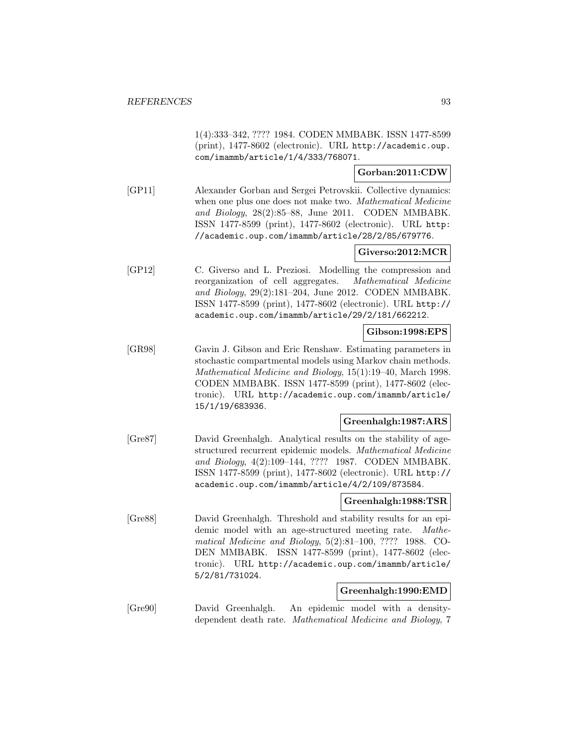1(4):333–342, ???? 1984. CODEN MMBABK. ISSN 1477-8599 (print), 1477-8602 (electronic). URL http://academic.oup. com/imammb/article/1/4/333/768071.

### **Gorban:2011:CDW**

[GP11] Alexander Gorban and Sergei Petrovskii. Collective dynamics: when one plus one does not make two. Mathematical Medicine and Biology, 28(2):85–88, June 2011. CODEN MMBABK. ISSN 1477-8599 (print), 1477-8602 (electronic). URL http: //academic.oup.com/imammb/article/28/2/85/679776.

# **Giverso:2012:MCR**

[GP12] C. Giverso and L. Preziosi. Modelling the compression and reorganization of cell aggregates. Mathematical Medicine and Biology, 29(2):181–204, June 2012. CODEN MMBABK. ISSN 1477-8599 (print), 1477-8602 (electronic). URL http:// academic.oup.com/imammb/article/29/2/181/662212.

### **Gibson:1998:EPS**

[GR98] Gavin J. Gibson and Eric Renshaw. Estimating parameters in stochastic compartmental models using Markov chain methods. Mathematical Medicine and Biology, 15(1):19–40, March 1998. CODEN MMBABK. ISSN 1477-8599 (print), 1477-8602 (electronic). URL http://academic.oup.com/imammb/article/ 15/1/19/683936.

# **Greenhalgh:1987:ARS**

[Gre87] David Greenhalgh. Analytical results on the stability of agestructured recurrent epidemic models. Mathematical Medicine and Biology, 4(2):109–144, ???? 1987. CODEN MMBABK. ISSN 1477-8599 (print), 1477-8602 (electronic). URL http:// academic.oup.com/imammb/article/4/2/109/873584.

# **Greenhalgh:1988:TSR**

[Gre88] David Greenhalgh. Threshold and stability results for an epidemic model with an age-structured meeting rate. Mathematical Medicine and Biology, 5(2):81–100, ???? 1988. CO-DEN MMBABK. ISSN 1477-8599 (print), 1477-8602 (electronic). URL http://academic.oup.com/imammb/article/ 5/2/81/731024.

### **Greenhalgh:1990:EMD**

[Gre90] David Greenhalgh. An epidemic model with a densitydependent death rate. Mathematical Medicine and Biology, 7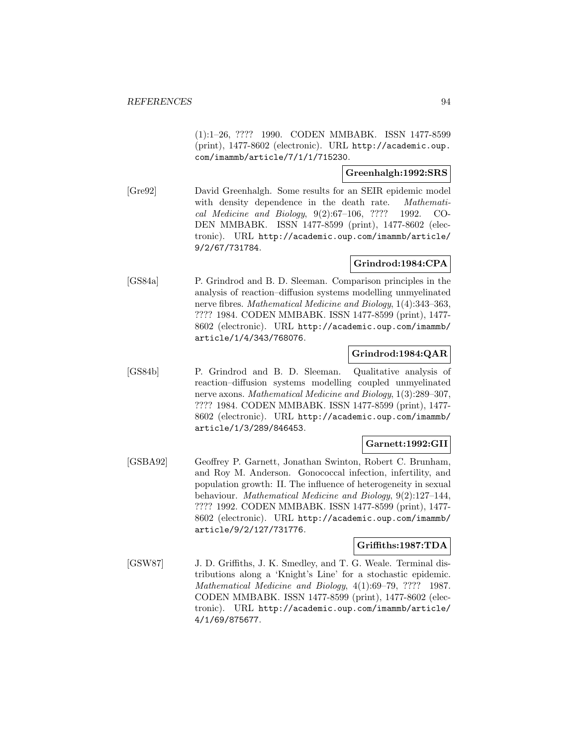(1):1–26, ???? 1990. CODEN MMBABK. ISSN 1477-8599 (print), 1477-8602 (electronic). URL http://academic.oup. com/imammb/article/7/1/1/715230.

### **Greenhalgh:1992:SRS**

[Gre92] David Greenhalgh. Some results for an SEIR epidemic model with density dependence in the death rate. Mathematical Medicine and Biology, 9(2):67–106, ???? 1992. CO-DEN MMBABK. ISSN 1477-8599 (print), 1477-8602 (electronic). URL http://academic.oup.com/imammb/article/ 9/2/67/731784.

# **Grindrod:1984:CPA**

[GS84a] P. Grindrod and B. D. Sleeman. Comparison principles in the analysis of reaction–diffusion systems modelling unmyelinated nerve fibres. Mathematical Medicine and Biology, 1(4):343–363, ???? 1984. CODEN MMBABK. ISSN 1477-8599 (print), 1477- 8602 (electronic). URL http://academic.oup.com/imammb/ article/1/4/343/768076.

### **Grindrod:1984:QAR**

[GS84b] P. Grindrod and B. D. Sleeman. Qualitative analysis of reaction–diffusion systems modelling coupled unmyelinated nerve axons. Mathematical Medicine and Biology, 1(3):289–307, ???? 1984. CODEN MMBABK. ISSN 1477-8599 (print), 1477- 8602 (electronic). URL http://academic.oup.com/imammb/ article/1/3/289/846453.

# **Garnett:1992:GII**

[GSBA92] Geoffrey P. Garnett, Jonathan Swinton, Robert C. Brunham, and Roy M. Anderson. Gonococcal infection, infertility, and population growth: II. The influence of heterogeneity in sexual behaviour. Mathematical Medicine and Biology, 9(2):127–144, ???? 1992. CODEN MMBABK. ISSN 1477-8599 (print), 1477- 8602 (electronic). URL http://academic.oup.com/imammb/ article/9/2/127/731776.

### **Griffiths:1987:TDA**

[GSW87] J. D. Griffiths, J. K. Smedley, and T. G. Weale. Terminal distributions along a 'Knight's Line' for a stochastic epidemic. Mathematical Medicine and Biology, 4(1):69–79, ???? 1987. CODEN MMBABK. ISSN 1477-8599 (print), 1477-8602 (electronic). URL http://academic.oup.com/imammb/article/ 4/1/69/875677.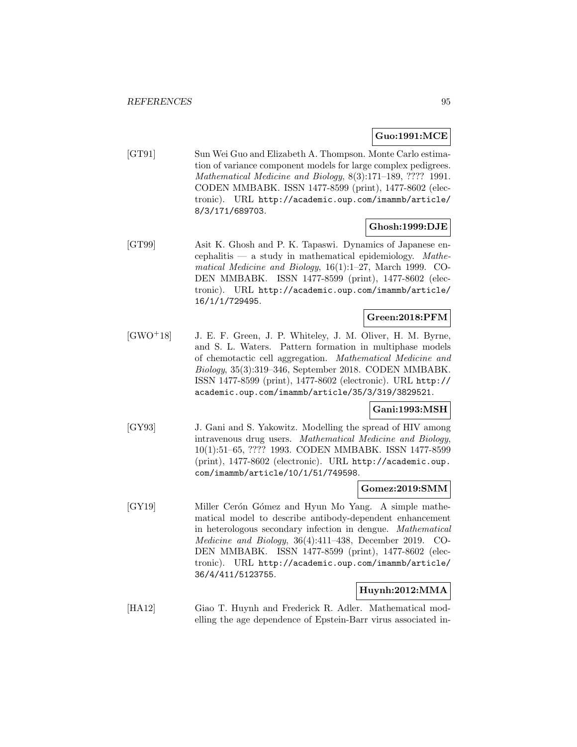#### **Guo:1991:MCE**

[GT91] Sun Wei Guo and Elizabeth A. Thompson. Monte Carlo estimation of variance component models for large complex pedigrees. Mathematical Medicine and Biology, 8(3):171–189, ???? 1991. CODEN MMBABK. ISSN 1477-8599 (print), 1477-8602 (electronic). URL http://academic.oup.com/imammb/article/ 8/3/171/689703.

### **Ghosh:1999:DJE**

[GT99] Asit K. Ghosh and P. K. Tapaswi. Dynamics of Japanese encephalitis — a study in mathematical epidemiology. Mathematical Medicine and Biology, 16(1):1–27, March 1999. CO-DEN MMBABK. ISSN 1477-8599 (print), 1477-8602 (electronic). URL http://academic.oup.com/imammb/article/ 16/1/1/729495.

### **Green:2018:PFM**

[GWO<sup>+</sup>18] J. E. F. Green, J. P. Whiteley, J. M. Oliver, H. M. Byrne, and S. L. Waters. Pattern formation in multiphase models of chemotactic cell aggregation. Mathematical Medicine and Biology, 35(3):319–346, September 2018. CODEN MMBABK. ISSN 1477-8599 (print), 1477-8602 (electronic). URL http:// academic.oup.com/imammb/article/35/3/319/3829521.

### **Gani:1993:MSH**

[GY93] J. Gani and S. Yakowitz. Modelling the spread of HIV among intravenous drug users. Mathematical Medicine and Biology, 10(1):51–65, ???? 1993. CODEN MMBABK. ISSN 1477-8599 (print), 1477-8602 (electronic). URL http://academic.oup. com/imammb/article/10/1/51/749598.

#### **Gomez:2019:SMM**

[GY19] Miller Cerón Gómez and Hyun Mo Yang. A simple mathematical model to describe antibody-dependent enhancement in heterologous secondary infection in dengue. Mathematical Medicine and Biology, 36(4):411–438, December 2019. CO-DEN MMBABK. ISSN 1477-8599 (print), 1477-8602 (electronic). URL http://academic.oup.com/imammb/article/ 36/4/411/5123755.

# **Huynh:2012:MMA**

[HA12] Giao T. Huynh and Frederick R. Adler. Mathematical modelling the age dependence of Epstein-Barr virus associated in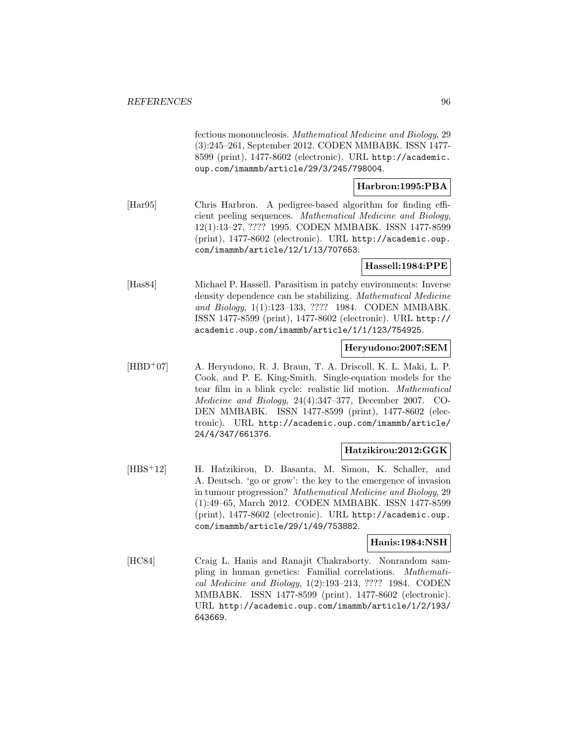fectious mononucleosis. Mathematical Medicine and Biology, 29 (3):245–261, September 2012. CODEN MMBABK. ISSN 1477- 8599 (print), 1477-8602 (electronic). URL http://academic. oup.com/imammb/article/29/3/245/798004.

### **Harbron:1995:PBA**

[Har95] Chris Harbron. A pedigree-based algorithm for finding efficient peeling sequences. Mathematical Medicine and Biology, 12(1):13–27, ???? 1995. CODEN MMBABK. ISSN 1477-8599 (print), 1477-8602 (electronic). URL http://academic.oup. com/imammb/article/12/1/13/707653.

### **Hassell:1984:PPE**

[Has84] Michael P. Hassell. Parasitism in patchy environments: Inverse density dependence can be stabilizing. Mathematical Medicine and Biology, 1(1):123–133, ???? 1984. CODEN MMBABK. ISSN 1477-8599 (print), 1477-8602 (electronic). URL http:// academic.oup.com/imammb/article/1/1/123/754925.

### **Heryudono:2007:SEM**

[HBD<sup>+</sup>07] A. Heryudono, R. J. Braun, T. A. Driscoll, K. L. Maki, L. P. Cook, and P. E. King-Smith. Single-equation models for the tear film in a blink cycle: realistic lid motion. Mathematical Medicine and Biology, 24(4):347–377, December 2007. CO-DEN MMBABK. ISSN 1477-8599 (print), 1477-8602 (electronic). URL http://academic.oup.com/imammb/article/ 24/4/347/661376.

### **Hatzikirou:2012:GGK**

[HBS<sup>+</sup>12] H. Hatzikirou, D. Basanta, M. Simon, K. Schaller, and A. Deutsch. 'go or grow': the key to the emergence of invasion in tumour progression? Mathematical Medicine and Biology, 29 (1):49–65, March 2012. CODEN MMBABK. ISSN 1477-8599 (print), 1477-8602 (electronic). URL http://academic.oup. com/imammb/article/29/1/49/753882.

### **Hanis:1984:NSH**

[HC84] Craig L. Hanis and Ranajit Chakraborty. Nonrandom sampling in human genetics: Familial correlations. Mathematical Medicine and Biology, 1(2):193–213, ???? 1984. CODEN MMBABK. ISSN 1477-8599 (print), 1477-8602 (electronic). URL http://academic.oup.com/imammb/article/1/2/193/ 643669.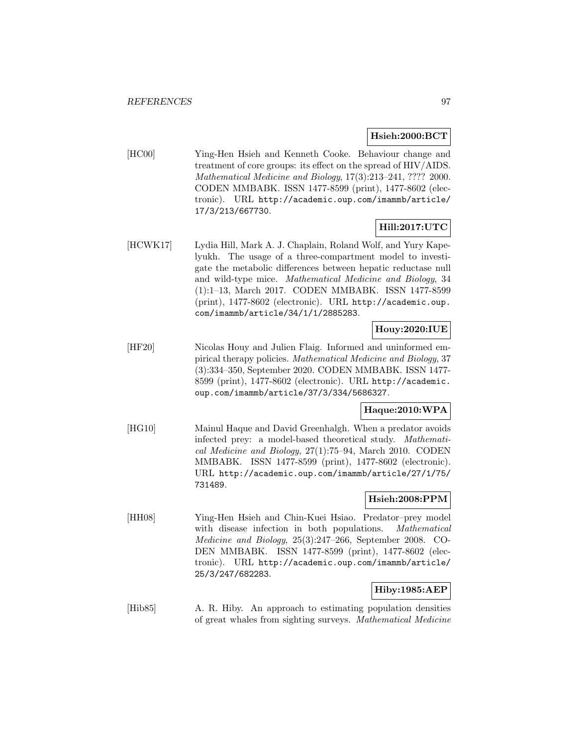### **Hsieh:2000:BCT**

[HC00] Ying-Hen Hsieh and Kenneth Cooke. Behaviour change and treatment of core groups: its effect on the spread of HIV/AIDS. Mathematical Medicine and Biology, 17(3):213–241, ???? 2000. CODEN MMBABK. ISSN 1477-8599 (print), 1477-8602 (electronic). URL http://academic.oup.com/imammb/article/ 17/3/213/667730.

# **Hill:2017:UTC**

[HCWK17] Lydia Hill, Mark A. J. Chaplain, Roland Wolf, and Yury Kapelyukh. The usage of a three-compartment model to investigate the metabolic differences between hepatic reductase null and wild-type mice. Mathematical Medicine and Biology, 34 (1):1–13, March 2017. CODEN MMBABK. ISSN 1477-8599 (print), 1477-8602 (electronic). URL http://academic.oup. com/imammb/article/34/1/1/2885283.

## **Houy:2020:IUE**

[HF20] Nicolas Houy and Julien Flaig. Informed and uninformed empirical therapy policies. Mathematical Medicine and Biology, 37 (3):334–350, September 2020. CODEN MMBABK. ISSN 1477- 8599 (print), 1477-8602 (electronic). URL http://academic. oup.com/imammb/article/37/3/334/5686327.

# **Haque:2010:WPA**

[HG10] Mainul Haque and David Greenhalgh. When a predator avoids infected prey: a model-based theoretical study. Mathematical Medicine and Biology, 27(1):75–94, March 2010. CODEN MMBABK. ISSN 1477-8599 (print), 1477-8602 (electronic). URL http://academic.oup.com/imammb/article/27/1/75/ 731489.

# **Hsieh:2008:PPM**

[HH08] Ying-Hen Hsieh and Chin-Kuei Hsiao. Predator–prey model with disease infection in both populations. Mathematical Medicine and Biology, 25(3):247–266, September 2008. CO-DEN MMBABK. ISSN 1477-8599 (print), 1477-8602 (electronic). URL http://academic.oup.com/imammb/article/ 25/3/247/682283.

# **Hiby:1985:AEP**

[Hib85] A. R. Hiby. An approach to estimating population densities of great whales from sighting surveys. Mathematical Medicine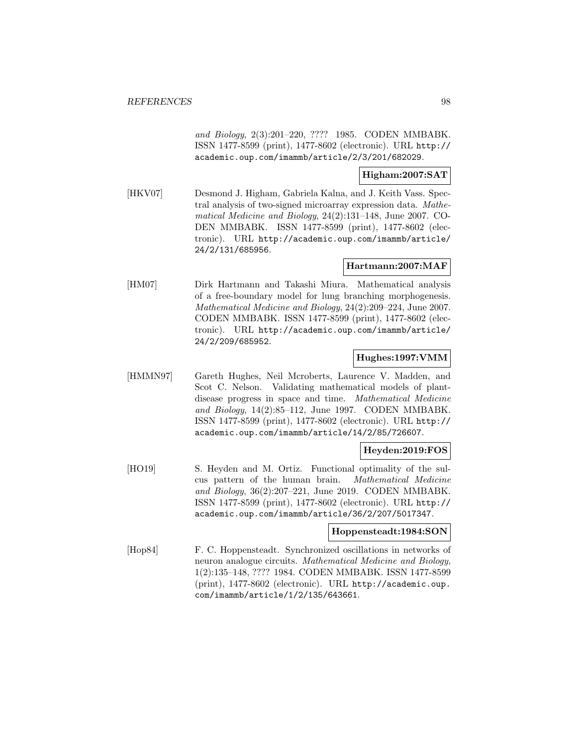and Biology, 2(3):201–220, ???? 1985. CODEN MMBABK. ISSN 1477-8599 (print), 1477-8602 (electronic). URL http:// academic.oup.com/imammb/article/2/3/201/682029.

### **Higham:2007:SAT**

[HKV07] Desmond J. Higham, Gabriela Kalna, and J. Keith Vass. Spectral analysis of two-signed microarray expression data. Mathematical Medicine and Biology, 24(2):131–148, June 2007. CO-DEN MMBABK. ISSN 1477-8599 (print), 1477-8602 (electronic). URL http://academic.oup.com/imammb/article/ 24/2/131/685956.

# **Hartmann:2007:MAF**

[HM07] Dirk Hartmann and Takashi Miura. Mathematical analysis of a free-boundary model for lung branching morphogenesis. Mathematical Medicine and Biology, 24(2):209–224, June 2007. CODEN MMBABK. ISSN 1477-8599 (print), 1477-8602 (electronic). URL http://academic.oup.com/imammb/article/ 24/2/209/685952.

### **Hughes:1997:VMM**

[HMMN97] Gareth Hughes, Neil Mcroberts, Laurence V. Madden, and Scot C. Nelson. Validating mathematical models of plantdisease progress in space and time. Mathematical Medicine and Biology, 14(2):85–112, June 1997. CODEN MMBABK. ISSN 1477-8599 (print), 1477-8602 (electronic). URL http:// academic.oup.com/imammb/article/14/2/85/726607.

### **Heyden:2019:FOS**

[HO19] S. Heyden and M. Ortiz. Functional optimality of the sulcus pattern of the human brain. Mathematical Medicine and Biology, 36(2):207–221, June 2019. CODEN MMBABK. ISSN 1477-8599 (print), 1477-8602 (electronic). URL http:// academic.oup.com/imammb/article/36/2/207/5017347.

### **Hoppensteadt:1984:SON**

[Hop84] F. C. Hoppensteadt. Synchronized oscillations in networks of neuron analogue circuits. Mathematical Medicine and Biology, 1(2):135–148, ???? 1984. CODEN MMBABK. ISSN 1477-8599 (print), 1477-8602 (electronic). URL http://academic.oup. com/imammb/article/1/2/135/643661.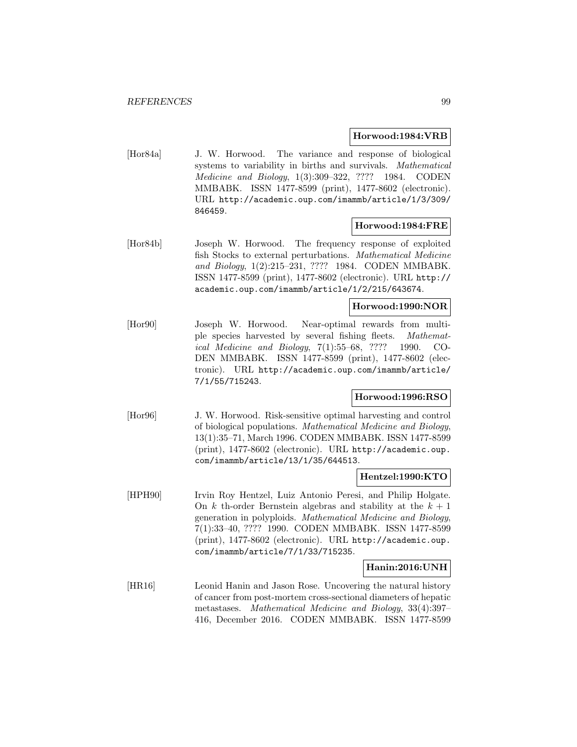#### **Horwood:1984:VRB**

[Hor84a] J. W. Horwood. The variance and response of biological systems to variability in births and survivals. Mathematical Medicine and Biology, 1(3):309–322, ???? 1984. CODEN MMBABK. ISSN 1477-8599 (print), 1477-8602 (electronic). URL http://academic.oup.com/imammb/article/1/3/309/ 846459.

### **Horwood:1984:FRE**

[Hor84b] Joseph W. Horwood. The frequency response of exploited fish Stocks to external perturbations. Mathematical Medicine and Biology, 1(2):215–231, ???? 1984. CODEN MMBABK. ISSN 1477-8599 (print), 1477-8602 (electronic). URL http:// academic.oup.com/imammb/article/1/2/215/643674.

### **Horwood:1990:NOR**

[Hor90] Joseph W. Horwood. Near-optimal rewards from multiple species harvested by several fishing fleets. Mathematical Medicine and Biology, 7(1):55–68, ???? 1990. CO-DEN MMBABK. ISSN 1477-8599 (print), 1477-8602 (electronic). URL http://academic.oup.com/imammb/article/ 7/1/55/715243.

### **Horwood:1996:RSO**

[Hor96] J. W. Horwood. Risk-sensitive optimal harvesting and control of biological populations. Mathematical Medicine and Biology, 13(1):35–71, March 1996. CODEN MMBABK. ISSN 1477-8599 (print), 1477-8602 (electronic). URL http://academic.oup. com/imammb/article/13/1/35/644513.

#### **Hentzel:1990:KTO**

[HPH90] Irvin Roy Hentzel, Luiz Antonio Peresi, and Philip Holgate. On k th-order Bernstein algebras and stability at the  $k + 1$ generation in polyploids. Mathematical Medicine and Biology, 7(1):33–40, ???? 1990. CODEN MMBABK. ISSN 1477-8599 (print), 1477-8602 (electronic). URL http://academic.oup. com/imammb/article/7/1/33/715235.

### **Hanin:2016:UNH**

[HR16] Leonid Hanin and Jason Rose. Uncovering the natural history of cancer from post-mortem cross-sectional diameters of hepatic metastases. Mathematical Medicine and Biology, 33(4):397– 416, December 2016. CODEN MMBABK. ISSN 1477-8599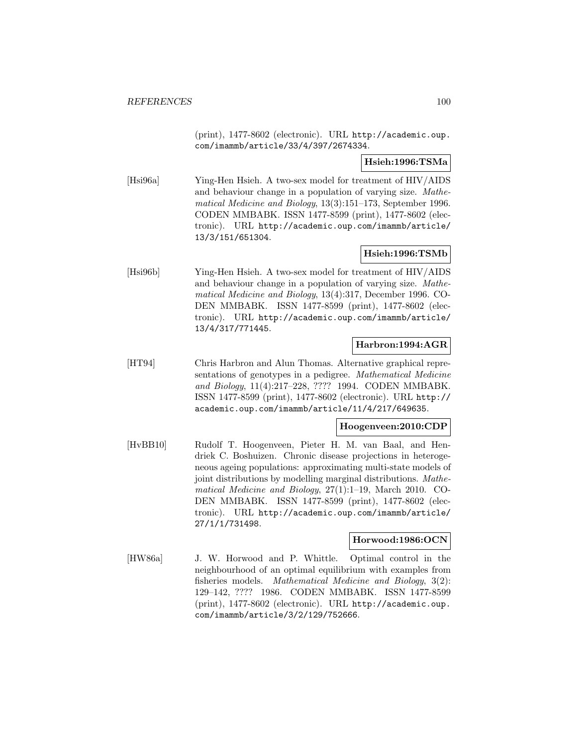(print), 1477-8602 (electronic). URL http://academic.oup. com/imammb/article/33/4/397/2674334.

### **Hsieh:1996:TSMa**

[Hsi96a] Ying-Hen Hsieh. A two-sex model for treatment of HIV/AIDS and behaviour change in a population of varying size. Mathematical Medicine and Biology, 13(3):151–173, September 1996. CODEN MMBABK. ISSN 1477-8599 (print), 1477-8602 (electronic). URL http://academic.oup.com/imammb/article/ 13/3/151/651304.

### **Hsieh:1996:TSMb**

[Hsi96b] Ying-Hen Hsieh. A two-sex model for treatment of HIV/AIDS and behaviour change in a population of varying size. Mathematical Medicine and Biology, 13(4):317, December 1996. CO-DEN MMBABK. ISSN 1477-8599 (print), 1477-8602 (electronic). URL http://academic.oup.com/imammb/article/ 13/4/317/771445.

# **Harbron:1994:AGR**

[HT94] Chris Harbron and Alun Thomas. Alternative graphical representations of genotypes in a pedigree. Mathematical Medicine and Biology, 11(4):217–228, ???? 1994. CODEN MMBABK. ISSN 1477-8599 (print), 1477-8602 (electronic). URL http:// academic.oup.com/imammb/article/11/4/217/649635.

# **Hoogenveen:2010:CDP**

[HvBB10] Rudolf T. Hoogenveen, Pieter H. M. van Baal, and Hendriek C. Boshuizen. Chronic disease projections in heterogeneous ageing populations: approximating multi-state models of joint distributions by modelling marginal distributions. Mathematical Medicine and Biology, 27(1):1–19, March 2010. CO-DEN MMBABK. ISSN 1477-8599 (print), 1477-8602 (electronic). URL http://academic.oup.com/imammb/article/ 27/1/1/731498.

### **Horwood:1986:OCN**

[HW86a] J. W. Horwood and P. Whittle. Optimal control in the neighbourhood of an optimal equilibrium with examples from fisheries models. Mathematical Medicine and Biology, 3(2): 129–142, ???? 1986. CODEN MMBABK. ISSN 1477-8599 (print), 1477-8602 (electronic). URL http://academic.oup. com/imammb/article/3/2/129/752666.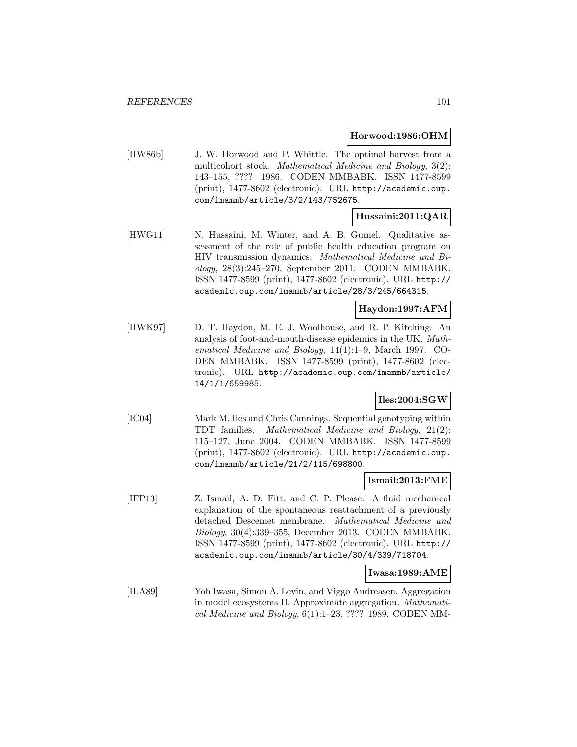#### **Horwood:1986:OHM**

[HW86b] J. W. Horwood and P. Whittle. The optimal harvest from a multicohort stock. Mathematical Medicine and Biology, 3(2): 143–155, ???? 1986. CODEN MMBABK. ISSN 1477-8599 (print), 1477-8602 (electronic). URL http://academic.oup. com/imammb/article/3/2/143/752675.

### **Hussaini:2011:QAR**

[HWG11] N. Hussaini, M. Winter, and A. B. Gumel. Qualitative assessment of the role of public health education program on HIV transmission dynamics. Mathematical Medicine and Biology, 28(3):245–270, September 2011. CODEN MMBABK. ISSN 1477-8599 (print), 1477-8602 (electronic). URL http:// academic.oup.com/imammb/article/28/3/245/664315.

# **Haydon:1997:AFM**

[HWK97] D. T. Haydon, M. E. J. Woolhouse, and R. P. Kitching. An analysis of foot-and-mouth-disease epidemics in the UK. Mathematical Medicine and Biology, 14(1):1–9, March 1997. CO-DEN MMBABK. ISSN 1477-8599 (print), 1477-8602 (electronic). URL http://academic.oup.com/imammb/article/ 14/1/1/659985.

### **Iles:2004:SGW**

[IC04] Mark M. Iles and Chris Cannings. Sequential genotyping within TDT families. Mathematical Medicine and Biology, 21(2): 115–127, June 2004. CODEN MMBABK. ISSN 1477-8599 (print), 1477-8602 (electronic). URL http://academic.oup. com/imammb/article/21/2/115/698800.

### **Ismail:2013:FME**

[IFP13] Z. Ismail, A. D. Fitt, and C. P. Please. A fluid mechanical explanation of the spontaneous reattachment of a previously detached Descemet membrane. Mathematical Medicine and Biology, 30(4):339–355, December 2013. CODEN MMBABK. ISSN 1477-8599 (print), 1477-8602 (electronic). URL http:// academic.oup.com/imammb/article/30/4/339/718704.

### **Iwasa:1989:AME**

[ILA89] Yoh Iwasa, Simon A. Levin, and Viggo Andreasen. Aggregation in model ecosystems II. Approximate aggregation. Mathematical Medicine and Biology, 6(1):1–23, ???? 1989. CODEN MM-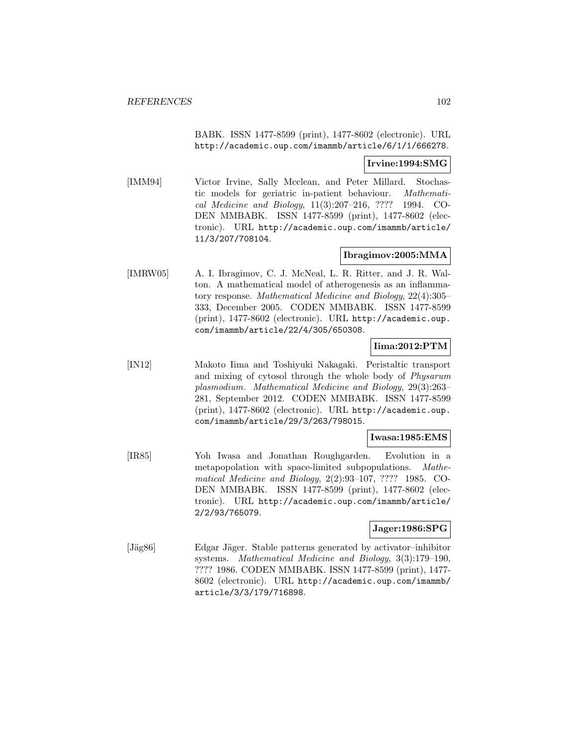BABK. ISSN 1477-8599 (print), 1477-8602 (electronic). URL http://academic.oup.com/imammb/article/6/1/1/666278.

### **Irvine:1994:SMG**

[IMM94] Victor Irvine, Sally Mcclean, and Peter Millard. Stochastic models for geriatric in-patient behaviour. Mathematical Medicine and Biology, 11(3):207–216, ???? 1994. CO-DEN MMBABK. ISSN 1477-8599 (print), 1477-8602 (electronic). URL http://academic.oup.com/imammb/article/ 11/3/207/708104.

### **Ibragimov:2005:MMA**

[IMRW05] A. I. Ibragimov, C. J. McNeal, L. R. Ritter, and J. R. Walton. A mathematical model of atherogenesis as an inflammatory response. Mathematical Medicine and Biology, 22(4):305– 333, December 2005. CODEN MMBABK. ISSN 1477-8599 (print), 1477-8602 (electronic). URL http://academic.oup. com/imammb/article/22/4/305/650308.

### **Iima:2012:PTM**

[IN12] Makoto Iima and Toshiyuki Nakagaki. Peristaltic transport and mixing of cytosol through the whole body of Physarum plasmodium. Mathematical Medicine and Biology, 29(3):263– 281, September 2012. CODEN MMBABK. ISSN 1477-8599 (print), 1477-8602 (electronic). URL http://academic.oup. com/imammb/article/29/3/263/798015.

### **Iwasa:1985:EMS**

[IR85] Yoh Iwasa and Jonathan Roughgarden. Evolution in a metapopolation with space-limited subpopulations. Mathematical Medicine and Biology, 2(2):93–107, ???? 1985. CO-DEN MMBABK. ISSN 1477-8599 (print), 1477-8602 (electronic). URL http://academic.oup.com/imammb/article/ 2/2/93/765079.

# **Jager:1986:SPG**

[Jäg86] Edgar Jäger. Stable patterns generated by activator–inhibitor systems. Mathematical Medicine and Biology, 3(3):179–190, ???? 1986. CODEN MMBABK. ISSN 1477-8599 (print), 1477- 8602 (electronic). URL http://academic.oup.com/imammb/ article/3/3/179/716898.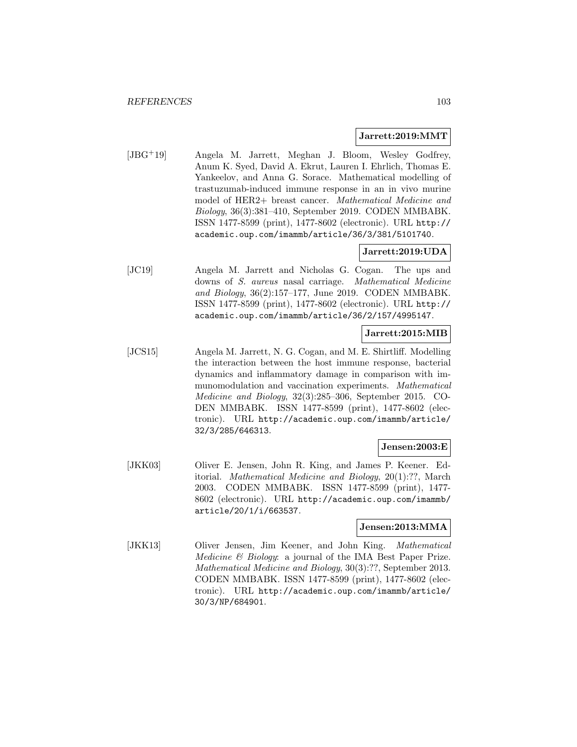#### **Jarrett:2019:MMT**

[JBG<sup>+</sup>19] Angela M. Jarrett, Meghan J. Bloom, Wesley Godfrey, Anum K. Syed, David A. Ekrut, Lauren I. Ehrlich, Thomas E. Yankeelov, and Anna G. Sorace. Mathematical modelling of trastuzumab-induced immune response in an in vivo murine model of HER2+ breast cancer. Mathematical Medicine and Biology, 36(3):381–410, September 2019. CODEN MMBABK. ISSN 1477-8599 (print), 1477-8602 (electronic). URL http:// academic.oup.com/imammb/article/36/3/381/5101740.

# **Jarrett:2019:UDA**

[JC19] Angela M. Jarrett and Nicholas G. Cogan. The ups and downs of S. aureus nasal carriage. Mathematical Medicine and Biology, 36(2):157–177, June 2019. CODEN MMBABK. ISSN 1477-8599 (print), 1477-8602 (electronic). URL http:// academic.oup.com/imammb/article/36/2/157/4995147.

### **Jarrett:2015:MIB**

[JCS15] Angela M. Jarrett, N. G. Cogan, and M. E. Shirtliff. Modelling the interaction between the host immune response, bacterial dynamics and inflammatory damage in comparison with immunomodulation and vaccination experiments. Mathematical Medicine and Biology, 32(3):285–306, September 2015. CO-DEN MMBABK. ISSN 1477-8599 (print), 1477-8602 (electronic). URL http://academic.oup.com/imammb/article/ 32/3/285/646313.

## **Jensen:2003:E**

[JKK03] Oliver E. Jensen, John R. King, and James P. Keener. Editorial. Mathematical Medicine and Biology, 20(1):??, March 2003. CODEN MMBABK. ISSN 1477-8599 (print), 1477- 8602 (electronic). URL http://academic.oup.com/imammb/ article/20/1/i/663537.

#### **Jensen:2013:MMA**

[JKK13] Oliver Jensen, Jim Keener, and John King. Mathematical Medicine & Biology: a journal of the IMA Best Paper Prize. Mathematical Medicine and Biology, 30(3):??, September 2013. CODEN MMBABK. ISSN 1477-8599 (print), 1477-8602 (electronic). URL http://academic.oup.com/imammb/article/ 30/3/NP/684901.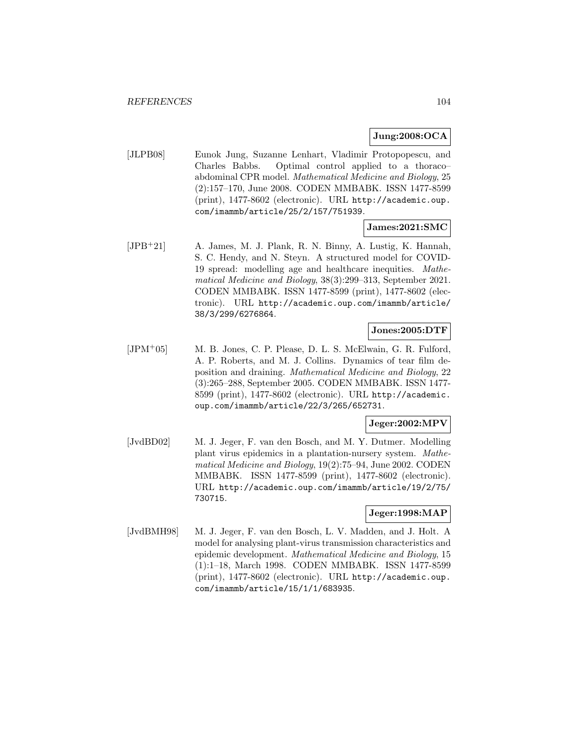### **Jung:2008:OCA**

[JLPB08] Eunok Jung, Suzanne Lenhart, Vladimir Protopopescu, and Charles Babbs. Optimal control applied to a thoraco– abdominal CPR model. Mathematical Medicine and Biology, 25 (2):157–170, June 2008. CODEN MMBABK. ISSN 1477-8599 (print), 1477-8602 (electronic). URL http://academic.oup. com/imammb/article/25/2/157/751939.

### **James:2021:SMC**

[JPB<sup>+</sup>21] A. James, M. J. Plank, R. N. Binny, A. Lustig, K. Hannah, S. C. Hendy, and N. Steyn. A structured model for COVID-19 spread: modelling age and healthcare inequities. Mathematical Medicine and Biology, 38(3):299–313, September 2021. CODEN MMBABK. ISSN 1477-8599 (print), 1477-8602 (electronic). URL http://academic.oup.com/imammb/article/ 38/3/299/6276864.

### **Jones:2005:DTF**

[JPM<sup>+</sup>05] M. B. Jones, C. P. Please, D. L. S. McElwain, G. R. Fulford, A. P. Roberts, and M. J. Collins. Dynamics of tear film deposition and draining. Mathematical Medicine and Biology, 22 (3):265–288, September 2005. CODEN MMBABK. ISSN 1477- 8599 (print), 1477-8602 (electronic). URL http://academic. oup.com/imammb/article/22/3/265/652731.

### **Jeger:2002:MPV**

[JvdBD02] M. J. Jeger, F. van den Bosch, and M. Y. Dutmer. Modelling plant virus epidemics in a plantation-nursery system. Mathematical Medicine and Biology, 19(2):75–94, June 2002. CODEN MMBABK. ISSN 1477-8599 (print), 1477-8602 (electronic). URL http://academic.oup.com/imammb/article/19/2/75/ 730715.

# **Jeger:1998:MAP**

[JvdBMH98] M. J. Jeger, F. van den Bosch, L. V. Madden, and J. Holt. A model for analysing plant-virus transmission characteristics and epidemic development. Mathematical Medicine and Biology, 15 (1):1–18, March 1998. CODEN MMBABK. ISSN 1477-8599 (print), 1477-8602 (electronic). URL http://academic.oup. com/imammb/article/15/1/1/683935.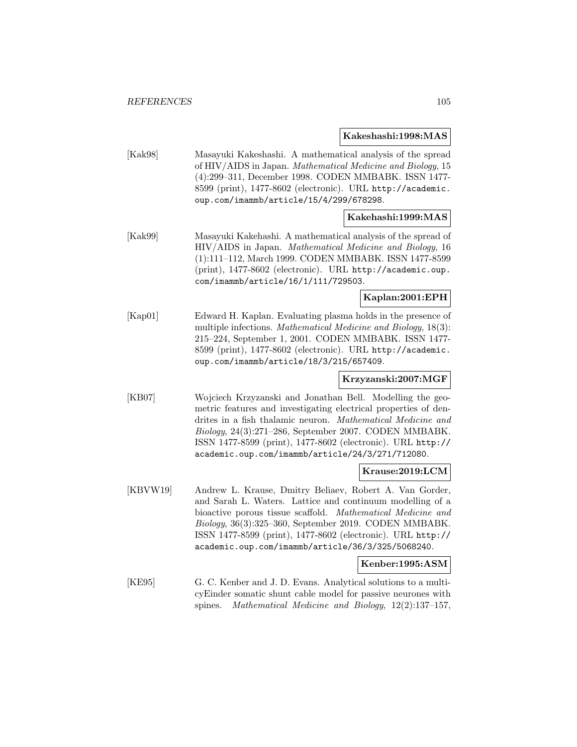#### **Kakeshashi:1998:MAS**

[Kak98] Masayuki Kakeshashi. A mathematical analysis of the spread of HIV/AIDS in Japan. Mathematical Medicine and Biology, 15 (4):299–311, December 1998. CODEN MMBABK. ISSN 1477- 8599 (print), 1477-8602 (electronic). URL http://academic. oup.com/imammb/article/15/4/299/678298.

### **Kakehashi:1999:MAS**

[Kak99] Masayuki Kakehashi. A mathematical analysis of the spread of HIV/AIDS in Japan. Mathematical Medicine and Biology, 16 (1):111–112, March 1999. CODEN MMBABK. ISSN 1477-8599 (print), 1477-8602 (electronic). URL http://academic.oup. com/imammb/article/16/1/111/729503.

### **Kaplan:2001:EPH**

[Kap01] Edward H. Kaplan. Evaluating plasma holds in the presence of multiple infections. Mathematical Medicine and Biology, 18(3): 215–224, September 1, 2001. CODEN MMBABK. ISSN 1477- 8599 (print), 1477-8602 (electronic). URL http://academic. oup.com/imammb/article/18/3/215/657409.

### **Krzyzanski:2007:MGF**

[KB07] Wojciech Krzyzanski and Jonathan Bell. Modelling the geometric features and investigating electrical properties of dendrites in a fish thalamic neuron. Mathematical Medicine and Biology, 24(3):271–286, September 2007. CODEN MMBABK. ISSN 1477-8599 (print), 1477-8602 (electronic). URL http:// academic.oup.com/imammb/article/24/3/271/712080.

#### **Krause:2019:LCM**

[KBVW19] Andrew L. Krause, Dmitry Beliaev, Robert A. Van Gorder, and Sarah L. Waters. Lattice and continuum modelling of a bioactive porous tissue scaffold. Mathematical Medicine and Biology, 36(3):325–360, September 2019. CODEN MMBABK. ISSN 1477-8599 (print), 1477-8602 (electronic). URL http:// academic.oup.com/imammb/article/36/3/325/5068240.

#### **Kenber:1995:ASM**

[KE95] G. C. Kenber and J. D. Evans. Analytical solutions to a multicyEinder somatic shunt cable model for passive neurones with spines. Mathematical Medicine and Biology, 12(2):137–157,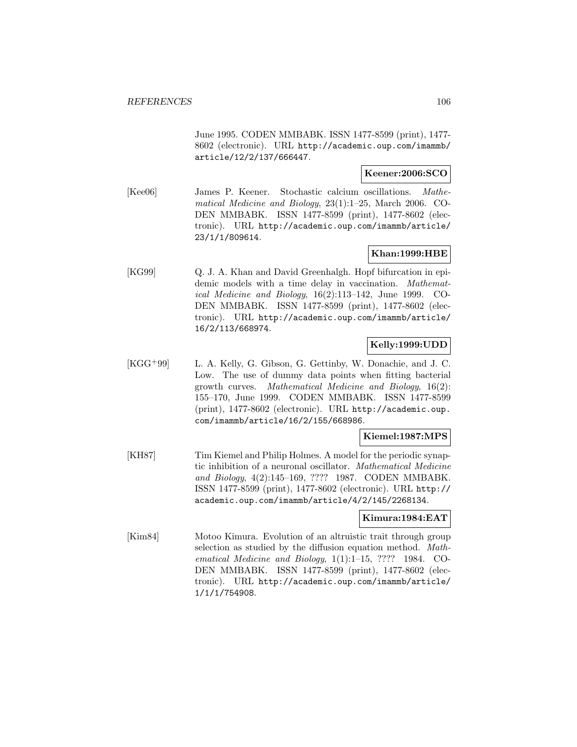June 1995. CODEN MMBABK. ISSN 1477-8599 (print), 1477- 8602 (electronic). URL http://academic.oup.com/imammb/ article/12/2/137/666447.

### **Keener:2006:SCO**

[Kee06] James P. Keener. Stochastic calcium oscillations. Mathematical Medicine and Biology, 23(1):1–25, March 2006. CO-DEN MMBABK. ISSN 1477-8599 (print), 1477-8602 (electronic). URL http://academic.oup.com/imammb/article/ 23/1/1/809614.

# **Khan:1999:HBE**

[KG99] Q. J. A. Khan and David Greenhalgh. Hopf bifurcation in epidemic models with a time delay in vaccination. Mathematical Medicine and Biology, 16(2):113–142, June 1999. CO-DEN MMBABK. ISSN 1477-8599 (print), 1477-8602 (electronic). URL http://academic.oup.com/imammb/article/ 16/2/113/668974.

# **Kelly:1999:UDD**

[KGG<sup>+</sup>99] L. A. Kelly, G. Gibson, G. Gettinby, W. Donachie, and J. C. Low. The use of dummy data points when fitting bacterial growth curves. Mathematical Medicine and Biology, 16(2): 155–170, June 1999. CODEN MMBABK. ISSN 1477-8599 (print), 1477-8602 (electronic). URL http://academic.oup. com/imammb/article/16/2/155/668986.

### **Kiemel:1987:MPS**

[KH87] Tim Kiemel and Philip Holmes. A model for the periodic synaptic inhibition of a neuronal oscillator. Mathematical Medicine and Biology, 4(2):145–169, ???? 1987. CODEN MMBABK. ISSN 1477-8599 (print), 1477-8602 (electronic). URL http:// academic.oup.com/imammb/article/4/2/145/2268134.

#### **Kimura:1984:EAT**

[Kim84] Motoo Kimura. Evolution of an altruistic trait through group selection as studied by the diffusion equation method. Mathematical Medicine and Biology, 1(1):1–15, ???? 1984. CO-DEN MMBABK. ISSN 1477-8599 (print), 1477-8602 (electronic). URL http://academic.oup.com/imammb/article/ 1/1/1/754908.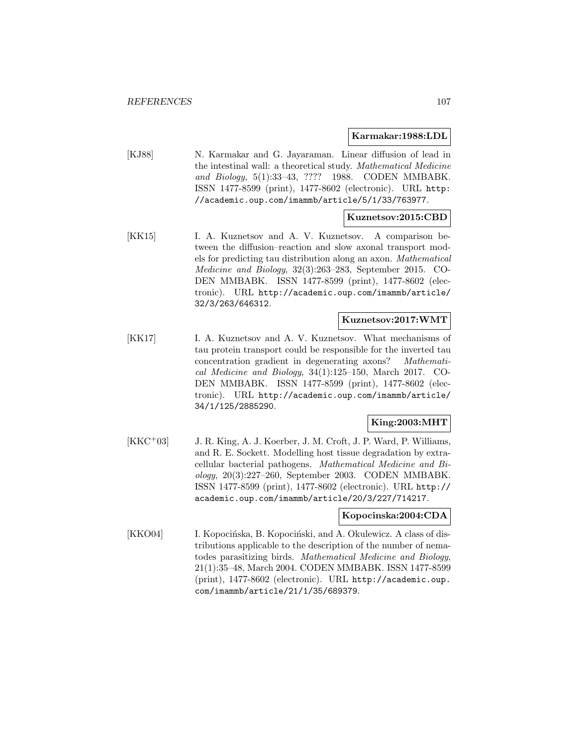#### **Karmakar:1988:LDL**

[KJ88] N. Karmakar and G. Jayaraman. Linear diffusion of lead in the intestinal wall: a theoretical study. Mathematical Medicine and Biology, 5(1):33–43, ???? 1988. CODEN MMBABK. ISSN 1477-8599 (print), 1477-8602 (electronic). URL http: //academic.oup.com/imammb/article/5/1/33/763977.

### **Kuznetsov:2015:CBD**

[KK15] I. A. Kuznetsov and A. V. Kuznetsov. A comparison between the diffusion–reaction and slow axonal transport models for predicting tau distribution along an axon. Mathematical Medicine and Biology, 32(3):263–283, September 2015. CO-DEN MMBABK. ISSN 1477-8599 (print), 1477-8602 (electronic). URL http://academic.oup.com/imammb/article/ 32/3/263/646312.

### **Kuznetsov:2017:WMT**

[KK17] I. A. Kuznetsov and A. V. Kuznetsov. What mechanisms of tau protein transport could be responsible for the inverted tau concentration gradient in degenerating axons? Mathematical Medicine and Biology, 34(1):125–150, March 2017. CO-DEN MMBABK. ISSN 1477-8599 (print), 1477-8602 (electronic). URL http://academic.oup.com/imammb/article/ 34/1/125/2885290.

## **King:2003:MHT**

[KKC<sup>+</sup>03] J. R. King, A. J. Koerber, J. M. Croft, J. P. Ward, P. Williams, and R. E. Sockett. Modelling host tissue degradation by extracellular bacterial pathogens. Mathematical Medicine and Biology, 20(3):227–260, September 2003. CODEN MMBABK. ISSN 1477-8599 (print), 1477-8602 (electronic). URL http:// academic.oup.com/imammb/article/20/3/227/714217.

#### **Kopocinska:2004:CDA**

[KKO04] I. Kopocińska, B. Kopociński, and A. Okulewicz. A class of distributions applicable to the description of the number of nematodes parasitizing birds. Mathematical Medicine and Biology, 21(1):35–48, March 2004. CODEN MMBABK. ISSN 1477-8599 (print), 1477-8602 (electronic). URL http://academic.oup. com/imammb/article/21/1/35/689379.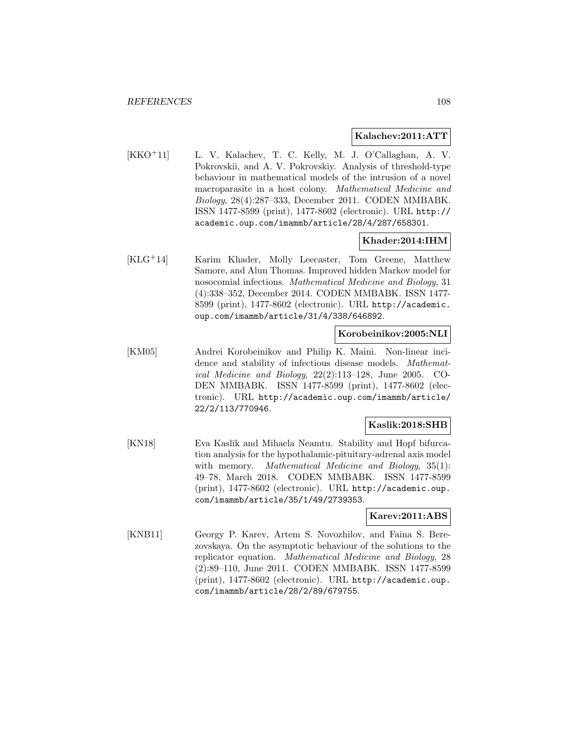#### **Kalachev:2011:ATT**

[KKO<sup>+</sup>11] L. V. Kalachev, T. C. Kelly, M. J. O'Callaghan, A. V. Pokrovskii, and A. V. Pokrovskiy. Analysis of threshold-type behaviour in mathematical models of the intrusion of a novel macroparasite in a host colony. Mathematical Medicine and Biology, 28(4):287–333, December 2011. CODEN MMBABK. ISSN 1477-8599 (print), 1477-8602 (electronic). URL http:// academic.oup.com/imammb/article/28/4/287/658301.

#### **Khader:2014:IHM**

[KLG<sup>+</sup>14] Karim Khader, Molly Leecaster, Tom Greene, Matthew Samore, and Alun Thomas. Improved hidden Markov model for nosocomial infections. Mathematical Medicine and Biology, 31 (4):338–352, December 2014. CODEN MMBABK. ISSN 1477- 8599 (print), 1477-8602 (electronic). URL http://academic. oup.com/imammb/article/31/4/338/646892.

#### **Korobeinikov:2005:NLI**

[KM05] Andrei Korobeinikov and Philip K. Maini. Non-linear incidence and stability of infectious disease models. Mathematical Medicine and Biology, 22(2):113–128, June 2005. CO-DEN MMBABK. ISSN 1477-8599 (print), 1477-8602 (electronic). URL http://academic.oup.com/imammb/article/ 22/2/113/770946.

### **Kaslik:2018:SHB**

[KN18] Eva Kaslik and Mihaela Neamtu. Stability and Hopf bifurcation analysis for the hypothalamic-pituitary-adrenal axis model with memory. Mathematical Medicine and Biology, 35(1): 49–78, March 2018. CODEN MMBABK. ISSN 1477-8599 (print), 1477-8602 (electronic). URL http://academic.oup. com/imammb/article/35/1/49/2739353.

### **Karev:2011:ABS**

[KNB11] Georgy P. Karev, Artem S. Novozhilov, and Faina S. Berezovskaya. On the asymptotic behaviour of the solutions to the replicator equation. Mathematical Medicine and Biology, 28 (2):89–110, June 2011. CODEN MMBABK. ISSN 1477-8599 (print), 1477-8602 (electronic). URL http://academic.oup. com/imammb/article/28/2/89/679755.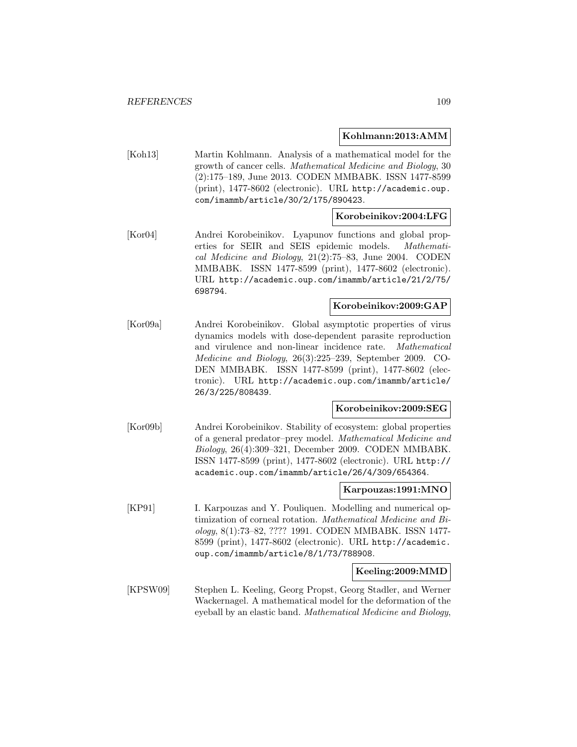### **Kohlmann:2013:AMM**

[Koh13] Martin Kohlmann. Analysis of a mathematical model for the growth of cancer cells. Mathematical Medicine and Biology, 30 (2):175–189, June 2013. CODEN MMBABK. ISSN 1477-8599 (print), 1477-8602 (electronic). URL http://academic.oup. com/imammb/article/30/2/175/890423.

### **Korobeinikov:2004:LFG**

[Kor04] Andrei Korobeinikov. Lyapunov functions and global properties for SEIR and SEIS epidemic models. Mathematical Medicine and Biology, 21(2):75–83, June 2004. CODEN MMBABK. ISSN 1477-8599 (print), 1477-8602 (electronic). URL http://academic.oup.com/imammb/article/21/2/75/ 698794.

### **Korobeinikov:2009:GAP**

[Kor09a] Andrei Korobeinikov. Global asymptotic properties of virus dynamics models with dose-dependent parasite reproduction and virulence and non-linear incidence rate. Mathematical Medicine and Biology, 26(3):225–239, September 2009. CO-DEN MMBABK. ISSN 1477-8599 (print), 1477-8602 (electronic). URL http://academic.oup.com/imammb/article/ 26/3/225/808439.

### **Korobeinikov:2009:SEG**

[Kor09b] Andrei Korobeinikov. Stability of ecosystem: global properties of a general predator–prey model. Mathematical Medicine and Biology, 26(4):309–321, December 2009. CODEN MMBABK. ISSN 1477-8599 (print), 1477-8602 (electronic). URL http:// academic.oup.com/imammb/article/26/4/309/654364.

#### **Karpouzas:1991:MNO**

[KP91] I. Karpouzas and Y. Pouliquen. Modelling and numerical optimization of corneal rotation. Mathematical Medicine and Biology, 8(1):73–82, ???? 1991. CODEN MMBABK. ISSN 1477- 8599 (print), 1477-8602 (electronic). URL http://academic. oup.com/imammb/article/8/1/73/788908.

### **Keeling:2009:MMD**

[KPSW09] Stephen L. Keeling, Georg Propst, Georg Stadler, and Werner Wackernagel. A mathematical model for the deformation of the eyeball by an elastic band. Mathematical Medicine and Biology,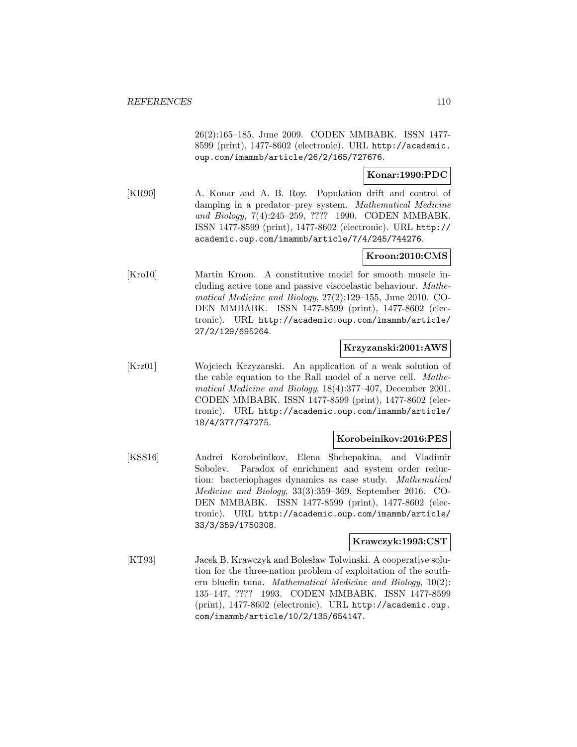26(2):165–185, June 2009. CODEN MMBABK. ISSN 1477- 8599 (print), 1477-8602 (electronic). URL http://academic. oup.com/imammb/article/26/2/165/727676.

## **Konar:1990:PDC**

[KR90] A. Konar and A. B. Roy. Population drift and control of damping in a predator–prey system. Mathematical Medicine and Biology, 7(4):245–259, ???? 1990. CODEN MMBABK. ISSN 1477-8599 (print), 1477-8602 (electronic). URL http:// academic.oup.com/imammb/article/7/4/245/744276.

# **Kroon:2010:CMS**

[Kro10] Martin Kroon. A constitutive model for smooth muscle including active tone and passive viscoelastic behaviour. Mathematical Medicine and Biology, 27(2):129–155, June 2010. CO-DEN MMBABK. ISSN 1477-8599 (print), 1477-8602 (electronic). URL http://academic.oup.com/imammb/article/ 27/2/129/695264.

## **Krzyzanski:2001:AWS**

[Krz01] Wojciech Krzyzanski. An application of a weak solution of the cable equation to the Rall model of a nerve cell. Mathematical Medicine and Biology, 18(4):377–407, December 2001. CODEN MMBABK. ISSN 1477-8599 (print), 1477-8602 (electronic). URL http://academic.oup.com/imammb/article/ 18/4/377/747275.

# **Korobeinikov:2016:PES**

[KSS16] Andrei Korobeinikov, Elena Shchepakina, and Vladimir Sobolev. Paradox of enrichment and system order reduction: bacteriophages dynamics as case study. Mathematical Medicine and Biology, 33(3):359–369, September 2016. CO-DEN MMBABK. ISSN 1477-8599 (print), 1477-8602 (electronic). URL http://academic.oup.com/imammb/article/ 33/3/359/1750308.

#### **Krawczyk:1993:CST**

[KT93] Jacek B. Krawczyk and Bolesław Tolwinski. A cooperative solution for the three-nation problem of exploitation of the southern bluefin tuna. Mathematical Medicine and Biology, 10(2): 135–147, ???? 1993. CODEN MMBABK. ISSN 1477-8599 (print), 1477-8602 (electronic). URL http://academic.oup. com/imammb/article/10/2/135/654147.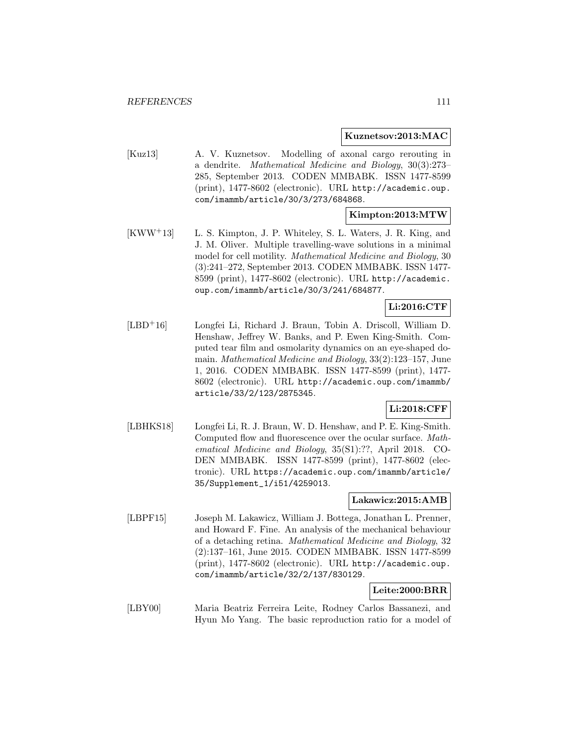#### **Kuznetsov:2013:MAC**

[Kuz13] A. V. Kuznetsov. Modelling of axonal cargo rerouting in a dendrite. Mathematical Medicine and Biology, 30(3):273– 285, September 2013. CODEN MMBABK. ISSN 1477-8599 (print), 1477-8602 (electronic). URL http://academic.oup. com/imammb/article/30/3/273/684868.

### **Kimpton:2013:MTW**

[KWW<sup>+</sup>13] L. S. Kimpton, J. P. Whiteley, S. L. Waters, J. R. King, and J. M. Oliver. Multiple travelling-wave solutions in a minimal model for cell motility. Mathematical Medicine and Biology, 30 (3):241–272, September 2013. CODEN MMBABK. ISSN 1477- 8599 (print), 1477-8602 (electronic). URL http://academic. oup.com/imammb/article/30/3/241/684877.

# **Li:2016:CTF**

[LBD<sup>+</sup>16] Longfei Li, Richard J. Braun, Tobin A. Driscoll, William D. Henshaw, Jeffrey W. Banks, and P. Ewen King-Smith. Computed tear film and osmolarity dynamics on an eye-shaped domain. Mathematical Medicine and Biology, 33(2):123–157, June 1, 2016. CODEN MMBABK. ISSN 1477-8599 (print), 1477- 8602 (electronic). URL http://academic.oup.com/imammb/ article/33/2/123/2875345.

# **Li:2018:CFF**

[LBHKS18] Longfei Li, R. J. Braun, W. D. Henshaw, and P. E. King-Smith. Computed flow and fluorescence over the ocular surface. Mathematical Medicine and Biology, 35(S1):??, April 2018. CO-DEN MMBABK. ISSN 1477-8599 (print), 1477-8602 (electronic). URL https://academic.oup.com/imammb/article/ 35/Supplement\_1/i51/4259013.

### **Lakawicz:2015:AMB**

[LBPF15] Joseph M. Lakawicz, William J. Bottega, Jonathan L. Prenner, and Howard F. Fine. An analysis of the mechanical behaviour of a detaching retina. Mathematical Medicine and Biology, 32 (2):137–161, June 2015. CODEN MMBABK. ISSN 1477-8599 (print), 1477-8602 (electronic). URL http://academic.oup. com/imammb/article/32/2/137/830129.

# **Leite:2000:BRR**

[LBY00] Maria Beatriz Ferreira Leite, Rodney Carlos Bassanezi, and Hyun Mo Yang. The basic reproduction ratio for a model of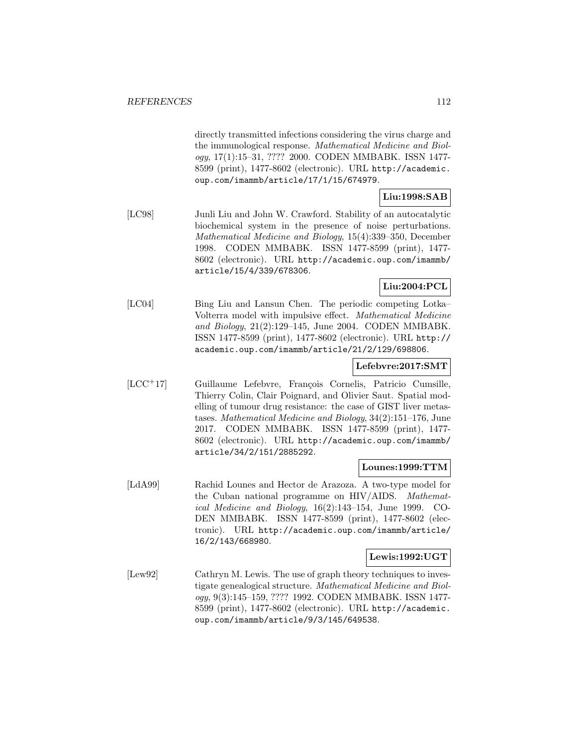directly transmitted infections considering the virus charge and the immunological response. Mathematical Medicine and Biology, 17(1):15–31, ???? 2000. CODEN MMBABK. ISSN 1477- 8599 (print), 1477-8602 (electronic). URL http://academic. oup.com/imammb/article/17/1/15/674979.

# **Liu:1998:SAB**

[LC98] Junli Liu and John W. Crawford. Stability of an autocatalytic biochemical system in the presence of noise perturbations. Mathematical Medicine and Biology, 15(4):339–350, December 1998. CODEN MMBABK. ISSN 1477-8599 (print), 1477- 8602 (electronic). URL http://academic.oup.com/imammb/ article/15/4/339/678306.

# **Liu:2004:PCL**

[LC04] Bing Liu and Lansun Chen. The periodic competing Lotka– Volterra model with impulsive effect. Mathematical Medicine and Biology, 21(2):129–145, June 2004. CODEN MMBABK. ISSN 1477-8599 (print), 1477-8602 (electronic). URL http:// academic.oup.com/imammb/article/21/2/129/698806.

### **Lefebvre:2017:SMT**

[LCC+17] Guillaume Lefebvre, François Cornelis, Patricio Cumsille, Thierry Colin, Clair Poignard, and Olivier Saut. Spatial modelling of tumour drug resistance: the case of GIST liver metastases. Mathematical Medicine and Biology, 34(2):151–176, June 2017. CODEN MMBABK. ISSN 1477-8599 (print), 1477- 8602 (electronic). URL http://academic.oup.com/imammb/ article/34/2/151/2885292.

### **Lounes:1999:TTM**

[LdA99] Rachid Lounes and Hector de Arazoza. A two-type model for the Cuban national programme on HIV/AIDS. Mathematical Medicine and Biology, 16(2):143–154, June 1999. CO-DEN MMBABK. ISSN 1477-8599 (print), 1477-8602 (electronic). URL http://academic.oup.com/imammb/article/ 16/2/143/668980.

### **Lewis:1992:UGT**

[Lew92] Cathryn M. Lewis. The use of graph theory techniques to investigate genealogical structure. Mathematical Medicine and Biology, 9(3):145–159, ???? 1992. CODEN MMBABK. ISSN 1477- 8599 (print), 1477-8602 (electronic). URL http://academic. oup.com/imammb/article/9/3/145/649538.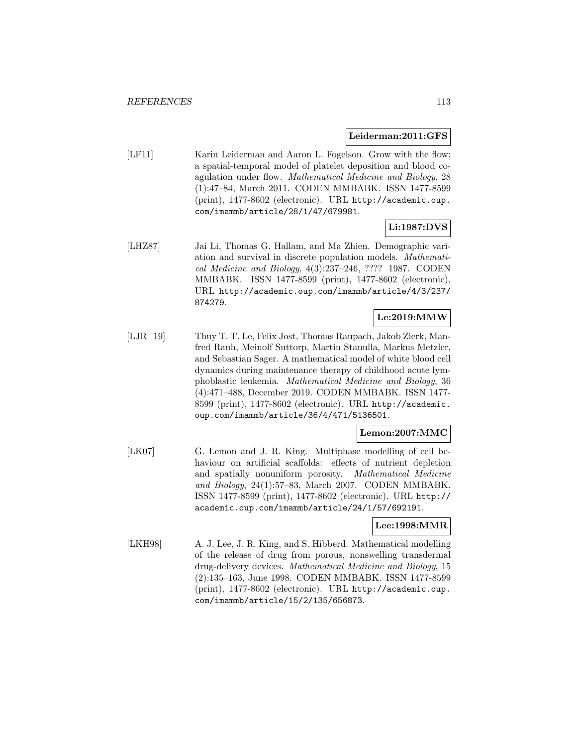#### **Leiderman:2011:GFS**

[LF11] Karin Leiderman and Aaron L. Fogelson. Grow with the flow: a spatial-temporal model of platelet deposition and blood coagulation under flow. Mathematical Medicine and Biology, 28 (1):47–84, March 2011. CODEN MMBABK. ISSN 1477-8599 (print), 1477-8602 (electronic). URL http://academic.oup. com/imammb/article/28/1/47/679981.

# **Li:1987:DVS**

[LHZ87] Jai Li, Thomas G. Hallam, and Ma Zhien. Demographic variation and survival in discrete population models. Mathematical Medicine and Biology, 4(3):237–246, ???? 1987. CODEN MMBABK. ISSN 1477-8599 (print), 1477-8602 (electronic). URL http://academic.oup.com/imammb/article/4/3/237/ 874279.

## **Le:2019:MMW**

[LJR<sup>+</sup>19] Thuy T. T. Le, Felix Jost, Thomas Raupach, Jakob Zierk, Manfred Rauh, Meinolf Suttorp, Martin Stanulla, Markus Metzler, and Sebastian Sager. A mathematical model of white blood cell dynamics during maintenance therapy of childhood acute lymphoblastic leukemia. Mathematical Medicine and Biology, 36 (4):471–488, December 2019. CODEN MMBABK. ISSN 1477- 8599 (print), 1477-8602 (electronic). URL http://academic. oup.com/imammb/article/36/4/471/5136501.

### **Lemon:2007:MMC**

[LK07] G. Lemon and J. R. King. Multiphase modelling of cell behaviour on artificial scaffolds: effects of nutrient depletion and spatially nonuniform porosity. Mathematical Medicine and Biology, 24(1):57–83, March 2007. CODEN MMBABK. ISSN 1477-8599 (print), 1477-8602 (electronic). URL http:// academic.oup.com/imammb/article/24/1/57/692191.

#### **Lee:1998:MMR**

[LKH98] A. J. Lee, J. R. King, and S. Hibberd. Mathematical modelling of the release of drug from porous, nonswelling transdermal drug-delivery devices. Mathematical Medicine and Biology, 15 (2):135–163, June 1998. CODEN MMBABK. ISSN 1477-8599 (print), 1477-8602 (electronic). URL http://academic.oup. com/imammb/article/15/2/135/656873.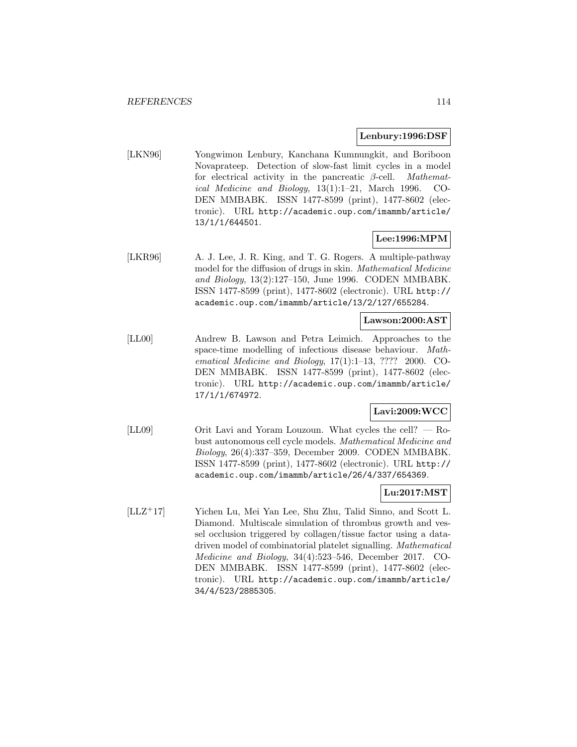### **Lenbury:1996:DSF**

[LKN96] Yongwimon Lenbury, Kanchana Kumnungkit, and Boriboon Novaprateep. Detection of slow-fast limit cycles in a model for electrical activity in the pancreatic  $\beta$ -cell. *Mathemat*ical Medicine and Biology, 13(1):1–21, March 1996. CO-DEN MMBABK. ISSN 1477-8599 (print), 1477-8602 (electronic). URL http://academic.oup.com/imammb/article/ 13/1/1/644501.

## **Lee:1996:MPM**

[LKR96] A. J. Lee, J. R. King, and T. G. Rogers. A multiple-pathway model for the diffusion of drugs in skin. Mathematical Medicine and Biology, 13(2):127–150, June 1996. CODEN MMBABK. ISSN 1477-8599 (print), 1477-8602 (electronic). URL http:// academic.oup.com/imammb/article/13/2/127/655284.

## **Lawson:2000:AST**

[LL00] Andrew B. Lawson and Petra Leimich. Approaches to the space-time modelling of infectious disease behaviour. Mathematical Medicine and Biology, 17(1):1–13, ???? 2000. CO-DEN MMBABK. ISSN 1477-8599 (print), 1477-8602 (electronic). URL http://academic.oup.com/imammb/article/ 17/1/1/674972.

# **Lavi:2009:WCC**

[LL09] Orit Lavi and Yoram Louzoun. What cycles the cell? — Robust autonomous cell cycle models. Mathematical Medicine and Biology, 26(4):337–359, December 2009. CODEN MMBABK. ISSN 1477-8599 (print), 1477-8602 (electronic). URL http:// academic.oup.com/imammb/article/26/4/337/654369.

### **Lu:2017:MST**

[LLZ<sup>+</sup>17] Yichen Lu, Mei Yan Lee, Shu Zhu, Talid Sinno, and Scott L. Diamond. Multiscale simulation of thrombus growth and vessel occlusion triggered by collagen/tissue factor using a datadriven model of combinatorial platelet signalling. Mathematical Medicine and Biology, 34(4):523–546, December 2017. CO-DEN MMBABK. ISSN 1477-8599 (print), 1477-8602 (electronic). URL http://academic.oup.com/imammb/article/ 34/4/523/2885305.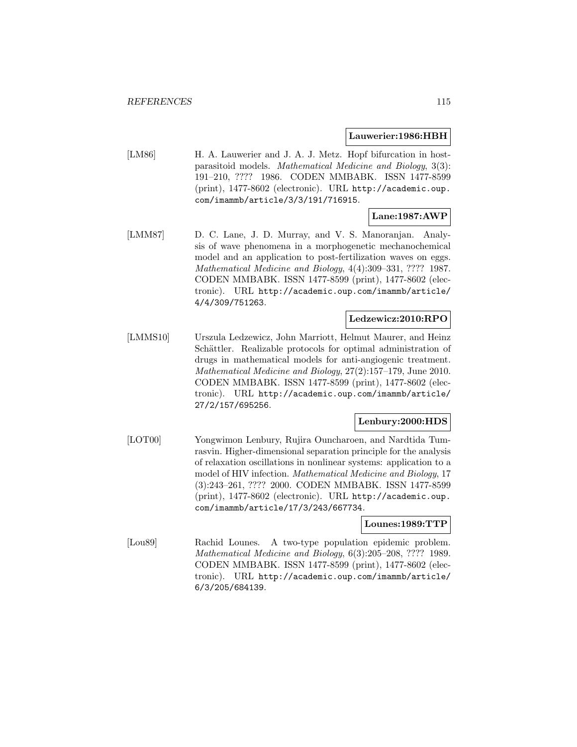#### **Lauwerier:1986:HBH**

[LM86] H. A. Lauwerier and J. A. J. Metz. Hopf bifurcation in hostparasitoid models. Mathematical Medicine and Biology, 3(3): 191–210, ???? 1986. CODEN MMBABK. ISSN 1477-8599 (print), 1477-8602 (electronic). URL http://academic.oup. com/imammb/article/3/3/191/716915.

# **Lane:1987:AWP**

[LMM87] D. C. Lane, J. D. Murray, and V. S. Manoranjan. Analysis of wave phenomena in a morphogenetic mechanochemical model and an application to post-fertilization waves on eggs. Mathematical Medicine and Biology, 4(4):309–331, ???? 1987. CODEN MMBABK. ISSN 1477-8599 (print), 1477-8602 (electronic). URL http://academic.oup.com/imammb/article/ 4/4/309/751263.

### **Ledzewicz:2010:RPO**

[LMMS10] Urszula Ledzewicz, John Marriott, Helmut Maurer, and Heinz Schättler. Realizable protocols for optimal administration of drugs in mathematical models for anti-angiogenic treatment. Mathematical Medicine and Biology, 27(2):157–179, June 2010. CODEN MMBABK. ISSN 1477-8599 (print), 1477-8602 (electronic). URL http://academic.oup.com/imammb/article/ 27/2/157/695256.

# **Lenbury:2000:HDS**

[LOT00] Yongwimon Lenbury, Rujira Ouncharoen, and Nardtida Tumrasvin. Higher-dimensional separation principle for the analysis of relaxation oscillations in nonlinear systems: application to a model of HIV infection. Mathematical Medicine and Biology, 17 (3):243–261, ???? 2000. CODEN MMBABK. ISSN 1477-8599 (print), 1477-8602 (electronic). URL http://academic.oup. com/imammb/article/17/3/243/667734.

### **Lounes:1989:TTP**

[Lou89] Rachid Lounes. A two-type population epidemic problem. Mathematical Medicine and Biology, 6(3):205–208, ???? 1989. CODEN MMBABK. ISSN 1477-8599 (print), 1477-8602 (electronic). URL http://academic.oup.com/imammb/article/ 6/3/205/684139.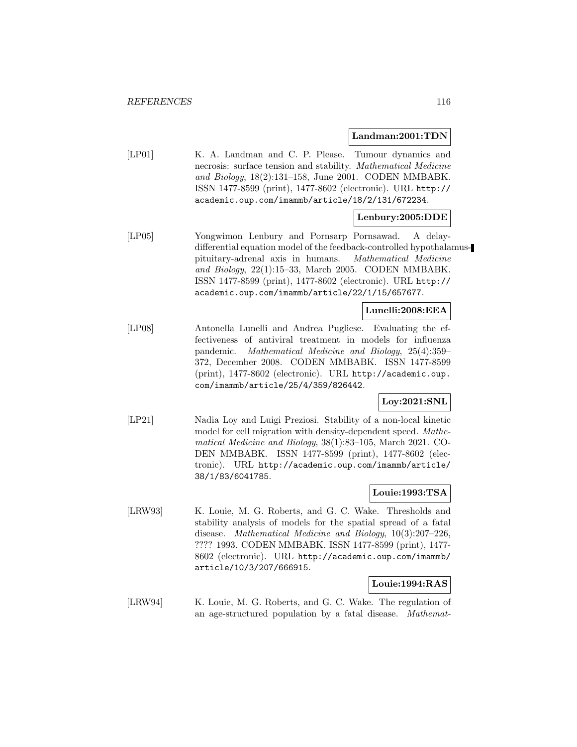#### **Landman:2001:TDN**

[LP01] K. A. Landman and C. P. Please. Tumour dynamics and necrosis: surface tension and stability. Mathematical Medicine and Biology, 18(2):131–158, June 2001. CODEN MMBABK. ISSN 1477-8599 (print), 1477-8602 (electronic). URL http:// academic.oup.com/imammb/article/18/2/131/672234.

# **Lenbury:2005:DDE**

[LP05] Yongwimon Lenbury and Pornsarp Pornsawad. A delaydifferential equation model of the feedback-controlled hypothalamuspituitary-adrenal axis in humans. Mathematical Medicine and Biology, 22(1):15–33, March 2005. CODEN MMBABK. ISSN 1477-8599 (print), 1477-8602 (electronic). URL http:// academic.oup.com/imammb/article/22/1/15/657677.

## **Lunelli:2008:EEA**

[LP08] Antonella Lunelli and Andrea Pugliese. Evaluating the effectiveness of antiviral treatment in models for influenza pandemic. Mathematical Medicine and Biology, 25(4):359– 372, December 2008. CODEN MMBABK. ISSN 1477-8599 (print), 1477-8602 (electronic). URL http://academic.oup. com/imammb/article/25/4/359/826442.

# **Loy:2021:SNL**

[LP21] Nadia Loy and Luigi Preziosi. Stability of a non-local kinetic model for cell migration with density-dependent speed. Mathematical Medicine and Biology, 38(1):83–105, March 2021. CO-DEN MMBABK. ISSN 1477-8599 (print), 1477-8602 (electronic). URL http://academic.oup.com/imammb/article/ 38/1/83/6041785.

### **Louie:1993:TSA**

[LRW93] K. Louie, M. G. Roberts, and G. C. Wake. Thresholds and stability analysis of models for the spatial spread of a fatal disease. Mathematical Medicine and Biology, 10(3):207–226, ???? 1993. CODEN MMBABK. ISSN 1477-8599 (print), 1477- 8602 (electronic). URL http://academic.oup.com/imammb/ article/10/3/207/666915.

### **Louie:1994:RAS**

[LRW94] K. Louie, M. G. Roberts, and G. C. Wake. The regulation of an age-structured population by a fatal disease. Mathemat-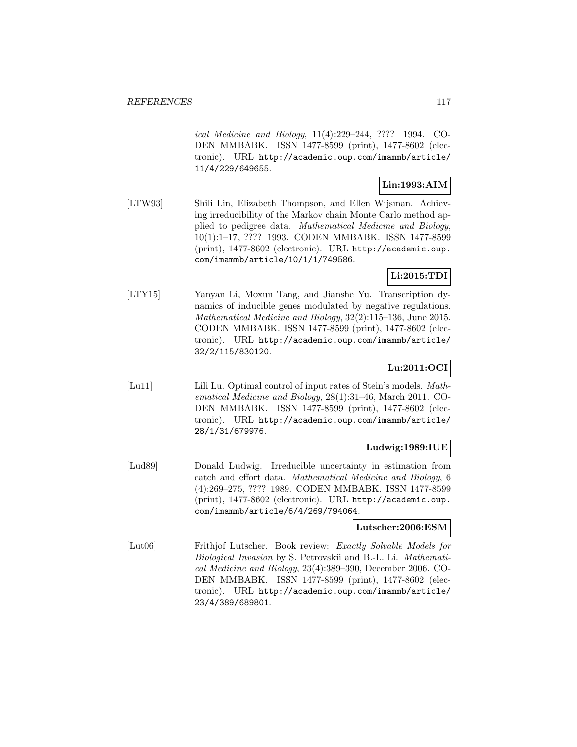ical Medicine and Biology, 11(4):229–244, ???? 1994. CO-DEN MMBABK. ISSN 1477-8599 (print), 1477-8602 (electronic). URL http://academic.oup.com/imammb/article/ 11/4/229/649655.

# **Lin:1993:AIM**

[LTW93] Shili Lin, Elizabeth Thompson, and Ellen Wijsman. Achieving irreducibility of the Markov chain Monte Carlo method applied to pedigree data. Mathematical Medicine and Biology, 10(1):1–17, ???? 1993. CODEN MMBABK. ISSN 1477-8599 (print), 1477-8602 (electronic). URL http://academic.oup. com/imammb/article/10/1/1/749586.

# **Li:2015:TDI**

[LTY15] Yanyan Li, Moxun Tang, and Jianshe Yu. Transcription dynamics of inducible genes modulated by negative regulations. Mathematical Medicine and Biology, 32(2):115–136, June 2015. CODEN MMBABK. ISSN 1477-8599 (print), 1477-8602 (electronic). URL http://academic.oup.com/imammb/article/ 32/2/115/830120.

# **Lu:2011:OCI**

[Lu11] Lili Lu. Optimal control of input rates of Stein's models. Mathematical Medicine and Biology, 28(1):31–46, March 2011. CO-DEN MMBABK. ISSN 1477-8599 (print), 1477-8602 (electronic). URL http://academic.oup.com/imammb/article/ 28/1/31/679976.

# **Ludwig:1989:IUE**

[Lud89] Donald Ludwig. Irreducible uncertainty in estimation from catch and effort data. Mathematical Medicine and Biology, 6 (4):269–275, ???? 1989. CODEN MMBABK. ISSN 1477-8599 (print), 1477-8602 (electronic). URL http://academic.oup. com/imammb/article/6/4/269/794064.

# **Lutscher:2006:ESM**

[Lut06] Frithjof Lutscher. Book review: Exactly Solvable Models for Biological Invasion by S. Petrovskii and B.-L. Li. Mathematical Medicine and Biology, 23(4):389–390, December 2006. CO-DEN MMBABK. ISSN 1477-8599 (print), 1477-8602 (electronic). URL http://academic.oup.com/imammb/article/ 23/4/389/689801.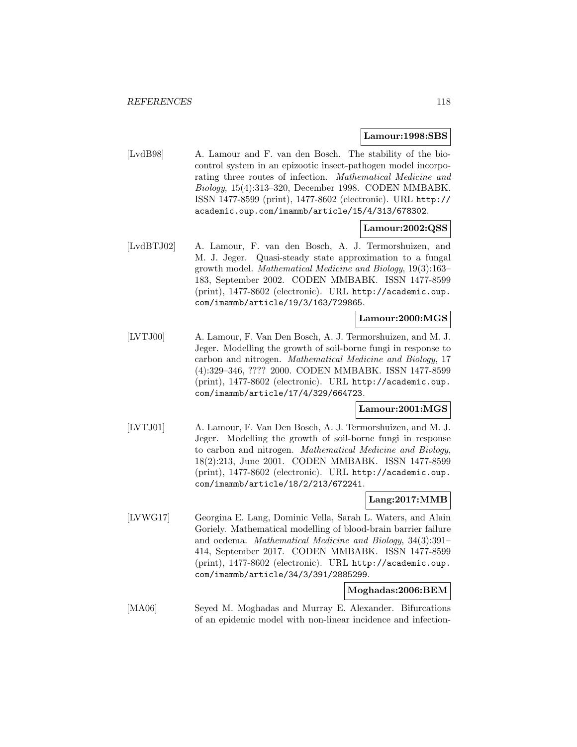#### **Lamour:1998:SBS**

[LvdB98] A. Lamour and F. van den Bosch. The stability of the biocontrol system in an epizootic insect-pathogen model incorporating three routes of infection. Mathematical Medicine and Biology, 15(4):313–320, December 1998. CODEN MMBABK. ISSN 1477-8599 (print), 1477-8602 (electronic). URL http:// academic.oup.com/imammb/article/15/4/313/678302.

#### **Lamour:2002:QSS**

[LvdBTJ02] A. Lamour, F. van den Bosch, A. J. Termorshuizen, and M. J. Jeger. Quasi-steady state approximation to a fungal growth model. Mathematical Medicine and Biology, 19(3):163– 183, September 2002. CODEN MMBABK. ISSN 1477-8599 (print), 1477-8602 (electronic). URL http://academic.oup. com/imammb/article/19/3/163/729865.

#### **Lamour:2000:MGS**

[LVTJ00] A. Lamour, F. Van Den Bosch, A. J. Termorshuizen, and M. J. Jeger. Modelling the growth of soil-borne fungi in response to carbon and nitrogen. Mathematical Medicine and Biology, 17 (4):329–346, ???? 2000. CODEN MMBABK. ISSN 1477-8599 (print), 1477-8602 (electronic). URL http://academic.oup. com/imammb/article/17/4/329/664723.

## **Lamour:2001:MGS**

[LVTJ01] A. Lamour, F. Van Den Bosch, A. J. Termorshuizen, and M. J. Jeger. Modelling the growth of soil-borne fungi in response to carbon and nitrogen. Mathematical Medicine and Biology, 18(2):213, June 2001. CODEN MMBABK. ISSN 1477-8599 (print), 1477-8602 (electronic). URL http://academic.oup. com/imammb/article/18/2/213/672241.

### **Lang:2017:MMB**

[LVWG17] Georgina E. Lang, Dominic Vella, Sarah L. Waters, and Alain Goriely. Mathematical modelling of blood-brain barrier failure and oedema. Mathematical Medicine and Biology, 34(3):391– 414, September 2017. CODEN MMBABK. ISSN 1477-8599 (print), 1477-8602 (electronic). URL http://academic.oup. com/imammb/article/34/3/391/2885299.

## **Moghadas:2006:BEM**

[MA06] Seyed M. Moghadas and Murray E. Alexander. Bifurcations of an epidemic model with non-linear incidence and infection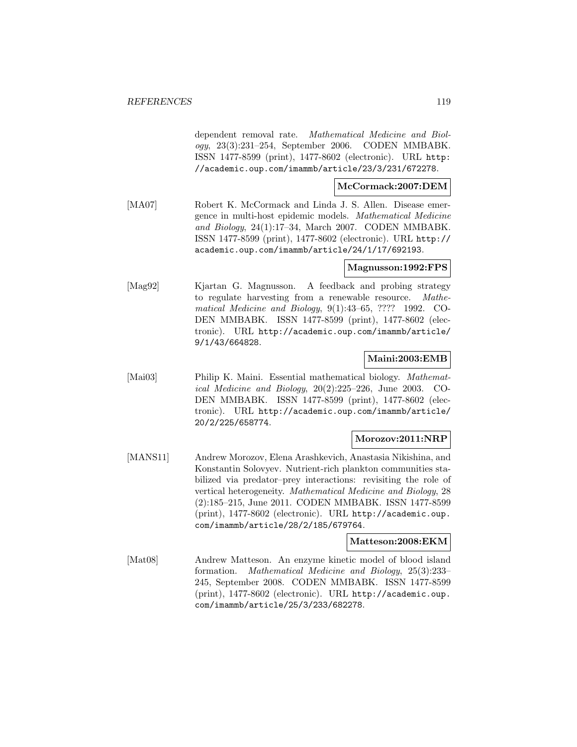dependent removal rate. Mathematical Medicine and Biology, 23(3):231–254, September 2006. CODEN MMBABK. ISSN 1477-8599 (print), 1477-8602 (electronic). URL http: //academic.oup.com/imammb/article/23/3/231/672278.

## **McCormack:2007:DEM**

[MA07] Robert K. McCormack and Linda J. S. Allen. Disease emergence in multi-host epidemic models. Mathematical Medicine and Biology, 24(1):17–34, March 2007. CODEN MMBABK. ISSN 1477-8599 (print), 1477-8602 (electronic). URL http:// academic.oup.com/imammb/article/24/1/17/692193.

## **Magnusson:1992:FPS**

[Mag92] Kjartan G. Magnusson. A feedback and probing strategy to regulate harvesting from a renewable resource. Mathematical Medicine and Biology, 9(1):43–65, ???? 1992. CO-DEN MMBABK. ISSN 1477-8599 (print), 1477-8602 (electronic). URL http://academic.oup.com/imammb/article/ 9/1/43/664828.

## **Maini:2003:EMB**

[Mai03] Philip K. Maini. Essential mathematical biology. *Mathemat*ical Medicine and Biology, 20(2):225–226, June 2003. CO-DEN MMBABK. ISSN 1477-8599 (print), 1477-8602 (electronic). URL http://academic.oup.com/imammb/article/ 20/2/225/658774.

# **Morozov:2011:NRP**

[MANS11] Andrew Morozov, Elena Arashkevich, Anastasia Nikishina, and Konstantin Solovyev. Nutrient-rich plankton communities stabilized via predator–prey interactions: revisiting the role of vertical heterogeneity. Mathematical Medicine and Biology, 28 (2):185–215, June 2011. CODEN MMBABK. ISSN 1477-8599 (print), 1477-8602 (electronic). URL http://academic.oup. com/imammb/article/28/2/185/679764.

#### **Matteson:2008:EKM**

[Mat08] Andrew Matteson. An enzyme kinetic model of blood island formation. Mathematical Medicine and Biology, 25(3):233– 245, September 2008. CODEN MMBABK. ISSN 1477-8599 (print), 1477-8602 (electronic). URL http://academic.oup. com/imammb/article/25/3/233/682278.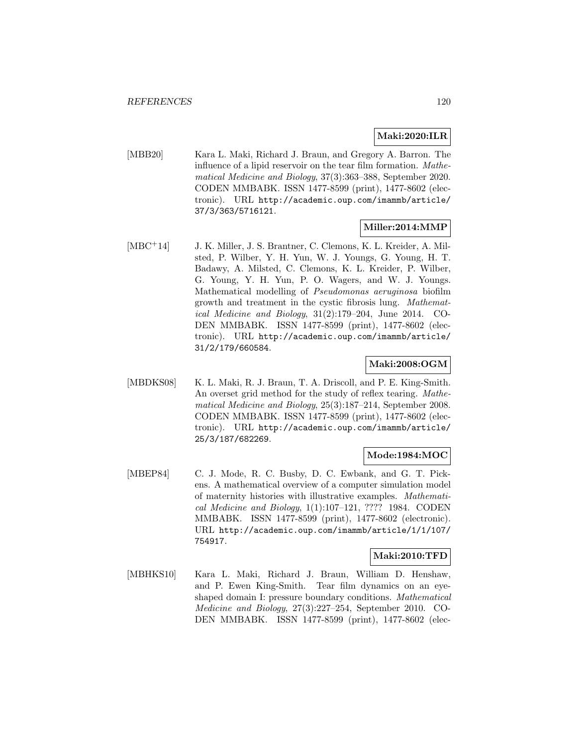## **Maki:2020:ILR**

[MBB20] Kara L. Maki, Richard J. Braun, and Gregory A. Barron. The influence of a lipid reservoir on the tear film formation. Mathematical Medicine and Biology, 37(3):363–388, September 2020. CODEN MMBABK. ISSN 1477-8599 (print), 1477-8602 (electronic). URL http://academic.oup.com/imammb/article/ 37/3/363/5716121.

## **Miller:2014:MMP**

[MBC<sup>+</sup>14] J. K. Miller, J. S. Brantner, C. Clemons, K. L. Kreider, A. Milsted, P. Wilber, Y. H. Yun, W. J. Youngs, G. Young, H. T. Badawy, A. Milsted, C. Clemons, K. L. Kreider, P. Wilber, G. Young, Y. H. Yun, P. O. Wagers, and W. J. Youngs. Mathematical modelling of Pseudomonas aeruginosa biofilm growth and treatment in the cystic fibrosis lung. Mathematical Medicine and Biology, 31(2):179–204, June 2014. CO-DEN MMBABK. ISSN 1477-8599 (print), 1477-8602 (electronic). URL http://academic.oup.com/imammb/article/ 31/2/179/660584.

## **Maki:2008:OGM**

[MBDKS08] K. L. Maki, R. J. Braun, T. A. Driscoll, and P. E. King-Smith. An overset grid method for the study of reflex tearing. Mathematical Medicine and Biology, 25(3):187–214, September 2008. CODEN MMBABK. ISSN 1477-8599 (print), 1477-8602 (electronic). URL http://academic.oup.com/imammb/article/ 25/3/187/682269.

### **Mode:1984:MOC**

[MBEP84] C. J. Mode, R. C. Busby, D. C. Ewbank, and G. T. Pickens. A mathematical overview of a computer simulation model of maternity histories with illustrative examples. Mathematical Medicine and Biology, 1(1):107–121, ???? 1984. CODEN MMBABK. ISSN 1477-8599 (print), 1477-8602 (electronic). URL http://academic.oup.com/imammb/article/1/1/107/ 754917.

### **Maki:2010:TFD**

[MBHKS10] Kara L. Maki, Richard J. Braun, William D. Henshaw, and P. Ewen King-Smith. Tear film dynamics on an eyeshaped domain I: pressure boundary conditions. Mathematical Medicine and Biology, 27(3):227–254, September 2010. CO-DEN MMBABK. ISSN 1477-8599 (print), 1477-8602 (elec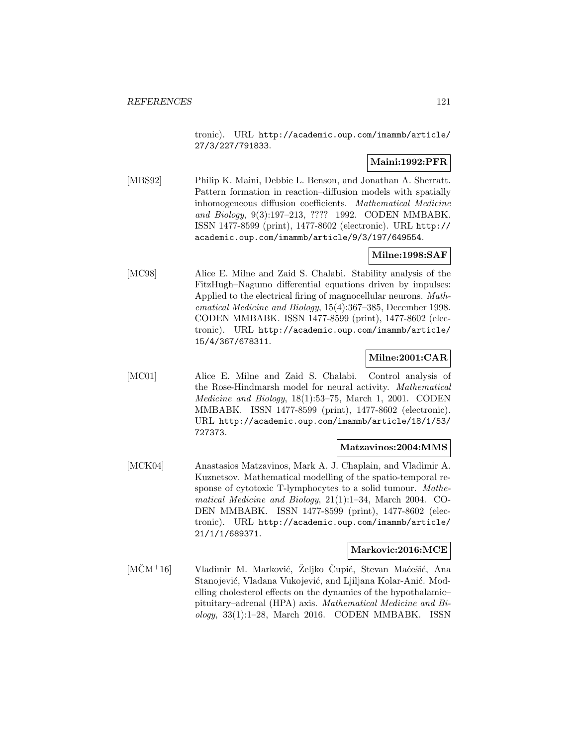tronic). URL http://academic.oup.com/imammb/article/ 27/3/227/791833.

# **Maini:1992:PFR**

[MBS92] Philip K. Maini, Debbie L. Benson, and Jonathan A. Sherratt. Pattern formation in reaction–diffusion models with spatially inhomogeneous diffusion coefficients. Mathematical Medicine and Biology, 9(3):197–213, ???? 1992. CODEN MMBABK. ISSN 1477-8599 (print), 1477-8602 (electronic). URL http:// academic.oup.com/imammb/article/9/3/197/649554.

# **Milne:1998:SAF**

[MC98] Alice E. Milne and Zaid S. Chalabi. Stability analysis of the FitzHugh–Nagumo differential equations driven by impulses: Applied to the electrical firing of magnocellular neurons. Mathematical Medicine and Biology, 15(4):367–385, December 1998. CODEN MMBABK. ISSN 1477-8599 (print), 1477-8602 (electronic). URL http://academic.oup.com/imammb/article/ 15/4/367/678311.

# **Milne:2001:CAR**

[MC01] Alice E. Milne and Zaid S. Chalabi. Control analysis of the Rose-Hindmarsh model for neural activity. Mathematical Medicine and Biology, 18(1):53–75, March 1, 2001. CODEN MMBABK. ISSN 1477-8599 (print), 1477-8602 (electronic). URL http://academic.oup.com/imammb/article/18/1/53/ 727373.

### **Matzavinos:2004:MMS**

[MCK04] Anastasios Matzavinos, Mark A. J. Chaplain, and Vladimir A. Kuznetsov. Mathematical modelling of the spatio-temporal response of cytotoxic T-lymphocytes to a solid tumour. Mathematical Medicine and Biology, 21(1):1–34, March 2004. CO-DEN MMBABK. ISSN 1477-8599 (print), 1477-8602 (electronic). URL http://academic.oup.com/imammb/article/ 21/1/1/689371.

## **Markovic:2016:MCE**

[MČM<sup>+</sup>16] Vladimir M. Marković, Željko Čupić, Stevan Maćešić, Ana Stanojević, Vladana Vukojević, and Ljiljana Kolar-Anić. Modelling cholesterol effects on the dynamics of the hypothalamic– pituitary–adrenal (HPA) axis. Mathematical Medicine and Bi $ology, 33(1):1-28, March 2016. CODEN MMBABK. ISSN$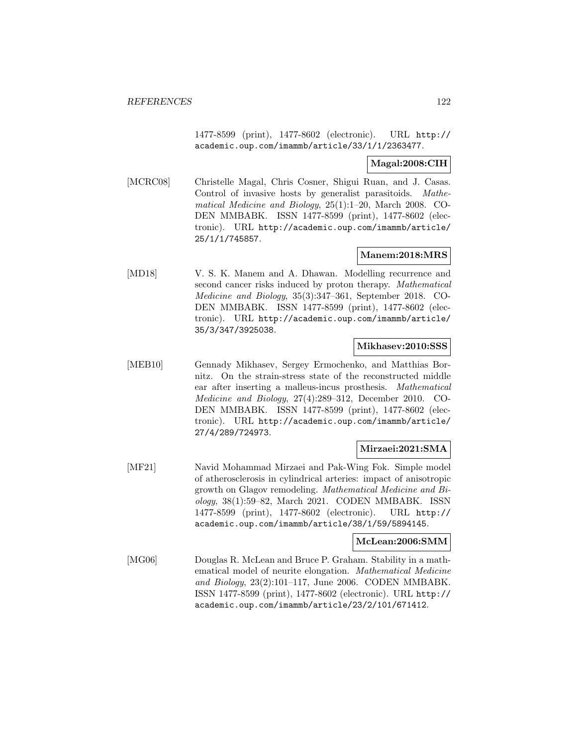1477-8599 (print), 1477-8602 (electronic). URL http:// academic.oup.com/imammb/article/33/1/1/2363477.

# **Magal:2008:CIH**

[MCRC08] Christelle Magal, Chris Cosner, Shigui Ruan, and J. Casas. Control of invasive hosts by generalist parasitoids. Mathematical Medicine and Biology, 25(1):1–20, March 2008. CO-DEN MMBABK. ISSN 1477-8599 (print), 1477-8602 (electronic). URL http://academic.oup.com/imammb/article/ 25/1/1/745857.

## **Manem:2018:MRS**

[MD18] V. S. K. Manem and A. Dhawan. Modelling recurrence and second cancer risks induced by proton therapy. Mathematical Medicine and Biology, 35(3):347–361, September 2018. CO-DEN MMBABK. ISSN 1477-8599 (print), 1477-8602 (electronic). URL http://academic.oup.com/imammb/article/ 35/3/347/3925038.

### **Mikhasev:2010:SSS**

[MEB10] Gennady Mikhasev, Sergey Ermochenko, and Matthias Bornitz. On the strain-stress state of the reconstructed middle ear after inserting a malleus-incus prosthesis. Mathematical Medicine and Biology, 27(4):289–312, December 2010. CO-DEN MMBABK. ISSN 1477-8599 (print), 1477-8602 (electronic). URL http://academic.oup.com/imammb/article/ 27/4/289/724973.

## **Mirzaei:2021:SMA**

[MF21] Navid Mohammad Mirzaei and Pak-Wing Fok. Simple model of atherosclerosis in cylindrical arteries: impact of anisotropic growth on Glagov remodeling. Mathematical Medicine and Biology, 38(1):59–82, March 2021. CODEN MMBABK. ISSN 1477-8599 (print), 1477-8602 (electronic). URL http:// academic.oup.com/imammb/article/38/1/59/5894145.

### **McLean:2006:SMM**

[MG06] Douglas R. McLean and Bruce P. Graham. Stability in a mathematical model of neurite elongation. Mathematical Medicine and Biology, 23(2):101–117, June 2006. CODEN MMBABK. ISSN 1477-8599 (print), 1477-8602 (electronic). URL http:// academic.oup.com/imammb/article/23/2/101/671412.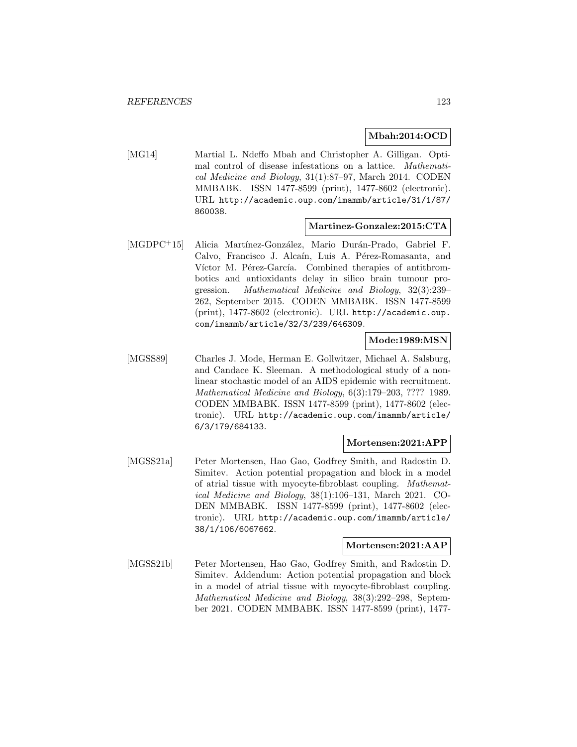### **Mbah:2014:OCD**

[MG14] Martial L. Ndeffo Mbah and Christopher A. Gilligan. Optimal control of disease infestations on a lattice. Mathematical Medicine and Biology, 31(1):87–97, March 2014. CODEN MMBABK. ISSN 1477-8599 (print), 1477-8602 (electronic). URL http://academic.oup.com/imammb/article/31/1/87/ 860038.

#### **Martinez-Gonzalez:2015:CTA**

[MGDPC<sup>+</sup>15] Alicia Martínez-González, Mario Durán-Prado, Gabriel F. Calvo, Francisco J. Alcaín, Luis A. Pérez-Romasanta, and Víctor M. Pérez-García. Combined therapies of antithrombotics and antioxidants delay in silico brain tumour progression. Mathematical Medicine and Biology, 32(3):239– 262, September 2015. CODEN MMBABK. ISSN 1477-8599 (print), 1477-8602 (electronic). URL http://academic.oup. com/imammb/article/32/3/239/646309.

### **Mode:1989:MSN**

[MGSS89] Charles J. Mode, Herman E. Gollwitzer, Michael A. Salsburg, and Candace K. Sleeman. A methodological study of a nonlinear stochastic model of an AIDS epidemic with recruitment. Mathematical Medicine and Biology, 6(3):179–203, ???? 1989. CODEN MMBABK. ISSN 1477-8599 (print), 1477-8602 (electronic). URL http://academic.oup.com/imammb/article/ 6/3/179/684133.

#### **Mortensen:2021:APP**

[MGSS21a] Peter Mortensen, Hao Gao, Godfrey Smith, and Radostin D. Simitev. Action potential propagation and block in a model of atrial tissue with myocyte-fibroblast coupling. Mathematical Medicine and Biology, 38(1):106–131, March 2021. CO-DEN MMBABK. ISSN 1477-8599 (print), 1477-8602 (electronic). URL http://academic.oup.com/imammb/article/ 38/1/106/6067662.

## **Mortensen:2021:AAP**

[MGSS21b] Peter Mortensen, Hao Gao, Godfrey Smith, and Radostin D. Simitev. Addendum: Action potential propagation and block in a model of atrial tissue with myocyte-fibroblast coupling. Mathematical Medicine and Biology, 38(3):292–298, September 2021. CODEN MMBABK. ISSN 1477-8599 (print), 1477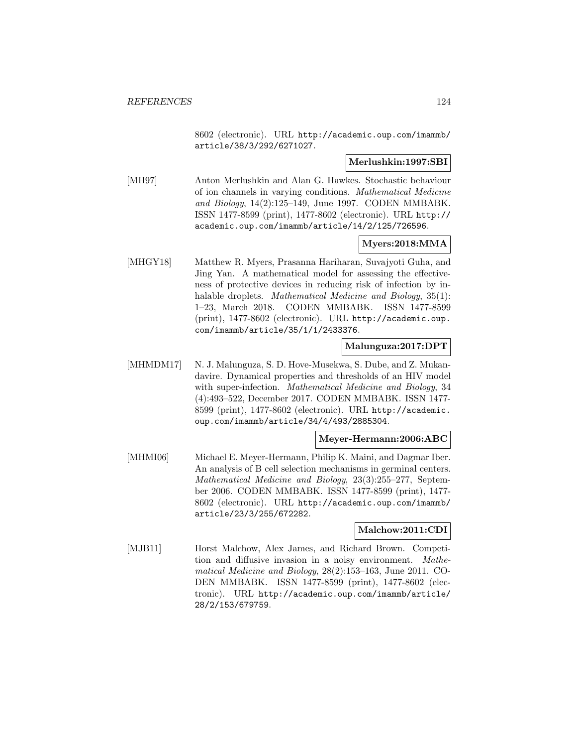8602 (electronic). URL http://academic.oup.com/imammb/ article/38/3/292/6271027.

### **Merlushkin:1997:SBI**

[MH97] Anton Merlushkin and Alan G. Hawkes. Stochastic behaviour of ion channels in varying conditions. Mathematical Medicine and Biology, 14(2):125–149, June 1997. CODEN MMBABK. ISSN 1477-8599 (print), 1477-8602 (electronic). URL http:// academic.oup.com/imammb/article/14/2/125/726596.

## **Myers:2018:MMA**

[MHGY18] Matthew R. Myers, Prasanna Hariharan, Suvajyoti Guha, and Jing Yan. A mathematical model for assessing the effectiveness of protective devices in reducing risk of infection by inhalable droplets. Mathematical Medicine and Biology, 35(1): 1–23, March 2018. CODEN MMBABK. ISSN 1477-8599 (print), 1477-8602 (electronic). URL http://academic.oup. com/imammb/article/35/1/1/2433376.

# **Malunguza:2017:DPT**

[MHMDM17] N. J. Malunguza, S. D. Hove-Musekwa, S. Dube, and Z. Mukandavire. Dynamical properties and thresholds of an HIV model with super-infection. *Mathematical Medicine and Biology*, 34 (4):493–522, December 2017. CODEN MMBABK. ISSN 1477- 8599 (print), 1477-8602 (electronic). URL http://academic. oup.com/imammb/article/34/4/493/2885304.

# **Meyer-Hermann:2006:ABC**

[MHMI06] Michael E. Meyer-Hermann, Philip K. Maini, and Dagmar Iber. An analysis of B cell selection mechanisms in germinal centers. Mathematical Medicine and Biology, 23(3):255–277, September 2006. CODEN MMBABK. ISSN 1477-8599 (print), 1477- 8602 (electronic). URL http://academic.oup.com/imammb/ article/23/3/255/672282.

# **Malchow:2011:CDI**

[MJB11] Horst Malchow, Alex James, and Richard Brown. Competition and diffusive invasion in a noisy environment. Mathematical Medicine and Biology, 28(2):153–163, June 2011. CO-DEN MMBABK. ISSN 1477-8599 (print), 1477-8602 (electronic). URL http://academic.oup.com/imammb/article/ 28/2/153/679759.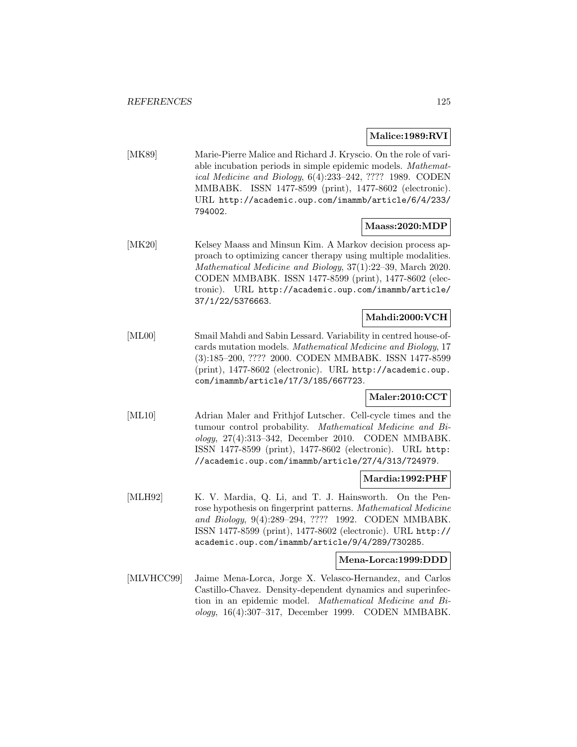## **Malice:1989:RVI**

[MK89] Marie-Pierre Malice and Richard J. Kryscio. On the role of variable incubation periods in simple epidemic models. Mathematical Medicine and Biology, 6(4):233–242, ???? 1989. CODEN MMBABK. ISSN 1477-8599 (print), 1477-8602 (electronic). URL http://academic.oup.com/imammb/article/6/4/233/ 794002.

## **Maass:2020:MDP**

[MK20] Kelsey Maass and Minsun Kim. A Markov decision process approach to optimizing cancer therapy using multiple modalities. Mathematical Medicine and Biology, 37(1):22–39, March 2020. CODEN MMBABK. ISSN 1477-8599 (print), 1477-8602 (electronic). URL http://academic.oup.com/imammb/article/ 37/1/22/5376663.

## **Mahdi:2000:VCH**

[ML00] Smail Mahdi and Sabin Lessard. Variability in centred house-ofcards mutation models. Mathematical Medicine and Biology, 17 (3):185–200, ???? 2000. CODEN MMBABK. ISSN 1477-8599 (print), 1477-8602 (electronic). URL http://academic.oup. com/imammb/article/17/3/185/667723.

### **Maler:2010:CCT**

[ML10] Adrian Maler and Frithjof Lutscher. Cell-cycle times and the tumour control probability. Mathematical Medicine and Biology, 27(4):313–342, December 2010. CODEN MMBABK. ISSN 1477-8599 (print), 1477-8602 (electronic). URL http: //academic.oup.com/imammb/article/27/4/313/724979.

#### **Mardia:1992:PHF**

[MLH92] K. V. Mardia, Q. Li, and T. J. Hainsworth. On the Penrose hypothesis on fingerprint patterns. Mathematical Medicine and Biology, 9(4):289–294, ???? 1992. CODEN MMBABK. ISSN 1477-8599 (print), 1477-8602 (electronic). URL http:// academic.oup.com/imammb/article/9/4/289/730285.

### **Mena-Lorca:1999:DDD**

[MLVHCC99] Jaime Mena-Lorca, Jorge X. Velasco-Hernandez, and Carlos Castillo-Chavez. Density-dependent dynamics and superinfection in an epidemic model. Mathematical Medicine and Biology, 16(4):307–317, December 1999. CODEN MMBABK.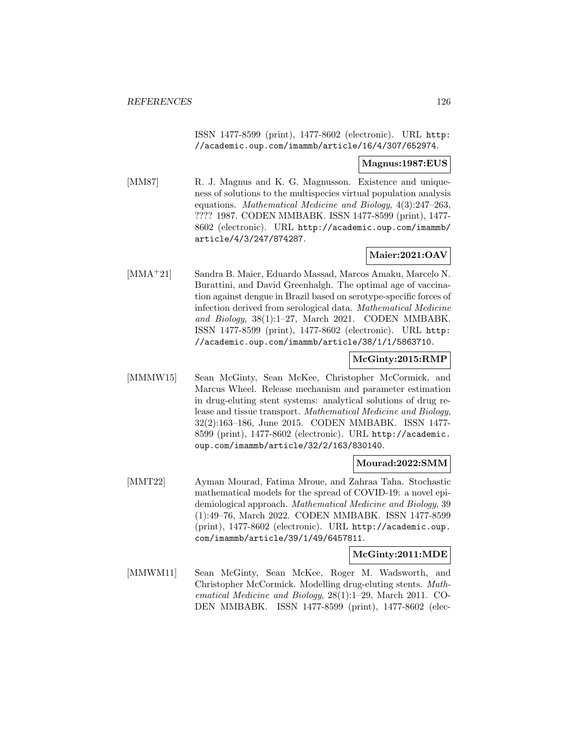ISSN 1477-8599 (print), 1477-8602 (electronic). URL http: //academic.oup.com/imammb/article/16/4/307/652974.

### **Magnus:1987:EUS**

[MM87] R. J. Magnus and K. G. Magnusson. Existence and uniqueness of solutions to the multispecies virtual population analysis equations. Mathematical Medicine and Biology, 4(3):247–263, ???? 1987. CODEN MMBABK. ISSN 1477-8599 (print), 1477- 8602 (electronic). URL http://academic.oup.com/imammb/ article/4/3/247/874287.

# **Maier:2021:OAV**

[MMA<sup>+</sup>21] Sandra B. Maier, Eduardo Massad, Marcos Amaku, Marcelo N. Burattini, and David Greenhalgh. The optimal age of vaccination against dengue in Brazil based on serotype-specific forces of infection derived from serological data. Mathematical Medicine and Biology, 38(1):1–27, March 2021. CODEN MMBABK. ISSN 1477-8599 (print), 1477-8602 (electronic). URL http: //academic.oup.com/imammb/article/38/1/1/5863710.

## **McGinty:2015:RMP**

[MMMW15] Sean McGinty, Sean McKee, Christopher McCormick, and Marcus Wheel. Release mechanism and parameter estimation in drug-eluting stent systems: analytical solutions of drug release and tissue transport. Mathematical Medicine and Biology, 32(2):163–186, June 2015. CODEN MMBABK. ISSN 1477- 8599 (print), 1477-8602 (electronic). URL http://academic. oup.com/imammb/article/32/2/163/830140.

#### **Mourad:2022:SMM**

[MMT22] Ayman Mourad, Fatima Mroue, and Zahraa Taha. Stochastic mathematical models for the spread of COVID-19: a novel epidemiological approach. Mathematical Medicine and Biology, 39 (1):49–76, March 2022. CODEN MMBABK. ISSN 1477-8599 (print), 1477-8602 (electronic). URL http://academic.oup. com/imammb/article/39/1/49/6457811.

#### **McGinty:2011:MDE**

[MMWM11] Sean McGinty, Sean McKee, Roger M. Wadsworth, and Christopher McCormick. Modelling drug-eluting stents. Mathematical Medicine and Biology, 28(1):1–29, March 2011. CO-DEN MMBABK. ISSN 1477-8599 (print), 1477-8602 (elec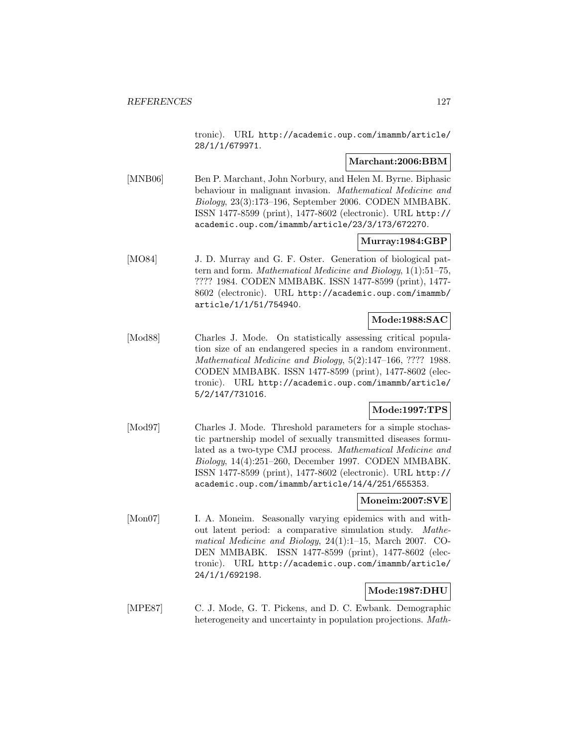tronic). URL http://academic.oup.com/imammb/article/ 28/1/1/679971.

### **Marchant:2006:BBM**

[MNB06] Ben P. Marchant, John Norbury, and Helen M. Byrne. Biphasic behaviour in malignant invasion. Mathematical Medicine and Biology, 23(3):173–196, September 2006. CODEN MMBABK. ISSN 1477-8599 (print), 1477-8602 (electronic). URL http:// academic.oup.com/imammb/article/23/3/173/672270.

### **Murray:1984:GBP**

[MO84] J. D. Murray and G. F. Oster. Generation of biological pattern and form. Mathematical Medicine and Biology, 1(1):51–75, ???? 1984. CODEN MMBABK. ISSN 1477-8599 (print), 1477- 8602 (electronic). URL http://academic.oup.com/imammb/ article/1/1/51/754940.

### **Mode:1988:SAC**

[Mod88] Charles J. Mode. On statistically assessing critical population size of an endangered species in a random environment. Mathematical Medicine and Biology, 5(2):147–166, ???? 1988. CODEN MMBABK. ISSN 1477-8599 (print), 1477-8602 (electronic). URL http://academic.oup.com/imammb/article/ 5/2/147/731016.

### **Mode:1997:TPS**

[Mod97] Charles J. Mode. Threshold parameters for a simple stochastic partnership model of sexually transmitted diseases formulated as a two-type CMJ process. Mathematical Medicine and Biology, 14(4):251–260, December 1997. CODEN MMBABK. ISSN 1477-8599 (print), 1477-8602 (electronic). URL http:// academic.oup.com/imammb/article/14/4/251/655353.

### **Moneim:2007:SVE**

[Mon07] I. A. Moneim. Seasonally varying epidemics with and without latent period: a comparative simulation study. Mathematical Medicine and Biology, 24(1):1–15, March 2007. CO-DEN MMBABK. ISSN 1477-8599 (print), 1477-8602 (electronic). URL http://academic.oup.com/imammb/article/ 24/1/1/692198.

# **Mode:1987:DHU**

[MPE87] C. J. Mode, G. T. Pickens, and D. C. Ewbank. Demographic heterogeneity and uncertainty in population projections. Math-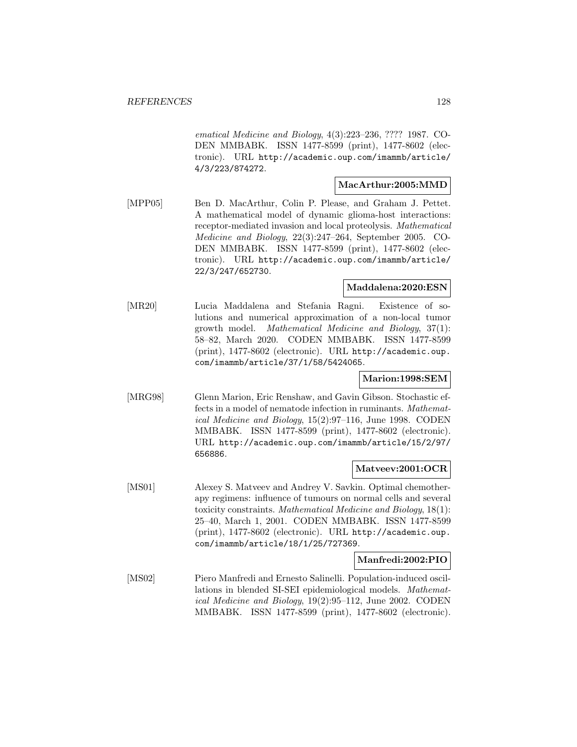ematical Medicine and Biology, 4(3):223–236, ???? 1987. CO-DEN MMBABK. ISSN 1477-8599 (print), 1477-8602 (electronic). URL http://academic.oup.com/imammb/article/ 4/3/223/874272.

#### **MacArthur:2005:MMD**

[MPP05] Ben D. MacArthur, Colin P. Please, and Graham J. Pettet. A mathematical model of dynamic glioma-host interactions: receptor-mediated invasion and local proteolysis. Mathematical Medicine and Biology, 22(3):247–264, September 2005. CO-DEN MMBABK. ISSN 1477-8599 (print), 1477-8602 (electronic). URL http://academic.oup.com/imammb/article/ 22/3/247/652730.

#### **Maddalena:2020:ESN**

[MR20] Lucia Maddalena and Stefania Ragni. Existence of solutions and numerical approximation of a non-local tumor growth model. Mathematical Medicine and Biology, 37(1): 58–82, March 2020. CODEN MMBABK. ISSN 1477-8599 (print), 1477-8602 (electronic). URL http://academic.oup. com/imammb/article/37/1/58/5424065.

### **Marion:1998:SEM**

[MRG98] Glenn Marion, Eric Renshaw, and Gavin Gibson. Stochastic effects in a model of nematode infection in ruminants. Mathematical Medicine and Biology, 15(2):97–116, June 1998. CODEN MMBABK. ISSN 1477-8599 (print), 1477-8602 (electronic). URL http://academic.oup.com/imammb/article/15/2/97/ 656886.

### **Matveev:2001:OCR**

[MS01] Alexey S. Matveev and Andrey V. Savkin. Optimal chemotherapy regimens: influence of tumours on normal cells and several toxicity constraints. Mathematical Medicine and Biology, 18(1): 25–40, March 1, 2001. CODEN MMBABK. ISSN 1477-8599 (print), 1477-8602 (electronic). URL http://academic.oup. com/imammb/article/18/1/25/727369.

## **Manfredi:2002:PIO**

[MS02] Piero Manfredi and Ernesto Salinelli. Population-induced oscillations in blended SI-SEI epidemiological models. Mathematical Medicine and Biology, 19(2):95–112, June 2002. CODEN MMBABK. ISSN 1477-8599 (print), 1477-8602 (electronic).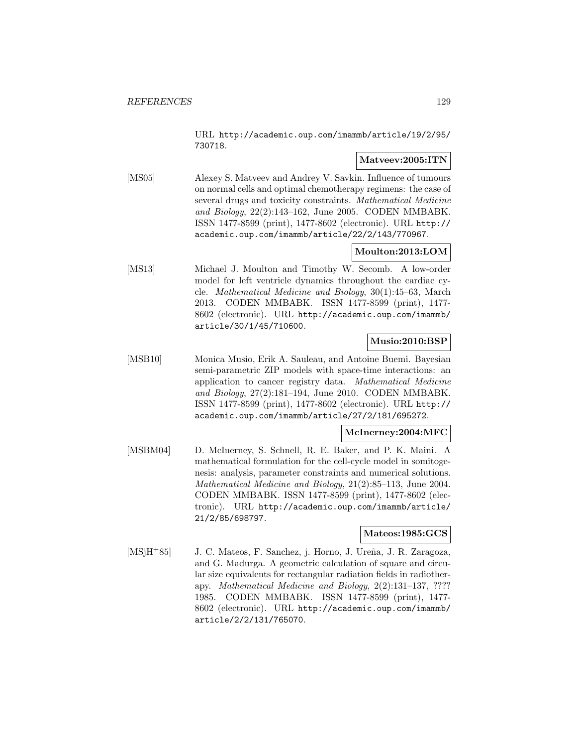URL http://academic.oup.com/imammb/article/19/2/95/ 730718.

# **Matveev:2005:ITN**

[MS05] Alexey S. Matveev and Andrey V. Savkin. Influence of tumours on normal cells and optimal chemotherapy regimens: the case of several drugs and toxicity constraints. Mathematical Medicine and Biology, 22(2):143–162, June 2005. CODEN MMBABK. ISSN 1477-8599 (print), 1477-8602 (electronic). URL http:// academic.oup.com/imammb/article/22/2/143/770967.

# **Moulton:2013:LOM**

[MS13] Michael J. Moulton and Timothy W. Secomb. A low-order model for left ventricle dynamics throughout the cardiac cycle. Mathematical Medicine and Biology, 30(1):45–63, March 2013. CODEN MMBABK. ISSN 1477-8599 (print), 1477- 8602 (electronic). URL http://academic.oup.com/imammb/ article/30/1/45/710600.

# **Musio:2010:BSP**

[MSB10] Monica Musio, Erik A. Sauleau, and Antoine Buemi. Bayesian semi-parametric ZIP models with space-time interactions: an application to cancer registry data. Mathematical Medicine and Biology, 27(2):181–194, June 2010. CODEN MMBABK. ISSN 1477-8599 (print), 1477-8602 (electronic). URL http:// academic.oup.com/imammb/article/27/2/181/695272.

## **McInerney:2004:MFC**

[MSBM04] D. McInerney, S. Schnell, R. E. Baker, and P. K. Maini. A mathematical formulation for the cell-cycle model in somitogenesis: analysis, parameter constraints and numerical solutions. Mathematical Medicine and Biology, 21(2):85–113, June 2004. CODEN MMBABK. ISSN 1477-8599 (print), 1477-8602 (electronic). URL http://academic.oup.com/imammb/article/ 21/2/85/698797.

### **Mateos:1985:GCS**

[MSjH<sup>+</sup>85] J. C. Mateos, F. Sanchez, j. Horno, J. Ureña, J. R. Zaragoza, and G. Madurga. A geometric calculation of square and circular size equivalents for rectangular radiation fields in radiotherapy. Mathematical Medicine and Biology, 2(2):131–137, ???? 1985. CODEN MMBABK. ISSN 1477-8599 (print), 1477- 8602 (electronic). URL http://academic.oup.com/imammb/ article/2/2/131/765070.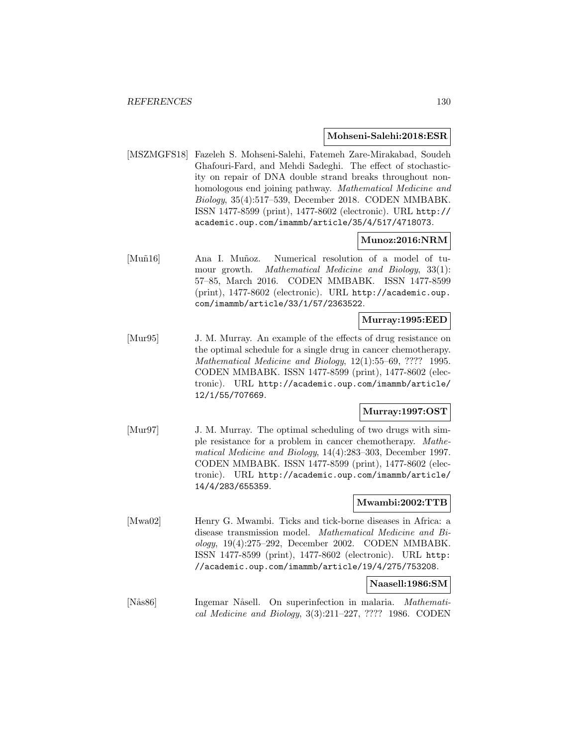#### **Mohseni-Salehi:2018:ESR**

[MSZMGFS18] Fazeleh S. Mohseni-Salehi, Fatemeh Zare-Mirakabad, Soudeh Ghafouri-Fard, and Mehdi Sadeghi. The effect of stochasticity on repair of DNA double strand breaks throughout nonhomologous end joining pathway. Mathematical Medicine and Biology, 35(4):517–539, December 2018. CODEN MMBABK. ISSN 1477-8599 (print), 1477-8602 (electronic). URL http:// academic.oup.com/imammb/article/35/4/517/4718073.

#### **Munoz:2016:NRM**

[Muñ16] Ana I. Muñoz. Numerical resolution of a model of tumour growth. Mathematical Medicine and Biology, 33(1): 57–85, March 2016. CODEN MMBABK. ISSN 1477-8599 (print), 1477-8602 (electronic). URL http://academic.oup. com/imammb/article/33/1/57/2363522.

### **Murray:1995:EED**

[Mur95] J. M. Murray. An example of the effects of drug resistance on the optimal schedule for a single drug in cancer chemotherapy. Mathematical Medicine and Biology, 12(1):55–69, ???? 1995. CODEN MMBABK. ISSN 1477-8599 (print), 1477-8602 (electronic). URL http://academic.oup.com/imammb/article/ 12/1/55/707669.

### **Murray:1997:OST**

[Mur97] J. M. Murray. The optimal scheduling of two drugs with simple resistance for a problem in cancer chemotherapy. Mathematical Medicine and Biology, 14(4):283–303, December 1997. CODEN MMBABK. ISSN 1477-8599 (print), 1477-8602 (electronic). URL http://academic.oup.com/imammb/article/ 14/4/283/655359.

### **Mwambi:2002:TTB**

[Mwa02] Henry G. Mwambi. Ticks and tick-borne diseases in Africa: a disease transmission model. Mathematical Medicine and Biology, 19(4):275–292, December 2002. CODEN MMBABK. ISSN 1477-8599 (print), 1477-8602 (electronic). URL http: //academic.oup.com/imammb/article/19/4/275/753208.

#### **Naasell:1986:SM**

[Nås86] Ingemar Nåsell. On superinfection in malaria. Mathematical Medicine and Biology, 3(3):211–227, ???? 1986. CODEN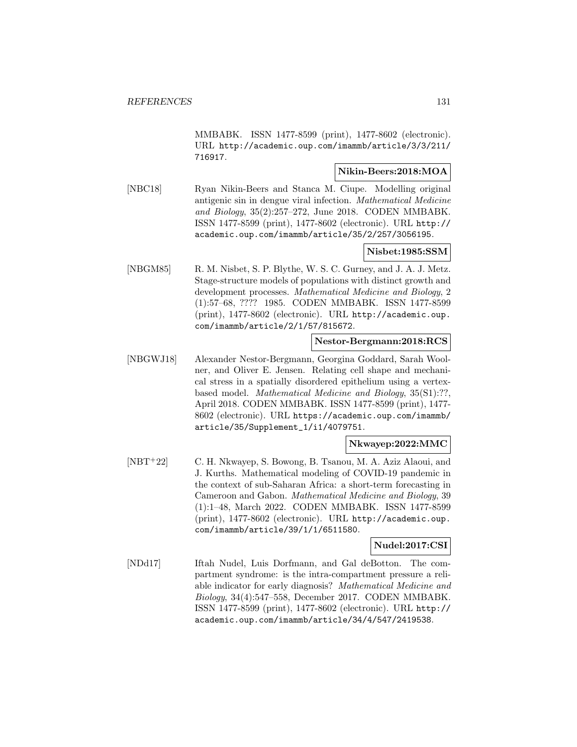MMBABK. ISSN 1477-8599 (print), 1477-8602 (electronic). URL http://academic.oup.com/imammb/article/3/3/211/ 716917.

## **Nikin-Beers:2018:MOA**

[NBC18] Ryan Nikin-Beers and Stanca M. Ciupe. Modelling original antigenic sin in dengue viral infection. Mathematical Medicine and Biology, 35(2):257–272, June 2018. CODEN MMBABK. ISSN 1477-8599 (print), 1477-8602 (electronic). URL http:// academic.oup.com/imammb/article/35/2/257/3056195.

# **Nisbet:1985:SSM**

[NBGM85] R. M. Nisbet, S. P. Blythe, W. S. C. Gurney, and J. A. J. Metz. Stage-structure models of populations with distinct growth and development processes. Mathematical Medicine and Biology, 2 (1):57–68, ???? 1985. CODEN MMBABK. ISSN 1477-8599 (print), 1477-8602 (electronic). URL http://academic.oup. com/imammb/article/2/1/57/815672.

# **Nestor-Bergmann:2018:RCS**

[NBGWJ18] Alexander Nestor-Bergmann, Georgina Goddard, Sarah Woolner, and Oliver E. Jensen. Relating cell shape and mechanical stress in a spatially disordered epithelium using a vertexbased model. Mathematical Medicine and Biology, 35(S1):??, April 2018. CODEN MMBABK. ISSN 1477-8599 (print), 1477- 8602 (electronic). URL https://academic.oup.com/imammb/ article/35/Supplement\_1/i1/4079751.

# **Nkwayep:2022:MMC**

[NBT<sup>+</sup>22] C. H. Nkwayep, S. Bowong, B. Tsanou, M. A. Aziz Alaoui, and J. Kurths. Mathematical modeling of COVID-19 pandemic in the context of sub-Saharan Africa: a short-term forecasting in Cameroon and Gabon. Mathematical Medicine and Biology, 39 (1):1–48, March 2022. CODEN MMBABK. ISSN 1477-8599 (print), 1477-8602 (electronic). URL http://academic.oup. com/imammb/article/39/1/1/6511580.

### **Nudel:2017:CSI**

[NDd17] Iftah Nudel, Luis Dorfmann, and Gal deBotton. The compartment syndrome: is the intra-compartment pressure a reliable indicator for early diagnosis? Mathematical Medicine and Biology, 34(4):547–558, December 2017. CODEN MMBABK. ISSN 1477-8599 (print), 1477-8602 (electronic). URL http:// academic.oup.com/imammb/article/34/4/547/2419538.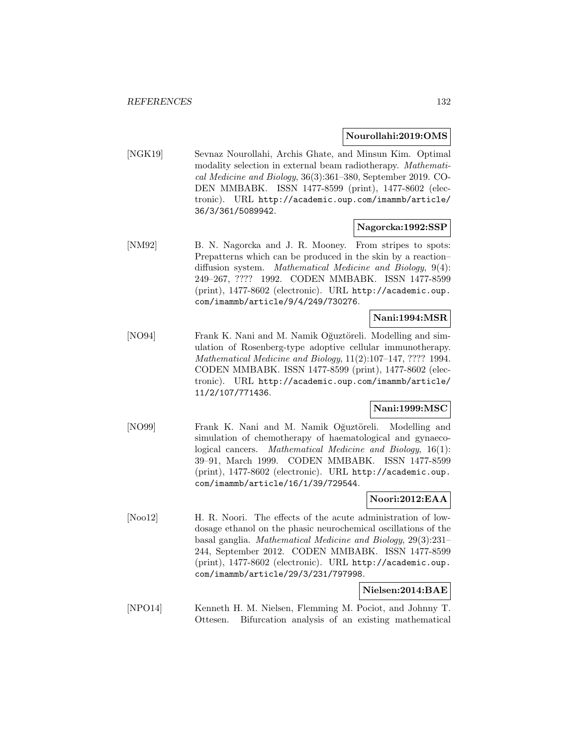### **Nourollahi:2019:OMS**

[NGK19] Sevnaz Nourollahi, Archis Ghate, and Minsun Kim. Optimal modality selection in external beam radiotherapy. Mathematical Medicine and Biology, 36(3):361–380, September 2019. CO-DEN MMBABK. ISSN 1477-8599 (print), 1477-8602 (electronic). URL http://academic.oup.com/imammb/article/ 36/3/361/5089942.

# **Nagorcka:1992:SSP**

[NM92] B. N. Nagorcka and J. R. Mooney. From stripes to spots: Prepatterns which can be produced in the skin by a reaction– diffusion system. Mathematical Medicine and Biology, 9(4): 249–267, ???? 1992. CODEN MMBABK. ISSN 1477-8599 (print), 1477-8602 (electronic). URL http://academic.oup. com/imammb/article/9/4/249/730276.

#### **Nani:1994:MSR**

[NO94] Frank K. Nani and M. Namik Oğuztöreli. Modelling and simulation of Rosenberg-type adoptive cellular immunotherapy. Mathematical Medicine and Biology, 11(2):107–147, ???? 1994. CODEN MMBABK. ISSN 1477-8599 (print), 1477-8602 (electronic). URL http://academic.oup.com/imammb/article/ 11/2/107/771436.

# **Nani:1999:MSC**

[NO99] Frank K. Nani and M. Namik Oğuztöreli. Modelling and simulation of chemotherapy of haematological and gynaecological cancers. Mathematical Medicine and Biology, 16(1): 39–91, March 1999. CODEN MMBABK. ISSN 1477-8599 (print), 1477-8602 (electronic). URL http://academic.oup. com/imammb/article/16/1/39/729544.

## **Noori:2012:EAA**

[Noo12] H. R. Noori. The effects of the acute administration of lowdosage ethanol on the phasic neurochemical oscillations of the basal ganglia. Mathematical Medicine and Biology, 29(3):231– 244, September 2012. CODEN MMBABK. ISSN 1477-8599 (print), 1477-8602 (electronic). URL http://academic.oup. com/imammb/article/29/3/231/797998.

### **Nielsen:2014:BAE**

[NPO14] Kenneth H. M. Nielsen, Flemming M. Pociot, and Johnny T. Ottesen. Bifurcation analysis of an existing mathematical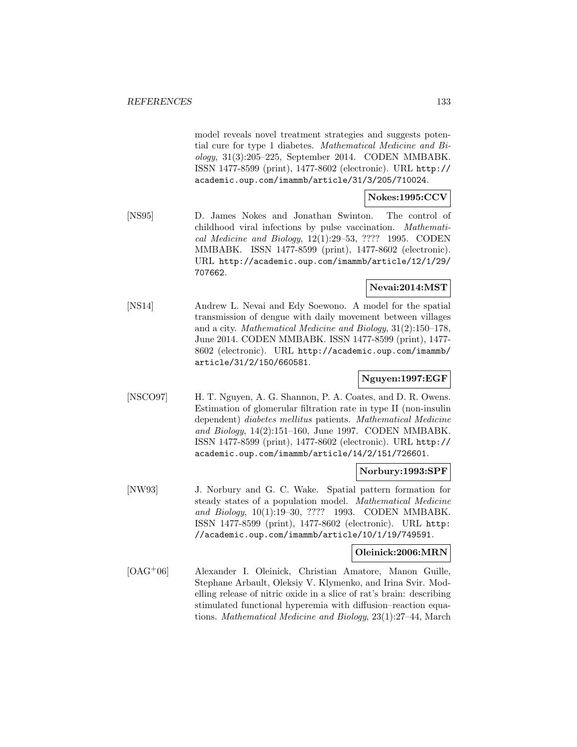model reveals novel treatment strategies and suggests potential cure for type 1 diabetes. Mathematical Medicine and Biology, 31(3):205–225, September 2014. CODEN MMBABK. ISSN 1477-8599 (print), 1477-8602 (electronic). URL http:// academic.oup.com/imammb/article/31/3/205/710024.

# **Nokes:1995:CCV**

[NS95] D. James Nokes and Jonathan Swinton. The control of childhood viral infections by pulse vaccination. Mathematical Medicine and Biology, 12(1):29–53, ???? 1995. CODEN MMBABK. ISSN 1477-8599 (print), 1477-8602 (electronic). URL http://academic.oup.com/imammb/article/12/1/29/ 707662.

# **Nevai:2014:MST**

[NS14] Andrew L. Nevai and Edy Soewono. A model for the spatial transmission of dengue with daily movement between villages and a city. Mathematical Medicine and Biology, 31(2):150–178, June 2014. CODEN MMBABK. ISSN 1477-8599 (print), 1477- 8602 (electronic). URL http://academic.oup.com/imammb/ article/31/2/150/660581.

# **Nguyen:1997:EGF**

[NSCO97] H. T. Nguyen, A. G. Shannon, P. A. Coates, and D. R. Owens. Estimation of glomerular filtration rate in type II (non-insulin dependent) diabetes mellitus patients. Mathematical Medicine and Biology, 14(2):151–160, June 1997. CODEN MMBABK. ISSN 1477-8599 (print), 1477-8602 (electronic). URL http:// academic.oup.com/imammb/article/14/2/151/726601.

### **Norbury:1993:SPF**

[NW93] J. Norbury and G. C. Wake. Spatial pattern formation for steady states of a population model. Mathematical Medicine and Biology, 10(1):19–30, ???? 1993. CODEN MMBABK. ISSN 1477-8599 (print), 1477-8602 (electronic). URL http: //academic.oup.com/imammb/article/10/1/19/749591.

### **Oleinick:2006:MRN**

[OAG<sup>+</sup>06] Alexander I. Oleinick, Christian Amatore, Manon Guille, Stephane Arbault, Oleksiy V. Klymenko, and Irina Svir. Modelling release of nitric oxide in a slice of rat's brain: describing stimulated functional hyperemia with diffusion–reaction equations. Mathematical Medicine and Biology, 23(1):27–44, March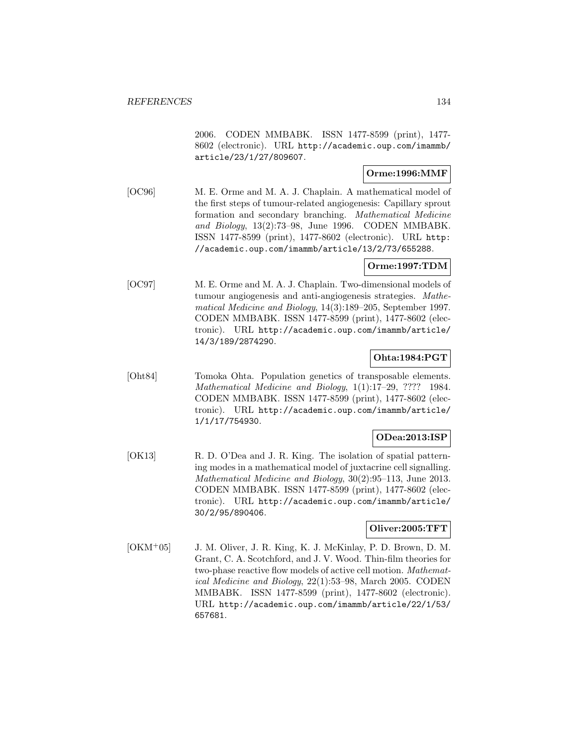2006. CODEN MMBABK. ISSN 1477-8599 (print), 1477- 8602 (electronic). URL http://academic.oup.com/imammb/ article/23/1/27/809607.

## **Orme:1996:MMF**

[OC96] M. E. Orme and M. A. J. Chaplain. A mathematical model of the first steps of tumour-related angiogenesis: Capillary sprout formation and secondary branching. Mathematical Medicine and Biology,  $13(2):73-98$ , June 1996. CODEN MMBABK. ISSN 1477-8599 (print), 1477-8602 (electronic). URL http: //academic.oup.com/imammb/article/13/2/73/655288.

### **Orme:1997:TDM**

[OC97] M. E. Orme and M. A. J. Chaplain. Two-dimensional models of tumour angiogenesis and anti-angiogenesis strategies. Mathematical Medicine and Biology, 14(3):189–205, September 1997. CODEN MMBABK. ISSN 1477-8599 (print), 1477-8602 (electronic). URL http://academic.oup.com/imammb/article/ 14/3/189/2874290.

# **Ohta:1984:PGT**

[Oht84] Tomoka Ohta. Population genetics of transposable elements. Mathematical Medicine and Biology, 1(1):17–29, ???? 1984. CODEN MMBABK. ISSN 1477-8599 (print), 1477-8602 (electronic). URL http://academic.oup.com/imammb/article/ 1/1/17/754930.

### **ODea:2013:ISP**

[OK13] R. D. O'Dea and J. R. King. The isolation of spatial patterning modes in a mathematical model of juxtacrine cell signalling. Mathematical Medicine and Biology, 30(2):95–113, June 2013. CODEN MMBABK. ISSN 1477-8599 (print), 1477-8602 (electronic). URL http://academic.oup.com/imammb/article/ 30/2/95/890406.

# **Oliver:2005:TFT**

[OKM<sup>+</sup>05] J. M. Oliver, J. R. King, K. J. McKinlay, P. D. Brown, D. M. Grant, C. A. Scotchford, and J. V. Wood. Thin-film theories for two-phase reactive flow models of active cell motion. Mathematical Medicine and Biology, 22(1):53–98, March 2005. CODEN MMBABK. ISSN 1477-8599 (print), 1477-8602 (electronic). URL http://academic.oup.com/imammb/article/22/1/53/ 657681.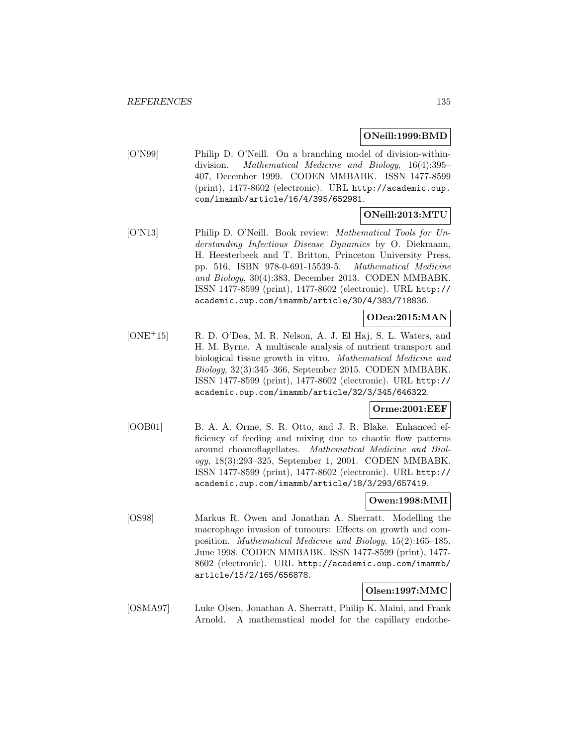#### **ONeill:1999:BMD**

[O'N99] Philip D. O'Neill. On a branching model of division-withindivision. Mathematical Medicine and Biology, 16(4):395– 407, December 1999. CODEN MMBABK. ISSN 1477-8599 (print), 1477-8602 (electronic). URL http://academic.oup. com/imammb/article/16/4/395/652981.

## **ONeill:2013:MTU**

[O'N13] Philip D. O'Neill. Book review: *Mathematical Tools for Un*derstanding Infectious Disease Dynamics by O. Diekmann, H. Heesterbeek and T. Britton, Princeton University Press, pp. 516, ISBN 978-0-691-15539-5. Mathematical Medicine and Biology, 30(4):383, December 2013. CODEN MMBABK. ISSN 1477-8599 (print), 1477-8602 (electronic). URL http:// academic.oup.com/imammb/article/30/4/383/718836.

### **ODea:2015:MAN**

[ONE<sup>+</sup>15] R. D. O'Dea, M. R. Nelson, A. J. El Haj, S. L. Waters, and H. M. Byrne. A multiscale analysis of nutrient transport and biological tissue growth in vitro. Mathematical Medicine and Biology, 32(3):345–366, September 2015. CODEN MMBABK. ISSN 1477-8599 (print), 1477-8602 (electronic). URL http:// academic.oup.com/imammb/article/32/3/345/646322.

### **Orme:2001:EEF**

[OOB01] B. A. A. Orme, S. R. Otto, and J. R. Blake. Enhanced efficiency of feeding and mixing due to chaotic flow patterns around choanoflagellates. Mathematical Medicine and Biology, 18(3):293–325, September 1, 2001. CODEN MMBABK. ISSN 1477-8599 (print), 1477-8602 (electronic). URL http:// academic.oup.com/imammb/article/18/3/293/657419.

### **Owen:1998:MMI**

[OS98] Markus R. Owen and Jonathan A. Sherratt. Modelling the macrophage invasion of tumours: Effects on growth and composition. Mathematical Medicine and Biology, 15(2):165–185, June 1998. CODEN MMBABK. ISSN 1477-8599 (print), 1477- 8602 (electronic). URL http://academic.oup.com/imammb/ article/15/2/165/656878.

## **Olsen:1997:MMC**

[OSMA97] Luke Olsen, Jonathan A. Sherratt, Philip K. Maini, and Frank Arnold. A mathematical model for the capillary endothe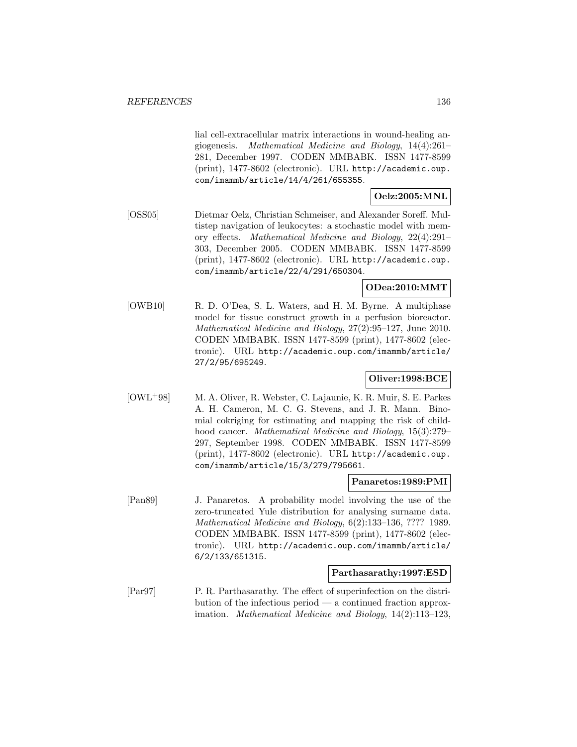lial cell-extracellular matrix interactions in wound-healing angiogenesis. Mathematical Medicine and Biology, 14(4):261– 281, December 1997. CODEN MMBABK. ISSN 1477-8599 (print), 1477-8602 (electronic). URL http://academic.oup. com/imammb/article/14/4/261/655355.

# **Oelz:2005:MNL**

[OSS05] Dietmar Oelz, Christian Schmeiser, and Alexander Soreff. Multistep navigation of leukocytes: a stochastic model with memory effects. Mathematical Medicine and Biology, 22(4):291– 303, December 2005. CODEN MMBABK. ISSN 1477-8599 (print), 1477-8602 (electronic). URL http://academic.oup. com/imammb/article/22/4/291/650304.

## **ODea:2010:MMT**

[OWB10] R. D. O'Dea, S. L. Waters, and H. M. Byrne. A multiphase model for tissue construct growth in a perfusion bioreactor. Mathematical Medicine and Biology, 27(2):95–127, June 2010. CODEN MMBABK. ISSN 1477-8599 (print), 1477-8602 (electronic). URL http://academic.oup.com/imammb/article/ 27/2/95/695249.

# **Oliver:1998:BCE**

[OWL<sup>+</sup>98] M. A. Oliver, R. Webster, C. Lajaunie, K. R. Muir, S. E. Parkes A. H. Cameron, M. C. G. Stevens, and J. R. Mann. Binomial cokriging for estimating and mapping the risk of childhood cancer. Mathematical Medicine and Biology, 15(3):279– 297, September 1998. CODEN MMBABK. ISSN 1477-8599 (print), 1477-8602 (electronic). URL http://academic.oup. com/imammb/article/15/3/279/795661.

### **Panaretos:1989:PMI**

[Pan89] J. Panaretos. A probability model involving the use of the zero-truncated Yule distribution for analysing surname data. Mathematical Medicine and Biology, 6(2):133–136, ???? 1989. CODEN MMBABK. ISSN 1477-8599 (print), 1477-8602 (electronic). URL http://academic.oup.com/imammb/article/ 6/2/133/651315.

### **Parthasarathy:1997:ESD**

[Par97] P. R. Parthasarathy. The effect of superinfection on the distribution of the infectious period — a continued fraction approximation. Mathematical Medicine and Biology, 14(2):113–123,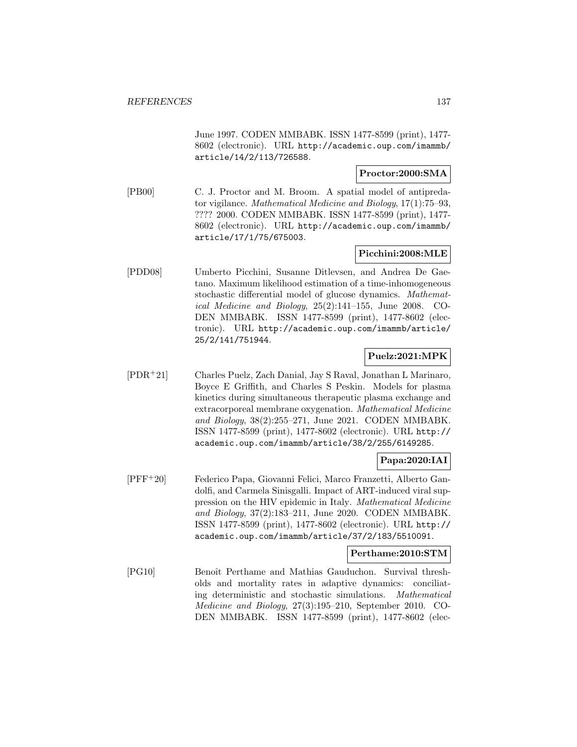June 1997. CODEN MMBABK. ISSN 1477-8599 (print), 1477- 8602 (electronic). URL http://academic.oup.com/imammb/ article/14/2/113/726588.

### **Proctor:2000:SMA**

[PB00] C. J. Proctor and M. Broom. A spatial model of antipredator vigilance. Mathematical Medicine and Biology, 17(1):75–93, ???? 2000. CODEN MMBABK. ISSN 1477-8599 (print), 1477- 8602 (electronic). URL http://academic.oup.com/imammb/ article/17/1/75/675003.

# **Picchini:2008:MLE**

[PDD08] Umberto Picchini, Susanne Ditlevsen, and Andrea De Gaetano. Maximum likelihood estimation of a time-inhomogeneous stochastic differential model of glucose dynamics. Mathematical Medicine and Biology, 25(2):141–155, June 2008. CO-DEN MMBABK. ISSN 1477-8599 (print), 1477-8602 (electronic). URL http://academic.oup.com/imammb/article/ 25/2/141/751944.

## **Puelz:2021:MPK**

[PDR<sup>+</sup>21] Charles Puelz, Zach Danial, Jay S Raval, Jonathan L Marinaro, Boyce E Griffith, and Charles S Peskin. Models for plasma kinetics during simultaneous therapeutic plasma exchange and extracorporeal membrane oxygenation. Mathematical Medicine and Biology, 38(2):255–271, June 2021. CODEN MMBABK. ISSN 1477-8599 (print), 1477-8602 (electronic). URL http:// academic.oup.com/imammb/article/38/2/255/6149285.

# **Papa:2020:IAI**

[PFF<sup>+</sup>20] Federico Papa, Giovanni Felici, Marco Franzetti, Alberto Gandolfi, and Carmela Sinisgalli. Impact of ART-induced viral suppression on the HIV epidemic in Italy. Mathematical Medicine and Biology, 37(2):183–211, June 2020. CODEN MMBABK. ISSN 1477-8599 (print), 1477-8602 (electronic). URL http:// academic.oup.com/imammb/article/37/2/183/5510091.

### **Perthame:2010:STM**

[PG10] Benoît Perthame and Mathias Gauduchon. Survival thresholds and mortality rates in adaptive dynamics: conciliating deterministic and stochastic simulations. Mathematical Medicine and Biology, 27(3):195–210, September 2010. CO-DEN MMBABK. ISSN 1477-8599 (print), 1477-8602 (elec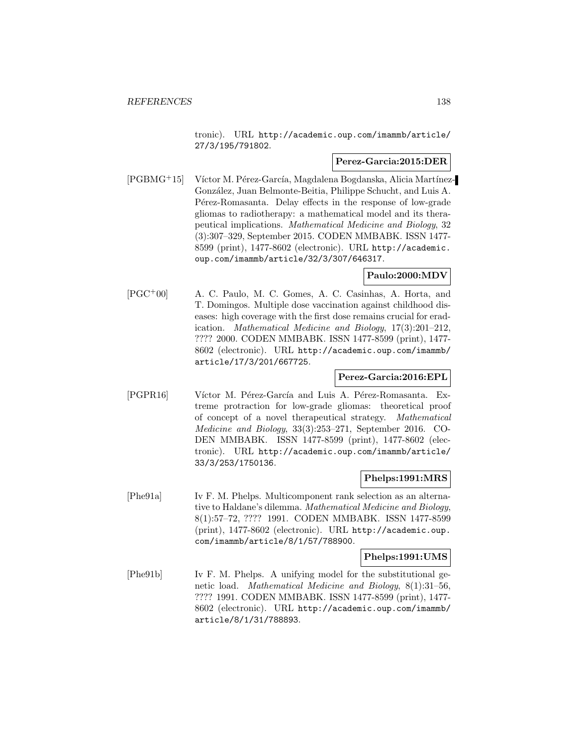tronic). URL http://academic.oup.com/imammb/article/ 27/3/195/791802.

### **Perez-Garcia:2015:DER**

 $[PGBMG+15]$  Víctor M. Pérez-García, Magdalena Bogdanska, Alicia Martínez-Gonz´alez, Juan Belmonte-Beitia, Philippe Schucht, and Luis A. Pérez-Romasanta. Delay effects in the response of low-grade gliomas to radiotherapy: a mathematical model and its therapeutical implications. Mathematical Medicine and Biology, 32 (3):307–329, September 2015. CODEN MMBABK. ISSN 1477- 8599 (print), 1477-8602 (electronic). URL http://academic. oup.com/imammb/article/32/3/307/646317.

## **Paulo:2000:MDV**

[PGC<sup>+</sup>00] A. C. Paulo, M. C. Gomes, A. C. Casinhas, A. Horta, and T. Domingos. Multiple dose vaccination against childhood diseases: high coverage with the first dose remains crucial for eradication. Mathematical Medicine and Biology, 17(3):201–212, ???? 2000. CODEN MMBABK. ISSN 1477-8599 (print), 1477- 8602 (electronic). URL http://academic.oup.com/imammb/ article/17/3/201/667725.

# **Perez-Garcia:2016:EPL**

[PGPR16] Víctor M. Pérez-García and Luis A. Pérez-Romasanta. Extreme protraction for low-grade gliomas: theoretical proof of concept of a novel therapeutical strategy. Mathematical Medicine and Biology, 33(3):253–271, September 2016. CO-DEN MMBABK. ISSN 1477-8599 (print), 1477-8602 (electronic). URL http://academic.oup.com/imammb/article/ 33/3/253/1750136.

### **Phelps:1991:MRS**

[Phe91a] Iv F. M. Phelps. Multicomponent rank selection as an alternative to Haldane's dilemma. Mathematical Medicine and Biology, 8(1):57–72, ???? 1991. CODEN MMBABK. ISSN 1477-8599 (print), 1477-8602 (electronic). URL http://academic.oup. com/imammb/article/8/1/57/788900.

#### **Phelps:1991:UMS**

[Phe91b] Iv F. M. Phelps. A unifying model for the substitutional genetic load. Mathematical Medicine and Biology, 8(1):31–56, ???? 1991. CODEN MMBABK. ISSN 1477-8599 (print), 1477- 8602 (electronic). URL http://academic.oup.com/imammb/ article/8/1/31/788893.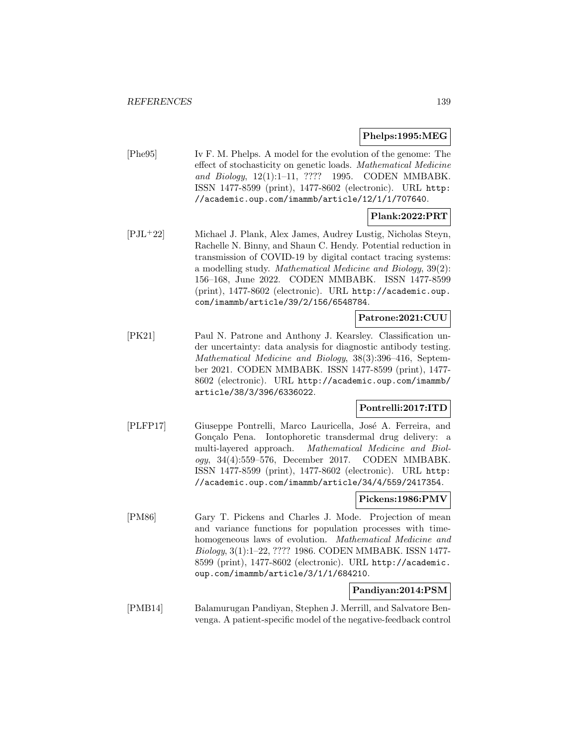### **Phelps:1995:MEG**

[Phe95] Iv F. M. Phelps. A model for the evolution of the genome: The effect of stochasticity on genetic loads. Mathematical Medicine and Biology, 12(1):1–11, ???? 1995. CODEN MMBABK. ISSN 1477-8599 (print), 1477-8602 (electronic). URL http: //academic.oup.com/imammb/article/12/1/1/707640.

# **Plank:2022:PRT**

[PJL<sup>+</sup>22] Michael J. Plank, Alex James, Audrey Lustig, Nicholas Steyn, Rachelle N. Binny, and Shaun C. Hendy. Potential reduction in transmission of COVID-19 by digital contact tracing systems: a modelling study. Mathematical Medicine and Biology, 39(2): 156–168, June 2022. CODEN MMBABK. ISSN 1477-8599 (print), 1477-8602 (electronic). URL http://academic.oup. com/imammb/article/39/2/156/6548784.

### **Patrone:2021:CUU**

[PK21] Paul N. Patrone and Anthony J. Kearsley. Classification under uncertainty: data analysis for diagnostic antibody testing. Mathematical Medicine and Biology, 38(3):396–416, September 2021. CODEN MMBABK. ISSN 1477-8599 (print), 1477- 8602 (electronic). URL http://academic.oup.com/imammb/ article/38/3/396/6336022.

# **Pontrelli:2017:ITD**

[PLFP17] Giuseppe Pontrelli, Marco Lauricella, José A. Ferreira, and Gonçalo Pena. Iontophoretic transdermal drug delivery: a multi-layered approach. Mathematical Medicine and Biology, 34(4):559–576, December 2017. CODEN MMBABK. ISSN 1477-8599 (print), 1477-8602 (electronic). URL http: //academic.oup.com/imammb/article/34/4/559/2417354.

# **Pickens:1986:PMV**

[PM86] Gary T. Pickens and Charles J. Mode. Projection of mean and variance functions for population processes with timehomogeneous laws of evolution. Mathematical Medicine and Biology, 3(1):1–22, ???? 1986. CODEN MMBABK. ISSN 1477- 8599 (print), 1477-8602 (electronic). URL http://academic. oup.com/imammb/article/3/1/1/684210.

# **Pandiyan:2014:PSM**

[PMB14] Balamurugan Pandiyan, Stephen J. Merrill, and Salvatore Benvenga. A patient-specific model of the negative-feedback control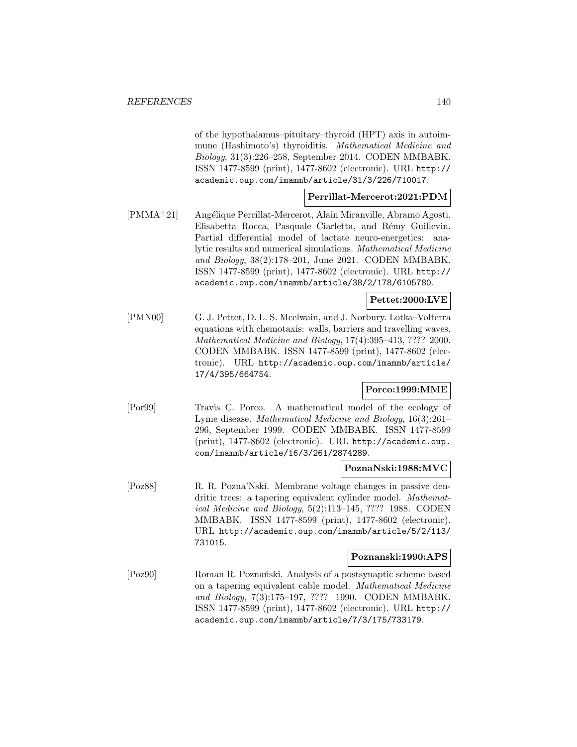of the hypothalamus–pituitary–thyroid (HPT) axis in autoimmune (Hashimoto's) thyroiditis. Mathematical Medicine and Biology, 31(3):226–258, September 2014. CODEN MMBABK. ISSN 1477-8599 (print), 1477-8602 (electronic). URL http:// academic.oup.com/imammb/article/31/3/226/710017.

### **Perrillat-Mercerot:2021:PDM**

[PMMA<sup>+</sup>21] Angélique Perrillat-Mercerot, Alain Miranville, Abramo Agosti, Elisabetta Rocca, Pasquale Ciarletta, and Rémy Guillevin. Partial differential model of lactate neuro-energetics: analytic results and numerical simulations. Mathematical Medicine and Biology, 38(2):178–201, June 2021. CODEN MMBABK. ISSN 1477-8599 (print), 1477-8602 (electronic). URL http:// academic.oup.com/imammb/article/38/2/178/6105780.

## **Pettet:2000:LVE**

[PMN00] G. J. Pettet, D. L. S. Mcelwain, and J. Norbury. Lotka–Volterra equations with chemotaxis: walls, barriers and travelling waves. Mathematical Medicine and Biology, 17(4):395–413, ???? 2000. CODEN MMBABK. ISSN 1477-8599 (print), 1477-8602 (electronic). URL http://academic.oup.com/imammb/article/ 17/4/395/664754.

# **Porco:1999:MME**

[Por99] Travis C. Porco. A mathematical model of the ecology of Lyme disease. Mathematical Medicine and Biology, 16(3):261– 296, September 1999. CODEN MMBABK. ISSN 1477-8599 (print), 1477-8602 (electronic). URL http://academic.oup. com/imammb/article/16/3/261/2874289.

### **PoznaNski:1988:MVC**

[Poz88] R. R. Pozna'Nski. Membrane voltage changes in passive dendritic trees: a tapering equivalent cylinder model. Mathematical Medicine and Biology, 5(2):113–145, ???? 1988. CODEN MMBABK. ISSN 1477-8599 (print), 1477-8602 (electronic). URL http://academic.oup.com/imammb/article/5/2/113/ 731015.

#### **Poznanski:1990:APS**

[Poz90] Roman R. Pozna´nski. Analysis of a postsynaptic scheme based on a tapering equivalent cable model. Mathematical Medicine and Biology, 7(3):175–197, ???? 1990. CODEN MMBABK. ISSN 1477-8599 (print), 1477-8602 (electronic). URL http:// academic.oup.com/imammb/article/7/3/175/733179.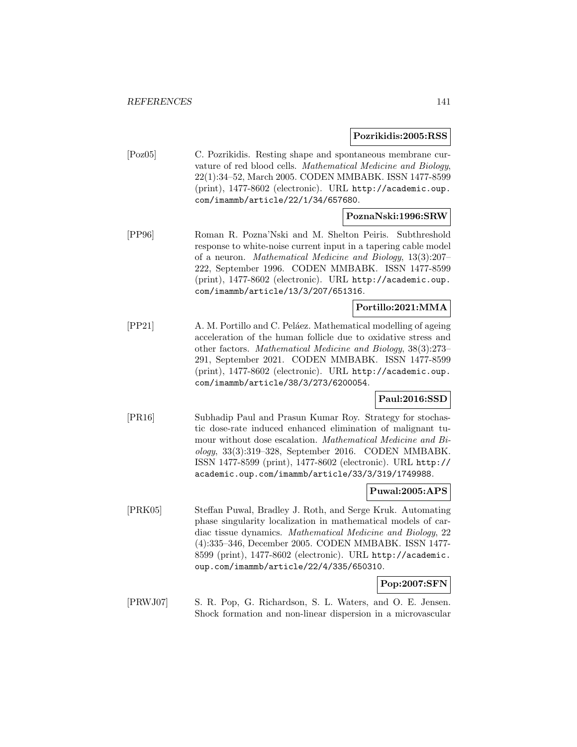#### **Pozrikidis:2005:RSS**

[Poz05] C. Pozrikidis. Resting shape and spontaneous membrane curvature of red blood cells. Mathematical Medicine and Biology, 22(1):34–52, March 2005. CODEN MMBABK. ISSN 1477-8599 (print), 1477-8602 (electronic). URL http://academic.oup. com/imammb/article/22/1/34/657680.

#### **PoznaNski:1996:SRW**

[PP96] Roman R. Pozna'Nski and M. Shelton Peiris. Subthreshold response to white-noise current input in a tapering cable model of a neuron. Mathematical Medicine and Biology, 13(3):207– 222, September 1996. CODEN MMBABK. ISSN 1477-8599 (print), 1477-8602 (electronic). URL http://academic.oup. com/imammb/article/13/3/207/651316.

### **Portillo:2021:MMA**

[PP21] A. M. Portillo and C. Peláez. Mathematical modelling of ageing acceleration of the human follicle due to oxidative stress and other factors. Mathematical Medicine and Biology, 38(3):273– 291, September 2021. CODEN MMBABK. ISSN 1477-8599 (print), 1477-8602 (electronic). URL http://academic.oup. com/imammb/article/38/3/273/6200054.

## **Paul:2016:SSD**

[PR16] Subhadip Paul and Prasun Kumar Roy. Strategy for stochastic dose-rate induced enhanced elimination of malignant tumour without dose escalation. Mathematical Medicine and Biology, 33(3):319–328, September 2016. CODEN MMBABK. ISSN 1477-8599 (print), 1477-8602 (electronic). URL http:// academic.oup.com/imammb/article/33/3/319/1749988.

## **Puwal:2005:APS**

[PRK05] Steffan Puwal, Bradley J. Roth, and Serge Kruk. Automating phase singularity localization in mathematical models of cardiac tissue dynamics. Mathematical Medicine and Biology, 22 (4):335–346, December 2005. CODEN MMBABK. ISSN 1477- 8599 (print), 1477-8602 (electronic). URL http://academic. oup.com/imammb/article/22/4/335/650310.

### **Pop:2007:SFN**

[PRWJ07] S. R. Pop, G. Richardson, S. L. Waters, and O. E. Jensen. Shock formation and non-linear dispersion in a microvascular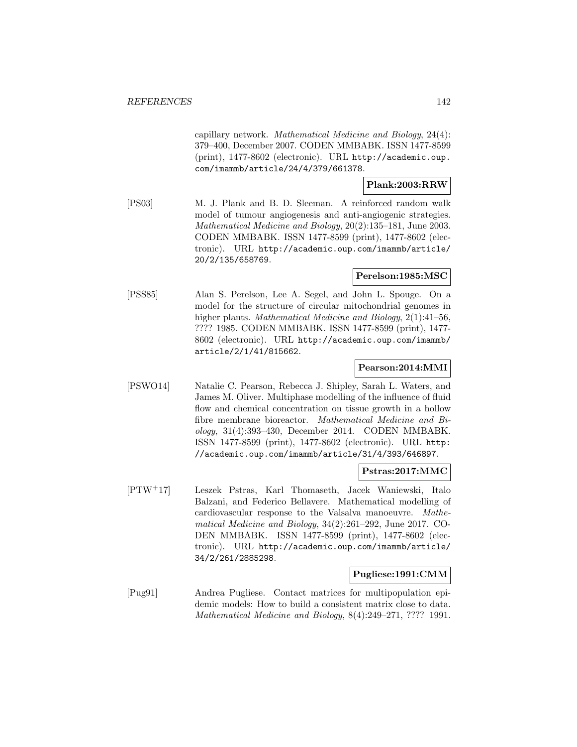capillary network. Mathematical Medicine and Biology, 24(4): 379–400, December 2007. CODEN MMBABK. ISSN 1477-8599 (print), 1477-8602 (electronic). URL http://academic.oup. com/imammb/article/24/4/379/661378.

### **Plank:2003:RRW**

[PS03] M. J. Plank and B. D. Sleeman. A reinforced random walk model of tumour angiogenesis and anti-angiogenic strategies. Mathematical Medicine and Biology, 20(2):135–181, June 2003. CODEN MMBABK. ISSN 1477-8599 (print), 1477-8602 (electronic). URL http://academic.oup.com/imammb/article/ 20/2/135/658769.

#### **Perelson:1985:MSC**

[PSS85] Alan S. Perelson, Lee A. Segel, and John L. Spouge. On a model for the structure of circular mitochondrial genomes in higher plants. Mathematical Medicine and Biology, 2(1):41–56, ???? 1985. CODEN MMBABK. ISSN 1477-8599 (print), 1477- 8602 (electronic). URL http://academic.oup.com/imammb/ article/2/1/41/815662.

### **Pearson:2014:MMI**

[PSWO14] Natalie C. Pearson, Rebecca J. Shipley, Sarah L. Waters, and James M. Oliver. Multiphase modelling of the influence of fluid flow and chemical concentration on tissue growth in a hollow fibre membrane bioreactor. Mathematical Medicine and Biology, 31(4):393–430, December 2014. CODEN MMBABK. ISSN 1477-8599 (print), 1477-8602 (electronic). URL http: //academic.oup.com/imammb/article/31/4/393/646897.

#### **Pstras:2017:MMC**

[PTW<sup>+</sup>17] Leszek Pstras, Karl Thomaseth, Jacek Waniewski, Italo Balzani, and Federico Bellavere. Mathematical modelling of cardiovascular response to the Valsalva manoeuvre. Mathematical Medicine and Biology, 34(2):261–292, June 2017. CO-DEN MMBABK. ISSN 1477-8599 (print), 1477-8602 (electronic). URL http://academic.oup.com/imammb/article/ 34/2/261/2885298.

### **Pugliese:1991:CMM**

[Pug91] Andrea Pugliese. Contact matrices for multipopulation epidemic models: How to build a consistent matrix close to data. Mathematical Medicine and Biology, 8(4):249–271, ???? 1991.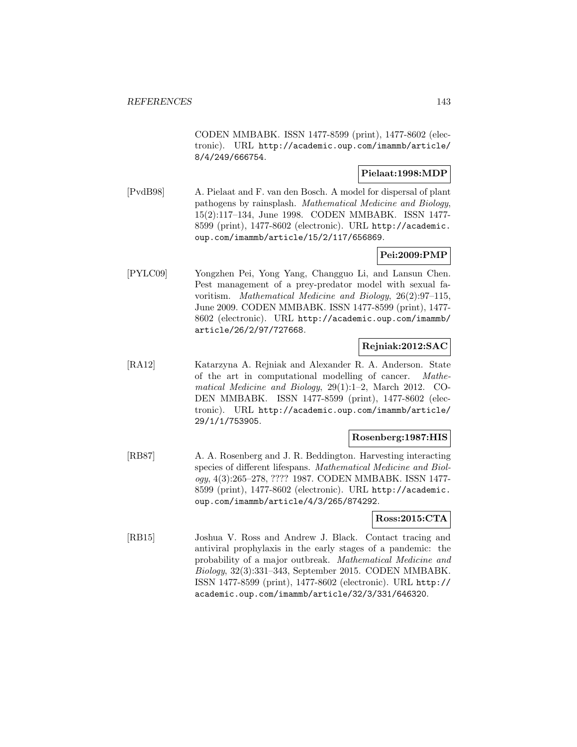CODEN MMBABK. ISSN 1477-8599 (print), 1477-8602 (electronic). URL http://academic.oup.com/imammb/article/ 8/4/249/666754.

### **Pielaat:1998:MDP**

[PvdB98] A. Pielaat and F. van den Bosch. A model for dispersal of plant pathogens by rainsplash. Mathematical Medicine and Biology, 15(2):117–134, June 1998. CODEN MMBABK. ISSN 1477- 8599 (print), 1477-8602 (electronic). URL http://academic. oup.com/imammb/article/15/2/117/656869.

# **Pei:2009:PMP**

[PYLC09] Yongzhen Pei, Yong Yang, Changguo Li, and Lansun Chen. Pest management of a prey-predator model with sexual favoritism. Mathematical Medicine and Biology, 26(2):97–115, June 2009. CODEN MMBABK. ISSN 1477-8599 (print), 1477- 8602 (electronic). URL http://academic.oup.com/imammb/ article/26/2/97/727668.

# **Rejniak:2012:SAC**

[RA12] Katarzyna A. Rejniak and Alexander R. A. Anderson. State of the art in computational modelling of cancer. Mathematical Medicine and Biology, 29(1):1–2, March 2012. CO-DEN MMBABK. ISSN 1477-8599 (print), 1477-8602 (electronic). URL http://academic.oup.com/imammb/article/ 29/1/1/753905.

### **Rosenberg:1987:HIS**

[RB87] A. A. Rosenberg and J. R. Beddington. Harvesting interacting species of different lifespans. Mathematical Medicine and Biology, 4(3):265–278, ???? 1987. CODEN MMBABK. ISSN 1477- 8599 (print), 1477-8602 (electronic). URL http://academic. oup.com/imammb/article/4/3/265/874292.

## **Ross:2015:CTA**

[RB15] Joshua V. Ross and Andrew J. Black. Contact tracing and antiviral prophylaxis in the early stages of a pandemic: the probability of a major outbreak. Mathematical Medicine and Biology, 32(3):331–343, September 2015. CODEN MMBABK. ISSN 1477-8599 (print), 1477-8602 (electronic). URL http:// academic.oup.com/imammb/article/32/3/331/646320.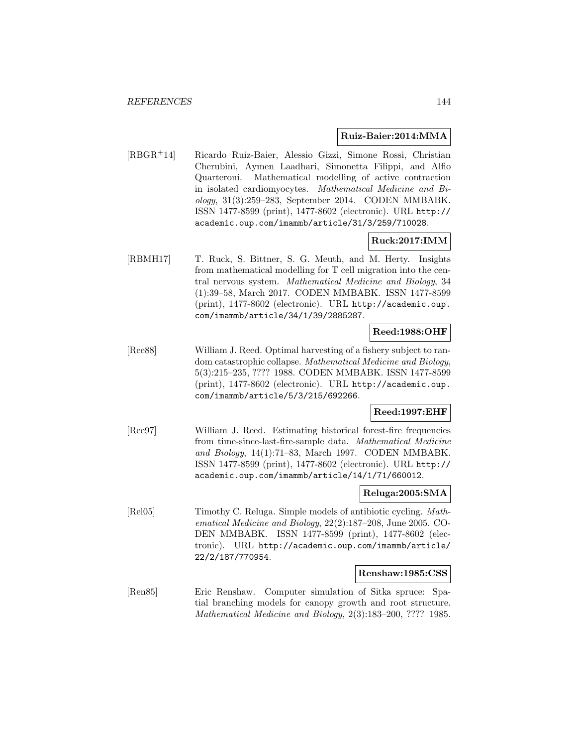#### **Ruiz-Baier:2014:MMA**

[RBGR<sup>+</sup>14] Ricardo Ruiz-Baier, Alessio Gizzi, Simone Rossi, Christian Cherubini, Aymen Laadhari, Simonetta Filippi, and Alfio Quarteroni. Mathematical modelling of active contraction in isolated cardiomyocytes. Mathematical Medicine and Biology, 31(3):259–283, September 2014. CODEN MMBABK. ISSN 1477-8599 (print), 1477-8602 (electronic). URL http:// academic.oup.com/imammb/article/31/3/259/710028.

### **Ruck:2017:IMM**

[RBMH17] T. Ruck, S. Bittner, S. G. Meuth, and M. Herty. Insights from mathematical modelling for T cell migration into the central nervous system. Mathematical Medicine and Biology, 34 (1):39–58, March 2017. CODEN MMBABK. ISSN 1477-8599 (print), 1477-8602 (electronic). URL http://academic.oup. com/imammb/article/34/1/39/2885287.

### **Reed:1988:OHF**

[Ree88] William J. Reed. Optimal harvesting of a fishery subject to random catastrophic collapse. Mathematical Medicine and Biology, 5(3):215–235, ???? 1988. CODEN MMBABK. ISSN 1477-8599 (print), 1477-8602 (electronic). URL http://academic.oup. com/imammb/article/5/3/215/692266.

### **Reed:1997:EHF**

[Ree97] William J. Reed. Estimating historical forest-fire frequencies from time-since-last-fire-sample data. Mathematical Medicine and Biology, 14(1):71–83, March 1997. CODEN MMBABK. ISSN 1477-8599 (print), 1477-8602 (electronic). URL http:// academic.oup.com/imammb/article/14/1/71/660012.

### **Reluga:2005:SMA**

[Rel05] Timothy C. Reluga. Simple models of antibiotic cycling. Mathematical Medicine and Biology, 22(2):187–208, June 2005. CO-DEN MMBABK. ISSN 1477-8599 (print), 1477-8602 (electronic). URL http://academic.oup.com/imammb/article/ 22/2/187/770954.

### **Renshaw:1985:CSS**

[Ren85] Eric Renshaw. Computer simulation of Sitka spruce: Spatial branching models for canopy growth and root structure. Mathematical Medicine and Biology, 2(3):183–200, ???? 1985.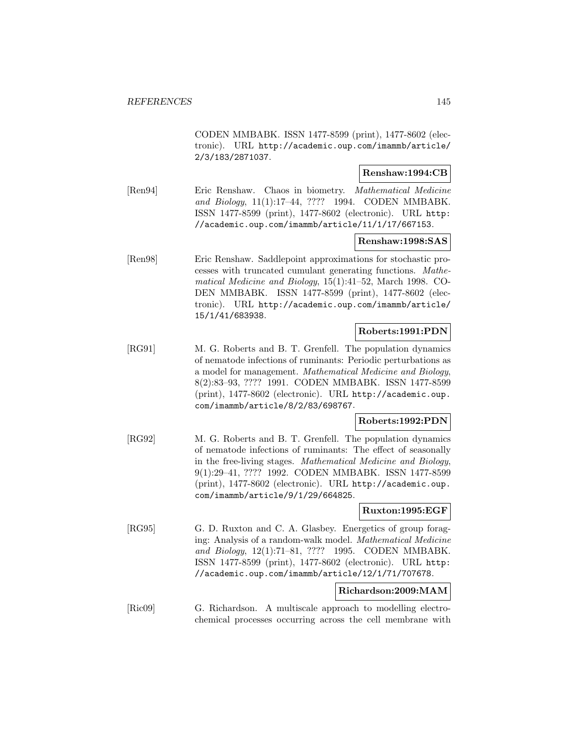CODEN MMBABK. ISSN 1477-8599 (print), 1477-8602 (electronic). URL http://academic.oup.com/imammb/article/ 2/3/183/2871037.

# **Renshaw:1994:CB**

[Ren94] Eric Renshaw. Chaos in biometry. Mathematical Medicine and Biology, 11(1):17–44, ???? 1994. CODEN MMBABK. ISSN 1477-8599 (print), 1477-8602 (electronic). URL http: //academic.oup.com/imammb/article/11/1/17/667153.

## **Renshaw:1998:SAS**

[Ren98] Eric Renshaw. Saddlepoint approximations for stochastic processes with truncated cumulant generating functions. Mathematical Medicine and Biology, 15(1):41–52, March 1998. CO-DEN MMBABK. ISSN 1477-8599 (print), 1477-8602 (electronic). URL http://academic.oup.com/imammb/article/ 15/1/41/683938.

# **Roberts:1991:PDN**

[RG91] M. G. Roberts and B. T. Grenfell. The population dynamics of nematode infections of ruminants: Periodic perturbations as a model for management. Mathematical Medicine and Biology, 8(2):83–93, ???? 1991. CODEN MMBABK. ISSN 1477-8599 (print), 1477-8602 (electronic). URL http://academic.oup. com/imammb/article/8/2/83/698767.

# **Roberts:1992:PDN**

[RG92] M. G. Roberts and B. T. Grenfell. The population dynamics of nematode infections of ruminants: The effect of seasonally in the free-living stages. Mathematical Medicine and Biology, 9(1):29–41, ???? 1992. CODEN MMBABK. ISSN 1477-8599 (print), 1477-8602 (electronic). URL http://academic.oup. com/imammb/article/9/1/29/664825.

#### **Ruxton:1995:EGF**

[RG95] G. D. Ruxton and C. A. Glasbey. Energetics of group foraging: Analysis of a random-walk model. Mathematical Medicine and Biology, 12(1):71–81, ???? 1995. CODEN MMBABK. ISSN 1477-8599 (print), 1477-8602 (electronic). URL http: //academic.oup.com/imammb/article/12/1/71/707678.

# **Richardson:2009:MAM**

[Ric09] G. Richardson. A multiscale approach to modelling electrochemical processes occurring across the cell membrane with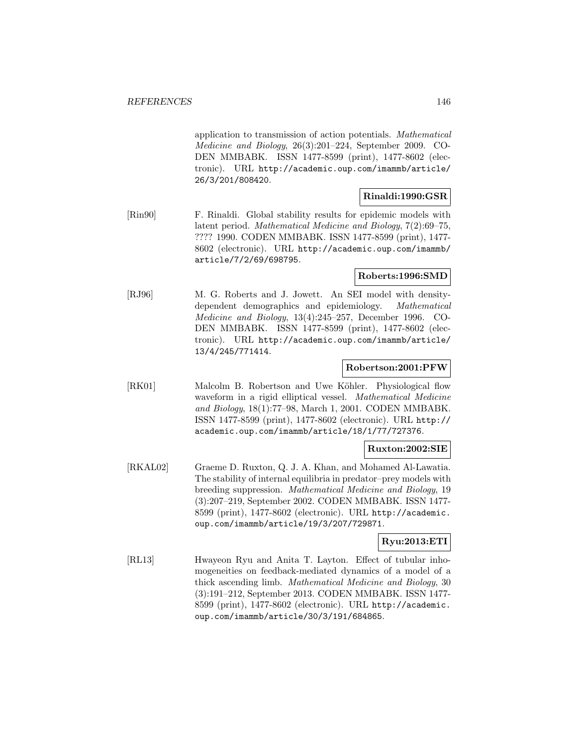application to transmission of action potentials. Mathematical Medicine and Biology, 26(3):201–224, September 2009. CO-DEN MMBABK. ISSN 1477-8599 (print), 1477-8602 (electronic). URL http://academic.oup.com/imammb/article/ 26/3/201/808420.

# **Rinaldi:1990:GSR**

[Rin90] F. Rinaldi. Global stability results for epidemic models with latent period. Mathematical Medicine and Biology, 7(2):69–75, ???? 1990. CODEN MMBABK. ISSN 1477-8599 (print), 1477- 8602 (electronic). URL http://academic.oup.com/imammb/ article/7/2/69/698795.

## **Roberts:1996:SMD**

[RJ96] M. G. Roberts and J. Jowett. An SEI model with densitydependent demographics and epidemiology. Mathematical Medicine and Biology, 13(4):245–257, December 1996. CO-DEN MMBABK. ISSN 1477-8599 (print), 1477-8602 (electronic). URL http://academic.oup.com/imammb/article/ 13/4/245/771414.

### **Robertson:2001:PFW**

[RK01] Malcolm B. Robertson and Uwe Köhler. Physiological flow waveform in a rigid elliptical vessel. *Mathematical Medicine* and Biology, 18(1):77–98, March 1, 2001. CODEN MMBABK. ISSN 1477-8599 (print), 1477-8602 (electronic). URL http:// academic.oup.com/imammb/article/18/1/77/727376.

# **Ruxton:2002:SIE**

[RKAL02] Graeme D. Ruxton, Q. J. A. Khan, and Mohamed Al-Lawatia. The stability of internal equilibria in predator–prey models with breeding suppression. Mathematical Medicine and Biology, 19 (3):207–219, September 2002. CODEN MMBABK. ISSN 1477- 8599 (print), 1477-8602 (electronic). URL http://academic. oup.com/imammb/article/19/3/207/729871.

# **Ryu:2013:ETI**

[RL13] Hwayeon Ryu and Anita T. Layton. Effect of tubular inhomogeneities on feedback-mediated dynamics of a model of a thick ascending limb. Mathematical Medicine and Biology, 30 (3):191–212, September 2013. CODEN MMBABK. ISSN 1477- 8599 (print), 1477-8602 (electronic). URL http://academic. oup.com/imammb/article/30/3/191/684865.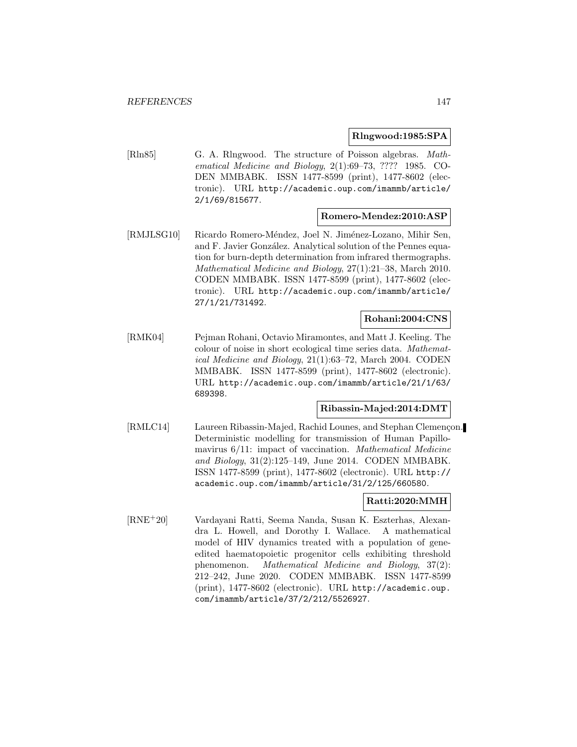### **Rlngwood:1985:SPA**

[Rln85] G. A. Rlngwood. The structure of Poisson algebras. Mathematical Medicine and Biology, 2(1):69–73, ???? 1985. CO-DEN MMBABK. ISSN 1477-8599 (print), 1477-8602 (electronic). URL http://academic.oup.com/imammb/article/ 2/1/69/815677.

### **Romero-Mendez:2010:ASP**

[RMJLSG10] Ricardo Romero-Méndez, Joel N. Jiménez-Lozano, Mihir Sen, and F. Javier González. Analytical solution of the Pennes equation for burn-depth determination from infrared thermographs. Mathematical Medicine and Biology, 27(1):21–38, March 2010. CODEN MMBABK. ISSN 1477-8599 (print), 1477-8602 (electronic). URL http://academic.oup.com/imammb/article/ 27/1/21/731492.

# **Rohani:2004:CNS**

[RMK04] Pejman Rohani, Octavio Miramontes, and Matt J. Keeling. The colour of noise in short ecological time series data. Mathematical Medicine and Biology, 21(1):63–72, March 2004. CODEN MMBABK. ISSN 1477-8599 (print), 1477-8602 (electronic). URL http://academic.oup.com/imammb/article/21/1/63/ 689398.

# **Ribassin-Majed:2014:DMT**

[RMLC14] Laureen Ribassin-Majed, Rachid Lounes, and Stephan Clemençon. Deterministic modelling for transmission of Human Papillomavirus 6/11: impact of vaccination. Mathematical Medicine and Biology, 31(2):125–149, June 2014. CODEN MMBABK. ISSN 1477-8599 (print), 1477-8602 (electronic). URL http:// academic.oup.com/imammb/article/31/2/125/660580.

# **Ratti:2020:MMH**

[RNE<sup>+</sup>20] Vardayani Ratti, Seema Nanda, Susan K. Eszterhas, Alexandra L. Howell, and Dorothy I. Wallace. A mathematical model of HIV dynamics treated with a population of geneedited haematopoietic progenitor cells exhibiting threshold phenomenon. Mathematical Medicine and Biology, 37(2): 212–242, June 2020. CODEN MMBABK. ISSN 1477-8599 (print), 1477-8602 (electronic). URL http://academic.oup. com/imammb/article/37/2/212/5526927.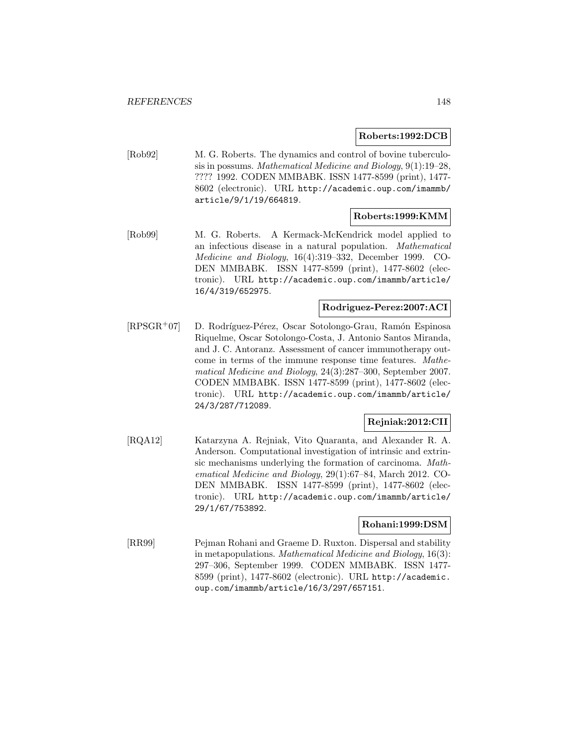# **Roberts:1992:DCB**

[Rob92] M. G. Roberts. The dynamics and control of bovine tuberculosis in possums. Mathematical Medicine and Biology, 9(1):19–28, ???? 1992. CODEN MMBABK. ISSN 1477-8599 (print), 1477- 8602 (electronic). URL http://academic.oup.com/imammb/ article/9/1/19/664819.

# **Roberts:1999:KMM**

[Rob99] M. G. Roberts. A Kermack-McKendrick model applied to an infectious disease in a natural population. Mathematical Medicine and Biology, 16(4):319–332, December 1999. CO-DEN MMBABK. ISSN 1477-8599 (print), 1477-8602 (electronic). URL http://academic.oup.com/imammb/article/ 16/4/319/652975.

## **Rodriguez-Perez:2007:ACI**

[RPSGR<sup>+</sup>07] D. Rodríguez-Pérez, Oscar Sotolongo-Grau, Ramón Espinosa Riquelme, Oscar Sotolongo-Costa, J. Antonio Santos Miranda, and J. C. Antoranz. Assessment of cancer immunotherapy outcome in terms of the immune response time features. Mathematical Medicine and Biology, 24(3):287–300, September 2007. CODEN MMBABK. ISSN 1477-8599 (print), 1477-8602 (electronic). URL http://academic.oup.com/imammb/article/ 24/3/287/712089.

# **Rejniak:2012:CII**

[RQA12] Katarzyna A. Rejniak, Vito Quaranta, and Alexander R. A. Anderson. Computational investigation of intrinsic and extrinsic mechanisms underlying the formation of carcinoma. Mathematical Medicine and Biology, 29(1):67–84, March 2012. CO-DEN MMBABK. ISSN 1477-8599 (print), 1477-8602 (electronic). URL http://academic.oup.com/imammb/article/ 29/1/67/753892.

#### **Rohani:1999:DSM**

[RR99] Pejman Rohani and Graeme D. Ruxton. Dispersal and stability in metapopulations. Mathematical Medicine and Biology, 16(3): 297–306, September 1999. CODEN MMBABK. ISSN 1477- 8599 (print), 1477-8602 (electronic). URL http://academic. oup.com/imammb/article/16/3/297/657151.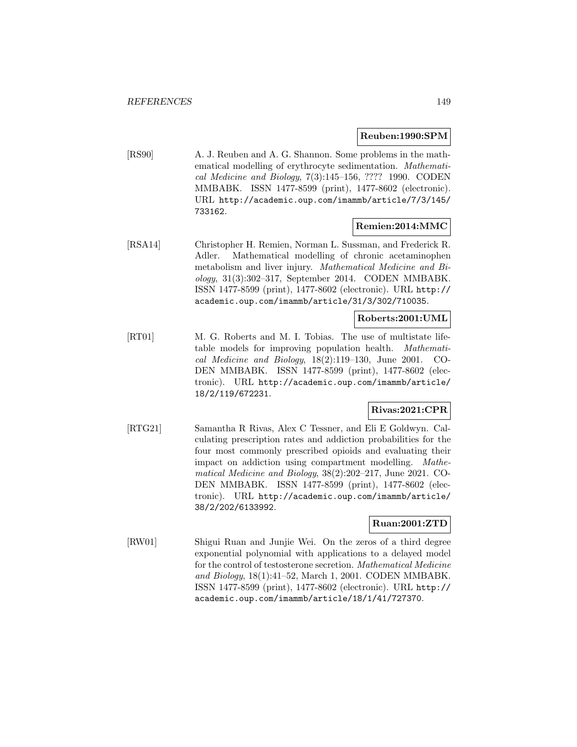### **Reuben:1990:SPM**

[RS90] A. J. Reuben and A. G. Shannon. Some problems in the mathematical modelling of erythrocyte sedimentation. Mathematical Medicine and Biology, 7(3):145–156, ???? 1990. CODEN MMBABK. ISSN 1477-8599 (print), 1477-8602 (electronic). URL http://academic.oup.com/imammb/article/7/3/145/ 733162.

# **Remien:2014:MMC**

[RSA14] Christopher H. Remien, Norman L. Sussman, and Frederick R. Adler. Mathematical modelling of chronic acetaminophen metabolism and liver injury. Mathematical Medicine and Biology, 31(3):302–317, September 2014. CODEN MMBABK. ISSN 1477-8599 (print), 1477-8602 (electronic). URL http:// academic.oup.com/imammb/article/31/3/302/710035.

## **Roberts:2001:UML**

[RT01] M. G. Roberts and M. I. Tobias. The use of multistate lifetable models for improving population health. Mathematical Medicine and Biology, 18(2):119–130, June 2001. CO-DEN MMBABK. ISSN 1477-8599 (print), 1477-8602 (electronic). URL http://academic.oup.com/imammb/article/ 18/2/119/672231.

## **Rivas:2021:CPR**

[RTG21] Samantha R Rivas, Alex C Tessner, and Eli E Goldwyn. Calculating prescription rates and addiction probabilities for the four most commonly prescribed opioids and evaluating their impact on addiction using compartment modelling. Mathematical Medicine and Biology, 38(2):202–217, June 2021. CO-DEN MMBABK. ISSN 1477-8599 (print), 1477-8602 (electronic). URL http://academic.oup.com/imammb/article/ 38/2/202/6133992.

## **Ruan:2001:ZTD**

[RW01] Shigui Ruan and Junjie Wei. On the zeros of a third degree exponential polynomial with applications to a delayed model for the control of testosterone secretion. Mathematical Medicine and Biology, 18(1):41–52, March 1, 2001. CODEN MMBABK. ISSN 1477-8599 (print), 1477-8602 (electronic). URL http:// academic.oup.com/imammb/article/18/1/41/727370.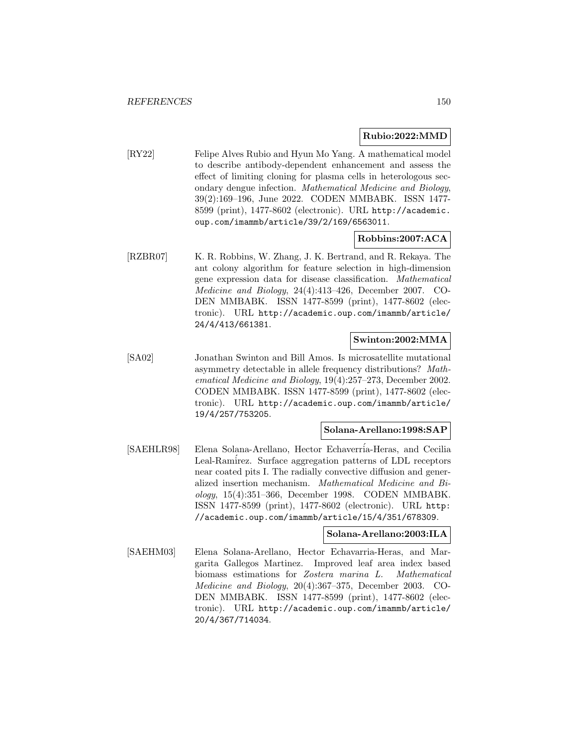## **Rubio:2022:MMD**

[RY22] Felipe Alves Rubio and Hyun Mo Yang. A mathematical model to describe antibody-dependent enhancement and assess the effect of limiting cloning for plasma cells in heterologous secondary dengue infection. Mathematical Medicine and Biology, 39(2):169–196, June 2022. CODEN MMBABK. ISSN 1477- 8599 (print), 1477-8602 (electronic). URL http://academic. oup.com/imammb/article/39/2/169/6563011.

# **Robbins:2007:ACA**

[RZBR07] K. R. Robbins, W. Zhang, J. K. Bertrand, and R. Rekaya. The ant colony algorithm for feature selection in high-dimension gene expression data for disease classification. Mathematical Medicine and Biology, 24(4):413–426, December 2007. CO-DEN MMBABK. ISSN 1477-8599 (print), 1477-8602 (electronic). URL http://academic.oup.com/imammb/article/ 24/4/413/661381.

## **Swinton:2002:MMA**

[SA02] Jonathan Swinton and Bill Amos. Is microsatellite mutational asymmetry detectable in allele frequency distributions? Mathematical Medicine and Biology, 19(4):257–273, December 2002. CODEN MMBABK. ISSN 1477-8599 (print), 1477-8602 (electronic). URL http://academic.oup.com/imammb/article/ 19/4/257/753205.

#### **Solana-Arellano:1998:SAP**

[SAEHLR98] Elena Solana-Arellano, Hector Echaverría-Heras, and Cecilia Leal-Ramirez. Surface aggregation patterns of LDL receptors near coated pits I. The radially convective diffusion and generalized insertion mechanism. Mathematical Medicine and Biology, 15(4):351–366, December 1998. CODEN MMBABK. ISSN 1477-8599 (print), 1477-8602 (electronic). URL http: //academic.oup.com/imammb/article/15/4/351/678309.

## **Solana-Arellano:2003:ILA**

[SAEHM03] Elena Solana-Arellano, Hector Echavarria-Heras, and Margarita Gallegos Martinez. Improved leaf area index based biomass estimations for Zostera marina L. Mathematical Medicine and Biology, 20(4):367–375, December 2003. CO-DEN MMBABK. ISSN 1477-8599 (print), 1477-8602 (electronic). URL http://academic.oup.com/imammb/article/ 20/4/367/714034.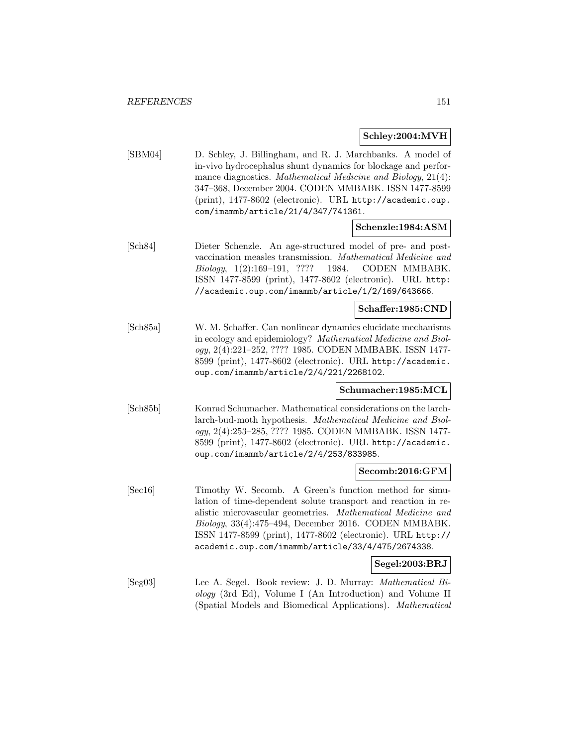#### **Schley:2004:MVH**

[SBM04] D. Schley, J. Billingham, and R. J. Marchbanks. A model of in-vivo hydrocephalus shunt dynamics for blockage and performance diagnostics. Mathematical Medicine and Biology, 21(4): 347–368, December 2004. CODEN MMBABK. ISSN 1477-8599 (print), 1477-8602 (electronic). URL http://academic.oup. com/imammb/article/21/4/347/741361.

## **Schenzle:1984:ASM**

[Sch84] Dieter Schenzle. An age-structured model of pre- and postvaccination measles transmission. Mathematical Medicine and Biology, 1(2):169–191, ???? 1984. CODEN MMBABK. ISSN 1477-8599 (print), 1477-8602 (electronic). URL http: //academic.oup.com/imammb/article/1/2/169/643666.

# **Schaffer:1985:CND**

[Sch85a] W. M. Schaffer. Can nonlinear dynamics elucidate mechanisms in ecology and epidemiology? Mathematical Medicine and Biology, 2(4):221–252, ???? 1985. CODEN MMBABK. ISSN 1477- 8599 (print), 1477-8602 (electronic). URL http://academic. oup.com/imammb/article/2/4/221/2268102.

## **Schumacher:1985:MCL**

[Sch85b] Konrad Schumacher. Mathematical considerations on the larchlarch-bud-moth hypothesis. Mathematical Medicine and Biology, 2(4):253–285, ???? 1985. CODEN MMBABK. ISSN 1477- 8599 (print), 1477-8602 (electronic). URL http://academic. oup.com/imammb/article/2/4/253/833985.

## **Secomb:2016:GFM**

[Sec16] Timothy W. Secomb. A Green's function method for simulation of time-dependent solute transport and reaction in realistic microvascular geometries. Mathematical Medicine and Biology, 33(4):475–494, December 2016. CODEN MMBABK. ISSN 1477-8599 (print), 1477-8602 (electronic). URL http:// academic.oup.com/imammb/article/33/4/475/2674338.

#### **Segel:2003:BRJ**

[Seg03] Lee A. Segel. Book review: J. D. Murray: Mathematical Biology (3rd Ed), Volume I (An Introduction) and Volume II (Spatial Models and Biomedical Applications). Mathematical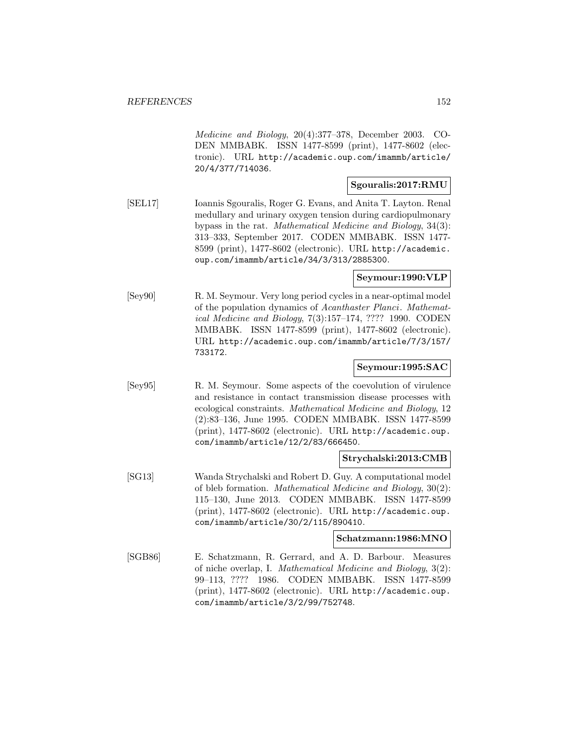Medicine and Biology, 20(4):377–378, December 2003. CO-DEN MMBABK. ISSN 1477-8599 (print), 1477-8602 (electronic). URL http://academic.oup.com/imammb/article/ 20/4/377/714036.

### **Sgouralis:2017:RMU**

[SEL17] Ioannis Sgouralis, Roger G. Evans, and Anita T. Layton. Renal medullary and urinary oxygen tension during cardiopulmonary bypass in the rat. Mathematical Medicine and Biology, 34(3): 313–333, September 2017. CODEN MMBABK. ISSN 1477- 8599 (print), 1477-8602 (electronic). URL http://academic. oup.com/imammb/article/34/3/313/2885300.

## **Seymour:1990:VLP**

[Sey90] R. M. Seymour. Very long period cycles in a near-optimal model of the population dynamics of Acanthaster Planci. Mathematical Medicine and Biology, 7(3):157–174, ???? 1990. CODEN MMBABK. ISSN 1477-8599 (print), 1477-8602 (electronic). URL http://academic.oup.com/imammb/article/7/3/157/ 733172.

## **Seymour:1995:SAC**

[Sey95] R. M. Seymour. Some aspects of the coevolution of virulence and resistance in contact transmission disease processes with ecological constraints. Mathematical Medicine and Biology, 12 (2):83–136, June 1995. CODEN MMBABK. ISSN 1477-8599 (print), 1477-8602 (electronic). URL http://academic.oup. com/imammb/article/12/2/83/666450.

### **Strychalski:2013:CMB**

[SG13] Wanda Strychalski and Robert D. Guy. A computational model of bleb formation. Mathematical Medicine and Biology, 30(2): 115–130, June 2013. CODEN MMBABK. ISSN 1477-8599 (print), 1477-8602 (electronic). URL http://academic.oup. com/imammb/article/30/2/115/890410.

#### **Schatzmann:1986:MNO**

[SGB86] E. Schatzmann, R. Gerrard, and A. D. Barbour. Measures of niche overlap, I. Mathematical Medicine and Biology, 3(2): 99–113, ???? 1986. CODEN MMBABK. ISSN 1477-8599 (print), 1477-8602 (electronic). URL http://academic.oup. com/imammb/article/3/2/99/752748.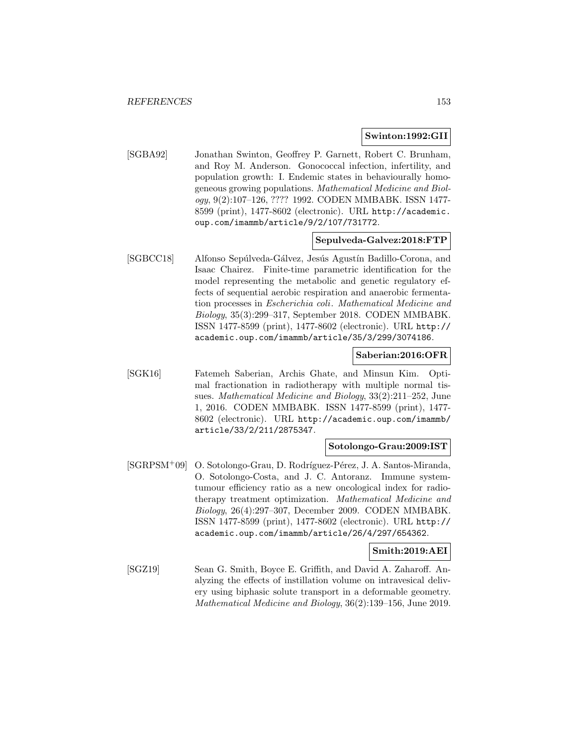#### **Swinton:1992:GII**

[SGBA92] Jonathan Swinton, Geoffrey P. Garnett, Robert C. Brunham, and Roy M. Anderson. Gonococcal infection, infertility, and population growth: I. Endemic states in behaviourally homogeneous growing populations. Mathematical Medicine and Biology, 9(2):107–126, ???? 1992. CODEN MMBABK. ISSN 1477- 8599 (print), 1477-8602 (electronic). URL http://academic. oup.com/imammb/article/9/2/107/731772.

### **Sepulveda-Galvez:2018:FTP**

[SGBCC18] Alfonso Sepúlveda-Gálvez, Jesús Agustín Badillo-Corona, and Isaac Chairez. Finite-time parametric identification for the model representing the metabolic and genetic regulatory effects of sequential aerobic respiration and anaerobic fermentation processes in Escherichia coli. Mathematical Medicine and Biology, 35(3):299–317, September 2018. CODEN MMBABK. ISSN 1477-8599 (print), 1477-8602 (electronic). URL http:// academic.oup.com/imammb/article/35/3/299/3074186.

## **Saberian:2016:OFR**

[SGK16] Fatemeh Saberian, Archis Ghate, and Minsun Kim. Optimal fractionation in radiotherapy with multiple normal tissues. Mathematical Medicine and Biology, 33(2):211–252, June 1, 2016. CODEN MMBABK. ISSN 1477-8599 (print), 1477- 8602 (electronic). URL http://academic.oup.com/imammb/ article/33/2/211/2875347.

## **Sotolongo-Grau:2009:IST**

[SGRPSM<sup>+</sup>09] O. Sotolongo-Grau, D. Rodríguez-Pérez, J. A. Santos-Miranda, O. Sotolongo-Costa, and J. C. Antoranz. Immune systemtumour efficiency ratio as a new oncological index for radiotherapy treatment optimization. Mathematical Medicine and Biology, 26(4):297–307, December 2009. CODEN MMBABK. ISSN 1477-8599 (print), 1477-8602 (electronic). URL http:// academic.oup.com/imammb/article/26/4/297/654362.

#### **Smith:2019:AEI**

[SGZ19] Sean G. Smith, Boyce E. Griffith, and David A. Zaharoff. Analyzing the effects of instillation volume on intravesical delivery using biphasic solute transport in a deformable geometry. Mathematical Medicine and Biology, 36(2):139–156, June 2019.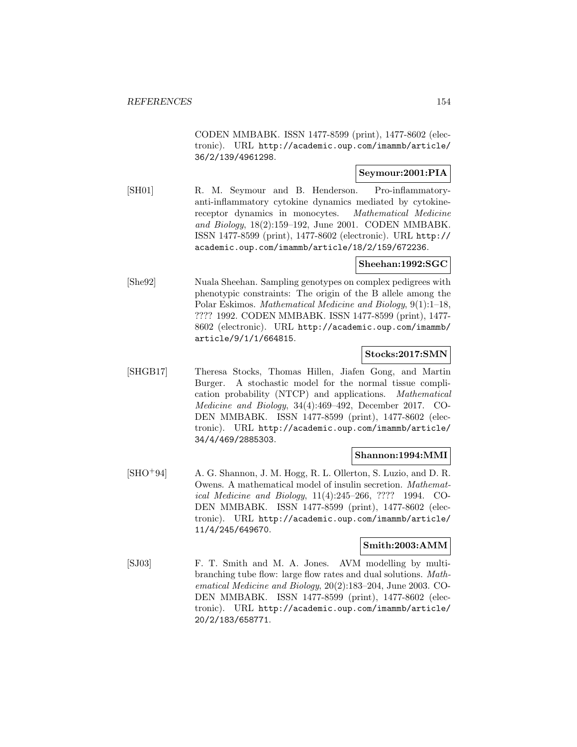CODEN MMBABK. ISSN 1477-8599 (print), 1477-8602 (electronic). URL http://academic.oup.com/imammb/article/ 36/2/139/4961298.

# **Seymour:2001:PIA**

[SH01] R. M. Seymour and B. Henderson. Pro-inflammatoryanti-inflammatory cytokine dynamics mediated by cytokinereceptor dynamics in monocytes. Mathematical Medicine and Biology, 18(2):159–192, June 2001. CODEN MMBABK. ISSN 1477-8599 (print), 1477-8602 (electronic). URL http:// academic.oup.com/imammb/article/18/2/159/672236.

# **Sheehan:1992:SGC**

[She92] Nuala Sheehan. Sampling genotypes on complex pedigrees with phenotypic constraints: The origin of the B allele among the Polar Eskimos. Mathematical Medicine and Biology, 9(1):1–18, ???? 1992. CODEN MMBABK. ISSN 1477-8599 (print), 1477- 8602 (electronic). URL http://academic.oup.com/imammb/ article/9/1/1/664815.

## **Stocks:2017:SMN**

[SHGB17] Theresa Stocks, Thomas Hillen, Jiafen Gong, and Martin Burger. A stochastic model for the normal tissue complication probability (NTCP) and applications. Mathematical Medicine and Biology, 34(4):469–492, December 2017. CO-DEN MMBABK. ISSN 1477-8599 (print), 1477-8602 (electronic). URL http://academic.oup.com/imammb/article/ 34/4/469/2885303.

## **Shannon:1994:MMI**

[SHO<sup>+</sup>94] A. G. Shannon, J. M. Hogg, R. L. Ollerton, S. Luzio, and D. R. Owens. A mathematical model of insulin secretion. Mathematical Medicine and Biology, 11(4):245–266, ???? 1994. CO-DEN MMBABK. ISSN 1477-8599 (print), 1477-8602 (electronic). URL http://academic.oup.com/imammb/article/ 11/4/245/649670.

# **Smith:2003:AMM**

[SJ03] F. T. Smith and M. A. Jones. AVM modelling by multibranching tube flow: large flow rates and dual solutions. Mathematical Medicine and Biology, 20(2):183–204, June 2003. CO-DEN MMBABK. ISSN 1477-8599 (print), 1477-8602 (electronic). URL http://academic.oup.com/imammb/article/ 20/2/183/658771.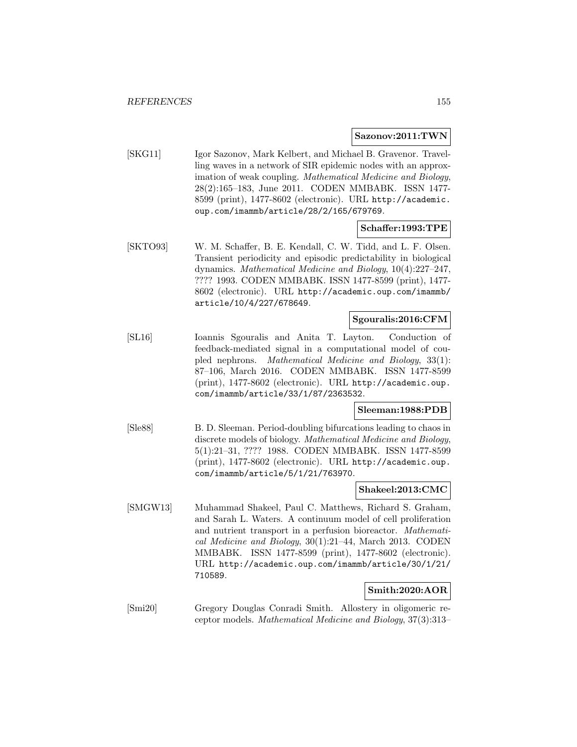### **Sazonov:2011:TWN**

[SKG11] Igor Sazonov, Mark Kelbert, and Michael B. Gravenor. Travelling waves in a network of SIR epidemic nodes with an approximation of weak coupling. Mathematical Medicine and Biology, 28(2):165–183, June 2011. CODEN MMBABK. ISSN 1477- 8599 (print), 1477-8602 (electronic). URL http://academic. oup.com/imammb/article/28/2/165/679769.

## **Schaffer:1993:TPE**

[SKTO93] W. M. Schaffer, B. E. Kendall, C. W. Tidd, and L. F. Olsen. Transient periodicity and episodic predictability in biological dynamics. Mathematical Medicine and Biology, 10(4):227–247, ???? 1993. CODEN MMBABK. ISSN 1477-8599 (print), 1477- 8602 (electronic). URL http://academic.oup.com/imammb/ article/10/4/227/678649.

## **Sgouralis:2016:CFM**

[SL16] Ioannis Sgouralis and Anita T. Layton. Conduction of feedback-mediated signal in a computational model of coupled nephrons. Mathematical Medicine and Biology, 33(1): 87–106, March 2016. CODEN MMBABK. ISSN 1477-8599 (print), 1477-8602 (electronic). URL http://academic.oup. com/imammb/article/33/1/87/2363532.

## **Sleeman:1988:PDB**

[Sle88] B. D. Sleeman. Period-doubling bifurcations leading to chaos in discrete models of biology. Mathematical Medicine and Biology, 5(1):21–31, ???? 1988. CODEN MMBABK. ISSN 1477-8599 (print), 1477-8602 (electronic). URL http://academic.oup. com/imammb/article/5/1/21/763970.

### **Shakeel:2013:CMC**

[SMGW13] Muhammad Shakeel, Paul C. Matthews, Richard S. Graham, and Sarah L. Waters. A continuum model of cell proliferation and nutrient transport in a perfusion bioreactor. Mathematical Medicine and Biology, 30(1):21–44, March 2013. CODEN MMBABK. ISSN 1477-8599 (print), 1477-8602 (electronic). URL http://academic.oup.com/imammb/article/30/1/21/ 710589.

# **Smith:2020:AOR**

[Smi20] Gregory Douglas Conradi Smith. Allostery in oligomeric receptor models. Mathematical Medicine and Biology, 37(3):313–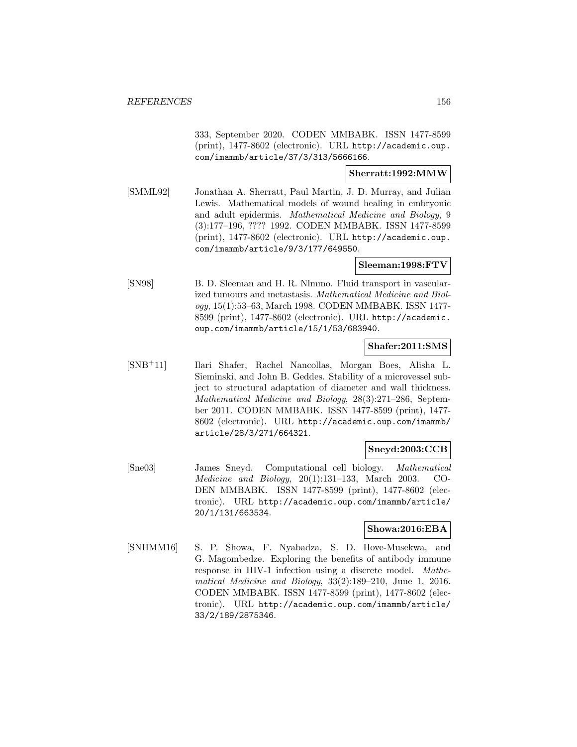333, September 2020. CODEN MMBABK. ISSN 1477-8599 (print), 1477-8602 (electronic). URL http://academic.oup. com/imammb/article/37/3/313/5666166.

### **Sherratt:1992:MMW**

[SMML92] Jonathan A. Sherratt, Paul Martin, J. D. Murray, and Julian Lewis. Mathematical models of wound healing in embryonic and adult epidermis. Mathematical Medicine and Biology, 9 (3):177–196, ???? 1992. CODEN MMBABK. ISSN 1477-8599 (print), 1477-8602 (electronic). URL http://academic.oup. com/imammb/article/9/3/177/649550.

# **Sleeman:1998:FTV**

[SN98] B. D. Sleeman and H. R. Nlmmo. Fluid transport in vascularized tumours and metastasis. Mathematical Medicine and Biology, 15(1):53–63, March 1998. CODEN MMBABK. ISSN 1477- 8599 (print), 1477-8602 (electronic). URL http://academic. oup.com/imammb/article/15/1/53/683940.

# **Shafer:2011:SMS**

[SNB<sup>+</sup>11] Ilari Shafer, Rachel Nancollas, Morgan Boes, Alisha L. Sieminski, and John B. Geddes. Stability of a microvessel subject to structural adaptation of diameter and wall thickness. Mathematical Medicine and Biology, 28(3):271–286, September 2011. CODEN MMBABK. ISSN 1477-8599 (print), 1477- 8602 (electronic). URL http://academic.oup.com/imammb/ article/28/3/271/664321.

## **Sneyd:2003:CCB**

[Sne03] James Sneyd. Computational cell biology. Mathematical Medicine and Biology, 20(1):131–133, March 2003. CO-DEN MMBABK. ISSN 1477-8599 (print), 1477-8602 (electronic). URL http://academic.oup.com/imammb/article/ 20/1/131/663534.

# **Showa:2016:EBA**

[SNHMM16] S. P. Showa, F. Nyabadza, S. D. Hove-Musekwa, and G. Magombedze. Exploring the benefits of antibody immune response in HIV-1 infection using a discrete model. Mathematical Medicine and Biology, 33(2):189–210, June 1, 2016. CODEN MMBABK. ISSN 1477-8599 (print), 1477-8602 (electronic). URL http://academic.oup.com/imammb/article/ 33/2/189/2875346.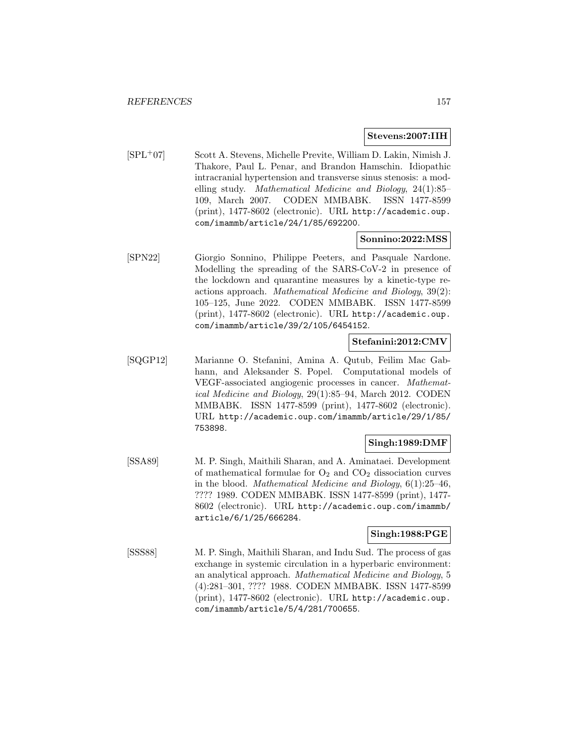#### **Stevens:2007:IIH**

[SPL<sup>+</sup>07] Scott A. Stevens, Michelle Previte, William D. Lakin, Nimish J. Thakore, Paul L. Penar, and Brandon Hamschin. Idiopathic intracranial hypertension and transverse sinus stenosis: a modelling study. Mathematical Medicine and Biology, 24(1):85– 109, March 2007. CODEN MMBABK. ISSN 1477-8599 (print), 1477-8602 (electronic). URL http://academic.oup. com/imammb/article/24/1/85/692200.

## **Sonnino:2022:MSS**

[SPN22] Giorgio Sonnino, Philippe Peeters, and Pasquale Nardone. Modelling the spreading of the SARS-CoV-2 in presence of the lockdown and quarantine measures by a kinetic-type reactions approach. Mathematical Medicine and Biology, 39(2): 105–125, June 2022. CODEN MMBABK. ISSN 1477-8599 (print), 1477-8602 (electronic). URL http://academic.oup. com/imammb/article/39/2/105/6454152.

# **Stefanini:2012:CMV**

[SQGP12] Marianne O. Stefanini, Amina A. Qutub, Feilim Mac Gabhann, and Aleksander S. Popel. Computational models of VEGF-associated angiogenic processes in cancer. Mathematical Medicine and Biology, 29(1):85–94, March 2012. CODEN MMBABK. ISSN 1477-8599 (print), 1477-8602 (electronic). URL http://academic.oup.com/imammb/article/29/1/85/ 753898.

# **Singh:1989:DMF**

[SSA89] M. P. Singh, Maithili Sharan, and A. Aminataei. Development of mathematical formulae for  $O_2$  and  $CO_2$  dissociation curves in the blood. Mathematical Medicine and Biology, 6(1):25–46, ???? 1989. CODEN MMBABK. ISSN 1477-8599 (print), 1477- 8602 (electronic). URL http://academic.oup.com/imammb/ article/6/1/25/666284.

# **Singh:1988:PGE**

[SSS88] M. P. Singh, Maithili Sharan, and Indu Sud. The process of gas exchange in systemic circulation in a hyperbaric environment: an analytical approach. Mathematical Medicine and Biology, 5 (4):281–301, ???? 1988. CODEN MMBABK. ISSN 1477-8599 (print), 1477-8602 (electronic). URL http://academic.oup. com/imammb/article/5/4/281/700655.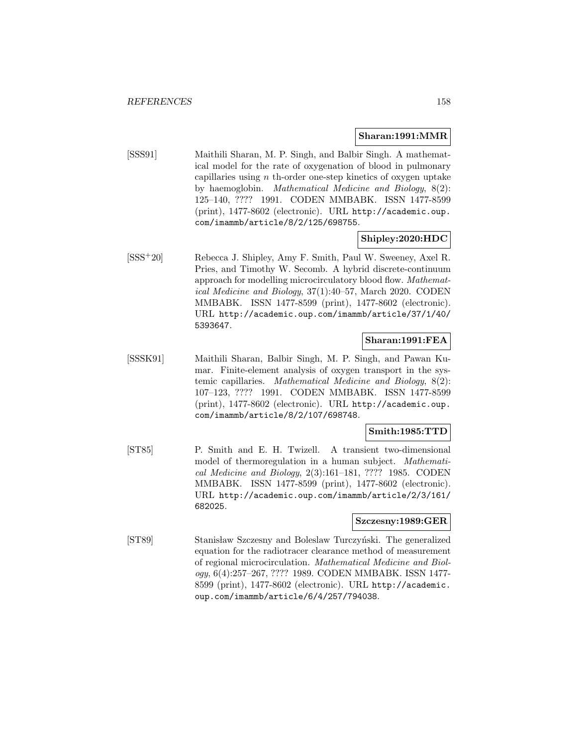### **Sharan:1991:MMR**

[SSS91] Maithili Sharan, M. P. Singh, and Balbir Singh. A mathematical model for the rate of oxygenation of blood in pulmonary capillaries using  $n$  th-order one-step kinetics of oxygen uptake by haemoglobin. Mathematical Medicine and Biology, 8(2): 125–140, ???? 1991. CODEN MMBABK. ISSN 1477-8599 (print), 1477-8602 (electronic). URL http://academic.oup. com/imammb/article/8/2/125/698755.

# **Shipley:2020:HDC**

[SSS<sup>+</sup>20] Rebecca J. Shipley, Amy F. Smith, Paul W. Sweeney, Axel R. Pries, and Timothy W. Secomb. A hybrid discrete-continuum approach for modelling microcirculatory blood flow. Mathematical Medicine and Biology, 37(1):40–57, March 2020. CODEN MMBABK. ISSN 1477-8599 (print), 1477-8602 (electronic). URL http://academic.oup.com/imammb/article/37/1/40/ 5393647.

# **Sharan:1991:FEA**

[SSSK91] Maithili Sharan, Balbir Singh, M. P. Singh, and Pawan Kumar. Finite-element analysis of oxygen transport in the systemic capillaries. Mathematical Medicine and Biology, 8(2): 107–123, ???? 1991. CODEN MMBABK. ISSN 1477-8599 (print), 1477-8602 (electronic). URL http://academic.oup. com/imammb/article/8/2/107/698748.

### **Smith:1985:TTD**

[ST85] P. Smith and E. H. Twizell. A transient two-dimensional model of thermoregulation in a human subject. Mathematical Medicine and Biology, 2(3):161–181, ???? 1985. CODEN MMBABK. ISSN 1477-8599 (print), 1477-8602 (electronic). URL http://academic.oup.com/imammb/article/2/3/161/ 682025.

#### **Szczesny:1989:GER**

[ST89] Stanisław Szczesny and Boleslaw Turczyński. The generalized equation for the radiotracer clearance method of measurement of regional microcirculation. Mathematical Medicine and Biology, 6(4):257–267, ???? 1989. CODEN MMBABK. ISSN 1477- 8599 (print), 1477-8602 (electronic). URL http://academic. oup.com/imammb/article/6/4/257/794038.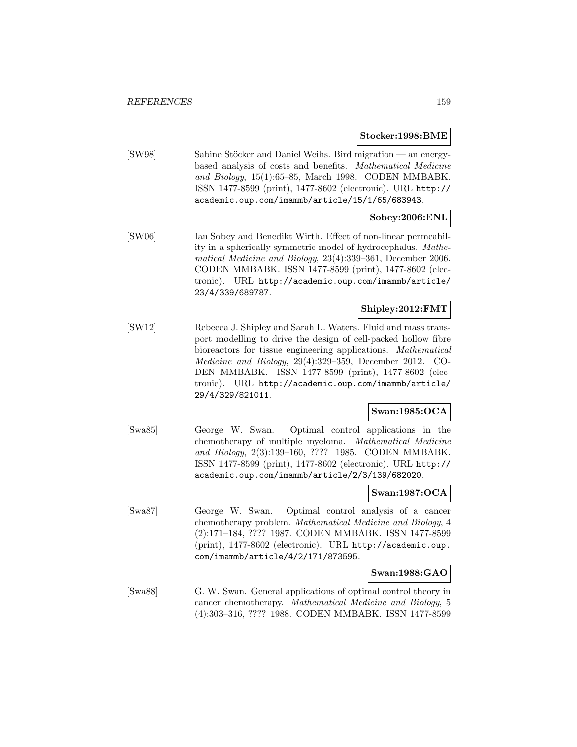**Stocker:1998:BME**

[SW98] Sabine Stöcker and Daniel Weihs. Bird migration — an energybased analysis of costs and benefits. Mathematical Medicine and Biology, 15(1):65–85, March 1998. CODEN MMBABK. ISSN 1477-8599 (print), 1477-8602 (electronic). URL http:// academic.oup.com/imammb/article/15/1/65/683943.

# **Sobey:2006:ENL**

[SW06] Ian Sobey and Benedikt Wirth. Effect of non-linear permeability in a spherically symmetric model of hydrocephalus. Mathematical Medicine and Biology, 23(4):339–361, December 2006. CODEN MMBABK. ISSN 1477-8599 (print), 1477-8602 (electronic). URL http://academic.oup.com/imammb/article/ 23/4/339/689787.

# **Shipley:2012:FMT**

[SW12] Rebecca J. Shipley and Sarah L. Waters. Fluid and mass transport modelling to drive the design of cell-packed hollow fibre bioreactors for tissue engineering applications. Mathematical Medicine and Biology, 29(4):329–359, December 2012. CO-DEN MMBABK. ISSN 1477-8599 (print), 1477-8602 (electronic). URL http://academic.oup.com/imammb/article/ 29/4/329/821011.

# **Swan:1985:OCA**

[Swa85] George W. Swan. Optimal control applications in the chemotherapy of multiple myeloma. Mathematical Medicine and Biology, 2(3):139–160, ???? 1985. CODEN MMBABK. ISSN 1477-8599 (print), 1477-8602 (electronic). URL http:// academic.oup.com/imammb/article/2/3/139/682020.

## **Swan:1987:OCA**

[Swa87] George W. Swan. Optimal control analysis of a cancer chemotherapy problem. Mathematical Medicine and Biology, 4 (2):171–184, ???? 1987. CODEN MMBABK. ISSN 1477-8599 (print), 1477-8602 (electronic). URL http://academic.oup. com/imammb/article/4/2/171/873595.

# **Swan:1988:GAO**

[Swa88] G. W. Swan. General applications of optimal control theory in cancer chemotherapy. Mathematical Medicine and Biology, 5 (4):303–316, ???? 1988. CODEN MMBABK. ISSN 1477-8599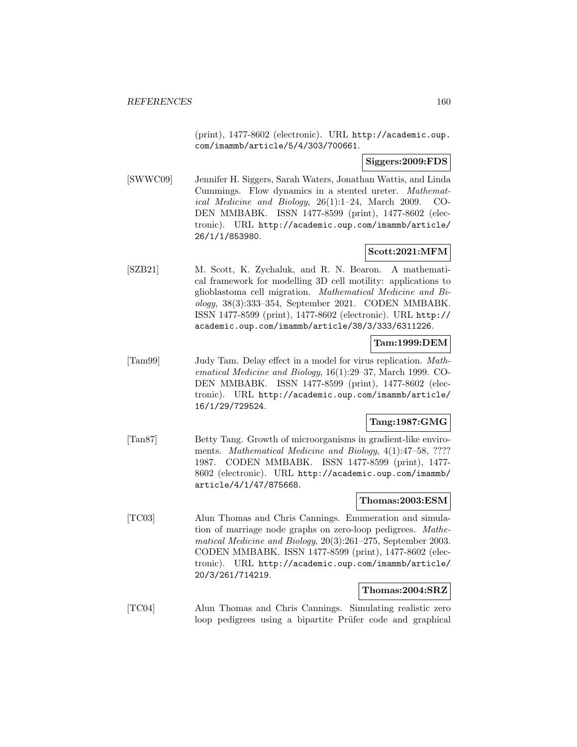(print), 1477-8602 (electronic). URL http://academic.oup. com/imammb/article/5/4/303/700661.

# **Siggers:2009:FDS**

[SWWC09] Jennifer H. Siggers, Sarah Waters, Jonathan Wattis, and Linda Cummings. Flow dynamics in a stented ureter. Mathematical Medicine and Biology, 26(1):1–24, March 2009. CO-DEN MMBABK. ISSN 1477-8599 (print), 1477-8602 (electronic). URL http://academic.oup.com/imammb/article/ 26/1/1/853980.

# **Scott:2021:MFM**

[SZB21] M. Scott, K. Zychaluk, and R. N. Bearon. A mathematical framework for modelling 3D cell motility: applications to glioblastoma cell migration. Mathematical Medicine and Biology, 38(3):333–354, September 2021. CODEN MMBABK. ISSN 1477-8599 (print), 1477-8602 (electronic). URL http:// academic.oup.com/imammb/article/38/3/333/6311226.

# **Tam:1999:DEM**

[Tam99] Judy Tam. Delay effect in a model for virus replication. Mathematical Medicine and Biology, 16(1):29–37, March 1999. CO-DEN MMBABK. ISSN 1477-8599 (print), 1477-8602 (electronic). URL http://academic.oup.com/imammb/article/ 16/1/29/729524.

# **Tang:1987:GMG**

[Tan87] Betty Tang. Growth of microorganisms in gradient-like enviroments. Mathematical Medicine and Biology, 4(1):47-58, ???? 1987. CODEN MMBABK. ISSN 1477-8599 (print), 1477- 8602 (electronic). URL http://academic.oup.com/imammb/ article/4/1/47/875668.

# **Thomas:2003:ESM**

[TC03] Alun Thomas and Chris Cannings. Enumeration and simulation of marriage node graphs on zero-loop pedigrees. Mathematical Medicine and Biology, 20(3):261–275, September 2003. CODEN MMBABK. ISSN 1477-8599 (print), 1477-8602 (electronic). URL http://academic.oup.com/imammb/article/ 20/3/261/714219.

# **Thomas:2004:SRZ**

[TC04] Alun Thomas and Chris Cannings. Simulating realistic zero loop pedigrees using a bipartite Prüfer code and graphical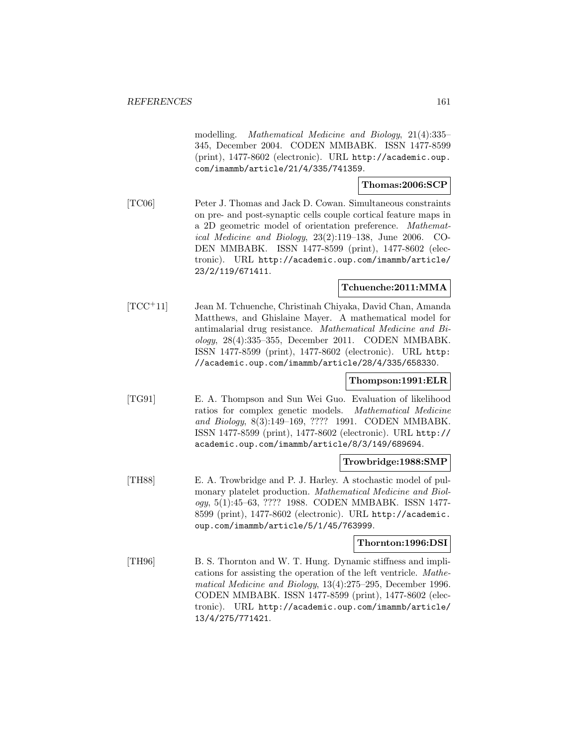modelling. Mathematical Medicine and Biology, 21(4):335– 345, December 2004. CODEN MMBABK. ISSN 1477-8599 (print), 1477-8602 (electronic). URL http://academic.oup. com/imammb/article/21/4/335/741359.

### **Thomas:2006:SCP**

[TC06] Peter J. Thomas and Jack D. Cowan. Simultaneous constraints on pre- and post-synaptic cells couple cortical feature maps in a 2D geometric model of orientation preference. Mathematical Medicine and Biology, 23(2):119–138, June 2006. CO-DEN MMBABK. ISSN 1477-8599 (print), 1477-8602 (electronic). URL http://academic.oup.com/imammb/article/ 23/2/119/671411.

## **Tchuenche:2011:MMA**

[TCC<sup>+</sup>11] Jean M. Tchuenche, Christinah Chiyaka, David Chan, Amanda Matthews, and Ghislaine Mayer. A mathematical model for antimalarial drug resistance. Mathematical Medicine and Biology, 28(4):335–355, December 2011. CODEN MMBABK. ISSN 1477-8599 (print), 1477-8602 (electronic). URL http: //academic.oup.com/imammb/article/28/4/335/658330.

## **Thompson:1991:ELR**

[TG91] E. A. Thompson and Sun Wei Guo. Evaluation of likelihood ratios for complex genetic models. Mathematical Medicine and Biology, 8(3):149–169, ???? 1991. CODEN MMBABK. ISSN 1477-8599 (print), 1477-8602 (electronic). URL http:// academic.oup.com/imammb/article/8/3/149/689694.

#### **Trowbridge:1988:SMP**

[TH88] E. A. Trowbridge and P. J. Harley. A stochastic model of pulmonary platelet production. Mathematical Medicine and Biology, 5(1):45–63, ???? 1988. CODEN MMBABK. ISSN 1477- 8599 (print), 1477-8602 (electronic). URL http://academic. oup.com/imammb/article/5/1/45/763999.

# **Thornton:1996:DSI**

[TH96] B. S. Thornton and W. T. Hung. Dynamic stiffness and implications for assisting the operation of the left ventricle. Mathematical Medicine and Biology, 13(4):275–295, December 1996. CODEN MMBABK. ISSN 1477-8599 (print), 1477-8602 (electronic). URL http://academic.oup.com/imammb/article/ 13/4/275/771421.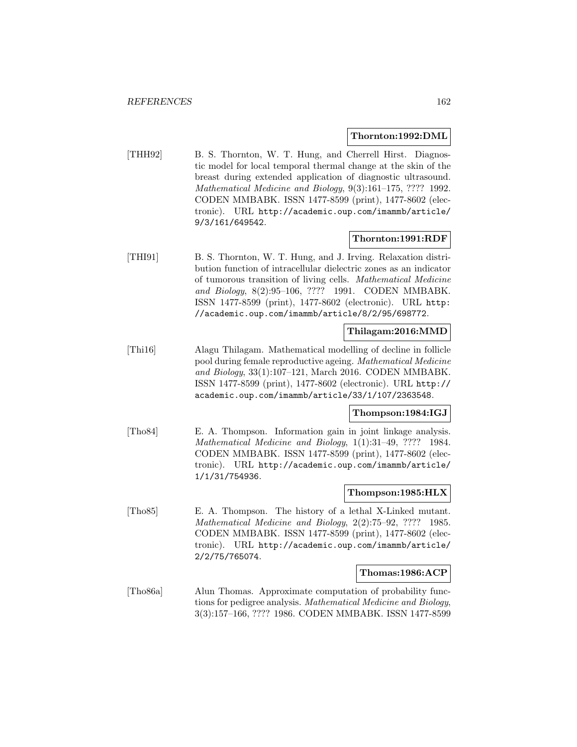#### **Thornton:1992:DML**

[THH92] B. S. Thornton, W. T. Hung, and Cherrell Hirst. Diagnostic model for local temporal thermal change at the skin of the breast during extended application of diagnostic ultrasound. Mathematical Medicine and Biology, 9(3):161–175, ???? 1992. CODEN MMBABK. ISSN 1477-8599 (print), 1477-8602 (electronic). URL http://academic.oup.com/imammb/article/ 9/3/161/649542.

## **Thornton:1991:RDF**

[THI91] B. S. Thornton, W. T. Hung, and J. Irving. Relaxation distribution function of intracellular dielectric zones as an indicator of tumorous transition of living cells. Mathematical Medicine and Biology, 8(2):95–106, ???? 1991. CODEN MMBABK. ISSN 1477-8599 (print), 1477-8602 (electronic). URL http: //academic.oup.com/imammb/article/8/2/95/698772.

# **Thilagam:2016:MMD**

[Thi16] Alagu Thilagam. Mathematical modelling of decline in follicle pool during female reproductive ageing. Mathematical Medicine and Biology, 33(1):107–121, March 2016. CODEN MMBABK. ISSN 1477-8599 (print), 1477-8602 (electronic). URL http:// academic.oup.com/imammb/article/33/1/107/2363548.

## **Thompson:1984:IGJ**

[Tho84] E. A. Thompson. Information gain in joint linkage analysis. Mathematical Medicine and Biology, 1(1):31–49, ???? 1984. CODEN MMBABK. ISSN 1477-8599 (print), 1477-8602 (electronic). URL http://academic.oup.com/imammb/article/ 1/1/31/754936.

#### **Thompson:1985:HLX**

[Tho85] E. A. Thompson. The history of a lethal X-Linked mutant. Mathematical Medicine and Biology, 2(2):75–92, ???? 1985. CODEN MMBABK. ISSN 1477-8599 (print), 1477-8602 (electronic). URL http://academic.oup.com/imammb/article/ 2/2/75/765074.

#### **Thomas:1986:ACP**

[Tho86a] Alun Thomas. Approximate computation of probability functions for pedigree analysis. Mathematical Medicine and Biology, 3(3):157–166, ???? 1986. CODEN MMBABK. ISSN 1477-8599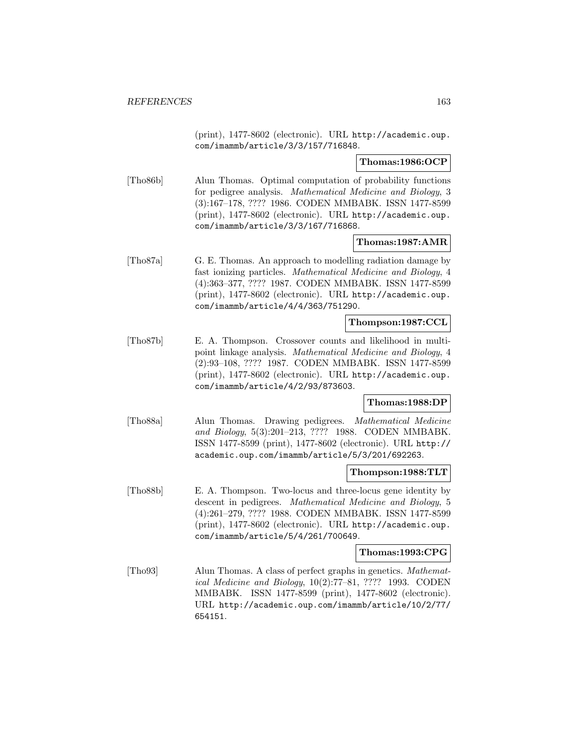(print), 1477-8602 (electronic). URL http://academic.oup. com/imammb/article/3/3/157/716848.

### **Thomas:1986:OCP**

[Tho86b] Alun Thomas. Optimal computation of probability functions for pedigree analysis. Mathematical Medicine and Biology, 3 (3):167–178, ???? 1986. CODEN MMBABK. ISSN 1477-8599 (print), 1477-8602 (electronic). URL http://academic.oup. com/imammb/article/3/3/167/716868.

## **Thomas:1987:AMR**

[Tho87a] G. E. Thomas. An approach to modelling radiation damage by fast ionizing particles. Mathematical Medicine and Biology, 4 (4):363–377, ???? 1987. CODEN MMBABK. ISSN 1477-8599 (print), 1477-8602 (electronic). URL http://academic.oup. com/imammb/article/4/4/363/751290.

### **Thompson:1987:CCL**

[Tho87b] E. A. Thompson. Crossover counts and likelihood in multipoint linkage analysis. Mathematical Medicine and Biology, 4 (2):93–108, ???? 1987. CODEN MMBABK. ISSN 1477-8599 (print), 1477-8602 (electronic). URL http://academic.oup. com/imammb/article/4/2/93/873603.

## **Thomas:1988:DP**

[Tho88a] Alun Thomas. Drawing pedigrees. Mathematical Medicine and Biology, 5(3):201–213, ???? 1988. CODEN MMBABK. ISSN 1477-8599 (print), 1477-8602 (electronic). URL http:// academic.oup.com/imammb/article/5/3/201/692263.

#### **Thompson:1988:TLT**

[Tho88b] E. A. Thompson. Two-locus and three-locus gene identity by descent in pedigrees. Mathematical Medicine and Biology, 5 (4):261–279, ???? 1988. CODEN MMBABK. ISSN 1477-8599 (print), 1477-8602 (electronic). URL http://academic.oup. com/imammb/article/5/4/261/700649.

#### **Thomas:1993:CPG**

[Tho93] Alun Thomas. A class of perfect graphs in genetics. Mathematical Medicine and Biology, 10(2):77–81, ???? 1993. CODEN MMBABK. ISSN 1477-8599 (print), 1477-8602 (electronic). URL http://academic.oup.com/imammb/article/10/2/77/ 654151.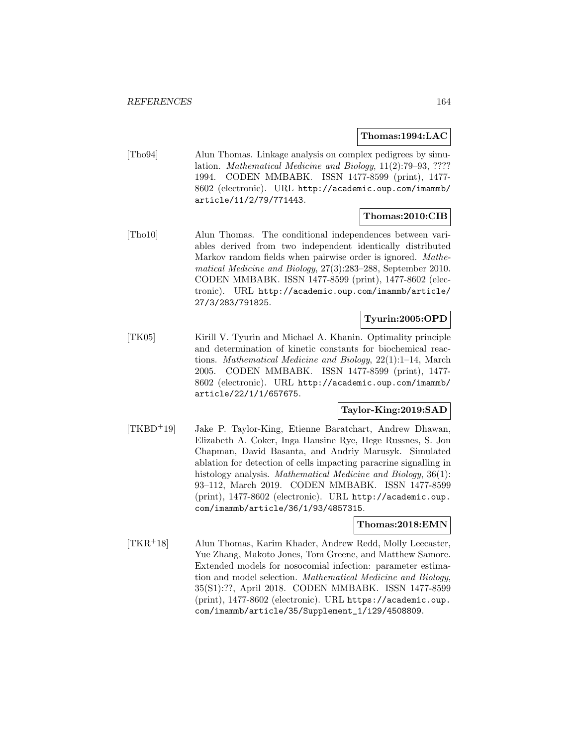### **Thomas:1994:LAC**

[Tho94] Alun Thomas. Linkage analysis on complex pedigrees by simulation. Mathematical Medicine and Biology, 11(2):79–93, ???? 1994. CODEN MMBABK. ISSN 1477-8599 (print), 1477- 8602 (electronic). URL http://academic.oup.com/imammb/ article/11/2/79/771443.

### **Thomas:2010:CIB**

[Tho10] Alun Thomas. The conditional independences between variables derived from two independent identically distributed Markov random fields when pairwise order is ignored. Mathematical Medicine and Biology, 27(3):283–288, September 2010. CODEN MMBABK. ISSN 1477-8599 (print), 1477-8602 (electronic). URL http://academic.oup.com/imammb/article/ 27/3/283/791825.

# **Tyurin:2005:OPD**

[TK05] Kirill V. Tyurin and Michael A. Khanin. Optimality principle and determination of kinetic constants for biochemical reactions. Mathematical Medicine and Biology, 22(1):1–14, March 2005. CODEN MMBABK. ISSN 1477-8599 (print), 1477- 8602 (electronic). URL http://academic.oup.com/imammb/ article/22/1/1/657675.

# **Taylor-King:2019:SAD**

[TKBD<sup>+</sup>19] Jake P. Taylor-King, Etienne Baratchart, Andrew Dhawan, Elizabeth A. Coker, Inga Hansine Rye, Hege Russnes, S. Jon Chapman, David Basanta, and Andriy Marusyk. Simulated ablation for detection of cells impacting paracrine signalling in histology analysis. *Mathematical Medicine and Biology*, 36(1): 93–112, March 2019. CODEN MMBABK. ISSN 1477-8599 (print), 1477-8602 (electronic). URL http://academic.oup. com/imammb/article/36/1/93/4857315.

#### **Thomas:2018:EMN**

[TKR<sup>+</sup>18] Alun Thomas, Karim Khader, Andrew Redd, Molly Leecaster, Yue Zhang, Makoto Jones, Tom Greene, and Matthew Samore. Extended models for nosocomial infection: parameter estimation and model selection. Mathematical Medicine and Biology, 35(S1):??, April 2018. CODEN MMBABK. ISSN 1477-8599 (print), 1477-8602 (electronic). URL https://academic.oup. com/imammb/article/35/Supplement\_1/i29/4508809.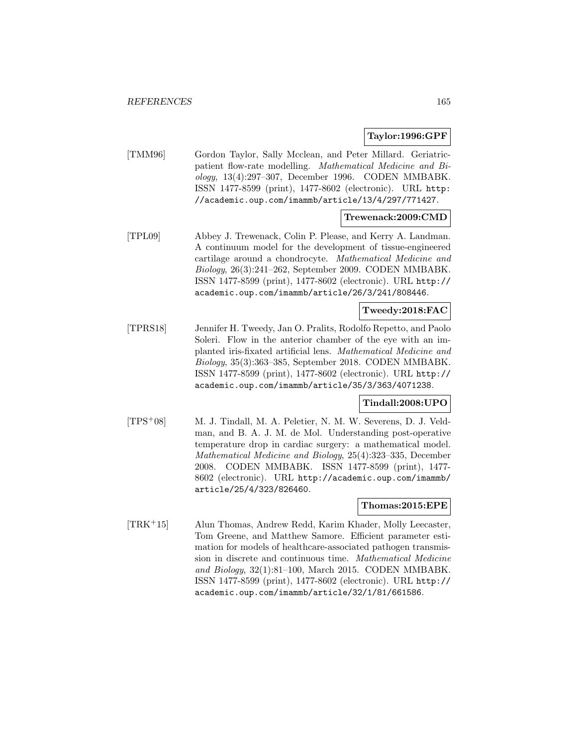## **Taylor:1996:GPF**

[TMM96] Gordon Taylor, Sally Mcclean, and Peter Millard. Geriatricpatient flow-rate modelling. Mathematical Medicine and Biology, 13(4):297–307, December 1996. CODEN MMBABK. ISSN 1477-8599 (print), 1477-8602 (electronic). URL http: //academic.oup.com/imammb/article/13/4/297/771427.

# **Trewenack:2009:CMD**

[TPL09] Abbey J. Trewenack, Colin P. Please, and Kerry A. Landman. A continuum model for the development of tissue-engineered cartilage around a chondrocyte. Mathematical Medicine and Biology, 26(3):241–262, September 2009. CODEN MMBABK. ISSN 1477-8599 (print), 1477-8602 (electronic). URL http:// academic.oup.com/imammb/article/26/3/241/808446.

# **Tweedy:2018:FAC**

[TPRS18] Jennifer H. Tweedy, Jan O. Pralits, Rodolfo Repetto, and Paolo Soleri. Flow in the anterior chamber of the eye with an implanted iris-fixated artificial lens. Mathematical Medicine and Biology, 35(3):363–385, September 2018. CODEN MMBABK. ISSN 1477-8599 (print), 1477-8602 (electronic). URL http:// academic.oup.com/imammb/article/35/3/363/4071238.

### **Tindall:2008:UPO**

[TPS<sup>+</sup>08] M. J. Tindall, M. A. Peletier, N. M. W. Severens, D. J. Veldman, and B. A. J. M. de Mol. Understanding post-operative temperature drop in cardiac surgery: a mathematical model. Mathematical Medicine and Biology, 25(4):323–335, December 2008. CODEN MMBABK. ISSN 1477-8599 (print), 1477- 8602 (electronic). URL http://academic.oup.com/imammb/ article/25/4/323/826460.

#### **Thomas:2015:EPE**

[TRK<sup>+</sup>15] Alun Thomas, Andrew Redd, Karim Khader, Molly Leecaster, Tom Greene, and Matthew Samore. Efficient parameter estimation for models of healthcare-associated pathogen transmission in discrete and continuous time. Mathematical Medicine and Biology, 32(1):81–100, March 2015. CODEN MMBABK. ISSN 1477-8599 (print), 1477-8602 (electronic). URL http:// academic.oup.com/imammb/article/32/1/81/661586.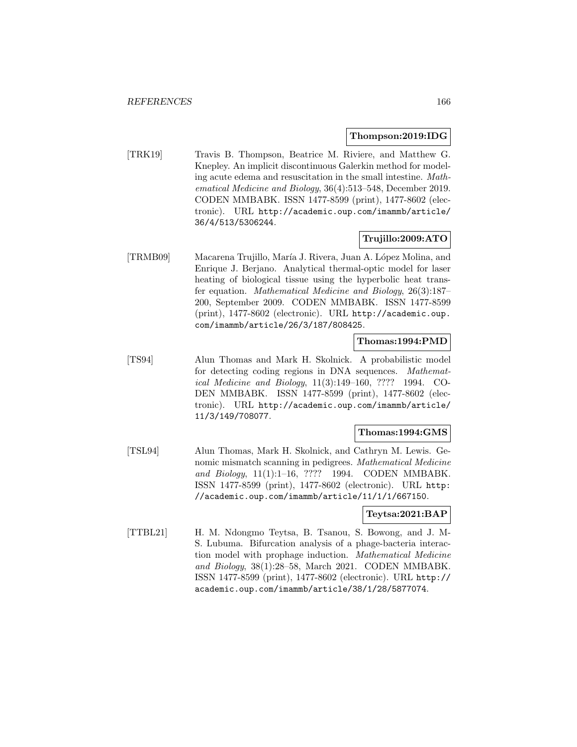#### **Thompson:2019:IDG**

[TRK19] Travis B. Thompson, Beatrice M. Riviere, and Matthew G. Knepley. An implicit discontinuous Galerkin method for modeling acute edema and resuscitation in the small intestine. Mathematical Medicine and Biology, 36(4):513–548, December 2019. CODEN MMBABK. ISSN 1477-8599 (print), 1477-8602 (electronic). URL http://academic.oup.com/imammb/article/ 36/4/513/5306244.

# **Trujillo:2009:ATO**

[TRMB09] Macarena Trujillo, María J. Rivera, Juan A. López Molina, and Enrique J. Berjano. Analytical thermal-optic model for laser heating of biological tissue using the hyperbolic heat transfer equation. Mathematical Medicine and Biology, 26(3):187– 200, September 2009. CODEN MMBABK. ISSN 1477-8599 (print), 1477-8602 (electronic). URL http://academic.oup. com/imammb/article/26/3/187/808425.

# **Thomas:1994:PMD**

[TS94] Alun Thomas and Mark H. Skolnick. A probabilistic model for detecting coding regions in DNA sequences. Mathematical Medicine and Biology, 11(3):149–160, ???? 1994. CO-DEN MMBABK. ISSN 1477-8599 (print), 1477-8602 (electronic). URL http://academic.oup.com/imammb/article/ 11/3/149/708077.

#### **Thomas:1994:GMS**

[TSL94] Alun Thomas, Mark H. Skolnick, and Cathryn M. Lewis. Genomic mismatch scanning in pedigrees. Mathematical Medicine and Biology, 11(1):1–16, ???? 1994. CODEN MMBABK. ISSN 1477-8599 (print), 1477-8602 (electronic). URL http: //academic.oup.com/imammb/article/11/1/1/667150.

### **Teytsa:2021:BAP**

[TTBL21] H. M. Ndongmo Teytsa, B. Tsanou, S. Bowong, and J. M-S. Lubuma. Bifurcation analysis of a phage-bacteria interaction model with prophage induction. Mathematical Medicine and Biology, 38(1):28–58, March 2021. CODEN MMBABK. ISSN 1477-8599 (print), 1477-8602 (electronic). URL http:// academic.oup.com/imammb/article/38/1/28/5877074.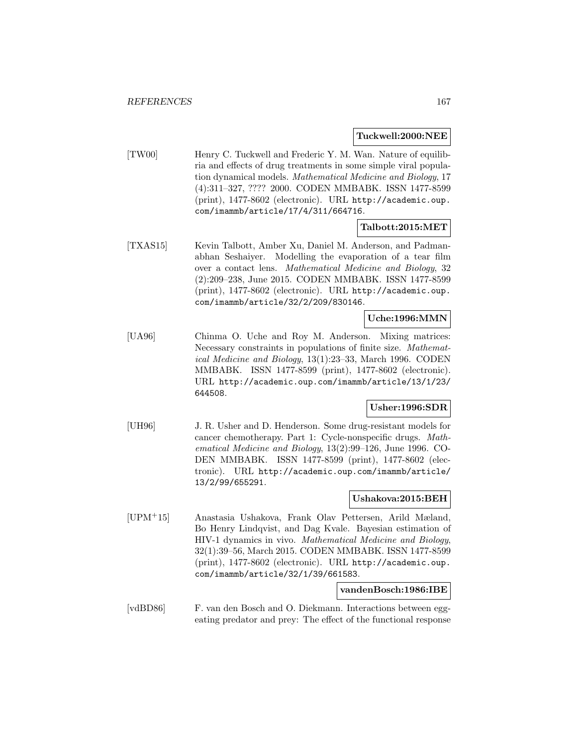### **Tuckwell:2000:NEE**

[TW00] Henry C. Tuckwell and Frederic Y. M. Wan. Nature of equilibria and effects of drug treatments in some simple viral population dynamical models. Mathematical Medicine and Biology, 17 (4):311–327, ???? 2000. CODEN MMBABK. ISSN 1477-8599 (print), 1477-8602 (electronic). URL http://academic.oup. com/imammb/article/17/4/311/664716.

## **Talbott:2015:MET**

[TXAS15] Kevin Talbott, Amber Xu, Daniel M. Anderson, and Padmanabhan Seshaiyer. Modelling the evaporation of a tear film over a contact lens. Mathematical Medicine and Biology, 32 (2):209–238, June 2015. CODEN MMBABK. ISSN 1477-8599 (print), 1477-8602 (electronic). URL http://academic.oup. com/imammb/article/32/2/209/830146.

# **Uche:1996:MMN**

[UA96] Chinma O. Uche and Roy M. Anderson. Mixing matrices: Necessary constraints in populations of finite size. Mathematical Medicine and Biology, 13(1):23–33, March 1996. CODEN MMBABK. ISSN 1477-8599 (print), 1477-8602 (electronic). URL http://academic.oup.com/imammb/article/13/1/23/ 644508.

## **Usher:1996:SDR**

[UH96] J. R. Usher and D. Henderson. Some drug-resistant models for cancer chemotherapy. Part 1: Cycle-nonspecific drugs. Mathematical Medicine and Biology, 13(2):99–126, June 1996. CO-DEN MMBABK. ISSN 1477-8599 (print), 1477-8602 (electronic). URL http://academic.oup.com/imammb/article/ 13/2/99/655291.

# **Ushakova:2015:BEH**

[UPM<sup>+</sup>15] Anastasia Ushakova, Frank Olav Pettersen, Arild Mæland, Bo Henry Lindqvist, and Dag Kvale. Bayesian estimation of HIV-1 dynamics in vivo. Mathematical Medicine and Biology, 32(1):39–56, March 2015. CODEN MMBABK. ISSN 1477-8599 (print), 1477-8602 (electronic). URL http://academic.oup. com/imammb/article/32/1/39/661583.

### **vandenBosch:1986:IBE**

[vdBD86] F. van den Bosch and O. Diekmann. Interactions between eggeating predator and prey: The effect of the functional response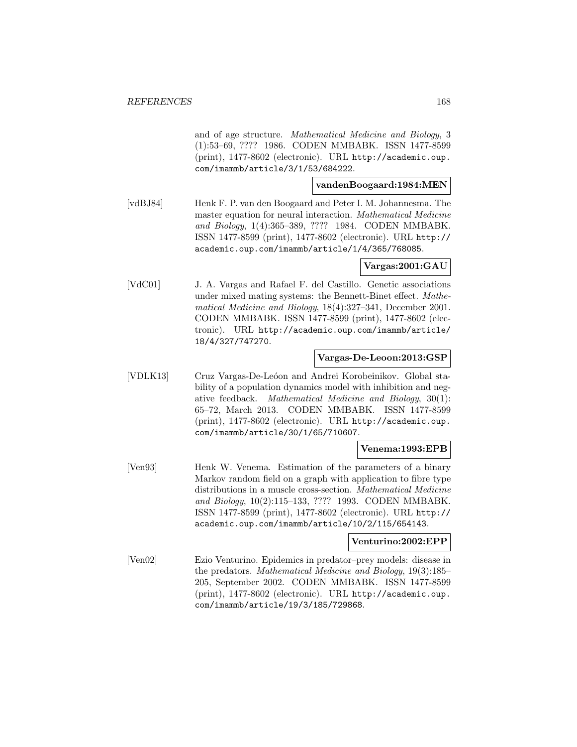and of age structure. Mathematical Medicine and Biology, 3 (1):53–69, ???? 1986. CODEN MMBABK. ISSN 1477-8599 (print), 1477-8602 (electronic). URL http://academic.oup. com/imammb/article/3/1/53/684222.

## **vandenBoogaard:1984:MEN**

[vdBJ84] Henk F. P. van den Boogaard and Peter I. M. Johannesma. The master equation for neural interaction. Mathematical Medicine and Biology, 1(4):365–389, ???? 1984. CODEN MMBABK. ISSN 1477-8599 (print), 1477-8602 (electronic). URL http:// academic.oup.com/imammb/article/1/4/365/768085.

# **Vargas:2001:GAU**

[VdC01] J. A. Vargas and Rafael F. del Castillo. Genetic associations under mixed mating systems: the Bennett-Binet effect. Mathematical Medicine and Biology, 18(4):327–341, December 2001. CODEN MMBABK. ISSN 1477-8599 (print), 1477-8602 (electronic). URL http://academic.oup.com/imammb/article/ 18/4/327/747270.

## **Vargas-De-Leoon:2013:GSP**

[VDLK13] Cruz Vargas-De-Leóon and Andrei Korobeinikov. Global stability of a population dynamics model with inhibition and negative feedback. Mathematical Medicine and Biology, 30(1): 65–72, March 2013. CODEN MMBABK. ISSN 1477-8599 (print), 1477-8602 (electronic). URL http://academic.oup. com/imammb/article/30/1/65/710607.

# **Venema:1993:EPB**

[Ven93] Henk W. Venema. Estimation of the parameters of a binary Markov random field on a graph with application to fibre type distributions in a muscle cross-section. Mathematical Medicine and Biology, 10(2):115–133, ???? 1993. CODEN MMBABK. ISSN 1477-8599 (print), 1477-8602 (electronic). URL http:// academic.oup.com/imammb/article/10/2/115/654143.

#### **Venturino:2002:EPP**

[Ven02] Ezio Venturino. Epidemics in predator–prey models: disease in the predators. Mathematical Medicine and Biology, 19(3):185– 205, September 2002. CODEN MMBABK. ISSN 1477-8599 (print), 1477-8602 (electronic). URL http://academic.oup. com/imammb/article/19/3/185/729868.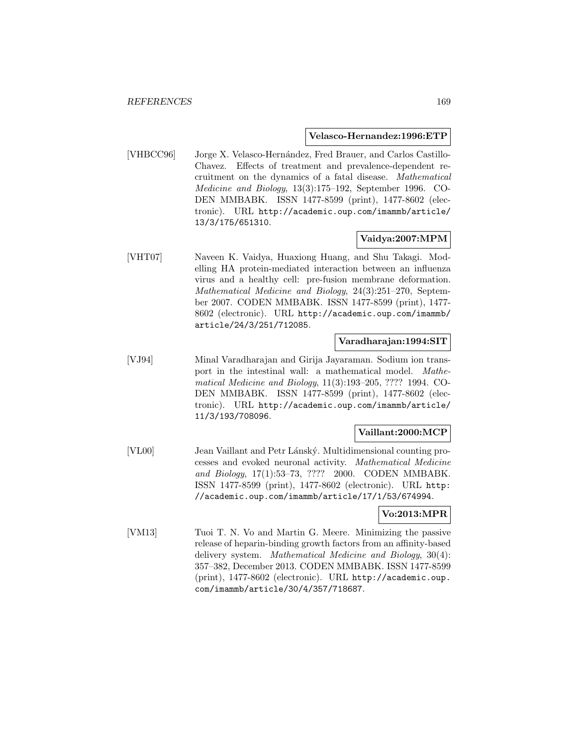#### **Velasco-Hernandez:1996:ETP**

[VHBCC96] Jorge X. Velasco-Hernández, Fred Brauer, and Carlos Castillo-Chavez. Effects of treatment and prevalence-dependent recruitment on the dynamics of a fatal disease. Mathematical Medicine and Biology, 13(3):175–192, September 1996. CO-DEN MMBABK. ISSN 1477-8599 (print), 1477-8602 (electronic). URL http://academic.oup.com/imammb/article/ 13/3/175/651310.

# **Vaidya:2007:MPM**

[VHT07] Naveen K. Vaidya, Huaxiong Huang, and Shu Takagi. Modelling HA protein-mediated interaction between an influenza virus and a healthy cell: pre-fusion membrane deformation. Mathematical Medicine and Biology, 24(3):251–270, September 2007. CODEN MMBABK. ISSN 1477-8599 (print), 1477- 8602 (electronic). URL http://academic.oup.com/imammb/ article/24/3/251/712085.

## **Varadharajan:1994:SIT**

[VJ94] Minal Varadharajan and Girija Jayaraman. Sodium ion transport in the intestinal wall: a mathematical model. Mathematical Medicine and Biology, 11(3):193–205, ???? 1994. CO-DEN MMBABK. ISSN 1477-8599 (print), 1477-8602 (electronic). URL http://academic.oup.com/imammb/article/ 11/3/193/708096.

### **Vaillant:2000:MCP**

[VL00] Jean Vaillant and Petr Lánský. Multidimensional counting processes and evoked neuronal activity. Mathematical Medicine and Biology, 17(1):53–73, ???? 2000. CODEN MMBABK. ISSN 1477-8599 (print), 1477-8602 (electronic). URL http: //academic.oup.com/imammb/article/17/1/53/674994.

## **Vo:2013:MPR**

[VM13] Tuoi T. N. Vo and Martin G. Meere. Minimizing the passive release of heparin-binding growth factors from an affinity-based delivery system. Mathematical Medicine and Biology, 30(4): 357–382, December 2013. CODEN MMBABK. ISSN 1477-8599 (print), 1477-8602 (electronic). URL http://academic.oup. com/imammb/article/30/4/357/718687.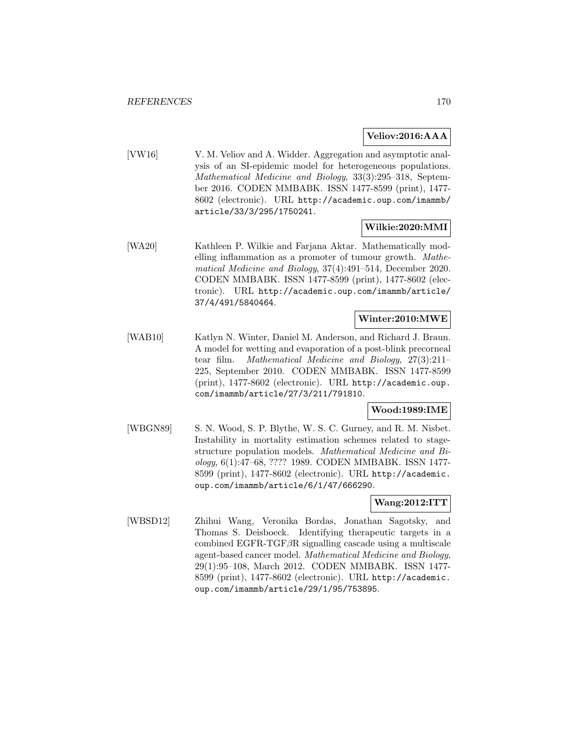# **Veliov:2016:AAA**

[VW16] V. M. Veliov and A. Widder. Aggregation and asymptotic analysis of an SI-epidemic model for heterogeneous populations. Mathematical Medicine and Biology, 33(3):295–318, September 2016. CODEN MMBABK. ISSN 1477-8599 (print), 1477- 8602 (electronic). URL http://academic.oup.com/imammb/ article/33/3/295/1750241.

## **Wilkie:2020:MMI**

[WA20] Kathleen P. Wilkie and Farjana Aktar. Mathematically modelling inflammation as a promoter of tumour growth. Mathematical Medicine and Biology, 37(4):491–514, December 2020. CODEN MMBABK. ISSN 1477-8599 (print), 1477-8602 (electronic). URL http://academic.oup.com/imammb/article/ 37/4/491/5840464.

# **Winter:2010:MWE**

[WAB10] Katlyn N. Winter, Daniel M. Anderson, and Richard J. Braun. A model for wetting and evaporation of a post-blink precorneal tear film. Mathematical Medicine and Biology, 27(3):211– 225, September 2010. CODEN MMBABK. ISSN 1477-8599 (print), 1477-8602 (electronic). URL http://academic.oup. com/imammb/article/27/3/211/791810.

# **Wood:1989:IME**

[WBGN89] S. N. Wood, S. P. Blythe, W. S. C. Gurney, and R. M. Nisbet. Instability in mortality estimation schemes related to stagestructure population models. Mathematical Medicine and Biology, 6(1):47–68, ???? 1989. CODEN MMBABK. ISSN 1477- 8599 (print), 1477-8602 (electronic). URL http://academic. oup.com/imammb/article/6/1/47/666290.

### **Wang:2012:ITT**

[WBSD12] Zhihui Wang, Veronika Bordas, Jonathan Sagotsky, and Thomas S. Deisboeck. Identifying therapeutic targets in a combined EGFR-TGF $\beta$ R signalling cascade using a multiscale agent-based cancer model. Mathematical Medicine and Biology, 29(1):95–108, March 2012. CODEN MMBABK. ISSN 1477- 8599 (print), 1477-8602 (electronic). URL http://academic. oup.com/imammb/article/29/1/95/753895.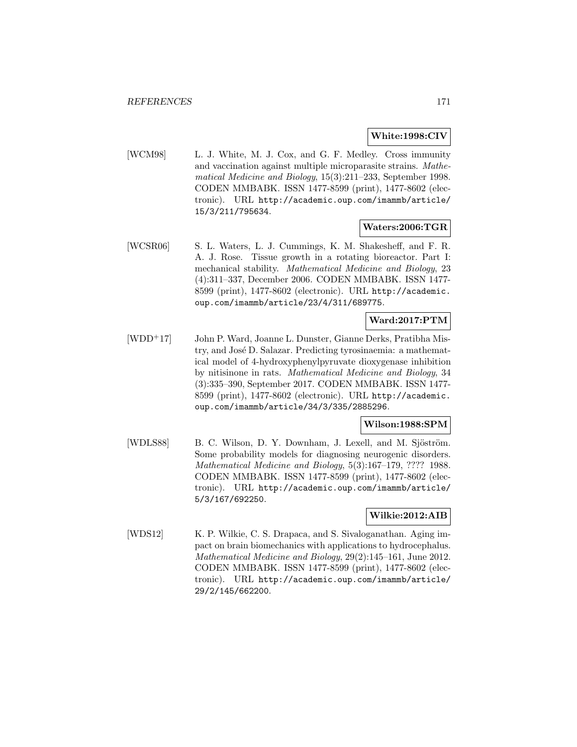# **White:1998:CIV**

[WCM98] L. J. White, M. J. Cox, and G. F. Medley. Cross immunity and vaccination against multiple microparasite strains. Mathematical Medicine and Biology, 15(3):211–233, September 1998. CODEN MMBABK. ISSN 1477-8599 (print), 1477-8602 (electronic). URL http://academic.oup.com/imammb/article/ 15/3/211/795634.

## **Waters:2006:TGR**

[WCSR06] S. L. Waters, L. J. Cummings, K. M. Shakesheff, and F. R. A. J. Rose. Tissue growth in a rotating bioreactor. Part I: mechanical stability. Mathematical Medicine and Biology, 23 (4):311–337, December 2006. CODEN MMBABK. ISSN 1477- 8599 (print), 1477-8602 (electronic). URL http://academic. oup.com/imammb/article/23/4/311/689775.

# **Ward:2017:PTM**

[WDD<sup>+</sup>17] John P. Ward, Joanne L. Dunster, Gianne Derks, Pratibha Mistry, and José D. Salazar. Predicting tyrosinaemia: a mathematical model of 4-hydroxyphenylpyruvate dioxygenase inhibition by nitisinone in rats. Mathematical Medicine and Biology, 34 (3):335–390, September 2017. CODEN MMBABK. ISSN 1477- 8599 (print), 1477-8602 (electronic). URL http://academic. oup.com/imammb/article/34/3/335/2885296.

## **Wilson:1988:SPM**

[WDLS88] B. C. Wilson, D. Y. Downham, J. Lexell, and M. Sjöström. Some probability models for diagnosing neurogenic disorders. Mathematical Medicine and Biology, 5(3):167–179, ???? 1988. CODEN MMBABK. ISSN 1477-8599 (print), 1477-8602 (electronic). URL http://academic.oup.com/imammb/article/ 5/3/167/692250.

## **Wilkie:2012:AIB**

[WDS12] K. P. Wilkie, C. S. Drapaca, and S. Sivaloganathan. Aging impact on brain biomechanics with applications to hydrocephalus. Mathematical Medicine and Biology, 29(2):145–161, June 2012. CODEN MMBABK. ISSN 1477-8599 (print), 1477-8602 (electronic). URL http://academic.oup.com/imammb/article/ 29/2/145/662200.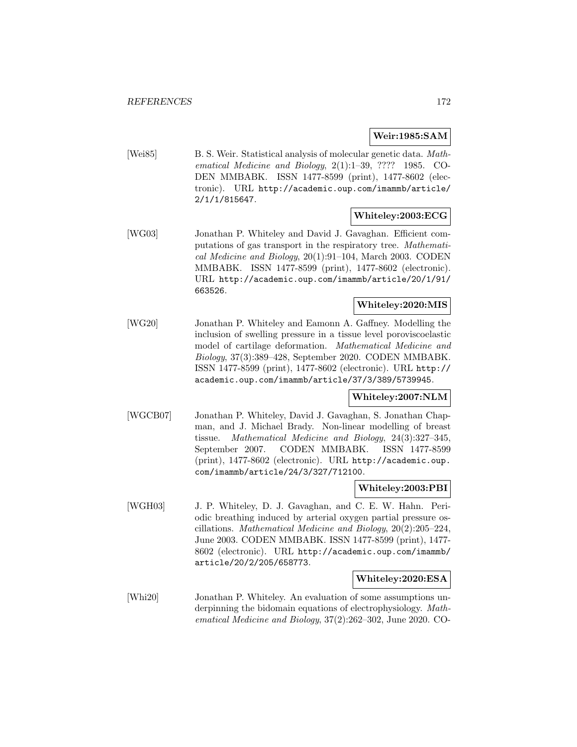# **Weir:1985:SAM**

[Wei85] B. S. Weir. Statistical analysis of molecular genetic data. Mathematical Medicine and Biology, 2(1):1–39, ???? 1985. CO-DEN MMBABK. ISSN 1477-8599 (print), 1477-8602 (electronic). URL http://academic.oup.com/imammb/article/ 2/1/1/815647.

# **Whiteley:2003:ECG**

[WG03] Jonathan P. Whiteley and David J. Gavaghan. Efficient computations of gas transport in the respiratory tree. Mathematical Medicine and Biology, 20(1):91–104, March 2003. CODEN MMBABK. ISSN 1477-8599 (print), 1477-8602 (electronic). URL http://academic.oup.com/imammb/article/20/1/91/ 663526.

## **Whiteley:2020:MIS**

[WG20] Jonathan P. Whiteley and Eamonn A. Gaffney. Modelling the inclusion of swelling pressure in a tissue level poroviscoelastic model of cartilage deformation. Mathematical Medicine and Biology, 37(3):389–428, September 2020. CODEN MMBABK. ISSN 1477-8599 (print), 1477-8602 (electronic). URL http:// academic.oup.com/imammb/article/37/3/389/5739945.

## **Whiteley:2007:NLM**

[WGCB07] Jonathan P. Whiteley, David J. Gavaghan, S. Jonathan Chapman, and J. Michael Brady. Non-linear modelling of breast tissue. Mathematical Medicine and Biology, 24(3):327–345, September 2007. CODEN MMBABK. ISSN 1477-8599 (print), 1477-8602 (electronic). URL http://academic.oup. com/imammb/article/24/3/327/712100.

### **Whiteley:2003:PBI**

[WGH03] J. P. Whiteley, D. J. Gavaghan, and C. E. W. Hahn. Periodic breathing induced by arterial oxygen partial pressure oscillations. Mathematical Medicine and Biology, 20(2):205–224, June 2003. CODEN MMBABK. ISSN 1477-8599 (print), 1477- 8602 (electronic). URL http://academic.oup.com/imammb/ article/20/2/205/658773.

## **Whiteley:2020:ESA**

[Whi20] Jonathan P. Whiteley. An evaluation of some assumptions underpinning the bidomain equations of electrophysiology. Mathematical Medicine and Biology, 37(2):262–302, June 2020. CO-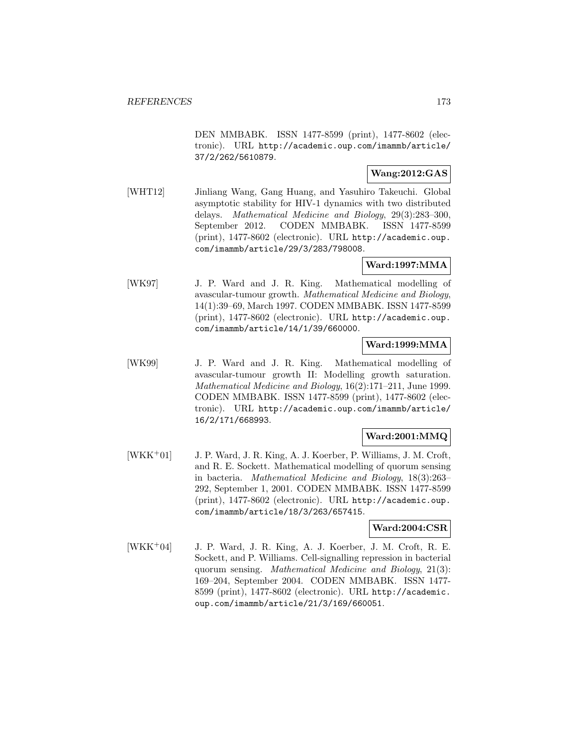DEN MMBABK. ISSN 1477-8599 (print), 1477-8602 (electronic). URL http://academic.oup.com/imammb/article/ 37/2/262/5610879.

# **Wang:2012:GAS**

[WHT12] Jinliang Wang, Gang Huang, and Yasuhiro Takeuchi. Global asymptotic stability for HIV-1 dynamics with two distributed delays. Mathematical Medicine and Biology, 29(3):283–300, September 2012. CODEN MMBABK. ISSN 1477-8599 (print), 1477-8602 (electronic). URL http://academic.oup. com/imammb/article/29/3/283/798008.

# **Ward:1997:MMA**

[WK97] J. P. Ward and J. R. King. Mathematical modelling of avascular-tumour growth. Mathematical Medicine and Biology, 14(1):39–69, March 1997. CODEN MMBABK. ISSN 1477-8599 (print), 1477-8602 (electronic). URL http://academic.oup. com/imammb/article/14/1/39/660000.

# **Ward:1999:MMA**

[WK99] J. P. Ward and J. R. King. Mathematical modelling of avascular-tumour growth II: Modelling growth saturation. Mathematical Medicine and Biology, 16(2):171–211, June 1999. CODEN MMBABK. ISSN 1477-8599 (print), 1477-8602 (electronic). URL http://academic.oup.com/imammb/article/ 16/2/171/668993.

# **Ward:2001:MMQ**

[WKK<sup>+</sup>01] J. P. Ward, J. R. King, A. J. Koerber, P. Williams, J. M. Croft, and R. E. Sockett. Mathematical modelling of quorum sensing in bacteria. Mathematical Medicine and Biology, 18(3):263– 292, September 1, 2001. CODEN MMBABK. ISSN 1477-8599 (print), 1477-8602 (electronic). URL http://academic.oup. com/imammb/article/18/3/263/657415.

# **Ward:2004:CSR**

[WKK<sup>+</sup>04] J. P. Ward, J. R. King, A. J. Koerber, J. M. Croft, R. E. Sockett, and P. Williams. Cell-signalling repression in bacterial quorum sensing. Mathematical Medicine and Biology, 21(3): 169–204, September 2004. CODEN MMBABK. ISSN 1477- 8599 (print), 1477-8602 (electronic). URL http://academic. oup.com/imammb/article/21/3/169/660051.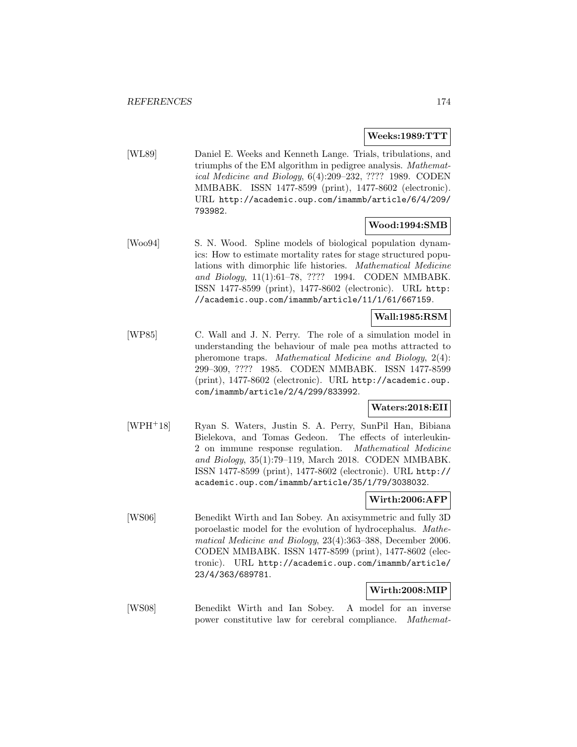### **Weeks:1989:TTT**

[WL89] Daniel E. Weeks and Kenneth Lange. Trials, tribulations, and triumphs of the EM algorithm in pedigree analysis. Mathematical Medicine and Biology, 6(4):209–232, ???? 1989. CODEN MMBABK. ISSN 1477-8599 (print), 1477-8602 (electronic). URL http://academic.oup.com/imammb/article/6/4/209/ 793982.

# **Wood:1994:SMB**

[Woo94] S. N. Wood. Spline models of biological population dynamics: How to estimate mortality rates for stage structured populations with dimorphic life histories. Mathematical Medicine and Biology, 11(1):61–78, ???? 1994. CODEN MMBABK. ISSN 1477-8599 (print), 1477-8602 (electronic). URL http: //academic.oup.com/imammb/article/11/1/61/667159.

# **Wall:1985:RSM**

[WP85] C. Wall and J. N. Perry. The role of a simulation model in understanding the behaviour of male pea moths attracted to pheromone traps. Mathematical Medicine and Biology, 2(4): 299–309, ???? 1985. CODEN MMBABK. ISSN 1477-8599 (print), 1477-8602 (electronic). URL http://academic.oup. com/imammb/article/2/4/299/833992.

## **Waters:2018:EII**

[WPH<sup>+</sup>18] Ryan S. Waters, Justin S. A. Perry, SunPil Han, Bibiana Bielekova, and Tomas Gedeon. The effects of interleukin-2 on immune response regulation. Mathematical Medicine and Biology, 35(1):79–119, March 2018. CODEN MMBABK. ISSN 1477-8599 (print), 1477-8602 (electronic). URL http:// academic.oup.com/imammb/article/35/1/79/3038032.

## **Wirth:2006:AFP**

[WS06] Benedikt Wirth and Ian Sobey. An axisymmetric and fully 3D poroelastic model for the evolution of hydrocephalus. Mathematical Medicine and Biology, 23(4):363–388, December 2006. CODEN MMBABK. ISSN 1477-8599 (print), 1477-8602 (electronic). URL http://academic.oup.com/imammb/article/ 23/4/363/689781.

## **Wirth:2008:MIP**

[WS08] Benedikt Wirth and Ian Sobey. A model for an inverse power constitutive law for cerebral compliance. Mathemat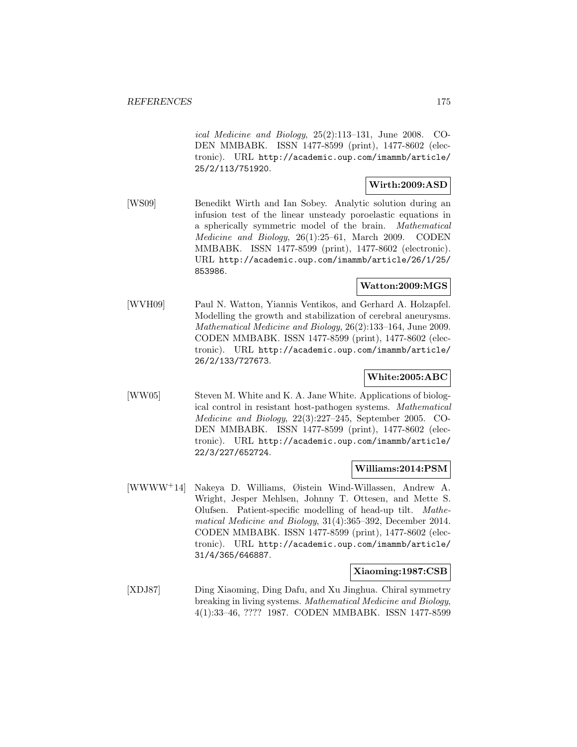ical Medicine and Biology, 25(2):113–131, June 2008. CO-DEN MMBABK. ISSN 1477-8599 (print), 1477-8602 (electronic). URL http://academic.oup.com/imammb/article/ 25/2/113/751920.

## **Wirth:2009:ASD**

[WS09] Benedikt Wirth and Ian Sobey. Analytic solution during an infusion test of the linear unsteady poroelastic equations in a spherically symmetric model of the brain. Mathematical Medicine and Biology, 26(1):25–61, March 2009. CODEN MMBABK. ISSN 1477-8599 (print), 1477-8602 (electronic). URL http://academic.oup.com/imammb/article/26/1/25/ 853986.

# **Watton:2009:MGS**

[WVH09] Paul N. Watton, Yiannis Ventikos, and Gerhard A. Holzapfel. Modelling the growth and stabilization of cerebral aneurysms. Mathematical Medicine and Biology, 26(2):133–164, June 2009. CODEN MMBABK. ISSN 1477-8599 (print), 1477-8602 (electronic). URL http://academic.oup.com/imammb/article/ 26/2/133/727673.

# **White:2005:ABC**

[WW05] Steven M. White and K. A. Jane White. Applications of biological control in resistant host-pathogen systems. Mathematical Medicine and Biology, 22(3):227–245, September 2005. CO-DEN MMBABK. ISSN 1477-8599 (print), 1477-8602 (electronic). URL http://academic.oup.com/imammb/article/ 22/3/227/652724.

## **Williams:2014:PSM**

[WWWW<sup>+</sup>14] Nakeya D. Williams, Øistein Wind-Willassen, Andrew A. Wright, Jesper Mehlsen, Johnny T. Ottesen, and Mette S. Olufsen. Patient-specific modelling of head-up tilt. Mathematical Medicine and Biology, 31(4):365–392, December 2014. CODEN MMBABK. ISSN 1477-8599 (print), 1477-8602 (electronic). URL http://academic.oup.com/imammb/article/ 31/4/365/646887.

#### **Xiaoming:1987:CSB**

[XDJ87] Ding Xiaoming, Ding Dafu, and Xu Jinghua. Chiral symmetry breaking in living systems. Mathematical Medicine and Biology, 4(1):33–46, ???? 1987. CODEN MMBABK. ISSN 1477-8599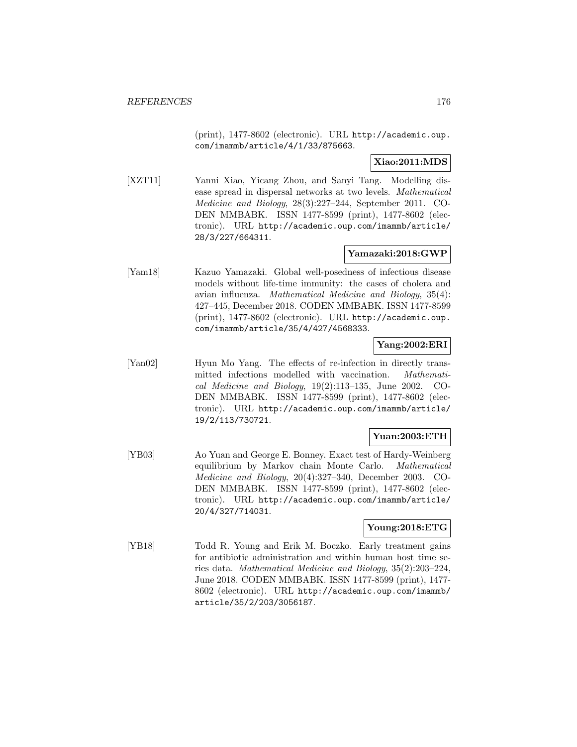(print), 1477-8602 (electronic). URL http://academic.oup. com/imammb/article/4/1/33/875663.

# **Xiao:2011:MDS**

[XZT11] Yanni Xiao, Yicang Zhou, and Sanyi Tang. Modelling disease spread in dispersal networks at two levels. Mathematical Medicine and Biology, 28(3):227–244, September 2011. CO-DEN MMBABK. ISSN 1477-8599 (print), 1477-8602 (electronic). URL http://academic.oup.com/imammb/article/ 28/3/227/664311.

# **Yamazaki:2018:GWP**

[Yam18] Kazuo Yamazaki. Global well-posedness of infectious disease models without life-time immunity: the cases of cholera and avian influenza. Mathematical Medicine and Biology, 35(4): 427–445, December 2018. CODEN MMBABK. ISSN 1477-8599 (print), 1477-8602 (electronic). URL http://academic.oup. com/imammb/article/35/4/427/4568333.

# **Yang:2002:ERI**

[Yan02] Hyun Mo Yang. The effects of re-infection in directly transmitted infections modelled with vaccination. Mathematical Medicine and Biology, 19(2):113–135, June 2002. CO-DEN MMBABK. ISSN 1477-8599 (print), 1477-8602 (electronic). URL http://academic.oup.com/imammb/article/ 19/2/113/730721.

# **Yuan:2003:ETH**

[YB03] Ao Yuan and George E. Bonney. Exact test of Hardy-Weinberg equilibrium by Markov chain Monte Carlo. Mathematical Medicine and Biology, 20(4):327–340, December 2003. CO-DEN MMBABK. ISSN 1477-8599 (print), 1477-8602 (electronic). URL http://academic.oup.com/imammb/article/ 20/4/327/714031.

# **Young:2018:ETG**

[YB18] Todd R. Young and Erik M. Boczko. Early treatment gains for antibiotic administration and within human host time series data. Mathematical Medicine and Biology, 35(2):203–224, June 2018. CODEN MMBABK. ISSN 1477-8599 (print), 1477- 8602 (electronic). URL http://academic.oup.com/imammb/ article/35/2/203/3056187.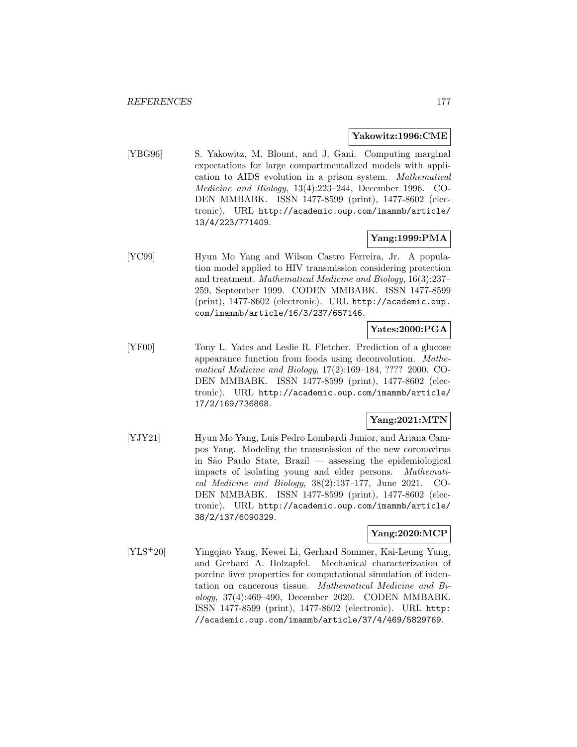### **Yakowitz:1996:CME**

[YBG96] S. Yakowitz, M. Blount, and J. Gani. Computing marginal expectations for large compartmentalized models with application to AIDS evolution in a prison system. Mathematical Medicine and Biology, 13(4):223–244, December 1996. CO-DEN MMBABK. ISSN 1477-8599 (print), 1477-8602 (electronic). URL http://academic.oup.com/imammb/article/ 13/4/223/771409.

# **Yang:1999:PMA**

[YC99] Hyun Mo Yang and Wilson Castro Ferreira, Jr. A population model applied to HIV transmission considering protection and treatment. Mathematical Medicine and Biology, 16(3):237– 259, September 1999. CODEN MMBABK. ISSN 1477-8599 (print), 1477-8602 (electronic). URL http://academic.oup. com/imammb/article/16/3/237/657146.

# **Yates:2000:PGA**

[YF00] Tony L. Yates and Leslie R. Fletcher. Prediction of a glucose appearance function from foods using deconvolution. Mathematical Medicine and Biology, 17(2):169–184, ???? 2000. CO-DEN MMBABK. ISSN 1477-8599 (print), 1477-8602 (electronic). URL http://academic.oup.com/imammb/article/ 17/2/169/736868.

# **Yang:2021:MTN**

[YJY21] Hyun Mo Yang, Luis Pedro Lombardi Junior, and Ariana Campos Yang. Modeling the transmission of the new coronavirus in S˜ao Paulo State, Brazil — assessing the epidemiological impacts of isolating young and elder persons. Mathematical Medicine and Biology, 38(2):137–177, June 2021. CO-DEN MMBABK. ISSN 1477-8599 (print), 1477-8602 (electronic). URL http://academic.oup.com/imammb/article/ 38/2/137/6090329.

# **Yang:2020:MCP**

[YLS<sup>+</sup>20] Yingqiao Yang, Kewei Li, Gerhard Sommer, Kai-Leung Yung, and Gerhard A. Holzapfel. Mechanical characterization of porcine liver properties for computational simulation of indentation on cancerous tissue. Mathematical Medicine and Biology, 37(4):469–490, December 2020. CODEN MMBABK. ISSN 1477-8599 (print), 1477-8602 (electronic). URL http: //academic.oup.com/imammb/article/37/4/469/5829769.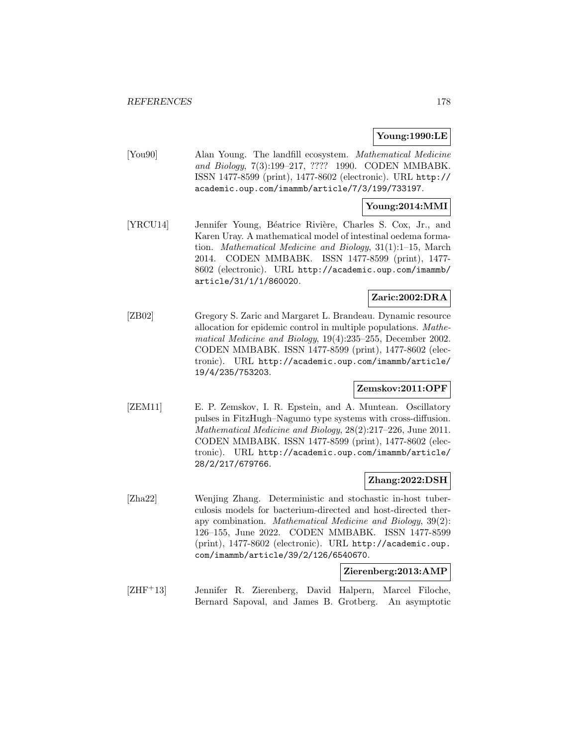# **Young:1990:LE**

[You90] Alan Young. The landfill ecosystem. Mathematical Medicine and Biology, 7(3):199–217, ???? 1990. CODEN MMBABK. ISSN 1477-8599 (print), 1477-8602 (electronic). URL http:// academic.oup.com/imammb/article/7/3/199/733197.

# **Young:2014:MMI**

[YRCU14] Jennifer Young, Béatrice Rivière, Charles S. Cox, Jr., and Karen Uray. A mathematical model of intestinal oedema formation. Mathematical Medicine and Biology, 31(1):1–15, March 2014. CODEN MMBABK. ISSN 1477-8599 (print), 1477- 8602 (electronic). URL http://academic.oup.com/imammb/ article/31/1/1/860020.

# **Zaric:2002:DRA**

[ZB02] Gregory S. Zaric and Margaret L. Brandeau. Dynamic resource allocation for epidemic control in multiple populations. Mathematical Medicine and Biology, 19(4):235–255, December 2002. CODEN MMBABK. ISSN 1477-8599 (print), 1477-8602 (electronic). URL http://academic.oup.com/imammb/article/ 19/4/235/753203.

# **Zemskov:2011:OPF**

[ZEM11] E. P. Zemskov, I. R. Epstein, and A. Muntean. Oscillatory pulses in FitzHugh–Nagumo type systems with cross-diffusion. Mathematical Medicine and Biology, 28(2):217–226, June 2011. CODEN MMBABK. ISSN 1477-8599 (print), 1477-8602 (electronic). URL http://academic.oup.com/imammb/article/ 28/2/217/679766.

## **Zhang:2022:DSH**

[Zha22] Wenjing Zhang. Deterministic and stochastic in-host tuberculosis models for bacterium-directed and host-directed therapy combination. Mathematical Medicine and Biology, 39(2): 126–155, June 2022. CODEN MMBABK. ISSN 1477-8599 (print), 1477-8602 (electronic). URL http://academic.oup. com/imammb/article/39/2/126/6540670.

### **Zierenberg:2013:AMP**

[ZHF<sup>+</sup>13] Jennifer R. Zierenberg, David Halpern, Marcel Filoche, Bernard Sapoval, and James B. Grotberg. An asymptotic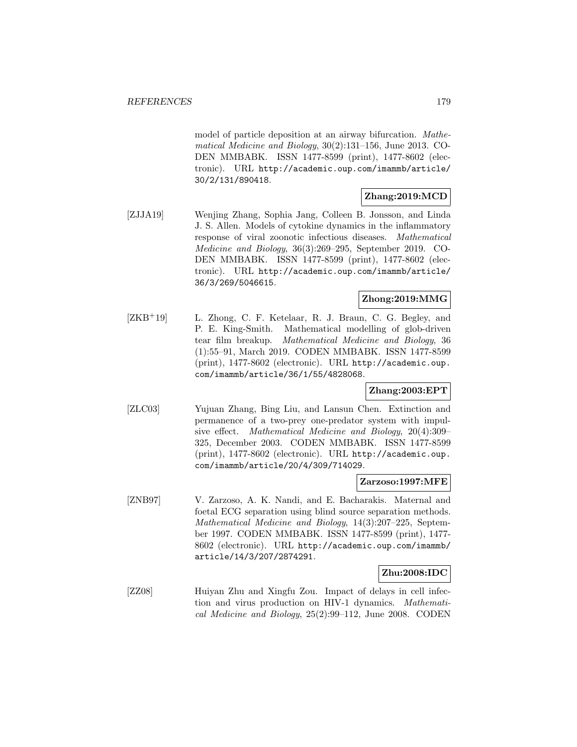model of particle deposition at an airway bifurcation. Mathematical Medicine and Biology, 30(2):131–156, June 2013. CO-DEN MMBABK. ISSN 1477-8599 (print), 1477-8602 (electronic). URL http://academic.oup.com/imammb/article/ 30/2/131/890418.

# **Zhang:2019:MCD**

[ZJJA19] Wenjing Zhang, Sophia Jang, Colleen B. Jonsson, and Linda J. S. Allen. Models of cytokine dynamics in the inflammatory response of viral zoonotic infectious diseases. Mathematical Medicine and Biology, 36(3):269–295, September 2019. CO-DEN MMBABK. ISSN 1477-8599 (print), 1477-8602 (electronic). URL http://academic.oup.com/imammb/article/ 36/3/269/5046615.

# **Zhong:2019:MMG**

[ZKB<sup>+</sup>19] L. Zhong, C. F. Ketelaar, R. J. Braun, C. G. Begley, and P. E. King-Smith. Mathematical modelling of glob-driven tear film breakup. Mathematical Medicine and Biology, 36 (1):55–91, March 2019. CODEN MMBABK. ISSN 1477-8599 (print), 1477-8602 (electronic). URL http://academic.oup. com/imammb/article/36/1/55/4828068.

# **Zhang:2003:EPT**

[ZLC03] Yujuan Zhang, Bing Liu, and Lansun Chen. Extinction and permanence of a two-prey one-predator system with impulsive effect. Mathematical Medicine and Biology, 20(4):309– 325, December 2003. CODEN MMBABK. ISSN 1477-8599 (print), 1477-8602 (electronic). URL http://academic.oup. com/imammb/article/20/4/309/714029.

## **Zarzoso:1997:MFE**

[ZNB97] V. Zarzoso, A. K. Nandi, and E. Bacharakis. Maternal and foetal ECG separation using blind source separation methods. Mathematical Medicine and Biology, 14(3):207–225, September 1997. CODEN MMBABK. ISSN 1477-8599 (print), 1477- 8602 (electronic). URL http://academic.oup.com/imammb/ article/14/3/207/2874291.

## **Zhu:2008:IDC**

[ZZ08] Huiyan Zhu and Xingfu Zou. Impact of delays in cell infection and virus production on HIV-1 dynamics. Mathematical Medicine and Biology, 25(2):99–112, June 2008. CODEN